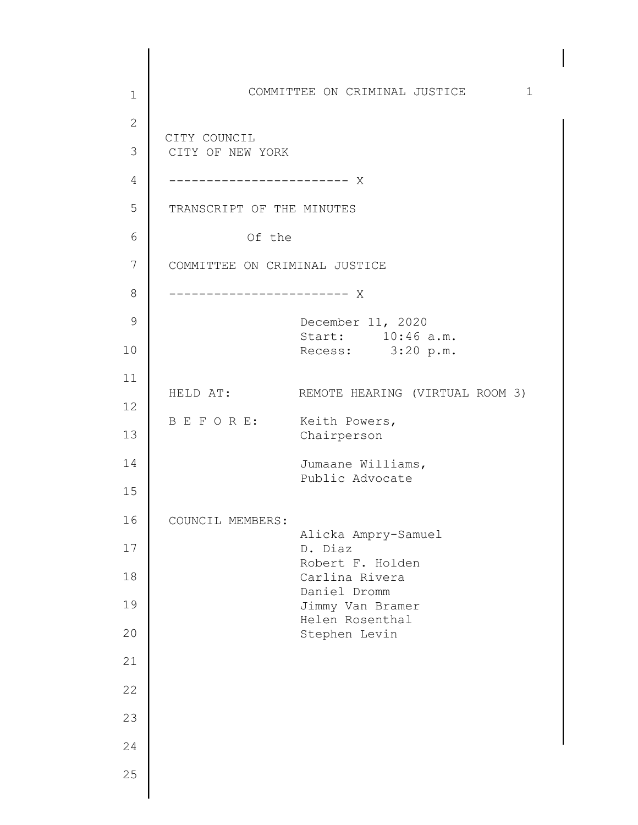1 2 3 4 5 6 7 8 9 10 11 12 13 14 15 16 17 18 19 20 21 22 23 24 25 COMMITTEE ON CRIMINAL JUSTICE 1 d ------------------------ X CITY COUNCIL CITY OF NEW YORK TRANSCRIPT OF THE MINUTES Of the COMMITTEE ON CRIMINAL JUSTICE ------------------------ X December 11, 2020 Start: 10:46 a.m. Recess: 3:20 p.m. HELD AT: REMOTE HEARING (VIRTUAL ROOM 3) B E F O R E: Keith Powers, Chairperson Jumaane Williams, Public Advocate COUNCIL MEMBERS: Alicka Ampry-Samuel D. Diaz Robert F. Holden Carlina Rivera Daniel Dromm Jimmy Van Bramer Helen Rosenthal Stephen Levin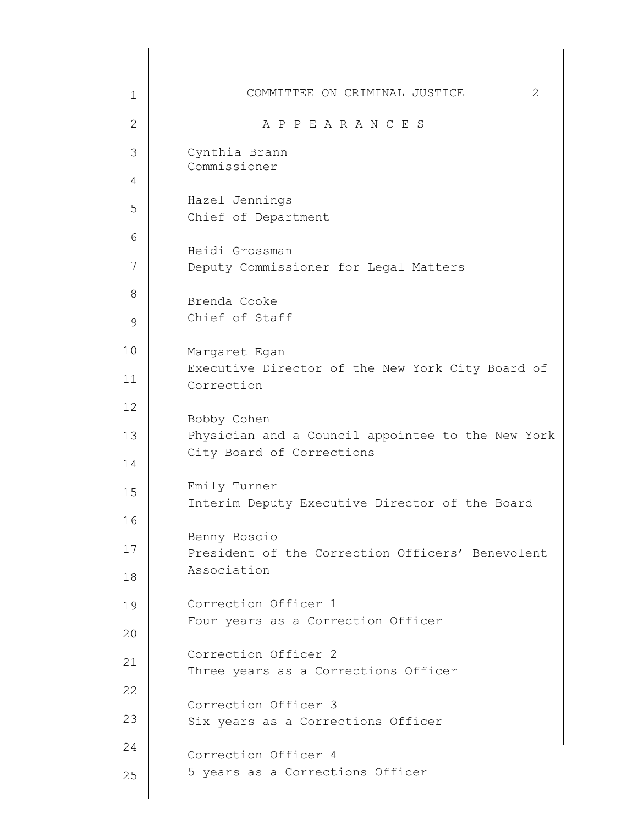| $\mathbf 1$  | COMMITTEE ON CRIMINAL JUSTICE<br>2                               |
|--------------|------------------------------------------------------------------|
| $\mathbf{2}$ | A P P E A R A N C E S                                            |
| 3            | Cynthia Brann                                                    |
| 4            | Commissioner                                                     |
| 5            | Hazel Jennings<br>Chief of Department                            |
| 6            |                                                                  |
| 7            | Heidi Grossman<br>Deputy Commissioner for Legal Matters          |
| 8            | Brenda Cooke                                                     |
| $\mathsf 9$  | Chief of Staff                                                   |
| 10           | Margaret Egan                                                    |
| 11           | Executive Director of the New York City Board of<br>Correction   |
| 12           | Bobby Cohen                                                      |
| 13           | Physician and a Council appointee to the New York                |
| 14           | City Board of Corrections                                        |
| 15           | Emily Turner<br>Interim Deputy Executive Director of the Board   |
| 16           |                                                                  |
| 17           | Benny Boscio<br>President of the Correction Officers' Benevolent |
| 18           | Association                                                      |
| 19           | Correction Officer 1                                             |
| 20           | Four years as a Correction Officer                               |
| 21           | Correction Officer 2<br>Three years as a Corrections Officer     |
| 22           |                                                                  |
| 23           | Correction Officer 3<br>Six years as a Corrections Officer       |
| 24           | Correction Officer 4                                             |
| 25           | 5 years as a Corrections Officer                                 |
|              |                                                                  |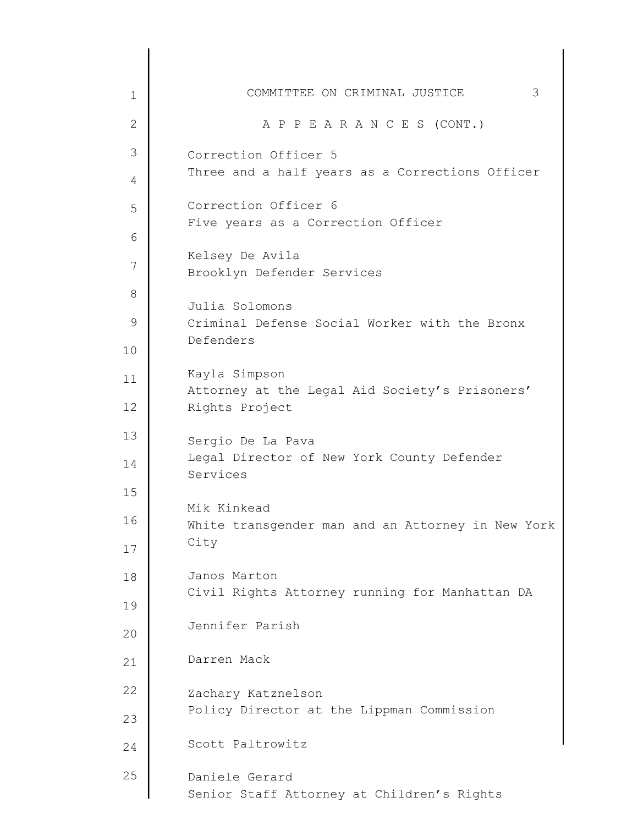| $\mathbf 1$       | 3<br>COMMITTEE ON CRIMINAL JUSTICE                               |
|-------------------|------------------------------------------------------------------|
| $\overline{2}$    | A P P E A R A N C E S (CONT.)                                    |
| 3                 | Correction Officer 5                                             |
| 4                 | Three and a half years as a Corrections Officer                  |
| 5                 | Correction Officer 6                                             |
| 6                 | Five years as a Correction Officer                               |
| 7                 | Kelsey De Avila                                                  |
|                   | Brooklyn Defender Services                                       |
| 8                 | Julia Solomons                                                   |
| 9                 | Criminal Defense Social Worker with the Bronx                    |
| 10                | Defenders                                                        |
| 11                | Kayla Simpson<br>Attorney at the Legal Aid Society's Prisoners'  |
| $12 \overline{ }$ | Rights Project                                                   |
| 13                | Sergio De La Pava                                                |
| 14                | Legal Director of New York County Defender<br>Services           |
| 15                |                                                                  |
| 16                | Mik Kinkead<br>White transgender man and an Attorney in New York |
| 17                | City                                                             |
| 18                | Janos Marton                                                     |
| 19                | Civil Rights Attorney running for Manhattan DA                   |
| 20                | Jennifer Parish                                                  |
| 21                | Darren Mack                                                      |
| 22                | Zachary Katznelson                                               |
| 23                | Policy Director at the Lippman Commission                        |
| 24                | Scott Paltrowitz                                                 |
| 25                | Daniele Gerard<br>Senior Staff Attorney at Children's Rights     |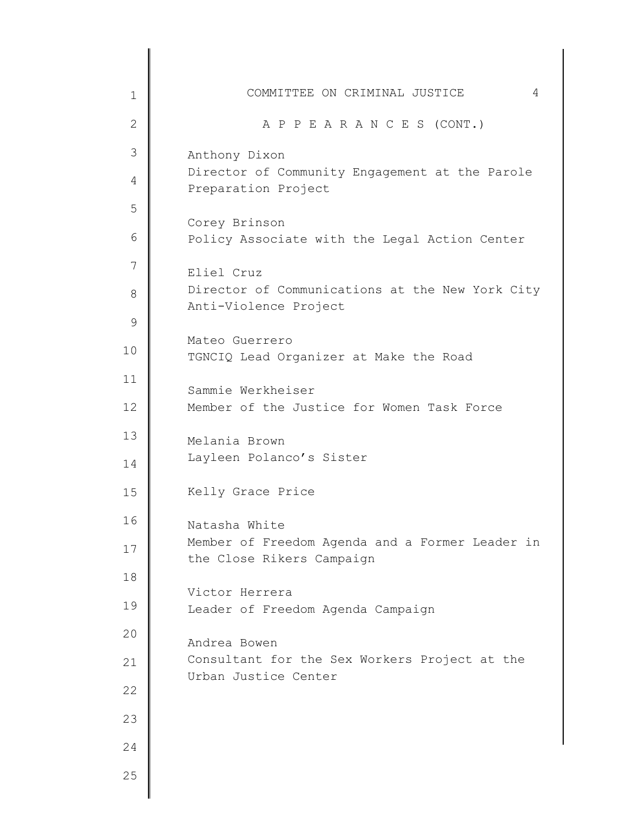| $\mathbf 1$   | COMMITTEE ON CRIMINAL JUSTICE<br>4                                           |
|---------------|------------------------------------------------------------------------------|
| $\mathbf{2}$  | A P P E A R A N C E S (CONT.)                                                |
| 3             | Anthony Dixon                                                                |
| 4             | Director of Community Engagement at the Parole<br>Preparation Project        |
| 5             | Corey Brinson                                                                |
| 6             | Policy Associate with the Legal Action Center                                |
| 7             | Eliel Cruz                                                                   |
| 8             | Director of Communications at the New York City<br>Anti-Violence Project     |
| $\mathcal{G}$ |                                                                              |
| 10            | Mateo Guerrero<br>TGNCIQ Lead Organizer at Make the Road                     |
| 11            | Sammie Werkheiser                                                            |
| 12            | Member of the Justice for Women Task Force                                   |
| 13            | Melania Brown                                                                |
| 14            | Layleen Polanco's Sister                                                     |
| 15            | Kelly Grace Price                                                            |
| 16            | Natasha White                                                                |
| 17            | Member of Freedom Agenda and a Former Leader in<br>the Close Rikers Campaign |
| 18            | Victor Herrera                                                               |
| 19            | Leader of Freedom Agenda Campaign                                            |
| 20            | Andrea Bowen                                                                 |
| 21            | Consultant for the Sex Workers Project at the<br>Urban Justice Center        |
| 22            |                                                                              |
| 23            |                                                                              |
| 24            |                                                                              |
| 25            |                                                                              |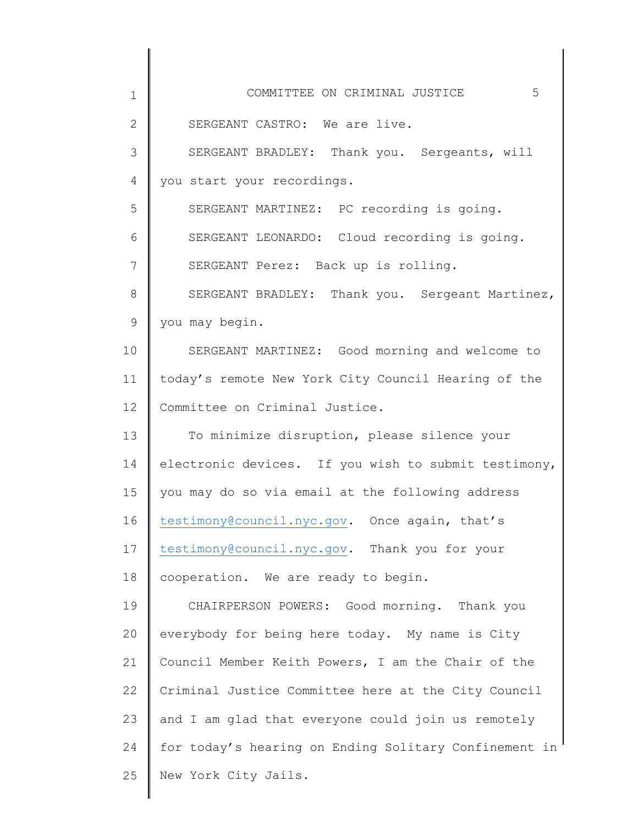| 1            | COMMITTEE ON CRIMINAL JUSTICE<br>5                    |
|--------------|-------------------------------------------------------|
| $\mathbf{2}$ | SERGEANT CASTRO: We are live.                         |
| 3            | SERGEANT BRADLEY: Thank you. Sergeants, will          |
| 4            | you start your recordings.                            |
| 5            | SERGEANT MARTINEZ: PC recording is going.             |
| 6            | SERGEANT LEONARDO: Cloud recording is going.          |
| 7            | SERGEANT Perez: Back up is rolling.                   |
| 8            | SERGEANT BRADLEY: Thank you. Sergeant Martinez,       |
| 9            | you may begin.                                        |
| 10           | SERGEANT MARTINEZ: Good morning and welcome to        |
| 11           | today's remote New York City Council Hearing of the   |
| 12           | Committee on Criminal Justice.                        |
| 13           | To minimize disruption, please silence your           |
| 14           | electronic devices. If you wish to submit testimony,  |
| 15           | you may do so via email at the following address      |
| 16           | testimony@council.nyc.gov. Once again, that's         |
| 17           | testimony@council.nyc.gov. Thank you for your         |
| 18           | cooperation. We are ready to begin.                   |
| 19           | CHAIRPERSON POWERS: Good morning. Thank you           |
| 20           | everybody for being here today. My name is City       |
| 21           | Council Member Keith Powers, I am the Chair of the    |
| 22           | Criminal Justice Committee here at the City Council   |
| 23           | and I am glad that everyone could join us remotely    |
| 24           | for today's hearing on Ending Solitary Confinement in |
| 25           | New York City Jails.                                  |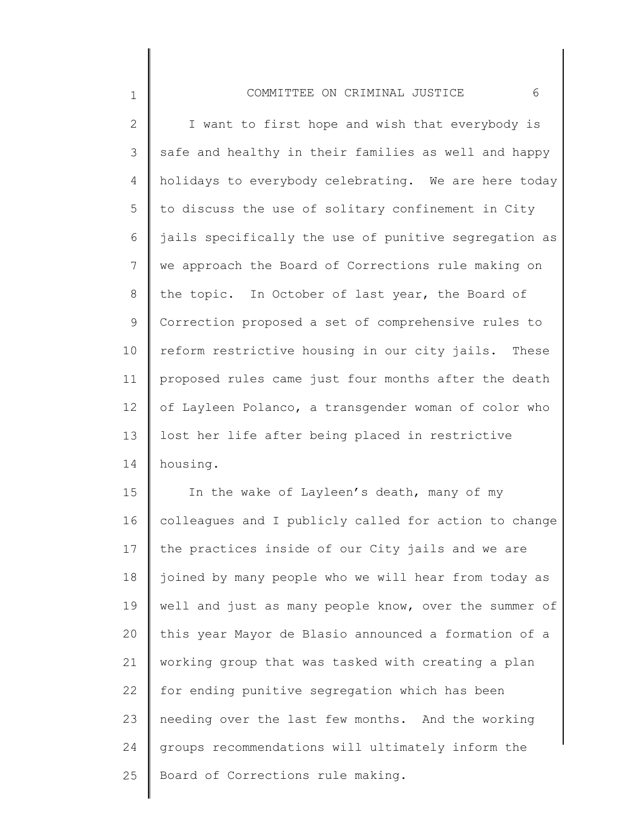## COMMITTEE ON CRIMINAL JUSTICE 6

1

2 3 4 5 6 7 8 9 10 11 12 13 14 I want to first hope and wish that everybody is safe and healthy in their families as well and happy holidays to everybody celebrating. We are here today to discuss the use of solitary confinement in City jails specifically the use of punitive segregation as we approach the Board of Corrections rule making on the topic. In October of last year, the Board of Correction proposed a set of comprehensive rules to reform restrictive housing in our city jails. These proposed rules came just four months after the death of Layleen Polanco, a transgender woman of color who lost her life after being placed in restrictive housing.

15 16 17 18 19 20 21 22 23 24 25 In the wake of Layleen's death, many of my colleagues and I publicly called for action to change the practices inside of our City jails and we are joined by many people who we will hear from today as well and just as many people know, over the summer of this year Mayor de Blasio announced a formation of a working group that was tasked with creating a plan for ending punitive segregation which has been needing over the last few months. And the working groups recommendations will ultimately inform the Board of Corrections rule making.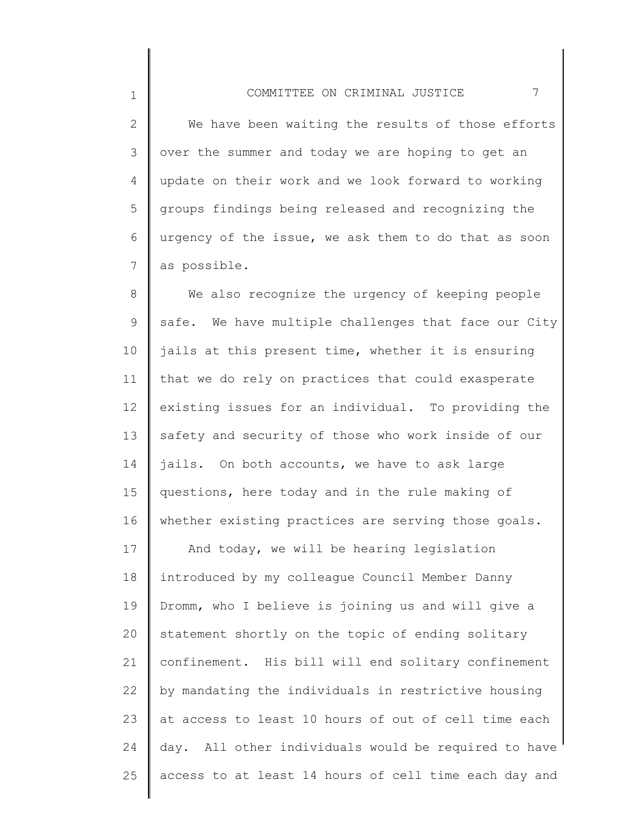2 3 4 5 6 7 We have been waiting the results of those efforts over the summer and today we are hoping to get an update on their work and we look forward to working groups findings being released and recognizing the urgency of the issue, we ask them to do that as soon as possible.

8 9 10 11 12 13 14 15 16 17 18 19 20 21 22 23 24 25 We also recognize the urgency of keeping people safe. We have multiple challenges that face our City jails at this present time, whether it is ensuring that we do rely on practices that could exasperate existing issues for an individual. To providing the safety and security of those who work inside of our jails. On both accounts, we have to ask large questions, here today and in the rule making of whether existing practices are serving those goals. And today, we will be hearing legislation introduced by my colleague Council Member Danny Dromm, who I believe is joining us and will give a statement shortly on the topic of ending solitary confinement. His bill will end solitary confinement by mandating the individuals in restrictive housing at access to least 10 hours of out of cell time each day. All other individuals would be required to have access to at least 14 hours of cell time each day and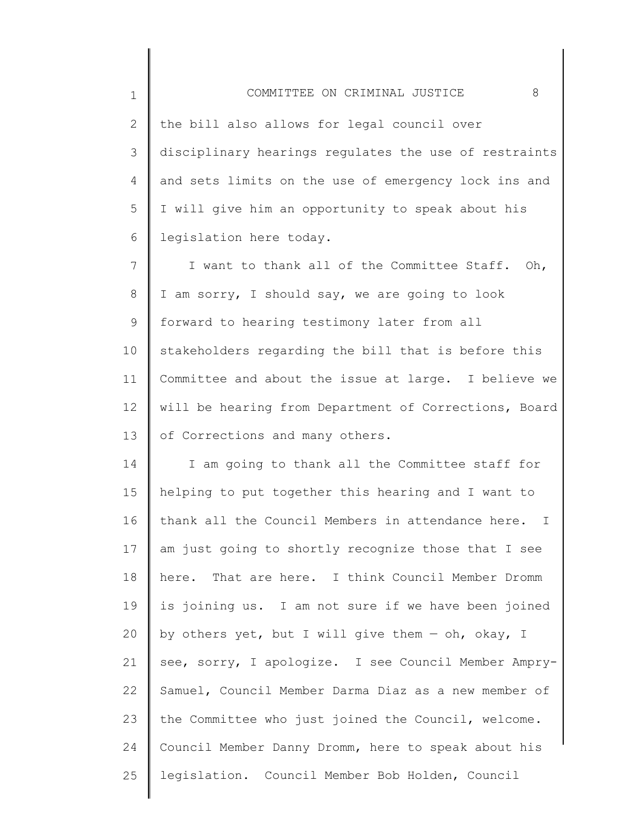| $\mathbf 1$    | 8<br>COMMITTEE ON CRIMINAL JUSTICE                    |
|----------------|-------------------------------------------------------|
| $\overline{2}$ | the bill also allows for legal council over           |
| 3              | disciplinary hearings regulates the use of restraints |
| 4              | and sets limits on the use of emergency lock ins and  |
| 5              | I will give him an opportunity to speak about his     |
| 6              | legislation here today.                               |
| 7              | I want to thank all of the Committee Staff. Oh,       |
| 8              | I am sorry, I should say, we are going to look        |
| 9              | forward to hearing testimony later from all           |
| 10             | stakeholders regarding the bill that is before this   |
| 11             | Committee and about the issue at large. I believe we  |
| 12             | will be hearing from Department of Corrections, Board |
| 13             | of Corrections and many others.                       |
| 14             | I am going to thank all the Committee staff for       |
| 15             | helping to put together this hearing and I want to    |
| 16             | thank all the Council Members in attendance here. I   |
| 17             | am just going to shortly recognize those that I see   |
| 18             | here. That are here. I think Council Member Dromm     |
| 19             | is joining us. I am not sure if we have been joined   |
| 20             | by others yet, but I will give them - oh, okay, I     |
| 21             | see, sorry, I apologize. I see Council Member Ampry-  |
| 22             | Samuel, Council Member Darma Diaz as a new member of  |
| 23             | the Committee who just joined the Council, welcome.   |
| 24             | Council Member Danny Dromm, here to speak about his   |
| 25             | legislation. Council Member Bob Holden, Council       |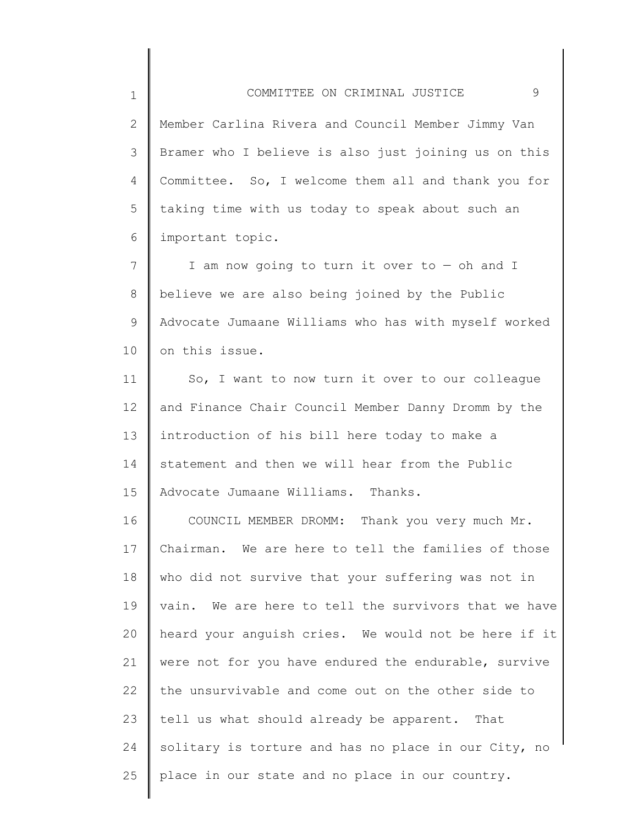2 3 4 5 6 Member Carlina Rivera and Council Member Jimmy Van Bramer who I believe is also just joining us on this Committee. So, I welcome them all and thank you for taking time with us today to speak about such an important topic.

7 8 9 10 I am now going to turn it over to — oh and I believe we are also being joined by the Public Advocate Jumaane Williams who has with myself worked on this issue.

11 12 13 14 15 So, I want to now turn it over to our colleague and Finance Chair Council Member Danny Dromm by the introduction of his bill here today to make a statement and then we will hear from the Public Advocate Jumaane Williams. Thanks.

16 17 18 19 20 21 22 23 24 25 COUNCIL MEMBER DROMM: Thank you very much Mr. Chairman. We are here to tell the families of those who did not survive that your suffering was not in vain. We are here to tell the survivors that we have heard your anguish cries. We would not be here if it were not for you have endured the endurable, survive the unsurvivable and come out on the other side to tell us what should already be apparent. That solitary is torture and has no place in our City, no place in our state and no place in our country.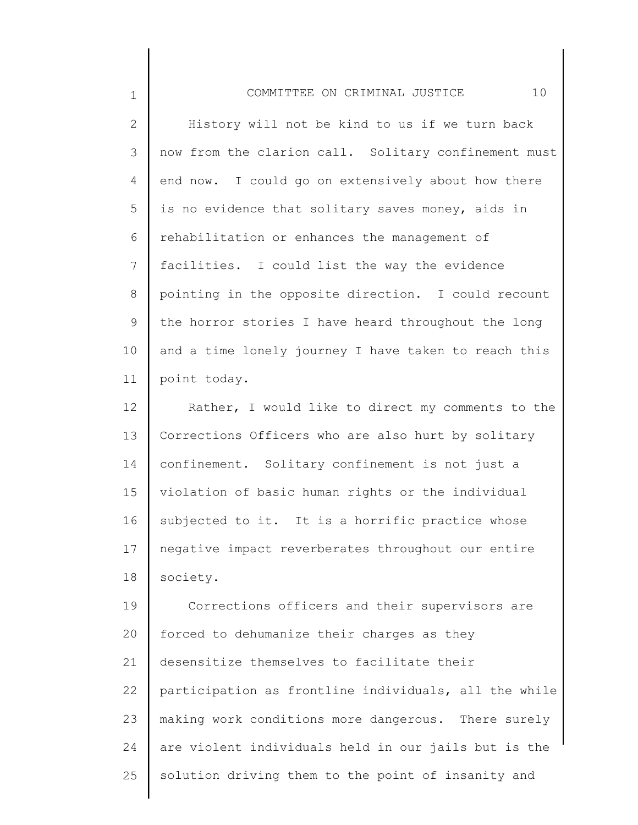2 3 4 5 6 7 8 9 10 11 History will not be kind to us if we turn back now from the clarion call. Solitary confinement must end now. I could go on extensively about how there is no evidence that solitary saves money, aids in rehabilitation or enhances the management of facilities. I could list the way the evidence pointing in the opposite direction. I could recount the horror stories I have heard throughout the long and a time lonely journey I have taken to reach this point today.

12 13 14 15 16 17 18 Rather, I would like to direct my comments to the Corrections Officers who are also hurt by solitary confinement. Solitary confinement is not just a violation of basic human rights or the individual subjected to it. It is a horrific practice whose negative impact reverberates throughout our entire society.

19 20 21 22 23 24 25 Corrections officers and their supervisors are forced to dehumanize their charges as they desensitize themselves to facilitate their participation as frontline individuals, all the while making work conditions more dangerous. There surely are violent individuals held in our jails but is the solution driving them to the point of insanity and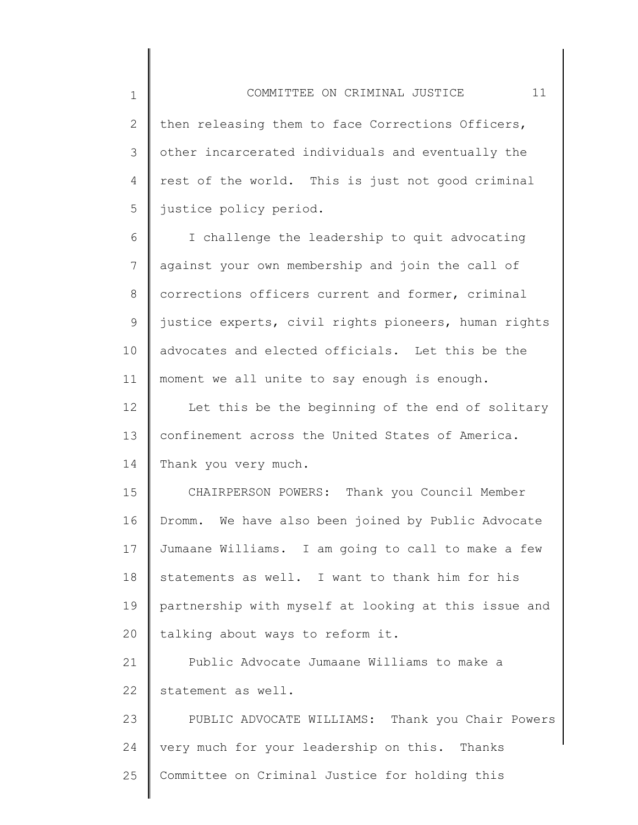2 3 4 5 then releasing them to face Corrections Officers, other incarcerated individuals and eventually the rest of the world. This is just not good criminal justice policy period.

1

6 7 8 9 10 11 I challenge the leadership to quit advocating against your own membership and join the call of corrections officers current and former, criminal justice experts, civil rights pioneers, human rights advocates and elected officials. Let this be the moment we all unite to say enough is enough.

12 13 14 Let this be the beginning of the end of solitary confinement across the United States of America. Thank you very much.

15 16 17 18 19 20 CHAIRPERSON POWERS: Thank you Council Member Dromm. We have also been joined by Public Advocate Jumaane Williams. I am going to call to make a few statements as well. I want to thank him for his partnership with myself at looking at this issue and talking about ways to reform it.

21 22 Public Advocate Jumaane Williams to make a statement as well.

23 24 25 PUBLIC ADVOCATE WILLIAMS: Thank you Chair Powers very much for your leadership on this. Thanks Committee on Criminal Justice for holding this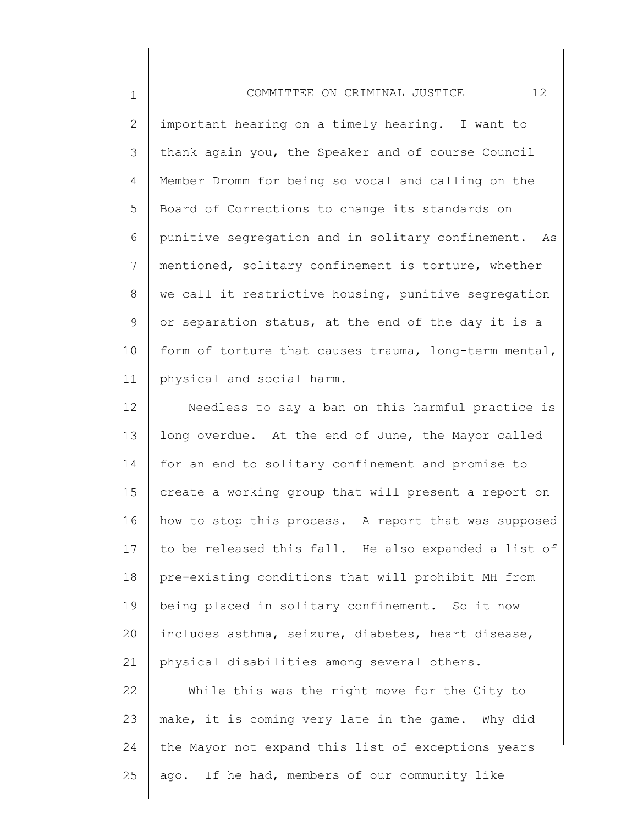1 2 3 4 5 6 7 8 9 10 11 COMMITTEE ON CRIMINAL JUSTICE 12 important hearing on a timely hearing. I want to thank again you, the Speaker and of course Council Member Dromm for being so vocal and calling on the Board of Corrections to change its standards on punitive segregation and in solitary confinement. As mentioned, solitary confinement is torture, whether we call it restrictive housing, punitive segregation or separation status, at the end of the day it is a form of torture that causes trauma, long-term mental, physical and social harm.

12 13 14 15 16 17 18 19 20 21 Needless to say a ban on this harmful practice is long overdue. At the end of June, the Mayor called for an end to solitary confinement and promise to create a working group that will present a report on how to stop this process. A report that was supposed to be released this fall. He also expanded a list of pre-existing conditions that will prohibit MH from being placed in solitary confinement. So it now includes asthma, seizure, diabetes, heart disease, physical disabilities among several others.

22 23 24 25 While this was the right move for the City to make, it is coming very late in the game. Why did the Mayor not expand this list of exceptions years ago. If he had, members of our community like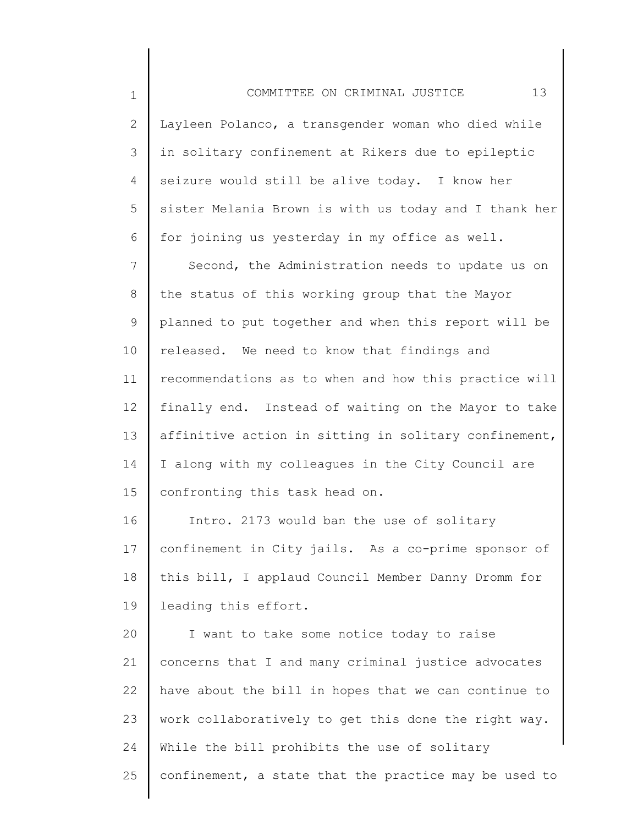2 3 4 5 6 7 8 9 10 11 12 13 14 15 16 Layleen Polanco, a transgender woman who died while in solitary confinement at Rikers due to epileptic seizure would still be alive today. I know her sister Melania Brown is with us today and I thank her for joining us yesterday in my office as well. Second, the Administration needs to update us on the status of this working group that the Mayor planned to put together and when this report will be released. We need to know that findings and recommendations as to when and how this practice will finally end. Instead of waiting on the Mayor to take affinitive action in sitting in solitary confinement, I along with my colleagues in the City Council are confronting this task head on. Intro. 2173 would ban the use of solitary

17 18 19 confinement in City jails. As a co-prime sponsor of this bill, I applaud Council Member Danny Dromm for leading this effort.

20 21 22 23 24 25 I want to take some notice today to raise concerns that I and many criminal justice advocates have about the bill in hopes that we can continue to work collaboratively to get this done the right way. While the bill prohibits the use of solitary confinement, a state that the practice may be used to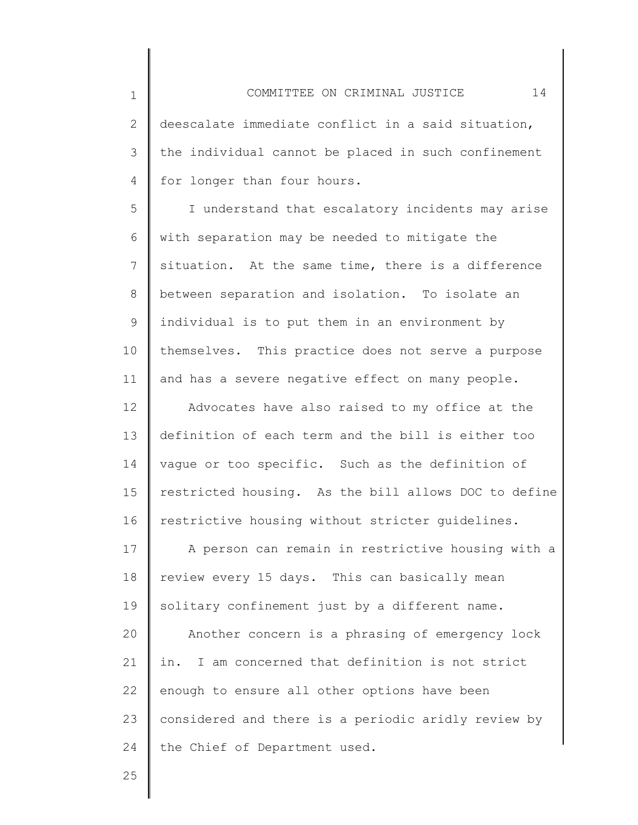2 3 4 deescalate immediate conflict in a said situation, the individual cannot be placed in such confinement for longer than four hours.

5 6 7 8 9 10 11 I understand that escalatory incidents may arise with separation may be needed to mitigate the situation. At the same time, there is a difference between separation and isolation. To isolate an individual is to put them in an environment by themselves. This practice does not serve a purpose and has a severe negative effect on many people.

12 13 14 15 16 Advocates have also raised to my office at the definition of each term and the bill is either too vague or too specific. Such as the definition of restricted housing. As the bill allows DOC to define restrictive housing without stricter guidelines.

17 18 19 20 21 22 23 24 A person can remain in restrictive housing with a review every 15 days. This can basically mean solitary confinement just by a different name. Another concern is a phrasing of emergency lock in. I am concerned that definition is not strict enough to ensure all other options have been considered and there is a periodic aridly review by the Chief of Department used.

25

1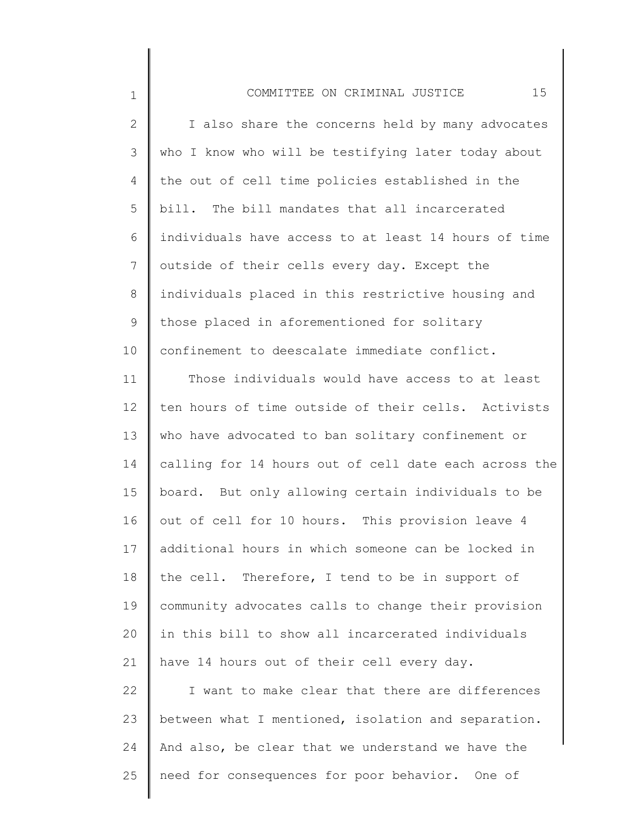| $\mathbf 1$     | 15<br>COMMITTEE ON CRIMINAL JUSTICE                   |
|-----------------|-------------------------------------------------------|
| $\mathbf{2}$    | I also share the concerns held by many advocates      |
| 3               | who I know who will be testifying later today about   |
| 4               | the out of cell time policies established in the      |
| 5               | bill. The bill mandates that all incarcerated         |
| 6               | individuals have access to at least 14 hours of time  |
| $7\overline{ }$ | outside of their cells every day. Except the          |
| 8               | individuals placed in this restrictive housing and    |
| 9               | those placed in aforementioned for solitary           |
| 10              | confinement to deescalate immediate conflict.         |
| 11              | Those individuals would have access to at least       |
| 12              | ten hours of time outside of their cells. Activists   |
| 13              | who have advocated to ban solitary confinement or     |
| 14              | calling for 14 hours out of cell date each across the |
| 15              | board. But only allowing certain individuals to be    |
| 16              | out of cell for 10 hours. This provision leave 4      |
| 17              | additional hours in which someone can be locked in    |
| 18              | the cell. Therefore, I tend to be in support of       |
| 19              | community advocates calls to change their provision   |
| 20              | in this bill to show all incarcerated individuals     |
| 21              | have 14 hours out of their cell every day.            |
| 22              | I want to make clear that there are differences       |
| 23              | between what I mentioned, isolation and separation.   |
| 24              | And also, be clear that we understand we have the     |
| 25              | need for consequences for poor behavior. One of       |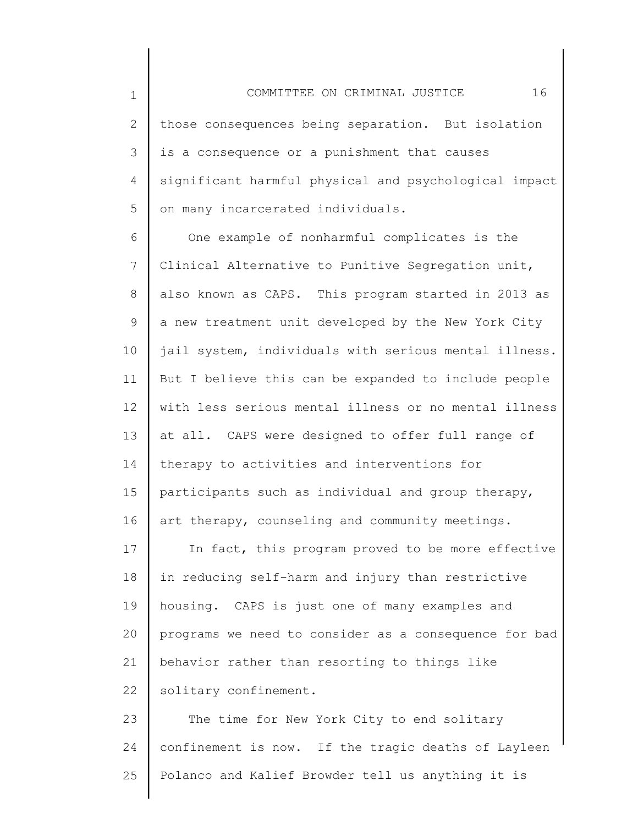4 5 significant harmful physical and psychological impact on many incarcerated individuals.

is a consequence or a punishment that causes

1

2

3

6 7 8 9 10 11 12 13 14 15 16 17 18 19 20 21 22 One example of nonharmful complicates is the Clinical Alternative to Punitive Segregation unit, also known as CAPS. This program started in 2013 as a new treatment unit developed by the New York City jail system, individuals with serious mental illness. But I believe this can be expanded to include people with less serious mental illness or no mental illness at all. CAPS were designed to offer full range of therapy to activities and interventions for participants such as individual and group therapy, art therapy, counseling and community meetings. In fact, this program proved to be more effective in reducing self-harm and injury than restrictive housing. CAPS is just one of many examples and programs we need to consider as a consequence for bad behavior rather than resorting to things like solitary confinement.

23 24 25 The time for New York City to end solitary confinement is now. If the tragic deaths of Layleen Polanco and Kalief Browder tell us anything it is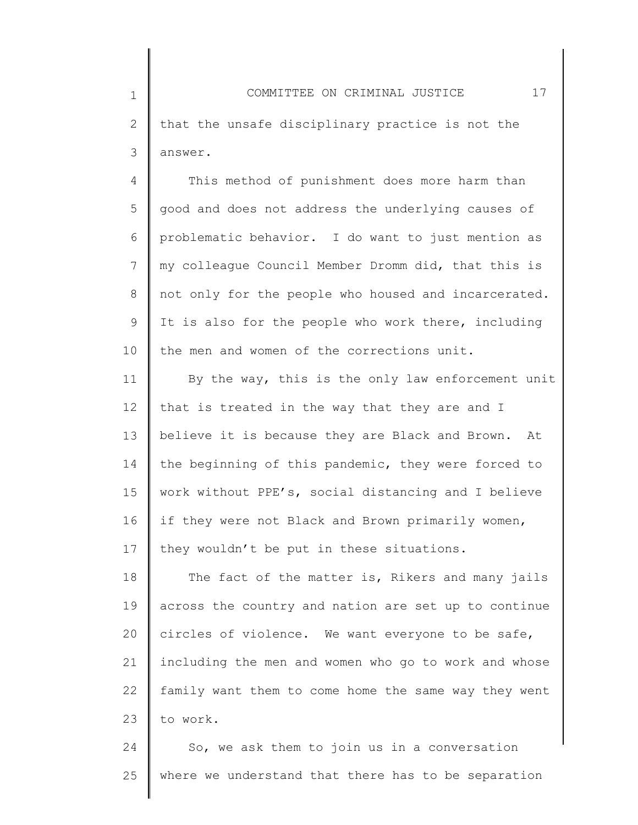4 5 6 7 8 9 10 This method of punishment does more harm than good and does not address the underlying causes of problematic behavior. I do want to just mention as my colleague Council Member Dromm did, that this is not only for the people who housed and incarcerated. It is also for the people who work there, including the men and women of the corrections unit.

11 12 13 14 15 16 17 By the way, this is the only law enforcement unit that is treated in the way that they are and I believe it is because they are Black and Brown. At the beginning of this pandemic, they were forced to work without PPE's, social distancing and I believe if they were not Black and Brown primarily women, they wouldn't be put in these situations.

18 19 20 21 22 23 The fact of the matter is, Rikers and many jails across the country and nation are set up to continue circles of violence. We want everyone to be safe, including the men and women who go to work and whose family want them to come home the same way they went to work.

24 25 So, we ask them to join us in a conversation where we understand that there has to be separation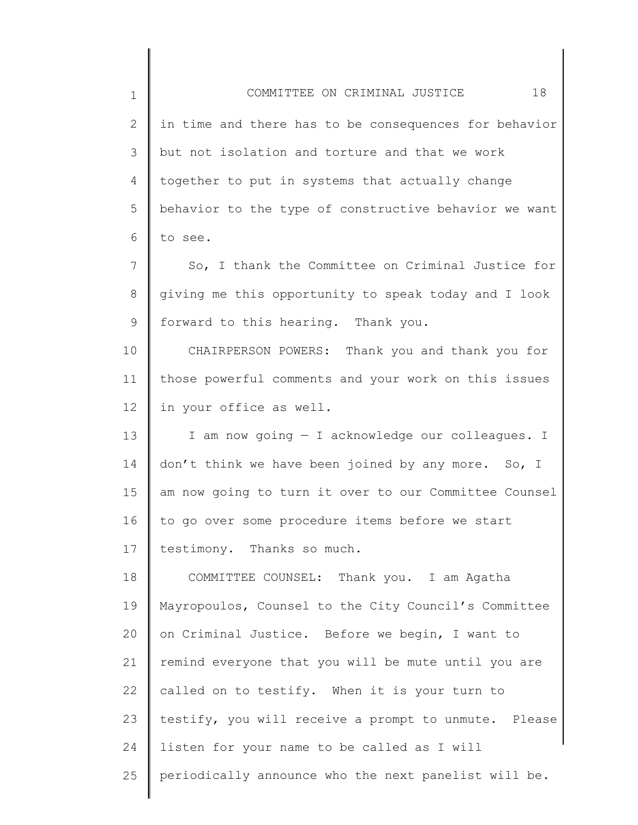1 2 3 4 5 6 7 8 9 10 11 12 13 14 15 16 17 18 19 20 21 22 23 24 25 COMMITTEE ON CRIMINAL JUSTICE 18 in time and there has to be consequences for behavior but not isolation and torture and that we work together to put in systems that actually change behavior to the type of constructive behavior we want to see. So, I thank the Committee on Criminal Justice for giving me this opportunity to speak today and I look forward to this hearing. Thank you. CHAIRPERSON POWERS: Thank you and thank you for those powerful comments and your work on this issues in your office as well. I am now going — I acknowledge our colleagues. I don't think we have been joined by any more. So, I am now going to turn it over to our Committee Counsel to go over some procedure items before we start testimony. Thanks so much. COMMITTEE COUNSEL: Thank you. I am Agatha Mayropoulos, Counsel to the City Council's Committee on Criminal Justice. Before we begin, I want to remind everyone that you will be mute until you are called on to testify. When it is your turn to testify, you will receive a prompt to unmute. Please listen for your name to be called as I will periodically announce who the next panelist will be.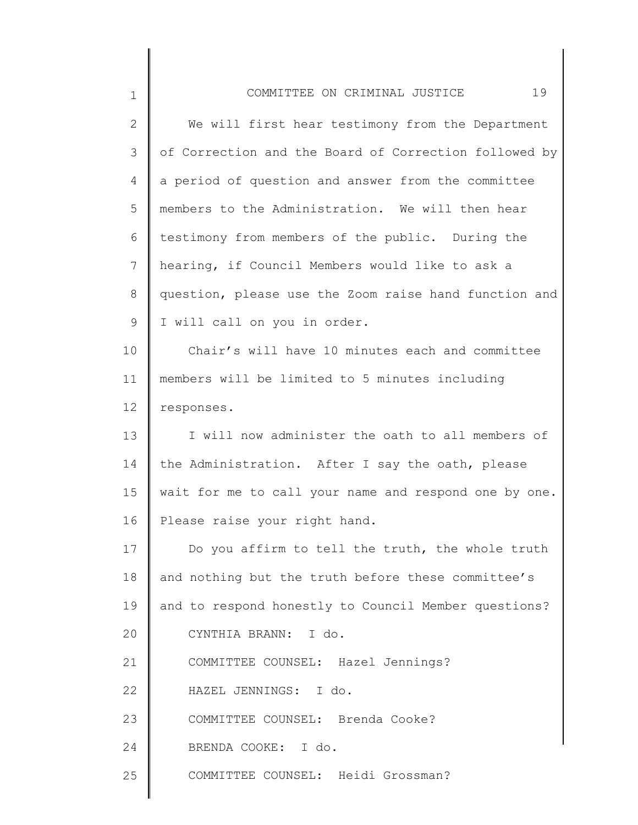| $\mathbf 1$  | 19<br>COMMITTEE ON CRIMINAL JUSTICE                   |
|--------------|-------------------------------------------------------|
| $\mathbf{2}$ | We will first hear testimony from the Department      |
| 3            | of Correction and the Board of Correction followed by |
| 4            | a period of question and answer from the committee    |
| 5            | members to the Administration. We will then hear      |
| 6            | testimony from members of the public. During the      |
| 7            | hearing, if Council Members would like to ask a       |
| 8            | question, please use the Zoom raise hand function and |
| $\mathsf 9$  | I will call on you in order.                          |
| 10           | Chair's will have 10 minutes each and committee       |
| 11           | members will be limited to 5 minutes including        |
| 12           | responses.                                            |
| 13           | I will now administer the oath to all members of      |
| 14           | the Administration. After I say the oath, please      |
| 15           | wait for me to call your name and respond one by one. |
| 16           | Please raise your right hand.                         |
| 17           | Do you affirm to tell the truth, the whole truth      |
| 18           | and nothing but the truth before these committee's    |
| 19           | and to respond honestly to Council Member questions?  |
| 20           | CYNTHIA BRANN: I do.                                  |
| 21           | COMMITTEE COUNSEL: Hazel Jennings?                    |
| 22           | HAZEL JENNINGS: I do.                                 |
| 23           | COMMITTEE COUNSEL: Brenda Cooke?                      |
| 24           | BRENDA COOKE: I do.                                   |
| 25           | COMMITTEE COUNSEL: Heidi Grossman?                    |
|              |                                                       |

∥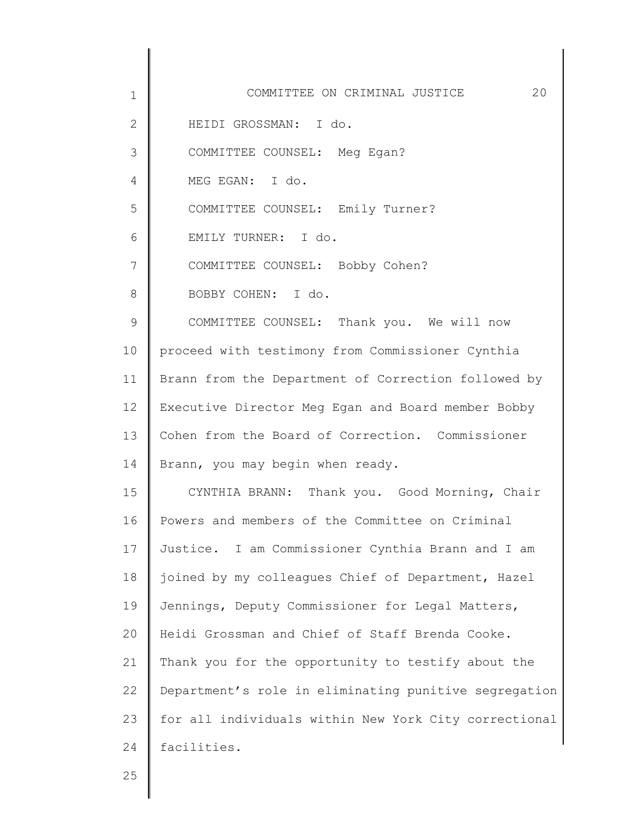| $\mathbf 1$  | COMMITTEE ON CRIMINAL JUSTICE<br>20                   |
|--------------|-------------------------------------------------------|
| $\mathbf{2}$ | HEIDI GROSSMAN: I do.                                 |
| 3            | COMMITTEE COUNSEL: Meg Egan?                          |
| 4            | MEG EGAN: I do.                                       |
| 5            | COMMITTEE COUNSEL: Emily Turner?                      |
| 6            | EMILY TURNER: I do.                                   |
| 7            | COMMITTEE COUNSEL: Bobby Cohen?                       |
| 8            | BOBBY COHEN: I do.                                    |
| 9            | COMMITTEE COUNSEL: Thank you. We will now             |
| 10           | proceed with testimony from Commissioner Cynthia      |
| 11           | Brann from the Department of Correction followed by   |
| 12           | Executive Director Meg Egan and Board member Bobby    |
| 13           | Cohen from the Board of Correction. Commissioner      |
| 14           | Brann, you may begin when ready.                      |
| 15           | CYNTHIA BRANN: Thank you. Good Morning, Chair         |
| 16           | Powers and members of the Committee on Criminal       |
| 17           | Justice. I am Commissioner Cynthia Brann and I am     |
| 18           | joined by my colleagues Chief of Department, Hazel    |
| 19           | Jennings, Deputy Commissioner for Legal Matters,      |
| 20           | Heidi Grossman and Chief of Staff Brenda Cooke.       |
| 21           | Thank you for the opportunity to testify about the    |
| 22           | Department's role in eliminating punitive segregation |
| 23           | for all individuals within New York City correctional |
| 24           | facilities.                                           |
|              |                                                       |

∥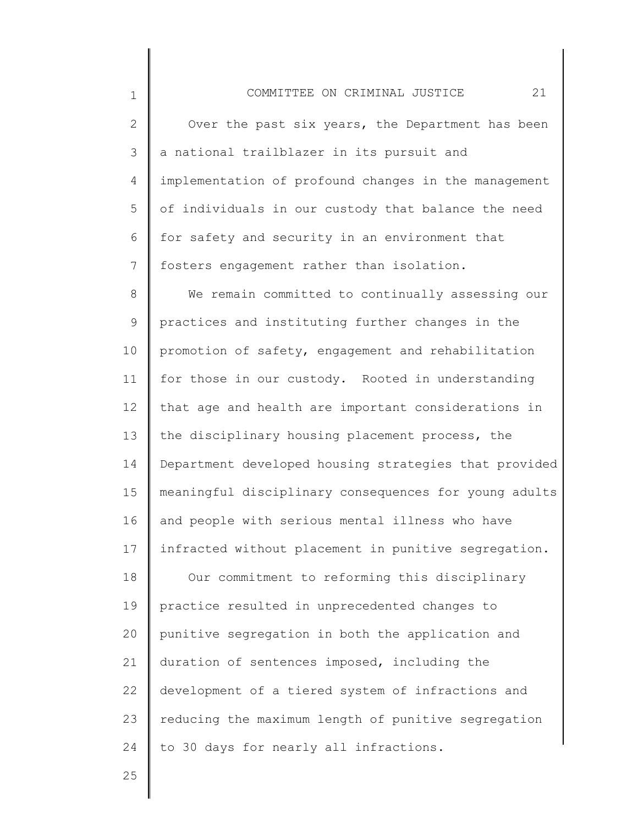2 3 4 5 6 7 Over the past six years, the Department has been a national trailblazer in its pursuit and implementation of profound changes in the management of individuals in our custody that balance the need for safety and security in an environment that fosters engagement rather than isolation.

8 9 10 11 12 13 14 15 16 17 18 19 20 21 22 We remain committed to continually assessing our practices and instituting further changes in the promotion of safety, engagement and rehabilitation for those in our custody. Rooted in understanding that age and health are important considerations in the disciplinary housing placement process, the Department developed housing strategies that provided meaningful disciplinary consequences for young adults and people with serious mental illness who have infracted without placement in punitive segregation. Our commitment to reforming this disciplinary practice resulted in unprecedented changes to punitive segregation in both the application and duration of sentences imposed, including the development of a tiered system of infractions and

23 24 reducing the maximum length of punitive segregation to 30 days for nearly all infractions.

25

1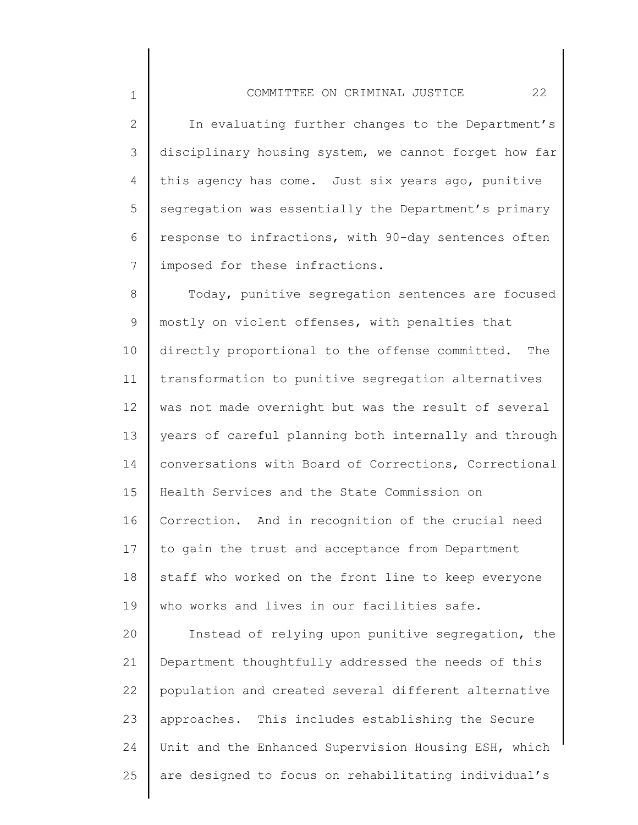## COMMITTEE ON CRIMINAL JUSTICE 22

1

2 3 4 5 6 7 In evaluating further changes to the Department's disciplinary housing system, we cannot forget how far this agency has come. Just six years ago, punitive segregation was essentially the Department's primary response to infractions, with 90-day sentences often imposed for these infractions.

8 9 10 11 12 13 14 15 16 17 18 19 20 Today, punitive segregation sentences are focused mostly on violent offenses, with penalties that directly proportional to the offense committed. The transformation to punitive segregation alternatives was not made overnight but was the result of several years of careful planning both internally and through conversations with Board of Corrections, Correctional Health Services and the State Commission on Correction. And in recognition of the crucial need to gain the trust and acceptance from Department staff who worked on the front line to keep everyone who works and lives in our facilities safe. Instead of relying upon punitive segregation, the

21 22 23 24 25 Department thoughtfully addressed the needs of this population and created several different alternative approaches. This includes establishing the Secure Unit and the Enhanced Supervision Housing ESH, which are designed to focus on rehabilitating individual's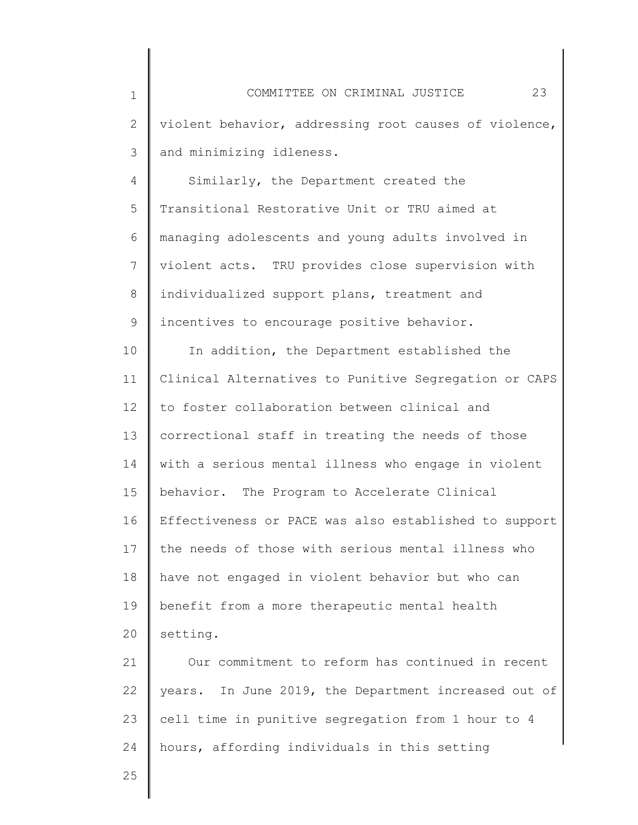4 5 6 7 8 9 Similarly, the Department created the Transitional Restorative Unit or TRU aimed at managing adolescents and young adults involved in violent acts. TRU provides close supervision with individualized support plans, treatment and incentives to encourage positive behavior.

10 11 12 13 14 15 16 17 18 19 20 In addition, the Department established the Clinical Alternatives to Punitive Segregation or CAPS to foster collaboration between clinical and correctional staff in treating the needs of those with a serious mental illness who engage in violent behavior. The Program to Accelerate Clinical Effectiveness or PACE was also established to support the needs of those with serious mental illness who have not engaged in violent behavior but who can benefit from a more therapeutic mental health setting.

21 22 23 24 Our commitment to reform has continued in recent years. In June 2019, the Department increased out of cell time in punitive segregation from 1 hour to 4 hours, affording individuals in this setting

25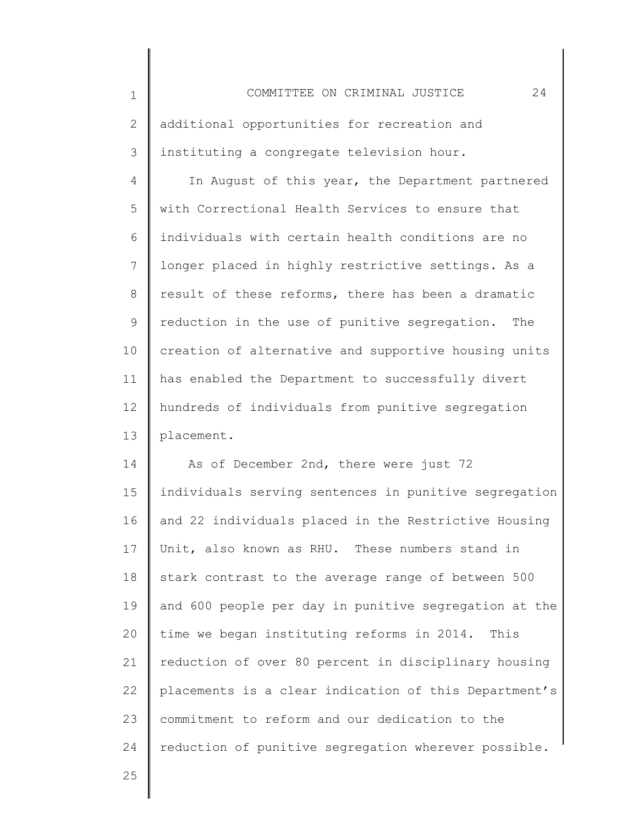1 2 3 4 5 6 7 8 9 10 11 12 13 14 15 16 17 18 19 20 21 22 23 24 COMMITTEE ON CRIMINAL JUSTICE 24 additional opportunities for recreation and instituting a congregate television hour. In August of this year, the Department partnered with Correctional Health Services to ensure that individuals with certain health conditions are no longer placed in highly restrictive settings. As a result of these reforms, there has been a dramatic reduction in the use of punitive segregation. The creation of alternative and supportive housing units has enabled the Department to successfully divert hundreds of individuals from punitive segregation placement. As of December 2nd, there were just 72 individuals serving sentences in punitive segregation and 22 individuals placed in the Restrictive Housing Unit, also known as RHU. These numbers stand in stark contrast to the average range of between 500 and 600 people per day in punitive segregation at the time we began instituting reforms in 2014. This reduction of over 80 percent in disciplinary housing placements is a clear indication of this Department's commitment to reform and our dedication to the reduction of punitive segregation wherever possible.

25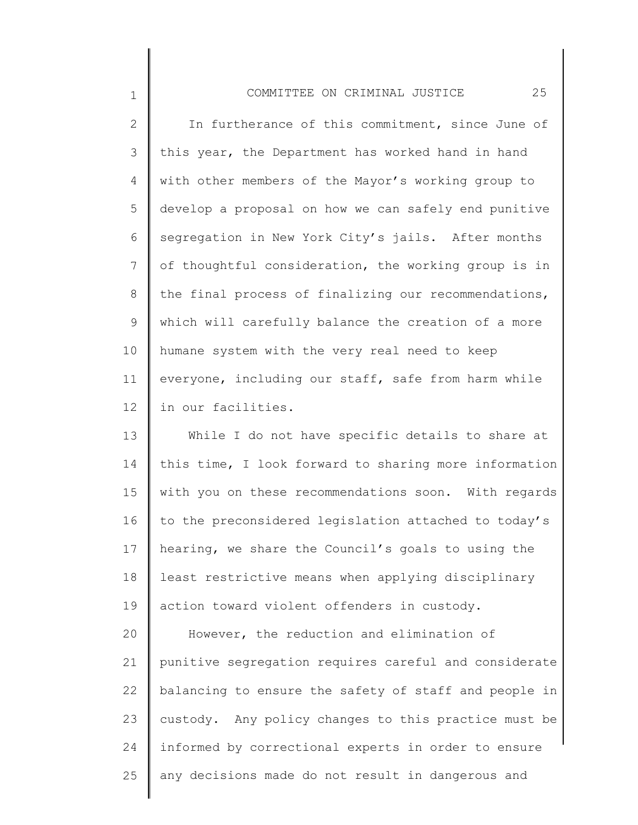## COMMITTEE ON CRIMINAL JUSTICE 25

1

2 3 4 5 6 7 8 9 10 11 12 In furtherance of this commitment, since June of this year, the Department has worked hand in hand with other members of the Mayor's working group to develop a proposal on how we can safely end punitive segregation in New York City's jails. After months of thoughtful consideration, the working group is in the final process of finalizing our recommendations, which will carefully balance the creation of a more humane system with the very real need to keep everyone, including our staff, safe from harm while in our facilities.

13 14 15 16 17 18 19 While I do not have specific details to share at this time, I look forward to sharing more information with you on these recommendations soon. With regards to the preconsidered legislation attached to today's hearing, we share the Council's goals to using the least restrictive means when applying disciplinary action toward violent offenders in custody.

20 21 22 23 24 25 However, the reduction and elimination of punitive segregation requires careful and considerate balancing to ensure the safety of staff and people in custody. Any policy changes to this practice must be informed by correctional experts in order to ensure any decisions made do not result in dangerous and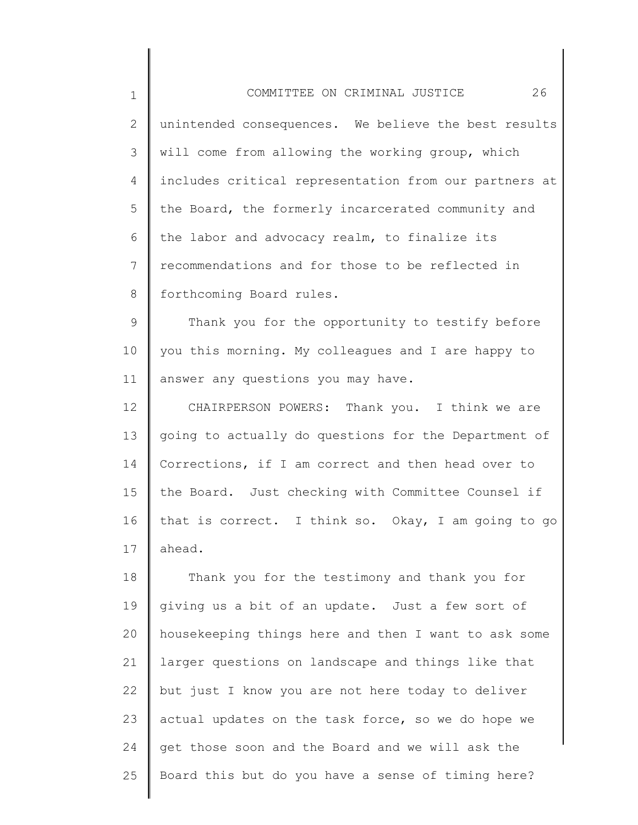| $\mathbf 1$     | 26<br>COMMITTEE ON CRIMINAL JUSTICE                   |
|-----------------|-------------------------------------------------------|
| $\mathbf{2}$    | unintended consequences. We believe the best results  |
| 3               | will come from allowing the working group, which      |
| 4               | includes critical representation from our partners at |
| 5               | the Board, the formerly incarcerated community and    |
| 6               | the labor and advocacy realm, to finalize its         |
| $7\overline{ }$ | recommendations and for those to be reflected in      |
| 8               | forthcoming Board rules.                              |
| 9               | Thank you for the opportunity to testify before       |
| 10              | you this morning. My colleagues and I are happy to    |
| 11              | answer any questions you may have.                    |
| 12 <sup>°</sup> | CHAIRPERSON POWERS: Thank you. I think we are         |
| 13              | going to actually do questions for the Department of  |
| 14              | Corrections, if I am correct and then head over to    |
| 15              | the Board. Just checking with Committee Counsel if    |
| 16              | that is correct. I think so. Okay, I am going to go   |
| 17              | ahead.                                                |
| 18              | Thank you for the testimony and thank you for         |
| 19              | giving us a bit of an update. Just a few sort of      |
| 20              | housekeeping things here and then I want to ask some  |
| 21              | larger questions on landscape and things like that    |
| 22              | but just I know you are not here today to deliver     |
| 23              | actual updates on the task force, so we do hope we    |
| 24              | get those soon and the Board and we will ask the      |

Board this but do you have a sense of timing here?

25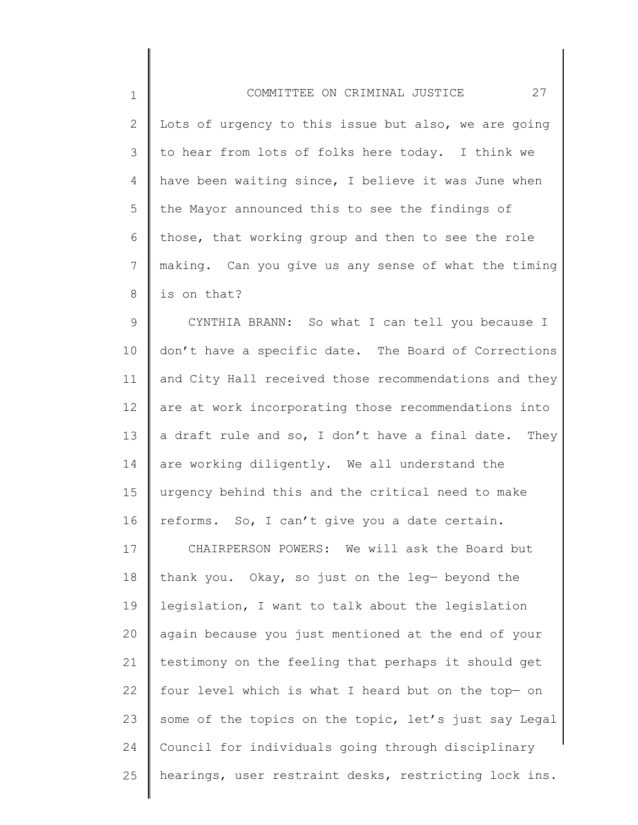1 2 3 4 5 6 7 8 COMMITTEE ON CRIMINAL JUSTICE 27 Lots of urgency to this issue but also, we are going to hear from lots of folks here today. I think we have been waiting since, I believe it was June when the Mayor announced this to see the findings of those, that working group and then to see the role making. Can you give us any sense of what the timing is on that?

9 10 11 12 13 14 15 16 CYNTHIA BRANN: So what I can tell you because I don't have a specific date. The Board of Corrections and City Hall received those recommendations and they are at work incorporating those recommendations into a draft rule and so, I don't have a final date. They are working diligently. We all understand the urgency behind this and the critical need to make reforms. So, I can't give you a date certain.

17 18 19 20 21 22 23 24 25 CHAIRPERSON POWERS: We will ask the Board but thank you. Okay, so just on the leg— beyond the legislation, I want to talk about the legislation again because you just mentioned at the end of your testimony on the feeling that perhaps it should get four level which is what I heard but on the top— on some of the topics on the topic, let's just say Legal Council for individuals going through disciplinary hearings, user restraint desks, restricting lock ins.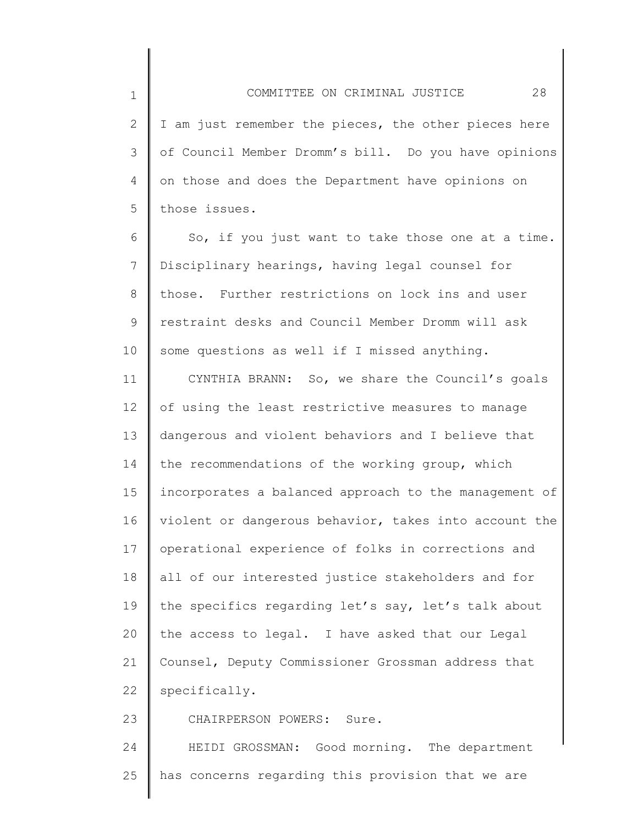2

3

4

5

23

I am just remember the pieces, the other pieces here of Council Member Dromm's bill. Do you have opinions on those and does the Department have opinions on those issues.

6 7 8 9 10 So, if you just want to take those one at a time. Disciplinary hearings, having legal counsel for those. Further restrictions on lock ins and user restraint desks and Council Member Dromm will ask some questions as well if I missed anything.

11 12 13 14 15 16 17 18 19 20 21 22 CYNTHIA BRANN: So, we share the Council's goals of using the least restrictive measures to manage dangerous and violent behaviors and I believe that the recommendations of the working group, which incorporates a balanced approach to the management of violent or dangerous behavior, takes into account the operational experience of folks in corrections and all of our interested justice stakeholders and for the specifics regarding let's say, let's talk about the access to legal. I have asked that our Legal Counsel, Deputy Commissioner Grossman address that specifically.

CHAIRPERSON POWERS: Sure.

24 25 HEIDI GROSSMAN: Good morning. The department has concerns regarding this provision that we are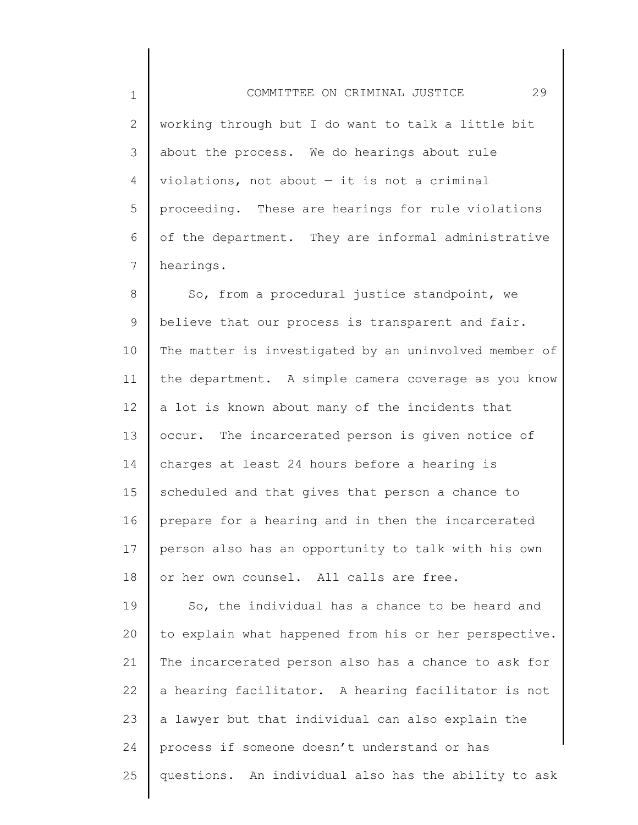1 2 3 4 5 6 7 COMMITTEE ON CRIMINAL JUSTICE 29 working through but I do want to talk a little bit about the process. We do hearings about rule violations, not about  $-$  it is not a criminal proceeding. These are hearings for rule violations of the department. They are informal administrative hearings.

8 9 10 11 12 13 14 15 16 17 18 So, from a procedural justice standpoint, we believe that our process is transparent and fair. The matter is investigated by an uninvolved member of the department. A simple camera coverage as you know a lot is known about many of the incidents that occur. The incarcerated person is given notice of charges at least 24 hours before a hearing is scheduled and that gives that person a chance to prepare for a hearing and in then the incarcerated person also has an opportunity to talk with his own or her own counsel. All calls are free.

19 20 21 22 23 24 25 So, the individual has a chance to be heard and to explain what happened from his or her perspective. The incarcerated person also has a chance to ask for a hearing facilitator. A hearing facilitator is not a lawyer but that individual can also explain the process if someone doesn't understand or has questions. An individual also has the ability to ask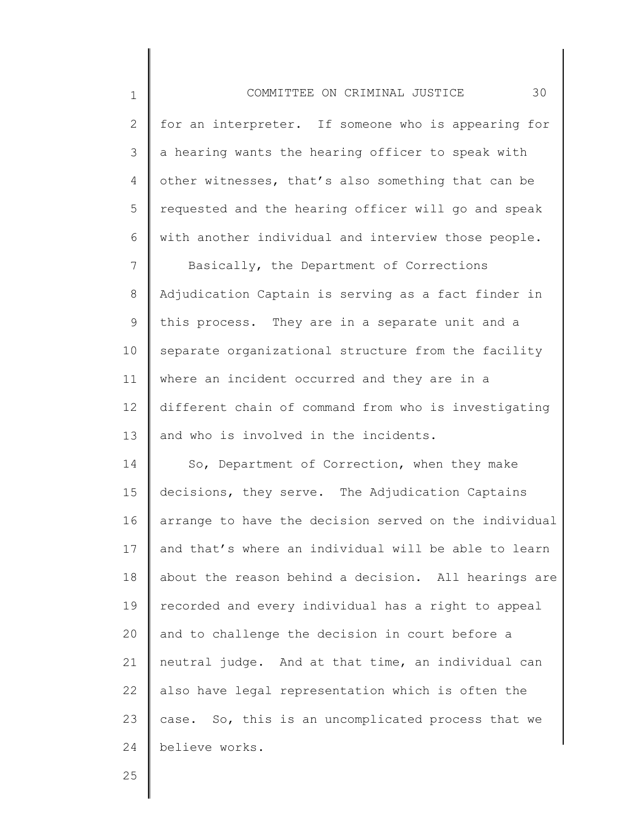1 2 3 4 5 6 7 8 9 10 11 12 13 14 15 16 17 18 19 20 21 COMMITTEE ON CRIMINAL JUSTICE 30 for an interpreter. If someone who is appearing for a hearing wants the hearing officer to speak with other witnesses, that's also something that can be requested and the hearing officer will go and speak with another individual and interview those people. Basically, the Department of Corrections Adjudication Captain is serving as a fact finder in this process. They are in a separate unit and a separate organizational structure from the facility where an incident occurred and they are in a different chain of command from who is investigating and who is involved in the incidents. So, Department of Correction, when they make decisions, they serve. The Adjudication Captains arrange to have the decision served on the individual and that's where an individual will be able to learn about the reason behind a decision. All hearings are recorded and every individual has a right to appeal and to challenge the decision in court before a neutral judge. And at that time, an individual can

22 23 24 also have legal representation which is often the case. So, this is an uncomplicated process that we believe works.

25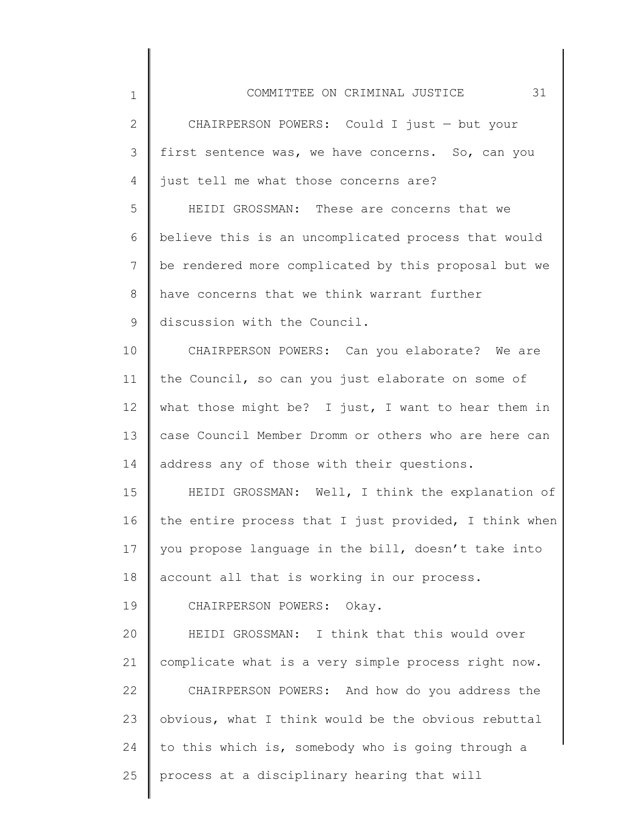| $\mathbf 1$ | 31<br>COMMITTEE ON CRIMINAL JUSTICE                   |
|-------------|-------------------------------------------------------|
| 2           | CHAIRPERSON POWERS: Could I just - but your           |
| 3           | first sentence was, we have concerns. So, can you     |
|             |                                                       |
| 4           | just tell me what those concerns are?                 |
| 5           | HEIDI GROSSMAN: These are concerns that we            |
| 6           | believe this is an uncomplicated process that would   |
| 7           | be rendered more complicated by this proposal but we  |
| 8           | have concerns that we think warrant further           |
| 9           | discussion with the Council.                          |
| 10          | CHAIRPERSON POWERS: Can you elaborate? We are         |
| 11          | the Council, so can you just elaborate on some of     |
| 12          | what those might be? I just, I want to hear them in   |
| 13          | case Council Member Dromm or others who are here can  |
| 14          | address any of those with their questions.            |
| 15          | HEIDI GROSSMAN: Well, I think the explanation of      |
| 16          | the entire process that I just provided, I think when |
| 17          | you propose language in the bill, doesn't take into   |
| 18          | account all that is working in our process.           |
| 19          | CHAIRPERSON POWERS: Okay.                             |
| 20          | HEIDI GROSSMAN: I think that this would over          |
| 21          | complicate what is a very simple process right now.   |
| 22          | CHAIRPERSON POWERS: And how do you address the        |
| 23          | obvious, what I think would be the obvious rebuttal   |
| 24          | to this which is, somebody who is going through a     |

 $\Big\|$ 

25 process at a disciplinary hearing that will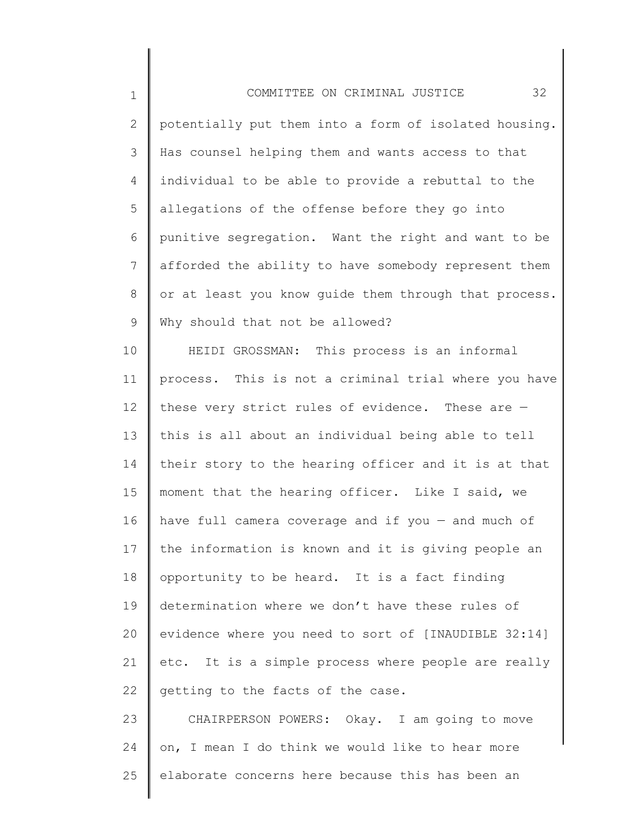1 2 3 4 5 6 7 8 9 COMMITTEE ON CRIMINAL JUSTICE 32 potentially put them into a form of isolated housing. Has counsel helping them and wants access to that individual to be able to provide a rebuttal to the allegations of the offense before they go into punitive segregation. Want the right and want to be afforded the ability to have somebody represent them or at least you know guide them through that process. Why should that not be allowed?

10 11 12 13 14 15 16 17 18 19 20 21 22 HEIDI GROSSMAN: This process is an informal process. This is not a criminal trial where you have these very strict rules of evidence. These are this is all about an individual being able to tell their story to the hearing officer and it is at that moment that the hearing officer. Like I said, we have full camera coverage and if you  $-$  and much of the information is known and it is giving people an opportunity to be heard. It is a fact finding determination where we don't have these rules of evidence where you need to sort of [INAUDIBLE 32:14] etc. It is a simple process where people are really getting to the facts of the case.

23 24 25 CHAIRPERSON POWERS: Okay. I am going to move on, I mean I do think we would like to hear more elaborate concerns here because this has been an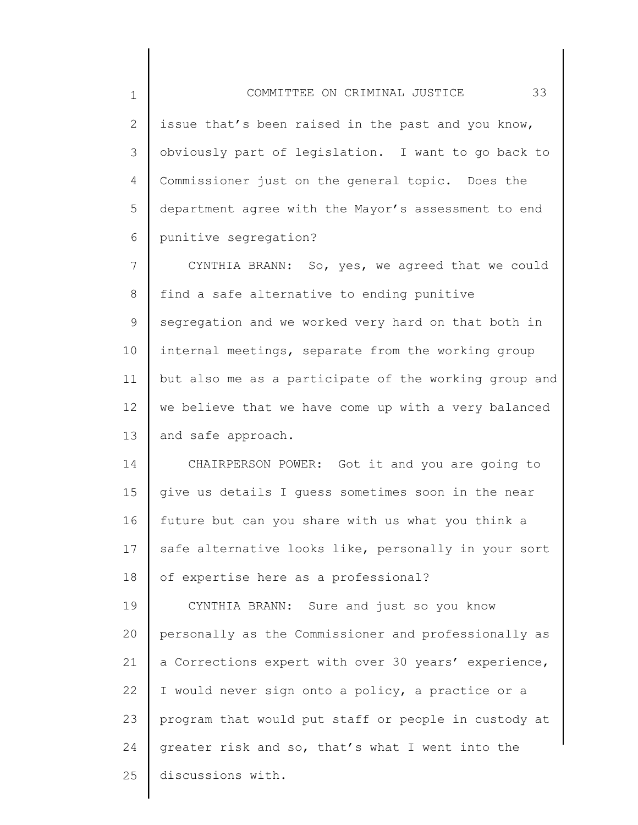2 3 4 5 6 issue that's been raised in the past and you know, obviously part of legislation. I want to go back to Commissioner just on the general topic. Does the department agree with the Mayor's assessment to end punitive segregation?

7 8 9 10 11 12 13 CYNTHIA BRANN: So, yes, we agreed that we could find a safe alternative to ending punitive segregation and we worked very hard on that both in internal meetings, separate from the working group but also me as a participate of the working group and we believe that we have come up with a very balanced and safe approach.

14 15 16 17 18 CHAIRPERSON POWER: Got it and you are going to give us details I guess sometimes soon in the near future but can you share with us what you think a safe alternative looks like, personally in your sort of expertise here as a professional?

19 20 21 22 23 24 25 CYNTHIA BRANN: Sure and just so you know personally as the Commissioner and professionally as a Corrections expert with over 30 years' experience, I would never sign onto a policy, a practice or a program that would put staff or people in custody at greater risk and so, that's what I went into the discussions with.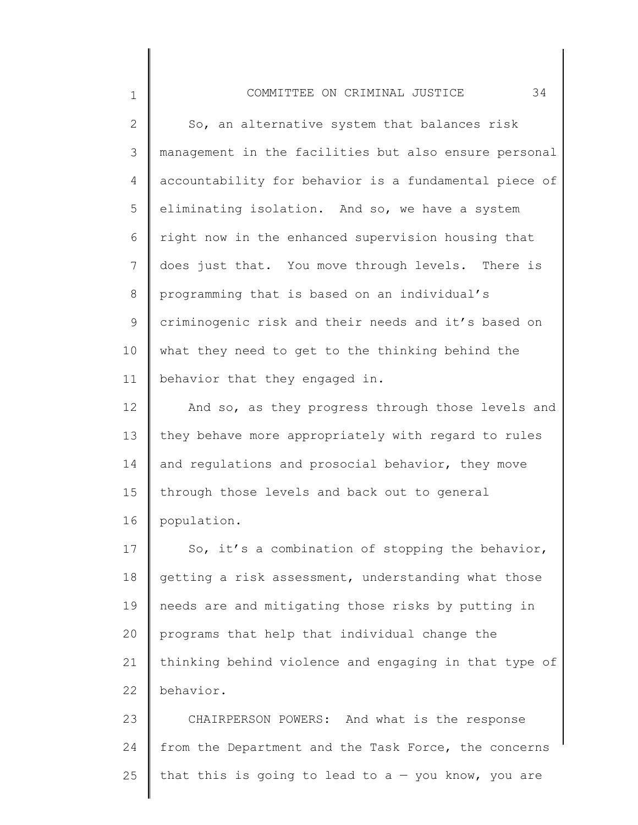## COMMITTEE ON CRIMINAL JUSTICE 34

1

2 3 4 5 6 7 8 9 10 11 So, an alternative system that balances risk management in the facilities but also ensure personal accountability for behavior is a fundamental piece of eliminating isolation. And so, we have a system right now in the enhanced supervision housing that does just that. You move through levels. There is programming that is based on an individual's criminogenic risk and their needs and it's based on what they need to get to the thinking behind the behavior that they engaged in.

12 13 14 15 16 And so, as they progress through those levels and they behave more appropriately with regard to rules and regulations and prosocial behavior, they move through those levels and back out to general population.

17 18 19 20 21 22 So, it's a combination of stopping the behavior, getting a risk assessment, understanding what those needs are and mitigating those risks by putting in programs that help that individual change the thinking behind violence and engaging in that type of behavior.

23 24 25 CHAIRPERSON POWERS: And what is the response from the Department and the Task Force, the concerns that this is going to lead to  $a - y$ ou know, you are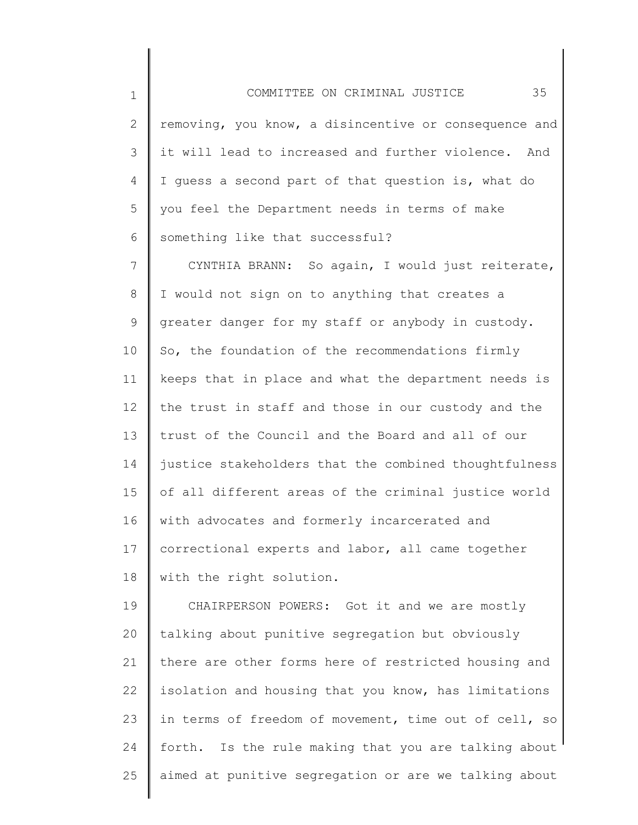| 2 $\parallel$ removing, you know, a disincentive or consequence and $\parallel$ |
|---------------------------------------------------------------------------------|
| 3 $\parallel$ it will lead to increased and further violence. And $\parallel$   |
| 4   I guess a second part of that question is, what do                          |
| 5 you feel the Department needs in terms of make                                |
| 6 something like that successful?                                               |

7 8 9 10 11 12 13 14 15 16 17 18 CYNTHIA BRANN: So again, I would just reiterate, I would not sign on to anything that creates a greater danger for my staff or anybody in custody. So, the foundation of the recommendations firmly keeps that in place and what the department needs is the trust in staff and those in our custody and the trust of the Council and the Board and all of our justice stakeholders that the combined thoughtfulness of all different areas of the criminal justice world with advocates and formerly incarcerated and correctional experts and labor, all came together with the right solution.

19 20 21 22 23 24 25 CHAIRPERSON POWERS: Got it and we are mostly talking about punitive segregation but obviously there are other forms here of restricted housing and isolation and housing that you know, has limitations in terms of freedom of movement, time out of cell, so forth. Is the rule making that you are talking about aimed at punitive segregation or are we talking about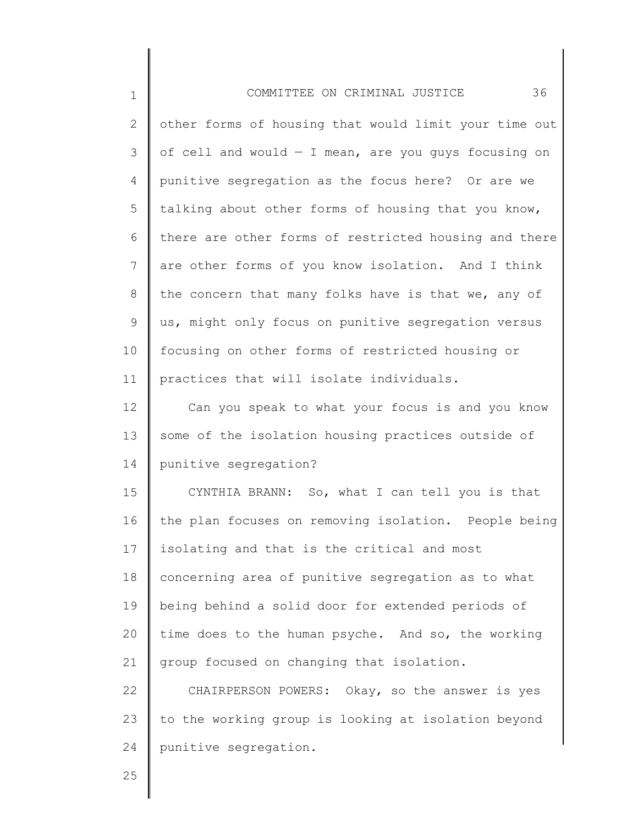| $\mathbf 1$     | 36<br>COMMITTEE ON CRIMINAL JUSTICE                    |
|-----------------|--------------------------------------------------------|
| $\mathbf{2}$    | other forms of housing that would limit your time out  |
| 3               | of cell and would $-$ I mean, are you quys focusing on |
| 4               | punitive segregation as the focus here? Or are we      |
| 5               | talking about other forms of housing that you know,    |
| 6               | there are other forms of restricted housing and there  |
| $7\phantom{.0}$ | are other forms of you know isolation. And I think     |
| 8               | the concern that many folks have is that we, any of    |
| 9               | us, might only focus on punitive segregation versus    |
| 10              | focusing on other forms of restricted housing or       |
| 11              | practices that will isolate individuals.               |
| 12              | Can you speak to what your focus is and you know       |
| 13              | some of the isolation housing practices outside of     |
| 14              | punitive segregation?                                  |
| 15              | CYNTHIA BRANN: So, what I can tell you is that         |
| 16              | the plan focuses on removing isolation. People being   |
| 17              | isolating and that is the critical and most            |
| 18              | concerning area of punitive segregation as to what     |
| 19              | being behind a solid door for extended periods of      |
| 20              | time does to the human psyche. And so, the working     |
| 21              | group focused on changing that isolation.              |
| 22              | CHAIRPERSON POWERS: Okay, so the answer is yes         |
| 23              | to the working group is looking at isolation beyond    |
| 24              | punitive segregation.                                  |
|                 |                                                        |

Ι

║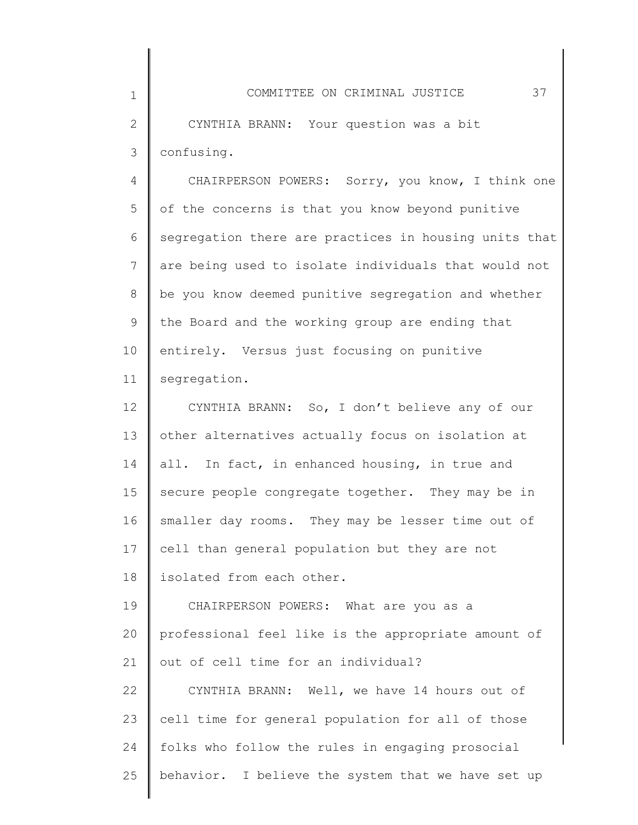2 3 CYNTHIA BRANN: Your question was a bit confusing.

1

4 5 6 7 8 9 10 11 CHAIRPERSON POWERS: Sorry, you know, I think one of the concerns is that you know beyond punitive segregation there are practices in housing units that are being used to isolate individuals that would not be you know deemed punitive segregation and whether the Board and the working group are ending that entirely. Versus just focusing on punitive segregation.

12 13 14 15 16 17 18 19 20 CYNTHIA BRANN: So, I don't believe any of our other alternatives actually focus on isolation at all. In fact, in enhanced housing, in true and secure people congregate together. They may be in smaller day rooms. They may be lesser time out of cell than general population but they are not isolated from each other. CHAIRPERSON POWERS: What are you as a professional feel like is the appropriate amount of

21 out of cell time for an individual?

22 23 24 25 CYNTHIA BRANN: Well, we have 14 hours out of cell time for general population for all of those folks who follow the rules in engaging prosocial behavior. I believe the system that we have set up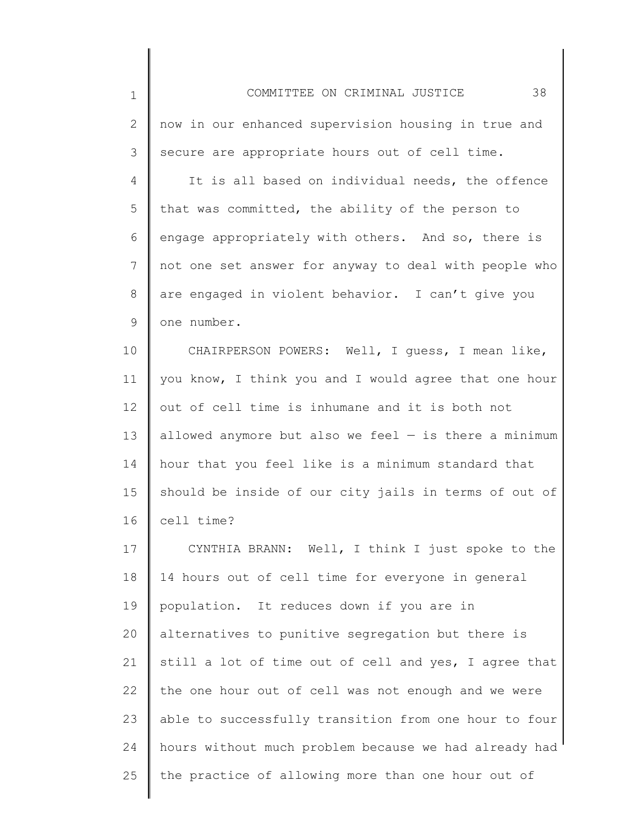| $\mathbf 1$  | 38<br>COMMITTEE ON CRIMINAL JUSTICE                     |
|--------------|---------------------------------------------------------|
| $\mathbf{2}$ | now in our enhanced supervision housing in true and     |
| 3            | secure are appropriate hours out of cell time.          |
| 4            | It is all based on individual needs, the offence        |
| 5            | that was committed, the ability of the person to        |
| 6            | engage appropriately with others. And so, there is      |
| 7            | not one set answer for anyway to deal with people who   |
| 8            | are engaged in violent behavior. I can't give you       |
| 9            | one number.                                             |
| 10           | CHAIRPERSON POWERS: Well, I guess, I mean like,         |
| 11           | you know, I think you and I would agree that one hour   |
| 12           | out of cell time is inhumane and it is both not         |
| 13           | allowed anymore but also we feel $-$ is there a minimum |
| 14           | hour that you feel like is a minimum standard that      |
| 15           | should be inside of our city jails in terms of out of   |
| 16           | cell time?                                              |
| 17           | CYNTHIA BRANN: Well, I think I just spoke to the        |
| 18           | 14 hours out of cell time for everyone in general       |
| 19           | population. It reduces down if you are in               |
| 20           | alternatives to punitive segregation but there is       |
| 21           | still a lot of time out of cell and yes, I agree that   |
| 22           | the one hour out of cell was not enough and we were     |
| 23           | able to successfully transition from one hour to four   |
| 24           | hours without much problem because we had already had   |
| 25           | the practice of allowing more than one hour out of      |
|              |                                                         |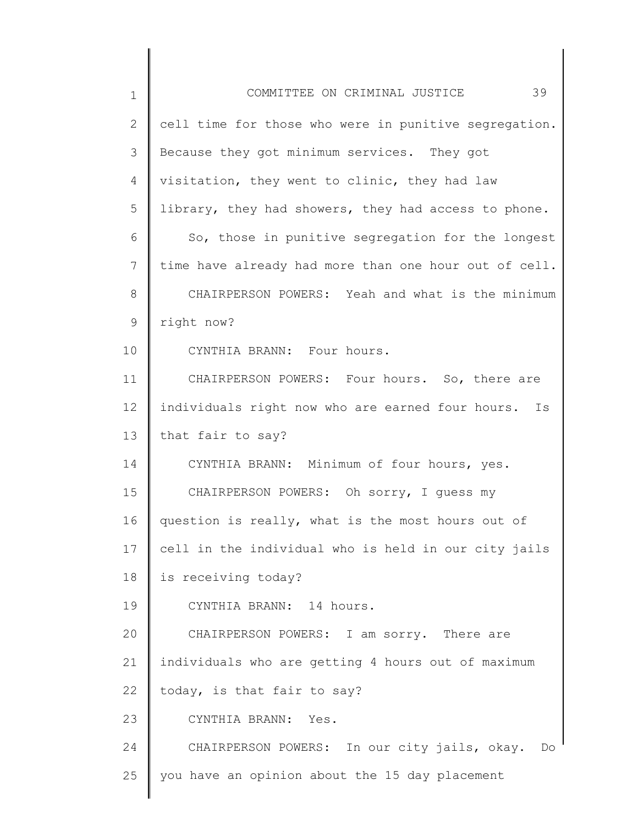| $\mathbf 1$ | 39<br>COMMITTEE ON CRIMINAL JUSTICE                   |
|-------------|-------------------------------------------------------|
| 2           | cell time for those who were in punitive segregation. |
| 3           | Because they got minimum services. They got           |
| 4           | visitation, they went to clinic, they had law         |
| 5           | library, they had showers, they had access to phone.  |
| 6           | So, those in punitive segregation for the longest     |
| 7           | time have already had more than one hour out of cell. |
| 8           | CHAIRPERSON POWERS: Yeah and what is the minimum      |
| 9           | right now?                                            |
| 10          | CYNTHIA BRANN: Four hours.                            |
| 11          | CHAIRPERSON POWERS: Four hours. So, there are         |
| 12          | individuals right now who are earned four hours. Is   |
| 13          | that fair to say?                                     |
| 14          | CYNTHIA BRANN: Minimum of four hours, yes.            |
| 15          | CHAIRPERSON POWERS: Oh sorry, I guess my              |
| 16          | question is really, what is the most hours out of     |
| 17          | cell in the individual who is held in our city jails  |
| 18          | is receiving today?                                   |
| 19          | CYNTHIA BRANN: 14 hours.                              |
| 20          | CHAIRPERSON POWERS: I am sorry. There are             |
| 21          | individuals who are getting 4 hours out of maximum    |
| 22          | today, is that fair to say?                           |
| 23          | CYNTHIA BRANN: Yes.                                   |
| 24          | CHAIRPERSON POWERS: In our city jails, okay. Do       |
| 25          | you have an opinion about the 15 day placement        |
|             |                                                       |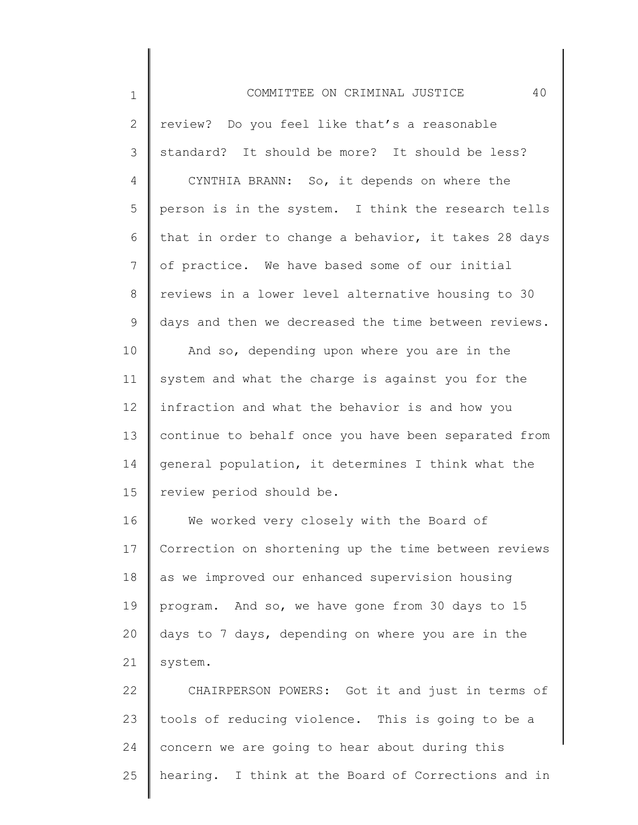1 2 3 4 5 6 7 8 9 10 11 12 13 14 15 16 17 18 19 20 21 22 23 COMMITTEE ON CRIMINAL JUSTICE 40 review? Do you feel like that's a reasonable standard? It should be more? It should be less? CYNTHIA BRANN: So, it depends on where the person is in the system. I think the research tells that in order to change a behavior, it takes 28 days of practice. We have based some of our initial reviews in a lower level alternative housing to 30 days and then we decreased the time between reviews. And so, depending upon where you are in the system and what the charge is against you for the infraction and what the behavior is and how you continue to behalf once you have been separated from general population, it determines I think what the review period should be. We worked very closely with the Board of Correction on shortening up the time between reviews as we improved our enhanced supervision housing program. And so, we have gone from 30 days to 15 days to 7 days, depending on where you are in the system. CHAIRPERSON POWERS: Got it and just in terms of tools of reducing violence. This is going to be a

25 hearing. I think at the Board of Corrections and in

concern we are going to hear about during this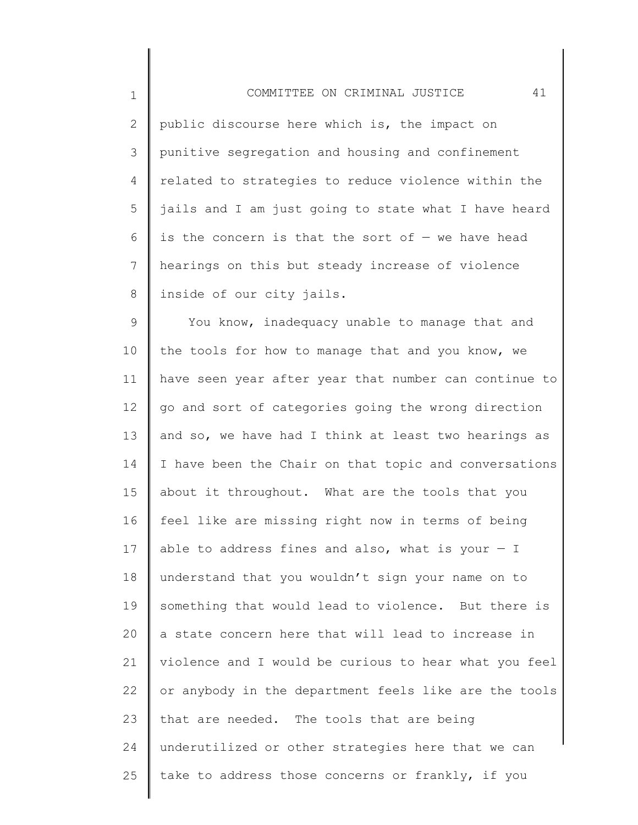| $\mathbf 1$    | 41<br>COMMITTEE ON CRIMINAL JUSTICE                   |
|----------------|-------------------------------------------------------|
| $\overline{2}$ | public discourse here which is, the impact on         |
| 3              | punitive segregation and housing and confinement      |
| 4              | related to strategies to reduce violence within the   |
| 5              | jails and I am just going to state what I have heard  |
| 6              | is the concern is that the sort of $-$ we have head   |
| 7              | hearings on this but steady increase of violence      |
| 8              | inside of our city jails.                             |
| $\mathsf 9$    | You know, inadequacy unable to manage that and        |
| 10             | the tools for how to manage that and you know, we     |
| 11             | have seen year after year that number can continue to |
| 12             | go and sort of categories going the wrong direction   |
| 13             | and so, we have had I think at least two hearings as  |
| 14             | I have been the Chair on that topic and conversations |
| 15             | about it throughout. What are the tools that you      |
| 16             | feel like are missing right now in terms of being     |
| 17             | able to address fines and also, what is your $-$ I    |
| 18             | understand that you wouldn't sign your name on to     |
| 19             | something that would lead to violence. But there is   |
| 20             | a state concern here that will lead to increase in    |
| 21             | violence and I would be curious to hear what you feel |
| 22             | or anybody in the department feels like are the tools |
| 23             | that are needed. The tools that are being             |
| 24             | underutilized or other strategies here that we can    |
| 25             | take to address those concerns or frankly, if you     |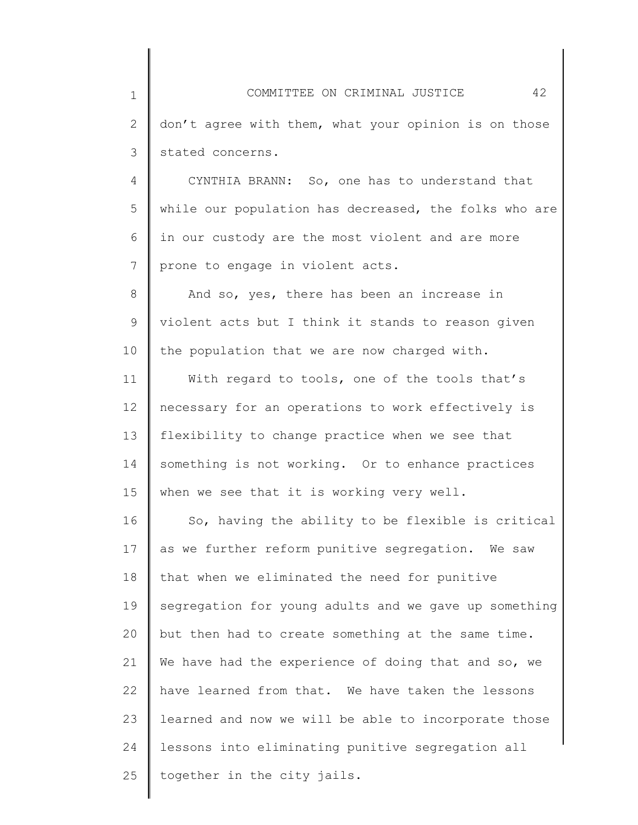4 5 6 7 CYNTHIA BRANN: So, one has to understand that while our population has decreased, the folks who are in our custody are the most violent and are more prone to engage in violent acts.

8 9 10 And so, yes, there has been an increase in violent acts but I think it stands to reason given the population that we are now charged with.

11 12 13 14 15 With regard to tools, one of the tools that's necessary for an operations to work effectively is flexibility to change practice when we see that something is not working. Or to enhance practices when we see that it is working very well.

16 17 18 19 20 21 22 23 24 25 So, having the ability to be flexible is critical as we further reform punitive segregation. We saw that when we eliminated the need for punitive segregation for young adults and we gave up something but then had to create something at the same time. We have had the experience of doing that and so, we have learned from that. We have taken the lessons learned and now we will be able to incorporate those lessons into eliminating punitive segregation all together in the city jails.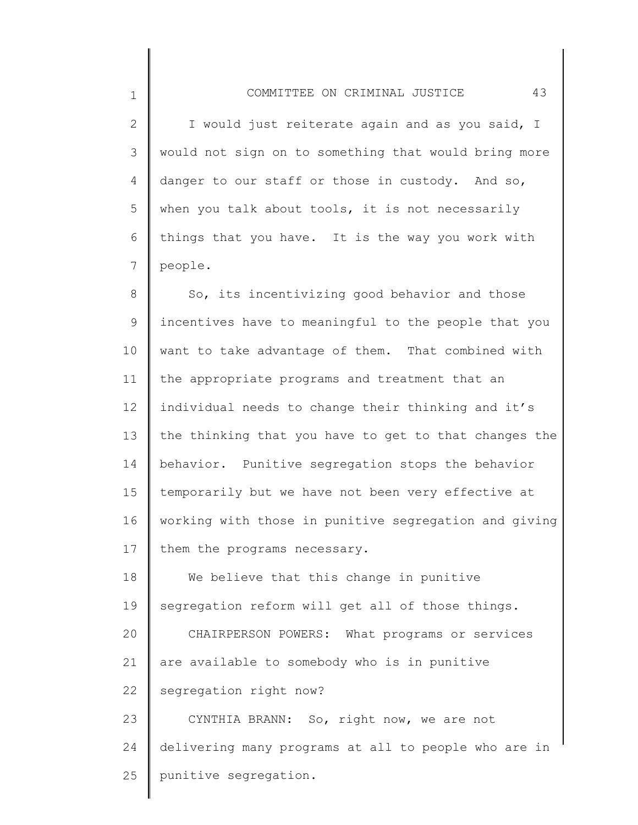2 3 4 5 6 7 I would just reiterate again and as you said, I would not sign on to something that would bring more danger to our staff or those in custody. And so, when you talk about tools, it is not necessarily things that you have. It is the way you work with people.

8 9 10 11 12 13 14 15 16 17 So, its incentivizing good behavior and those incentives have to meaningful to the people that you want to take advantage of them. That combined with the appropriate programs and treatment that an individual needs to change their thinking and it's the thinking that you have to get to that changes the behavior. Punitive segregation stops the behavior temporarily but we have not been very effective at working with those in punitive segregation and giving them the programs necessary.

18 19 20 21 22 23 We believe that this change in punitive segregation reform will get all of those things. CHAIRPERSON POWERS: What programs or services are available to somebody who is in punitive segregation right now? CYNTHIA BRANN: So, right now, we are not

24 25 delivering many programs at all to people who are in punitive segregation.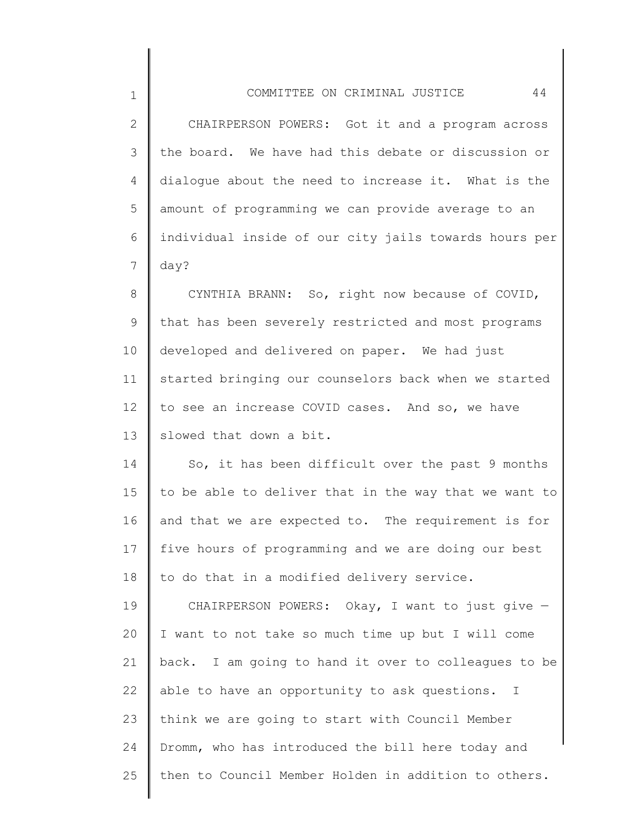2 3 4 5 6 7 CHAIRPERSON POWERS: Got it and a program across the board. We have had this debate or discussion or dialogue about the need to increase it. What is the amount of programming we can provide average to an individual inside of our city jails towards hours per day?

8 9 10 11 12 13 CYNTHIA BRANN: So, right now because of COVID, that has been severely restricted and most programs developed and delivered on paper. We had just started bringing our counselors back when we started to see an increase COVID cases. And so, we have slowed that down a bit.

14 15 16 17 18 So, it has been difficult over the past 9 months to be able to deliver that in the way that we want to and that we are expected to. The requirement is for five hours of programming and we are doing our best to do that in a modified delivery service.

19 20 21 22 23 24 25 CHAIRPERSON POWERS: Okay, I want to just give — I want to not take so much time up but I will come back. I am going to hand it over to colleagues to be able to have an opportunity to ask questions. I think we are going to start with Council Member Dromm, who has introduced the bill here today and then to Council Member Holden in addition to others.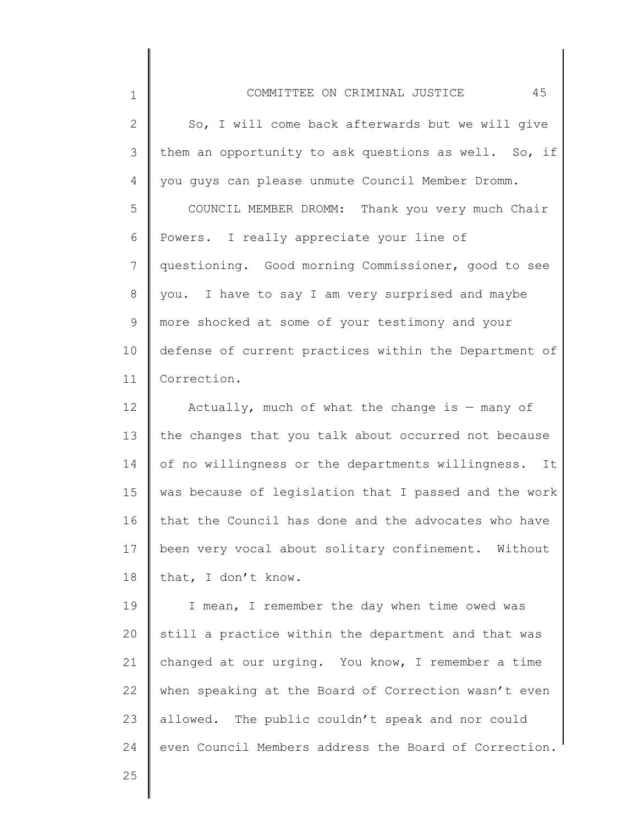| $\mathbf 1$ | 45<br>COMMITTEE ON CRIMINAL JUSTICE                     |
|-------------|---------------------------------------------------------|
| 2           | So, I will come back afterwards but we will give        |
| 3           | them an opportunity to ask questions as well. So, if    |
| 4           | you guys can please unmute Council Member Dromm.        |
| 5           | COUNCIL MEMBER DROMM: Thank you very much Chair         |
| 6           | Powers. I really appreciate your line of                |
| 7           | questioning. Good morning Commissioner, good to see     |
| 8           | you. I have to say I am very surprised and maybe        |
| 9           | more shocked at some of your testimony and your         |
| 10          | defense of current practices within the Department of   |
| 11          | Correction.                                             |
| 12          | Actually, much of what the change is $-$ many of        |
| 13          | the changes that you talk about occurred not because    |
| 14          | of no willingness or the departments willingness.<br>It |
| 15          | was because of legislation that I passed and the work   |
| 16          | that the Council has done and the advocates who have    |
| 17          | been very vocal about solitary confinement. Without     |
| 18          | that, I don't know.                                     |
| 19          | I mean, I remember the day when time owed was           |
| 20          | still a practice within the department and that was     |
| 21          | changed at our urging. You know, I remember a time      |
| 22          | when speaking at the Board of Correction wasn't even    |
| 23          | allowed. The public couldn't speak and nor could        |
|             |                                                         |

even Council Members address the Board of Correction.

25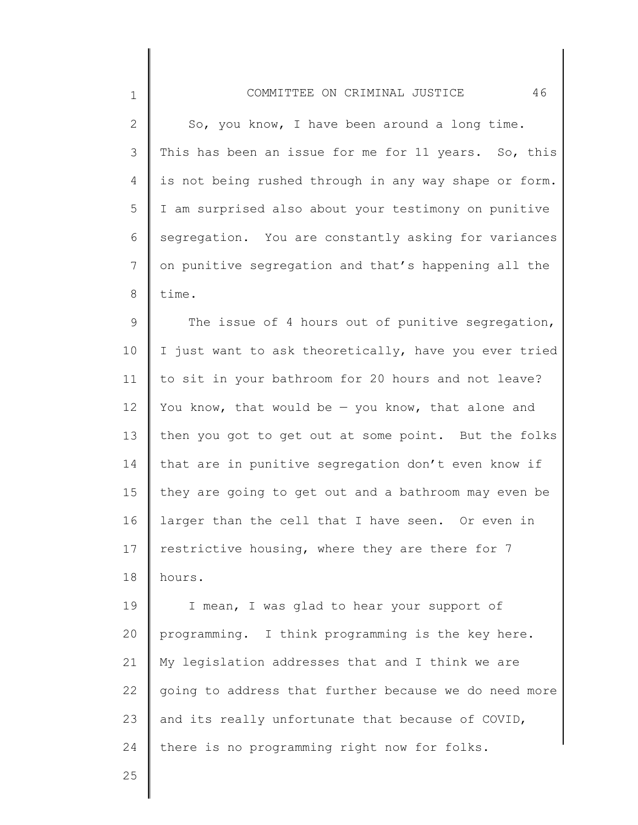|  | So, you know, I have been around a long time.         |  |  |  |  |
|--|-------------------------------------------------------|--|--|--|--|
|  | This has been an issue for me for 11 years. So, this  |  |  |  |  |
|  | is not being rushed through in any way shape or form. |  |  |  |  |
|  | I am surprised also about your testimony on punitive  |  |  |  |  |

5 6 7 8 I am surprised also about your testimony on punitive segregation. You are constantly asking for variances on punitive segregation and that's happening all the time.

9 10 11 12 13 14 15 16 17 18 The issue of 4 hours out of punitive segregation, I just want to ask theoretically, have you ever tried to sit in your bathroom for 20 hours and not leave? You know, that would be  $-$  you know, that alone and then you got to get out at some point. But the folks that are in punitive segregation don't even know if they are going to get out and a bathroom may even be larger than the cell that I have seen. Or even in restrictive housing, where they are there for 7 hours.

19 20 21 22 23 24 I mean, I was glad to hear your support of programming. I think programming is the key here. My legislation addresses that and I think we are going to address that further because we do need more and its really unfortunate that because of COVID, there is no programming right now for folks.

25

1

2

3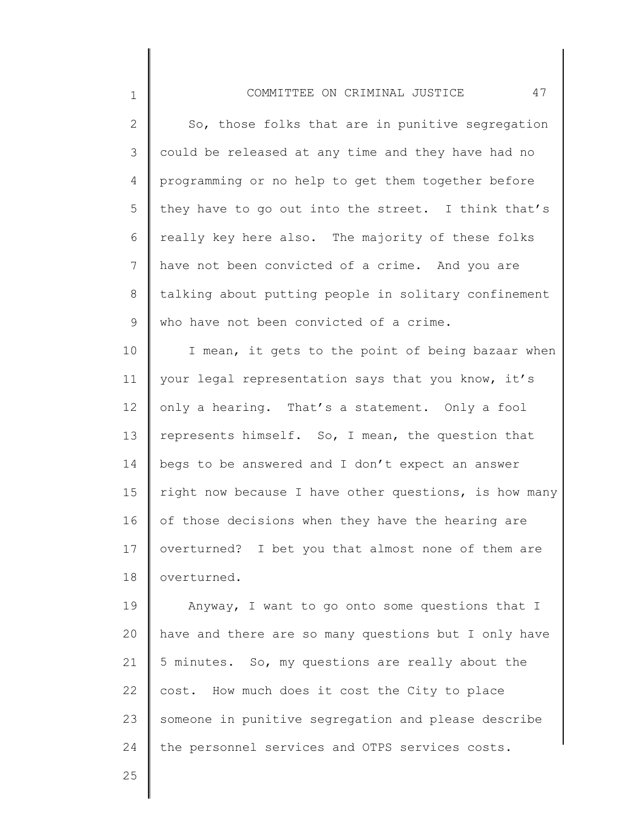## COMMITTEE ON CRIMINAL JUSTICE 47

2 3 4 5 6 7 8 9 So, those folks that are in punitive segregation could be released at any time and they have had no programming or no help to get them together before they have to go out into the street. I think that's really key here also. The majority of these folks have not been convicted of a crime. And you are talking about putting people in solitary confinement who have not been convicted of a crime.

10 11 12 13 14 15 16 17 18 I mean, it gets to the point of being bazaar when your legal representation says that you know, it's only a hearing. That's a statement. Only a fool represents himself. So, I mean, the question that begs to be answered and I don't expect an answer right now because I have other questions, is how many of those decisions when they have the hearing are overturned? I bet you that almost none of them are overturned.

19 20 21 22 23 24 Anyway, I want to go onto some questions that I have and there are so many questions but I only have 5 minutes. So, my questions are really about the cost. How much does it cost the City to place someone in punitive segregation and please describe the personnel services and OTPS services costs.

25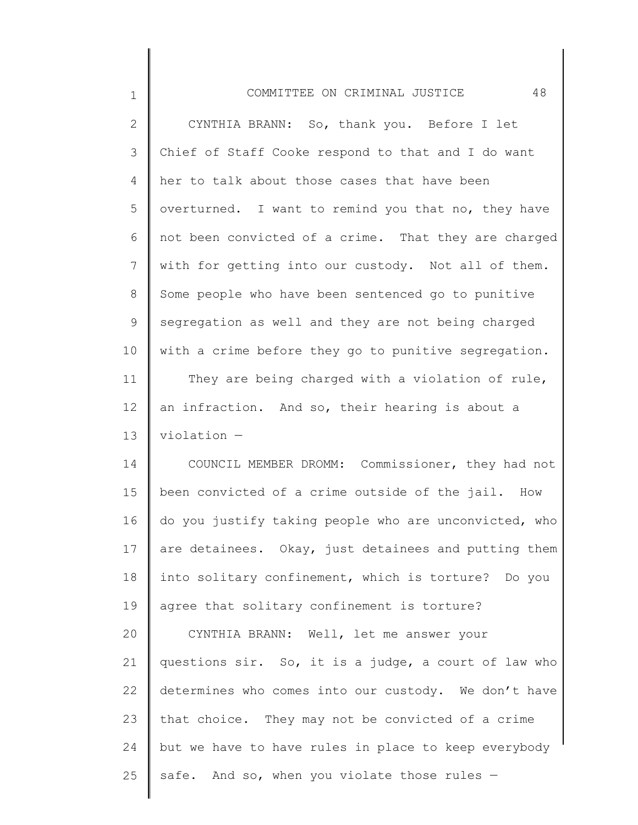| $\overline{2}$ | CYNTHIA BRANN: So, thank you. Before I let            |
|----------------|-------------------------------------------------------|
| 3              | Chief of Staff Cooke respond to that and I do want    |
| 4              | her to talk about those cases that have been          |
| 5              | overturned. I want to remind you that no, they have   |
| 6              | not been convicted of a crime. That they are charged  |
| 7              | with for getting into our custody. Not all of them.   |
| 8              | Some people who have been sentenced go to punitive    |
| 9              | segregation as well and they are not being charged    |
| 10             | with a crime before they go to punitive segregation.  |
| 11             | They are being charged with a violation of rule,      |
| 12             | an infraction. And so, their hearing is about a       |
| 13             | $violation -$                                         |
| 14             | COUNCIL MEMBER DROMM: Commissioner, they had not      |
| 15             | been convicted of a crime outside of the jail. How    |
| 16             | do you justify taking people who are unconvicted, who |
| 17             | are detainees. Okay, just detainees and putting them  |
| 18             | into solitary confinement, which is torture? Do you   |
| 19             | agree that solitary confinement is torture?           |
| 20             | CYNTHIA BRANN: Well, let me answer your               |
| 21             | questions sir. So, it is a judge, a court of law who  |
| 22             | determines who comes into our custody. We don't have  |
| 23             | that choice. They may not be convicted of a crime     |
| 24             | but we have to have rules in place to keep everybody  |
| 25             | safe. And so, when you violate those rules -          |
|                |                                                       |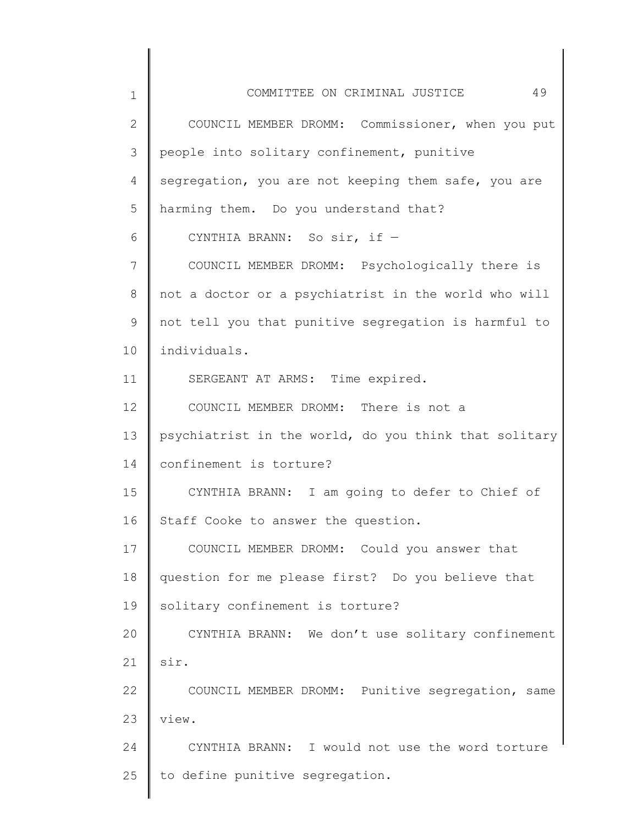1 2 3 4 5 6 7 8 9 10 11 12 13 14 15 16 17 18 19 20 21 22 23 24 25 COMMITTEE ON CRIMINAL JUSTICE 49 COUNCIL MEMBER DROMM: Commissioner, when you put people into solitary confinement, punitive segregation, you are not keeping them safe, you are harming them. Do you understand that? CYNTHIA BRANN: So sir, if — COUNCIL MEMBER DROMM: Psychologically there is not a doctor or a psychiatrist in the world who will not tell you that punitive segregation is harmful to individuals. SERGEANT AT ARMS: Time expired. COUNCIL MEMBER DROMM: There is not a psychiatrist in the world, do you think that solitary confinement is torture? CYNTHIA BRANN: I am going to defer to Chief of Staff Cooke to answer the question. COUNCIL MEMBER DROMM: Could you answer that question for me please first? Do you believe that solitary confinement is torture? CYNTHIA BRANN: We don't use solitary confinement sir. COUNCIL MEMBER DROMM: Punitive segregation, same view. CYNTHIA BRANN: I would not use the word torture to define punitive segregation.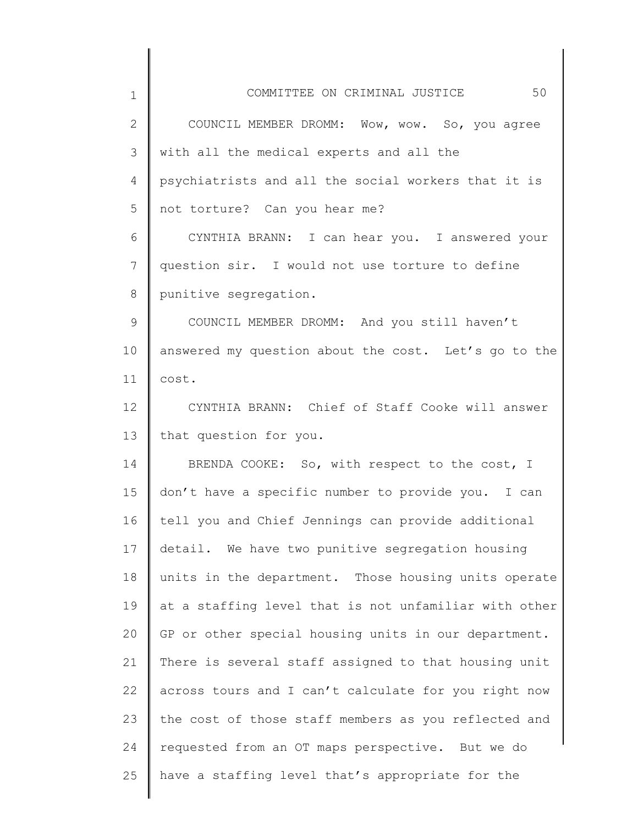| 1            | 50<br>COMMITTEE ON CRIMINAL JUSTICE                   |
|--------------|-------------------------------------------------------|
| $\mathbf{2}$ | COUNCIL MEMBER DROMM: Wow, wow. So, you agree         |
| 3            | with all the medical experts and all the              |
| 4            | psychiatrists and all the social workers that it is   |
| 5            | not torture? Can you hear me?                         |
| 6            | CYNTHIA BRANN: I can hear you. I answered your        |
| 7            | question sir. I would not use torture to define       |
| 8            | punitive segregation.                                 |
| 9            | COUNCIL MEMBER DROMM: And you still haven't           |
| 10           | answered my question about the cost. Let's go to the  |
| 11           | cost.                                                 |
| 12           | CYNTHIA BRANN: Chief of Staff Cooke will answer       |
| 13           | that question for you.                                |
| 14           | BRENDA COOKE: So, with respect to the cost, I         |
| 15           | don't have a specific number to provide you. I can    |
| 16           | tell you and Chief Jennings can provide additional    |
| 17           | detail. We have two punitive segregation housing      |
| 18           | units in the department. Those housing units operate  |
| 19           | at a staffing level that is not unfamiliar with other |
| 20           | GP or other special housing units in our department.  |
| 21           | There is several staff assigned to that housing unit  |
| 22           | across tours and I can't calculate for you right now  |
| 23           | the cost of those staff members as you reflected and  |
| 24           | requested from an OT maps perspective. But we do      |
| 25           | have a staffing level that's appropriate for the      |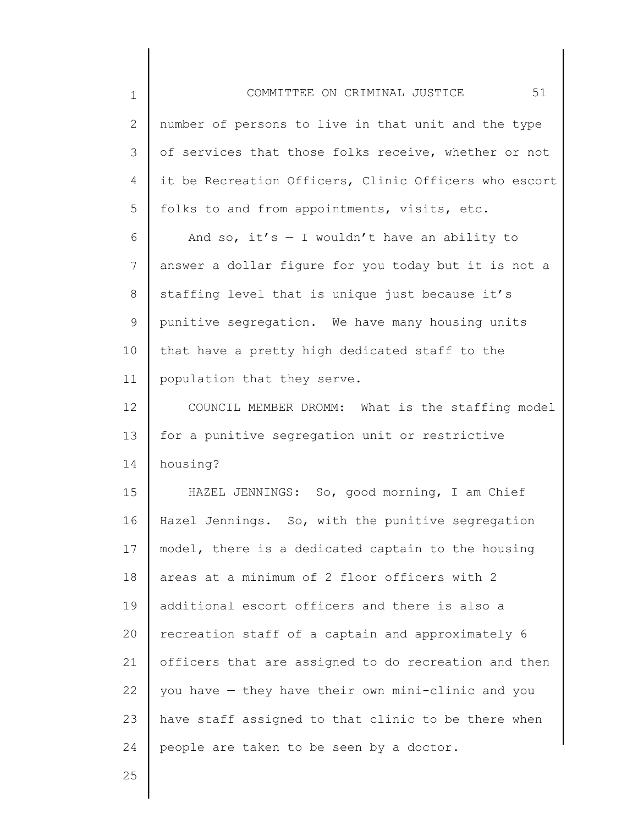| $\mathbf 1$ | 51<br>COMMITTEE ON CRIMINAL JUSTICE                   |
|-------------|-------------------------------------------------------|
| 2           | number of persons to live in that unit and the type   |
| 3           | of services that those folks receive, whether or not  |
| 4           | it be Recreation Officers, Clinic Officers who escort |
| 5           | folks to and from appointments, visits, etc.          |
| 6           | And so, it's $-$ I wouldn't have an ability to        |
| 7           | answer a dollar figure for you today but it is not a  |
| $8\,$       | staffing level that is unique just because it's       |
| 9           | punitive segregation. We have many housing units      |
| 10          | that have a pretty high dedicated staff to the        |
| 11          | population that they serve.                           |
| 12          | COUNCIL MEMBER DROMM: What is the staffing model      |
| 13          | for a punitive segregation unit or restrictive        |
| 14          | housing?                                              |
| 15          | HAZEL JENNINGS: So, good morning, I am Chief          |
| 16          | Hazel Jennings. So, with the punitive segregation     |
| 17          | model, there is a dedicated captain to the housing    |
| 18          | areas at a minimum of 2 floor officers with 2         |
| 19          | additional escort officers and there is also a        |
| 20          | recreation staff of a captain and approximately 6     |
| 21          | officers that are assigned to do recreation and then  |
| 22          | you have - they have their own mini-clinic and you    |
| 23          | have staff assigned to that clinic to be there when   |
| 24          | people are taken to be seen by a doctor.              |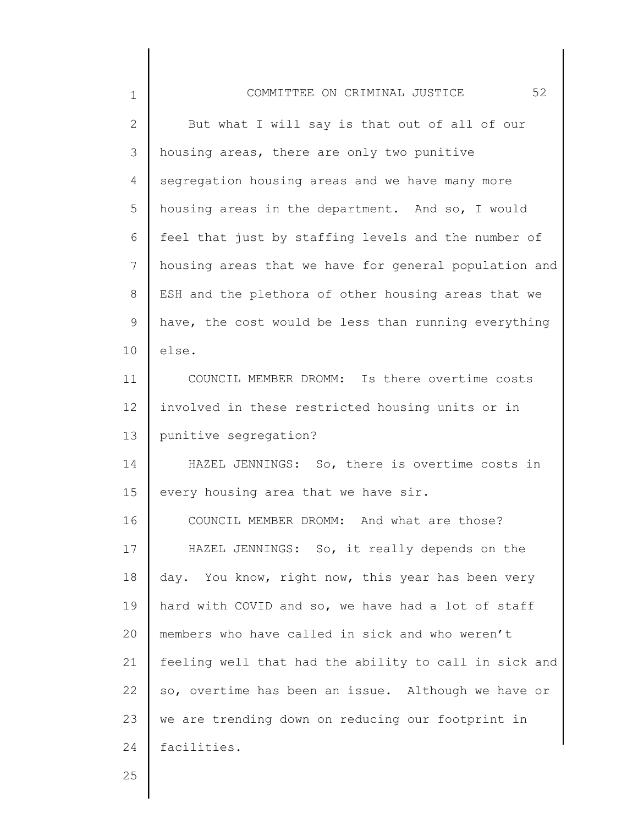| $\mathbf 1$  | 52<br>COMMITTEE ON CRIMINAL JUSTICE                   |
|--------------|-------------------------------------------------------|
| $\mathbf{2}$ | But what I will say is that out of all of our         |
| 3            | housing areas, there are only two punitive            |
| 4            | segregation housing areas and we have many more       |
| 5            | housing areas in the department. And so, I would      |
| 6            | feel that just by staffing levels and the number of   |
| 7            | housing areas that we have for general population and |
| 8            | ESH and the plethora of other housing areas that we   |
| 9            | have, the cost would be less than running everything  |
| 10           | else.                                                 |
| 11           | COUNCIL MEMBER DROMM: Is there overtime costs         |
| 12           | involved in these restricted housing units or in      |
| 13           | punitive segregation?                                 |
| 14           | HAZEL JENNINGS: So, there is overtime costs in        |
| 15           | every housing area that we have sir.                  |
| 16           | COUNCIL MEMBER DROMM: And what are those?             |
| 17           | HAZEL JENNINGS: So, it really depends on the          |
| 18           | day. You know, right now, this year has been very     |
| 19           | hard with COVID and so, we have had a lot of staff    |
| 20           | members who have called in sick and who weren't       |
| 21           | feeling well that had the ability to call in sick and |
| 22           | so, overtime has been an issue. Although we have or   |
| 23           | we are trending down on reducing our footprint in     |
| 24           | facilities.                                           |
|              |                                                       |

║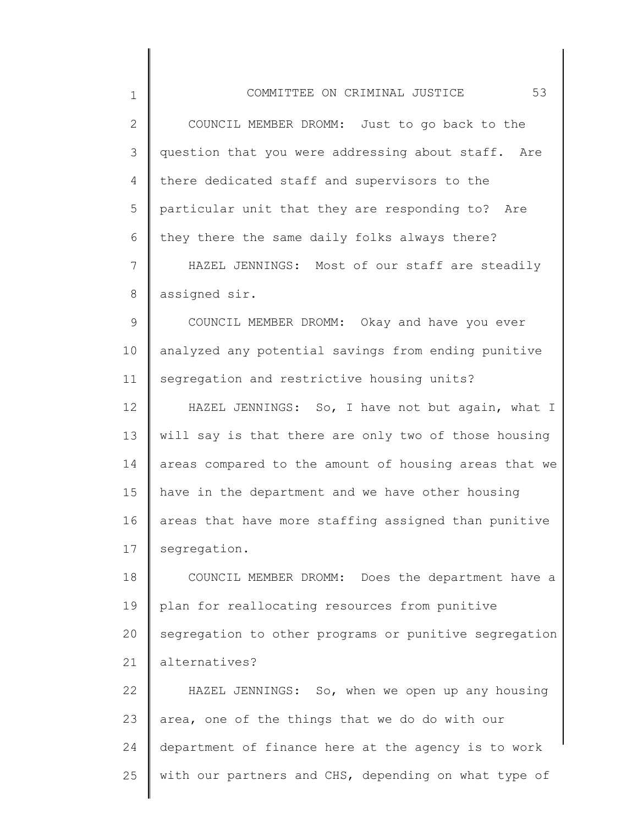2 3 4 5 6 7 8 9 10 11 12 13 14 15 16 17 18 19 20 21 22 COUNCIL MEMBER DROMM: Just to go back to the question that you were addressing about staff. Are there dedicated staff and supervisors to the particular unit that they are responding to? Are they there the same daily folks always there? HAZEL JENNINGS: Most of our staff are steadily assigned sir. COUNCIL MEMBER DROMM: Okay and have you ever analyzed any potential savings from ending punitive segregation and restrictive housing units? HAZEL JENNINGS: So, I have not but again, what I will say is that there are only two of those housing areas compared to the amount of housing areas that we have in the department and we have other housing areas that have more staffing assigned than punitive segregation. COUNCIL MEMBER DROMM: Does the department have a plan for reallocating resources from punitive segregation to other programs or punitive segregation alternatives? HAZEL JENNINGS: So, when we open up any housing

23 24 25 area, one of the things that we do do with our department of finance here at the agency is to work with our partners and CHS, depending on what type of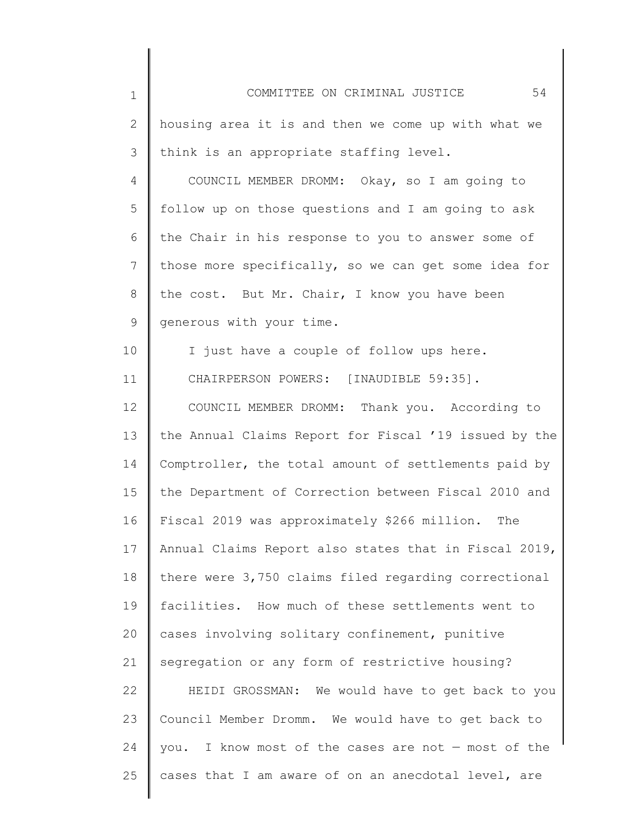| $\mathbf 1$     | 54<br>COMMITTEE ON CRIMINAL JUSTICE                      |
|-----------------|----------------------------------------------------------|
| 2               | housing area it is and then we come up with what we      |
| 3               | think is an appropriate staffing level.                  |
| 4               | COUNCIL MEMBER DROMM: Okay, so I am going to             |
| 5               | follow up on those questions and I am going to ask       |
| 6               | the Chair in his response to you to answer some of       |
| $7\phantom{.0}$ | those more specifically, so we can get some idea for     |
| 8               | the cost. But Mr. Chair, I know you have been            |
| 9               | generous with your time.                                 |
| 10              | I just have a couple of follow ups here.                 |
| 11              | CHAIRPERSON POWERS: [INAUDIBLE 59:35].                   |
| 12              | COUNCIL MEMBER DROMM: Thank you. According to            |
| 13              | the Annual Claims Report for Fiscal '19 issued by the    |
| 14              | Comptroller, the total amount of settlements paid by     |
| 15              | the Department of Correction between Fiscal 2010 and     |
| 16              | Fiscal 2019 was approximately \$266 million.<br>The      |
| 17              | Annual Claims Report also states that in Fiscal 2019,    |
| 18              | there were 3,750 claims filed regarding correctional     |
| 19              | facilities. How much of these settlements went to        |
| 20              | cases involving solitary confinement, punitive           |
| 21              | segregation or any form of restrictive housing?          |
| 22              | HEIDI GROSSMAN: We would have to get back to you         |
| 23              | Council Member Dromm. We would have to get back to       |
| 24              | I know most of the cases are not $-$ most of the<br>you. |
| 25              | cases that I am aware of on an anecdotal level, are      |
|                 |                                                          |

║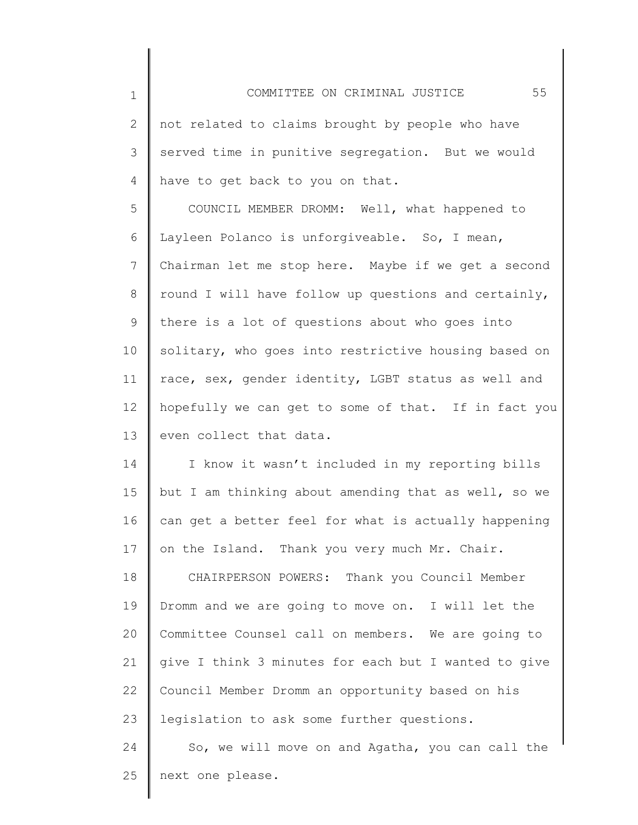| $\overline{2}$ | not related to claims brought by people who have     |
|----------------|------------------------------------------------------|
| 3              | served time in punitive segregation. But we would    |
| 4              | have to get back to you on that.                     |
| 5              | COUNCIL MEMBER DROMM: Well, what happened to         |
| 6              | Layleen Polanco is unforgiveable. So, I mean,        |
| $7\phantom{.}$ | Chairman let me stop here. Maybe if we get a second  |
| $8\,$          | round I will have follow up questions and certainly, |
| $\mathsf 9$    | there is a lot of questions about who goes into      |
| 10             | solitary, who goes into restrictive housing based on |
| 11             | race, sex, gender identity, LGBT status as well and  |
| 12             | hopefully we can get to some of that. If in fact you |
| 13             | even collect that data.                              |
| 14             | I know it wasn't included in my reporting bills      |
| 15             | but I am thinking about amending that as well, so we |
| 16             | can get a better feel for what is actually happening |
| 17             | on the Island. Thank you very much Mr. Chair.        |
| 18             | CHAIRPERSON POWERS: Thank you Council Member         |
| 19             | Dromm and we are going to move on. I will let the    |
| 20             | Committee Counsel call on members. We are going to   |
| 21             | give I think 3 minutes for each but I wanted to give |
| 22             | Council Member Dromm an opportunity based on his     |
| 23             | legislation to ask some further questions.           |
| 24             | So, we will move on and Agatha, you can call the     |

25 next one please.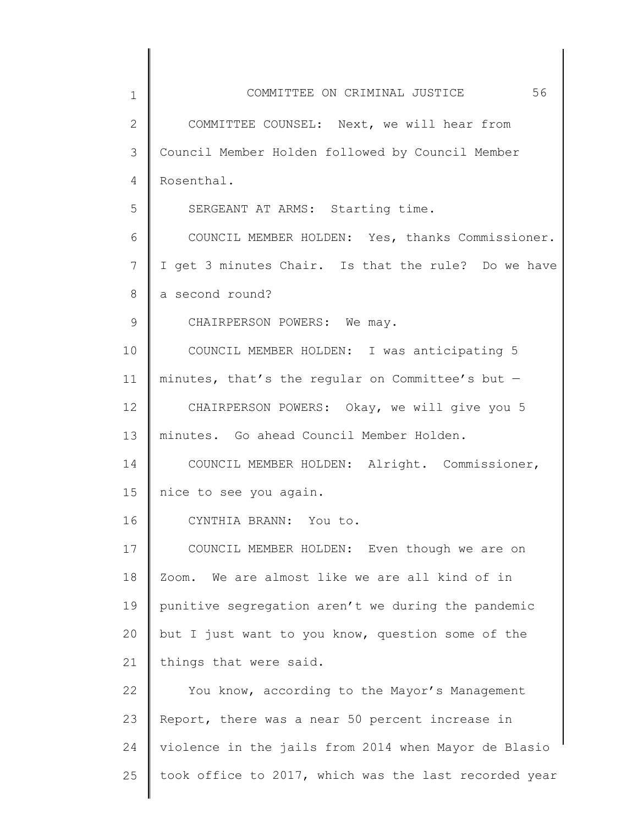| $\mathbf 1$  | 56<br>COMMITTEE ON CRIMINAL JUSTICE                   |
|--------------|-------------------------------------------------------|
| $\mathbf{2}$ | COMMITTEE COUNSEL: Next, we will hear from            |
| 3            | Council Member Holden followed by Council Member      |
| 4            | Rosenthal.                                            |
| 5            | SERGEANT AT ARMS: Starting time.                      |
| 6            | COUNCIL MEMBER HOLDEN: Yes, thanks Commissioner.      |
| 7            | I get 3 minutes Chair. Is that the rule? Do we have   |
| 8            | a second round?                                       |
| 9            | CHAIRPERSON POWERS: We may.                           |
| 10           | COUNCIL MEMBER HOLDEN: I was anticipating 5           |
| 11           | minutes, that's the regular on Committee's but $-$    |
| 12           | CHAIRPERSON POWERS: Okay, we will give you 5          |
| 13           | minutes. Go ahead Council Member Holden.              |
| 14           | COUNCIL MEMBER HOLDEN: Alright. Commissioner,         |
| 15           | nice to see you again.                                |
| 16           | CYNTHIA BRANN: You to.                                |
| 17           | COUNCIL MEMBER HOLDEN: Even though we are on          |
| 18           | We are almost like we are all kind of in<br>Zoom.     |
| 19           | punitive segregation aren't we during the pandemic    |
| 20           | but I just want to you know, question some of the     |
| 21           | things that were said.                                |
| 22           | You know, according to the Mayor's Management         |
| 23           | Report, there was a near 50 percent increase in       |
| 24           | violence in the jails from 2014 when Mayor de Blasio  |
| 25           | took office to 2017, which was the last recorded year |
|              |                                                       |

 $\parallel$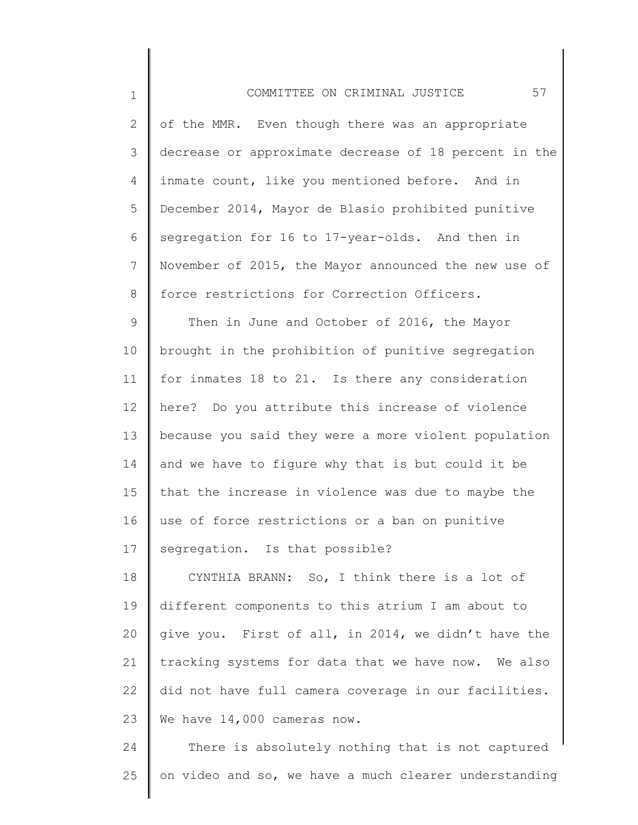1 2 3 4 5 6 7 8 9 10 11 12 13 14 15 16 17 18 19 20 21 COMMITTEE ON CRIMINAL JUSTICE 57 of the MMR. Even though there was an appropriate decrease or approximate decrease of 18 percent in the inmate count, like you mentioned before. And in December 2014, Mayor de Blasio prohibited punitive segregation for 16 to 17-year-olds. And then in November of 2015, the Mayor announced the new use of force restrictions for Correction Officers. Then in June and October of 2016, the Mayor brought in the prohibition of punitive segregation for inmates 18 to 21. Is there any consideration here? Do you attribute this increase of violence because you said they were a more violent population and we have to figure why that is but could it be that the increase in violence was due to maybe the use of force restrictions or a ban on punitive segregation. Is that possible? CYNTHIA BRANN: So, I think there is a lot of different components to this atrium I am about to give you. First of all, in 2014, we didn't have the tracking systems for data that we have now. We also

22 23 did not have full camera coverage in our facilities. We have 14,000 cameras now.

24 25 There is absolutely nothing that is not captured on video and so, we have a much clearer understanding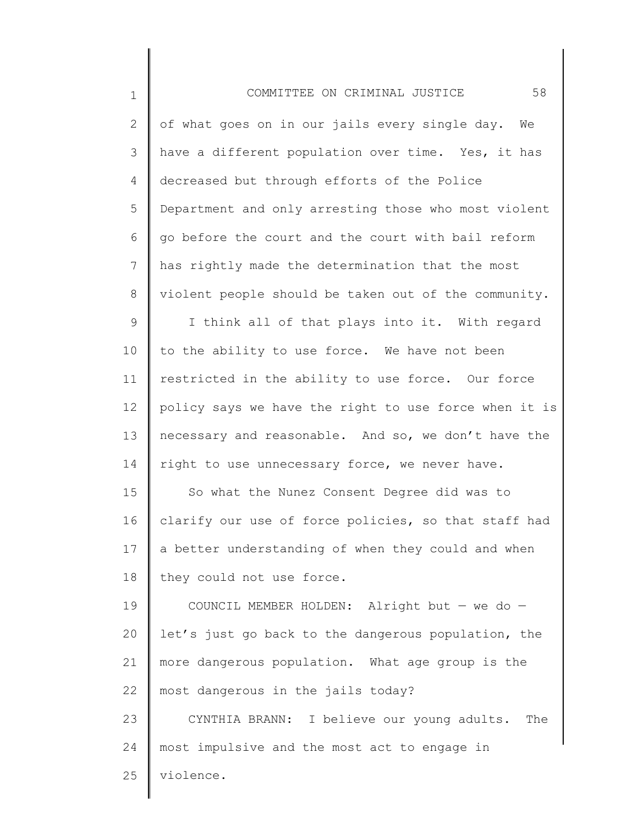| $\mathbf 1$ | 58<br>COMMITTEE ON CRIMINAL JUSTICE                   |
|-------------|-------------------------------------------------------|
| 2           | of what goes on in our jails every single day. We     |
| 3           | have a different population over time. Yes, it has    |
| 4           | decreased but through efforts of the Police           |
| 5           | Department and only arresting those who most violent  |
| 6           | go before the court and the court with bail reform    |
| 7           | has rightly made the determination that the most      |
| 8           | violent people should be taken out of the community.  |
| 9           | I think all of that plays into it. With regard        |
| 10          | to the ability to use force. We have not been         |
| 11          | restricted in the ability to use force. Our force     |
| 12          | policy says we have the right to use force when it is |
| 13          | necessary and reasonable. And so, we don't have the   |
| 14          | right to use unnecessary force, we never have.        |
| 15          | So what the Nunez Consent Degree did was to           |
| 16          | clarify our use of force policies, so that staff had  |
| 17          | a better understanding of when they could and when    |
| 18          | they could not use force.                             |
| 19          | COUNCIL MEMBER HOLDEN: Alright but $-$ we do $-$      |
| 20          | let's just go back to the dangerous population, the   |
| 21          | more dangerous population. What age group is the      |
| 22          | most dangerous in the jails today?                    |
| 23          | CYNTHIA BRANN: I believe our young adults.<br>The     |
| 24          | most impulsive and the most act to engage in          |
| 25          | violence.                                             |
|             |                                                       |

║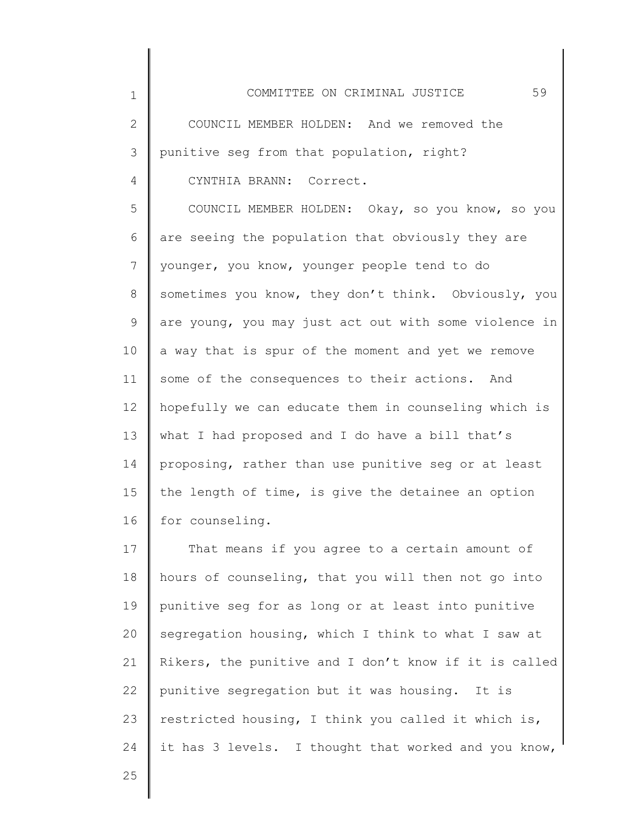1 2 3 4 5 6 7 8 9 10 11 12 13 14 15 16 COMMITTEE ON CRIMINAL JUSTICE 59 COUNCIL MEMBER HOLDEN: And we removed the punitive seg from that population, right? CYNTHIA BRANN: Correct. COUNCIL MEMBER HOLDEN: Okay, so you know, so you are seeing the population that obviously they are younger, you know, younger people tend to do sometimes you know, they don't think. Obviously, you are young, you may just act out with some violence in a way that is spur of the moment and yet we remove some of the consequences to their actions. And hopefully we can educate them in counseling which is what I had proposed and I do have a bill that's proposing, rather than use punitive seg or at least the length of time, is give the detainee an option for counseling.

17 18 19 20 21 22 23 24 That means if you agree to a certain amount of hours of counseling, that you will then not go into punitive seg for as long or at least into punitive segregation housing, which I think to what I saw at Rikers, the punitive and I don't know if it is called punitive segregation but it was housing. It is restricted housing, I think you called it which is, it has 3 levels. I thought that worked and you know,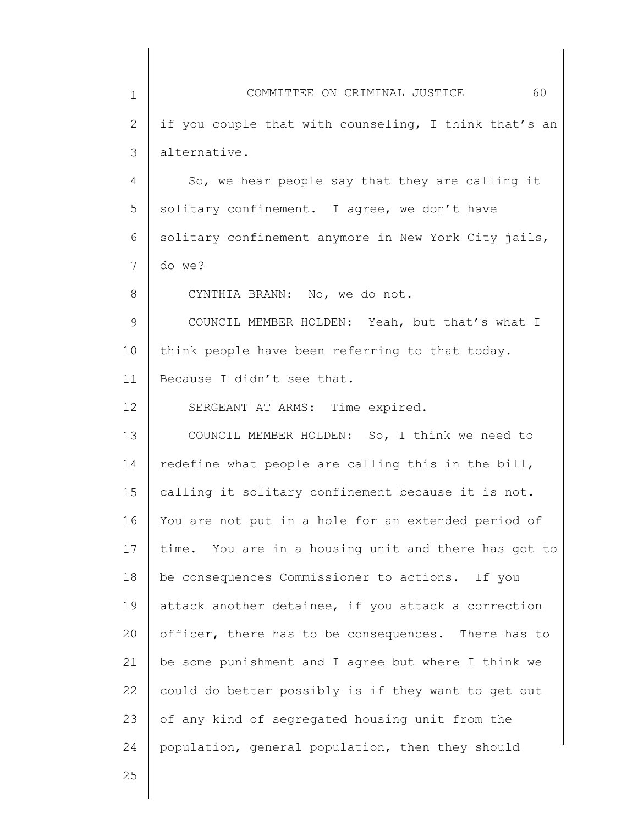| $\mathbf 1$ | 60<br>COMMITTEE ON CRIMINAL JUSTICE                   |
|-------------|-------------------------------------------------------|
| 2           | if you couple that with counseling, I think that's an |
| 3           | alternative.                                          |
| 4           | So, we hear people say that they are calling it       |
| 5           | solitary confinement. I agree, we don't have          |
| 6           | solitary confinement anymore in New York City jails,  |
| 7           | do we?                                                |
| 8           | CYNTHIA BRANN: No, we do not.                         |
| 9           | COUNCIL MEMBER HOLDEN: Yeah, but that's what I        |
| 10          | think people have been referring to that today.       |
| 11          | Because I didn't see that.                            |
| 12          | SERGEANT AT ARMS: Time expired.                       |
| 13          | COUNCIL MEMBER HOLDEN: So, I think we need to         |
| 14          | redefine what people are calling this in the bill,    |
| 15          | calling it solitary confinement because it is not.    |
| 16          | You are not put in a hole for an extended period of   |
| 17          | time. You are in a housing unit and there has got to  |
| 18          | be consequences Commissioner to actions. If you       |
| 19          | attack another detainee, if you attack a correction   |
| 20          | officer, there has to be consequences. There has to   |
| 21          | be some punishment and I agree but where I think we   |
| 22          | could do better possibly is if they want to get out   |
| 23          | of any kind of segregated housing unit from the       |
| 24          | population, general population, then they should      |
| 25          |                                                       |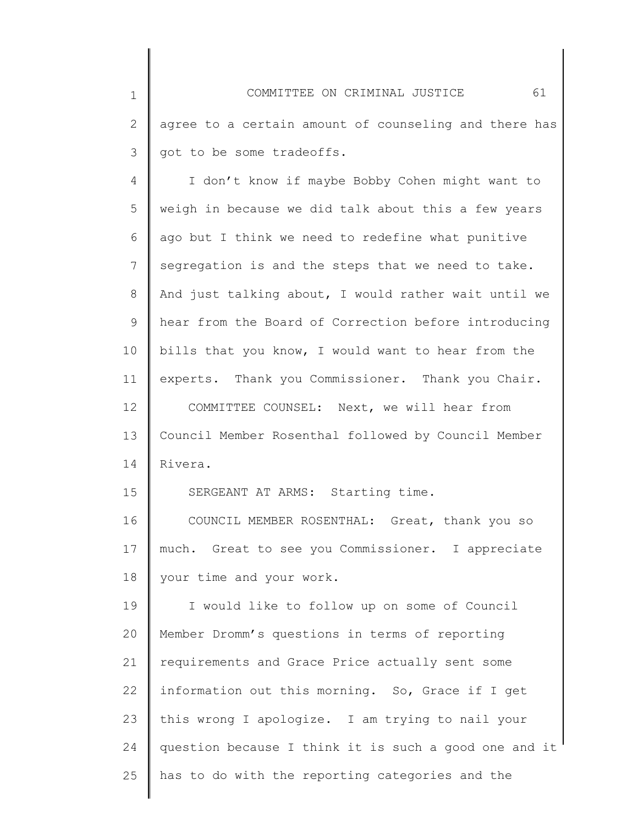1 2 3 4 5 6 7 8 9 10 11 12 13 14 15 16 17 18 19 20 21 22 23 24 25 COMMITTEE ON CRIMINAL JUSTICE 61 agree to a certain amount of counseling and there has got to be some tradeoffs. I don't know if maybe Bobby Cohen might want to weigh in because we did talk about this a few years ago but I think we need to redefine what punitive segregation is and the steps that we need to take. And just talking about, I would rather wait until we hear from the Board of Correction before introducing bills that you know, I would want to hear from the experts. Thank you Commissioner. Thank you Chair. COMMITTEE COUNSEL: Next, we will hear from Council Member Rosenthal followed by Council Member Rivera. SERGEANT AT ARMS: Starting time. COUNCIL MEMBER ROSENTHAL: Great, thank you so much. Great to see you Commissioner. I appreciate your time and your work. I would like to follow up on some of Council Member Dromm's questions in terms of reporting requirements and Grace Price actually sent some information out this morning. So, Grace if I get this wrong I apologize. I am trying to nail your question because I think it is such a good one and it has to do with the reporting categories and the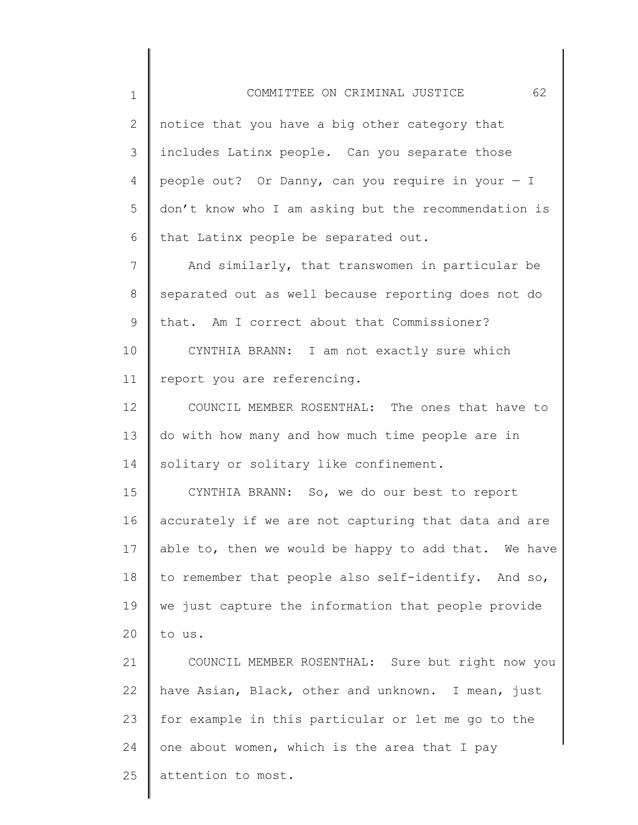2 3 4 5 6 notice that you have a big other category that includes Latinx people. Can you separate those people out? Or Danny, can you require in your  $- I$ don't know who I am asking but the recommendation is that Latinx people be separated out.

7 8 9 And similarly, that transwomen in particular be separated out as well because reporting does not do that. Am I correct about that Commissioner?

10 11 CYNTHIA BRANN: I am not exactly sure which report you are referencing.

12 13 14 COUNCIL MEMBER ROSENTHAL: The ones that have to do with how many and how much time people are in solitary or solitary like confinement.

15 16 17 18 19 20 CYNTHIA BRANN: So, we do our best to report accurately if we are not capturing that data and are able to, then we would be happy to add that. We have to remember that people also self-identify. And so, we just capture the information that people provide to us.

21 22 23 24 25 COUNCIL MEMBER ROSENTHAL: Sure but right now you have Asian, Black, other and unknown. I mean, just for example in this particular or let me go to the one about women, which is the area that I pay attention to most.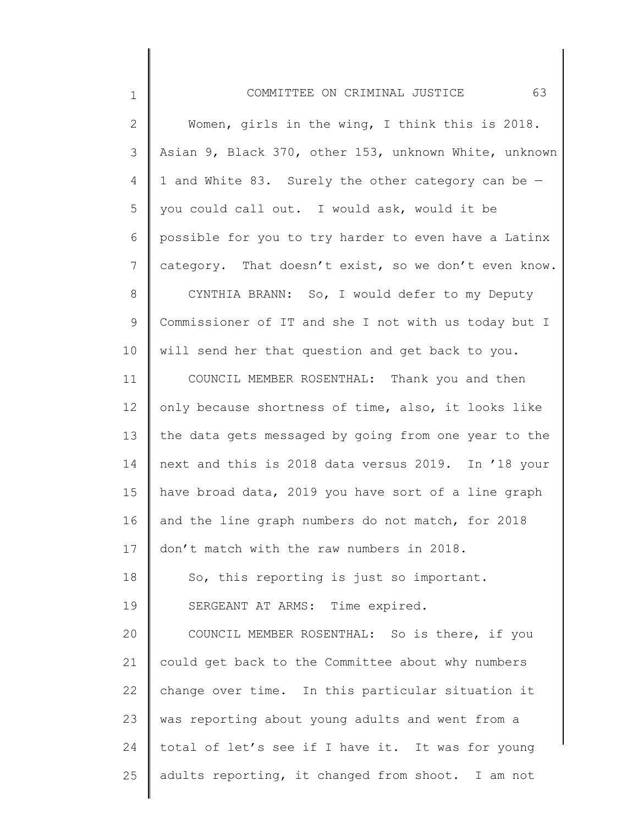## COMMITTEE ON CRIMINAL JUSTICE 63

| 2           | Women, girls in the wing, I think this is 2018.       |
|-------------|-------------------------------------------------------|
| 3           | Asian 9, Black 370, other 153, unknown White, unknown |
| 4           | 1 and White 83. Surely the other category can be -    |
| 5           | you could call out. I would ask, would it be          |
| 6           | possible for you to try harder to even have a Latinx  |
| 7           | category. That doesn't exist, so we don't even know.  |
| 8           | CYNTHIA BRANN: So, I would defer to my Deputy         |
| $\mathsf 9$ | Commissioner of IT and she I not with us today but I  |
| 10          | will send her that question and get back to you.      |
| 11          | COUNCIL MEMBER ROSENTHAL: Thank you and then          |
| 12          | only because shortness of time, also, it looks like   |
| 13          | the data gets messaged by going from one year to the  |
| 14          | next and this is 2018 data versus 2019. In '18 your   |
| 15          | have broad data, 2019 you have sort of a line graph   |
| 16          | and the line graph numbers do not match, for 2018     |
| 17          | don't match with the raw numbers in 2018.             |
| 18          | So, this reporting is just so important.              |
| 19          | SERGEANT AT ARMS: Time expired.                       |
| 20          | COUNCIL MEMBER ROSENTHAL: So is there, if you         |
| 21          | could get back to the Committee about why numbers     |
| 22          | change over time. In this particular situation it     |
| 23          | was reporting about young adults and went from a      |
| 24          | total of let's see if I have it. It was for young     |
| 25          | adults reporting, it changed from shoot. I am not     |
|             |                                                       |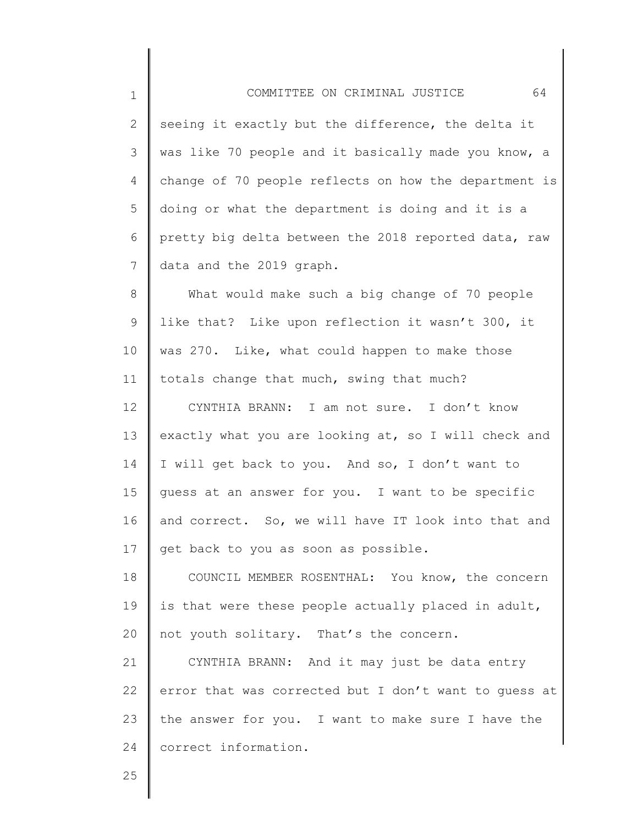1 2 3 4 5 6 7 8 9 10 11 12 13 14 15 16 17 18 19 20 21 22 23 COMMITTEE ON CRIMINAL JUSTICE 64 seeing it exactly but the difference, the delta it was like 70 people and it basically made you know, a change of 70 people reflects on how the department is doing or what the department is doing and it is a pretty big delta between the 2018 reported data, raw data and the 2019 graph. What would make such a big change of 70 people like that? Like upon reflection it wasn't 300, it was 270. Like, what could happen to make those totals change that much, swing that much? CYNTHIA BRANN: I am not sure. I don't know exactly what you are looking at, so I will check and I will get back to you. And so, I don't want to guess at an answer for you. I want to be specific and correct. So, we will have IT look into that and get back to you as soon as possible. COUNCIL MEMBER ROSENTHAL: You know, the concern is that were these people actually placed in adult, not youth solitary. That's the concern. CYNTHIA BRANN: And it may just be data entry error that was corrected but I don't want to guess at the answer for you. I want to make sure I have the

24 correct information.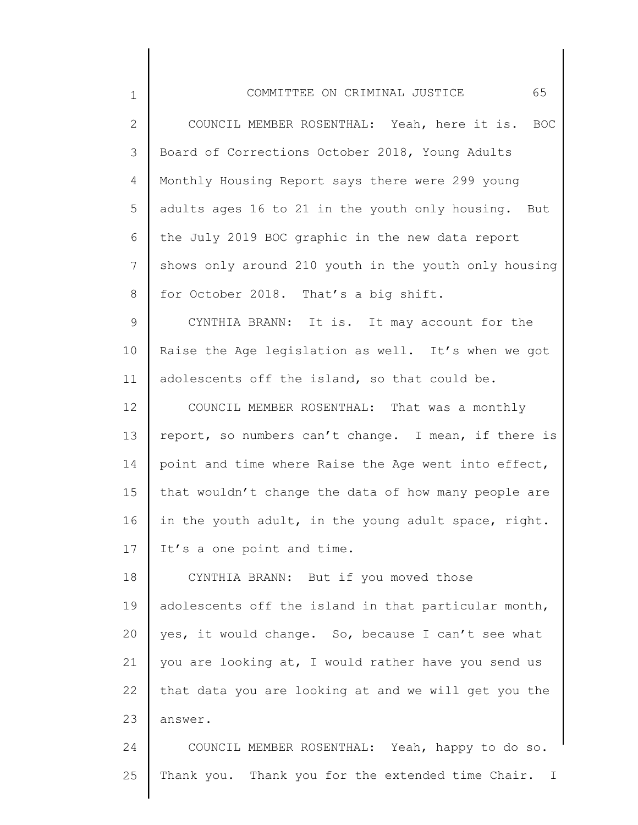| $\mathbf 1$     | 65<br>COMMITTEE ON CRIMINAL JUSTICE                   |
|-----------------|-------------------------------------------------------|
| 2               | COUNCIL MEMBER ROSENTHAL: Yeah, here it is. BOC       |
| 3               | Board of Corrections October 2018, Young Adults       |
| 4               | Monthly Housing Report says there were 299 young      |
| 5               | adults ages 16 to 21 in the youth only housing. But   |
| 6               | the July 2019 BOC graphic in the new data report      |
| $7\phantom{.0}$ | shows only around 210 youth in the youth only housing |
| 8               | for October 2018. That's a big shift.                 |
| $\mathsf 9$     | CYNTHIA BRANN: It is. It may account for the          |
| 10              | Raise the Age legislation as well. It's when we got   |
| 11              | adolescents off the island, so that could be.         |
| 12              | COUNCIL MEMBER ROSENTHAL: That was a monthly          |
| 13              | report, so numbers can't change. I mean, if there is  |
| 14              | point and time where Raise the Age went into effect,  |
| 15              | that wouldn't change the data of how many people are  |
| 16              | in the youth adult, in the young adult space, right.  |
| 17              | It's a one point and time.                            |
| 18              | CYNTHIA BRANN: But if you moved those                 |
| 19              | adolescents off the island in that particular month,  |
| 20              | yes, it would change. So, because I can't see what    |
| 21              | you are looking at, I would rather have you send us   |
| 22              | that data you are looking at and we will get you the  |
| 23              | answer.                                               |
| 24              | COUNCIL MEMBER ROSENTHAL: Yeah, happy to do so.       |
| 25              | Thank you. Thank you for the extended time Chair. I   |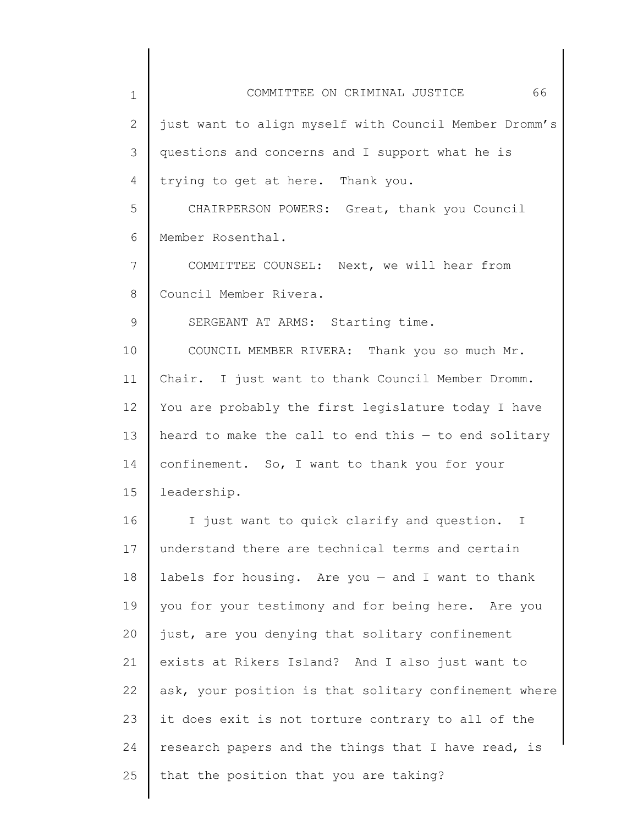1 2 3 4 5 6 7 8 9 10 11 12 13 14 15 16 17 18 19 20 21 22 23 24 25 COMMITTEE ON CRIMINAL JUSTICE 66 just want to align myself with Council Member Dromm's questions and concerns and I support what he is trying to get at here. Thank you. CHAIRPERSON POWERS: Great, thank you Council Member Rosenthal. COMMITTEE COUNSEL: Next, we will hear from Council Member Rivera. SERGEANT AT ARMS: Starting time. COUNCIL MEMBER RIVERA: Thank you so much Mr. Chair. I just want to thank Council Member Dromm. You are probably the first legislature today I have heard to make the call to end this  $-$  to end solitary confinement. So, I want to thank you for your leadership. I just want to quick clarify and question. I understand there are technical terms and certain labels for housing. Are you  $-$  and I want to thank you for your testimony and for being here. Are you just, are you denying that solitary confinement exists at Rikers Island? And I also just want to ask, your position is that solitary confinement where it does exit is not torture contrary to all of the research papers and the things that I have read, is that the position that you are taking?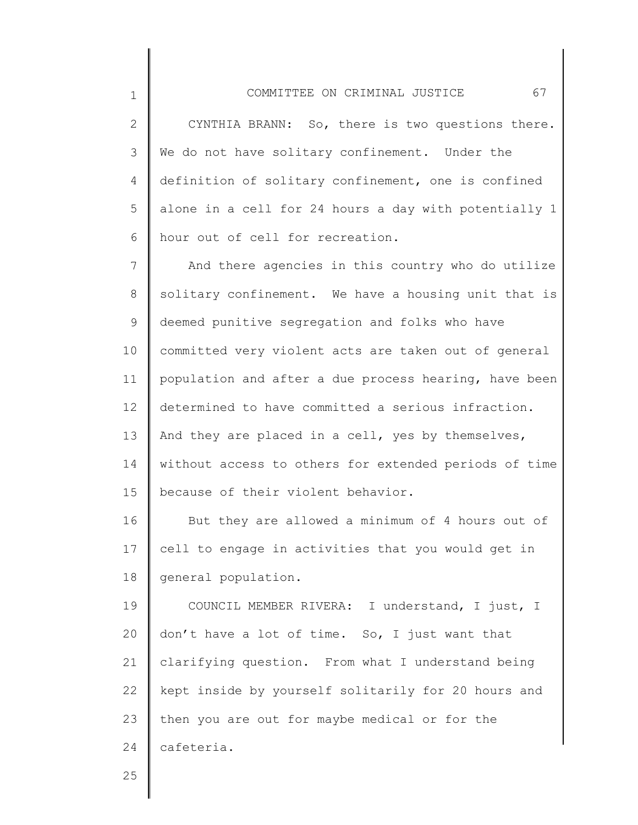2 3 4 5 6 CYNTHIA BRANN: So, there is two questions there. We do not have solitary confinement. Under the definition of solitary confinement, one is confined alone in a cell for 24 hours a day with potentially 1 hour out of cell for recreation.

7 8 9 10 11 12 13 14 15 And there agencies in this country who do utilize solitary confinement. We have a housing unit that is deemed punitive segregation and folks who have committed very violent acts are taken out of general population and after a due process hearing, have been determined to have committed a serious infraction. And they are placed in a cell, yes by themselves, without access to others for extended periods of time because of their violent behavior.

16 17 18 But they are allowed a minimum of 4 hours out of cell to engage in activities that you would get in general population.

19 20 21 22 23 24 COUNCIL MEMBER RIVERA: I understand, I just, I don't have a lot of time. So, I just want that clarifying question. From what I understand being kept inside by yourself solitarily for 20 hours and then you are out for maybe medical or for the cafeteria.

25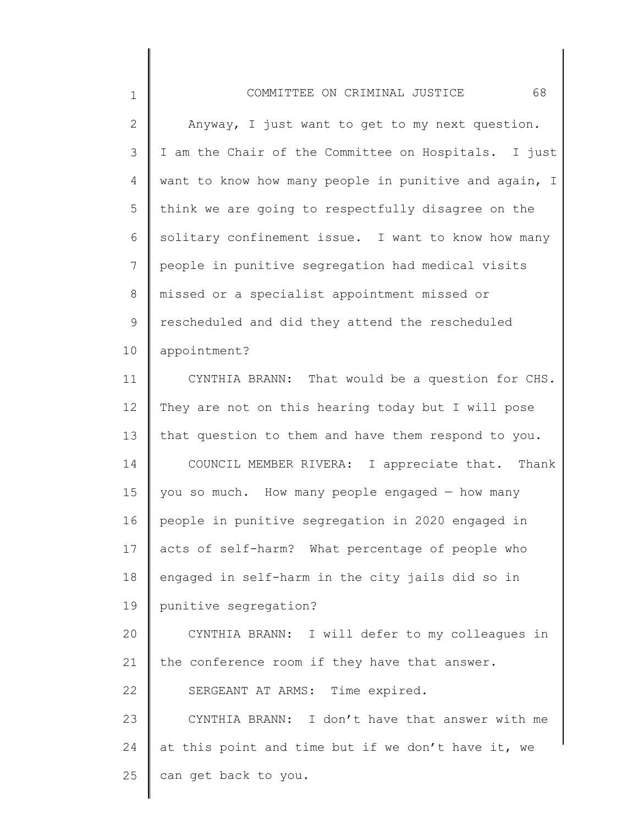## COMMITTEE ON CRIMINAL JUSTICE 68

| $\mathbf{2}$   | Anyway, I just want to get to my next question.       |
|----------------|-------------------------------------------------------|
| $\mathfrak{Z}$ | I am the Chair of the Committee on Hospitals. I just  |
| 4              | want to know how many people in punitive and again, I |
| 5              | think we are going to respectfully disagree on the    |
| 6              | solitary confinement issue. I want to know how many   |
| 7              | people in punitive segregation had medical visits     |
| 8              | missed or a specialist appointment missed or          |
| 9              | rescheduled and did they attend the rescheduled       |
| 10             | appointment?                                          |
| 11             | CYNTHIA BRANN: That would be a question for CHS.      |
| 12             | They are not on this hearing today but I will pose    |
| 13             | that question to them and have them respond to you.   |
| 14             | COUNCIL MEMBER RIVERA:<br>I appreciate that. Thank    |
| 15             | you so much. How many people engaged - how many       |
| 16             | people in punitive segregation in 2020 engaged in     |
| 17             | acts of self-harm? What percentage of people who      |
| 18             | engaged in self-harm in the city jails did so in      |
| 19             | punitive segregation?                                 |
| 20             | CYNTHIA BRANN: I will defer to my colleagues in       |
| 21             | the conference room if they have that answer.         |
| 22             | SERGEANT AT ARMS: Time expired.                       |
| 23             | CYNTHIA BRANN: I don't have that answer with me       |
| 24             | at this point and time but if we don't have it, we    |
| 25             | can get back to you.                                  |
|                |                                                       |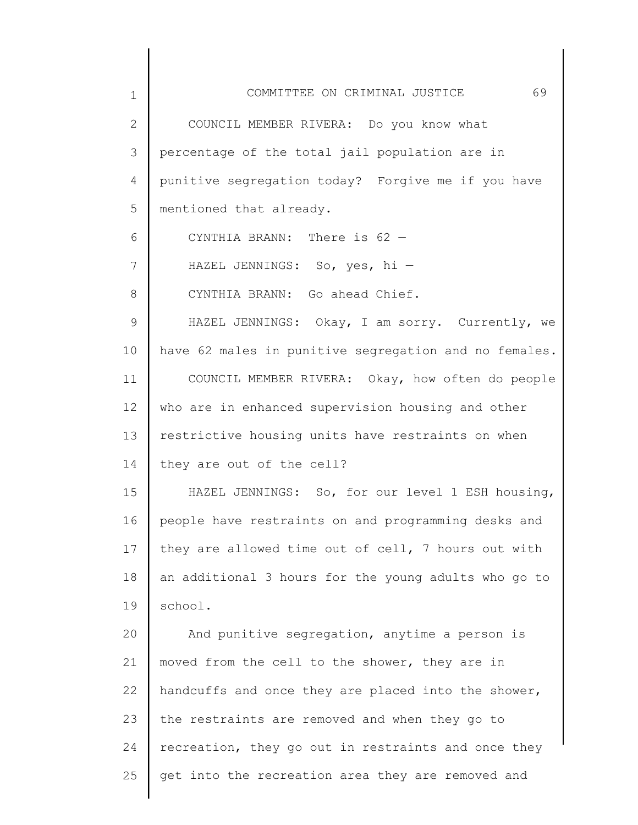| $\mathbf 1$     | COMMITTEE ON CRIMINAL JUSTICE<br>69                   |
|-----------------|-------------------------------------------------------|
| 2               | COUNCIL MEMBER RIVERA: Do you know what               |
| 3               | percentage of the total jail population are in        |
| 4               | punitive segregation today? Forgive me if you have    |
| 5               | mentioned that already.                               |
| 6               | CYNTHIA BRANN: There is 62 -                          |
| 7               | HAZEL JENNINGS: So, yes, hi -                         |
| 8               | CYNTHIA BRANN: Go ahead Chief.                        |
| 9               | HAZEL JENNINGS: Okay, I am sorry. Currently, we       |
| 10              | have 62 males in punitive segregation and no females. |
| 11              | COUNCIL MEMBER RIVERA: Okay, how often do people      |
| 12 <sup>°</sup> | who are in enhanced supervision housing and other     |
| 13              | restrictive housing units have restraints on when     |
| 14              | they are out of the cell?                             |
| 15              | HAZEL JENNINGS: So, for our level 1 ESH housing,      |
| 16              | people have restraints on and programming desks and   |
| 17              | they are allowed time out of cell, 7 hours out with   |
| 18              | an additional 3 hours for the young adults who go to  |
| 19              | school.                                               |
| 20              | And punitive segregation, anytime a person is         |
| 21              | moved from the cell to the shower, they are in        |
| 22              | handcuffs and once they are placed into the shower,   |
| 23              | the restraints are removed and when they go to        |
| 24              | recreation, they go out in restraints and once they   |
| 25              | get into the recreation area they are removed and     |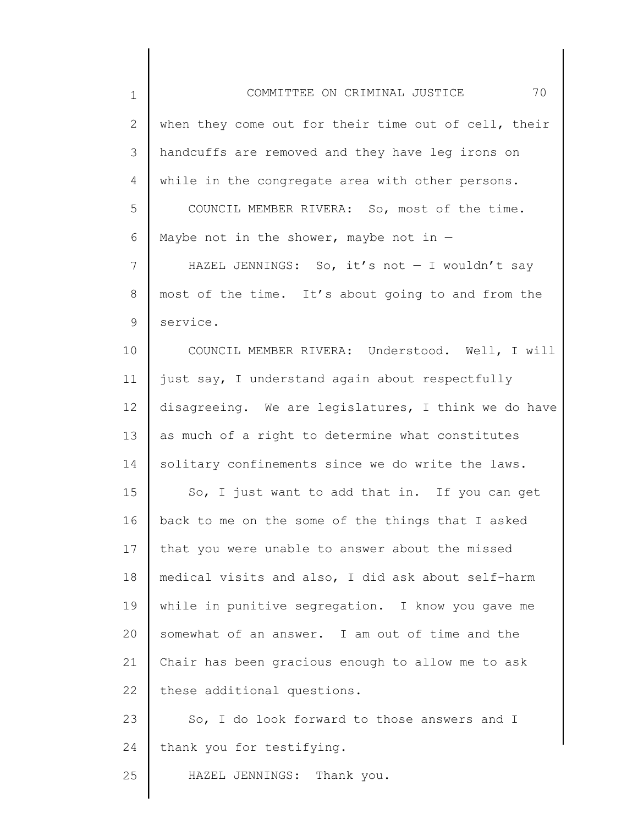1 2 3 4 5 6 7 8 9 10 11 12 13 14 15 16 17 18 19 20 21 22 23 24 COMMITTEE ON CRIMINAL JUSTICE 70 when they come out for their time out of cell, their handcuffs are removed and they have leg irons on while in the congregate area with other persons. COUNCIL MEMBER RIVERA: So, most of the time. Maybe not in the shower, maybe not in  $-$ HAZEL JENNINGS: So, it's not - I wouldn't say most of the time. It's about going to and from the service. COUNCIL MEMBER RIVERA: Understood. Well, I will just say, I understand again about respectfully disagreeing. We are legislatures, I think we do have as much of a right to determine what constitutes solitary confinements since we do write the laws. So, I just want to add that in. If you can get back to me on the some of the things that I asked that you were unable to answer about the missed medical visits and also, I did ask about self-harm while in punitive segregation. I know you gave me somewhat of an answer. I am out of time and the Chair has been gracious enough to allow me to ask these additional questions. So, I do look forward to those answers and I thank you for testifying.

HAZEL JENNINGS: Thank you.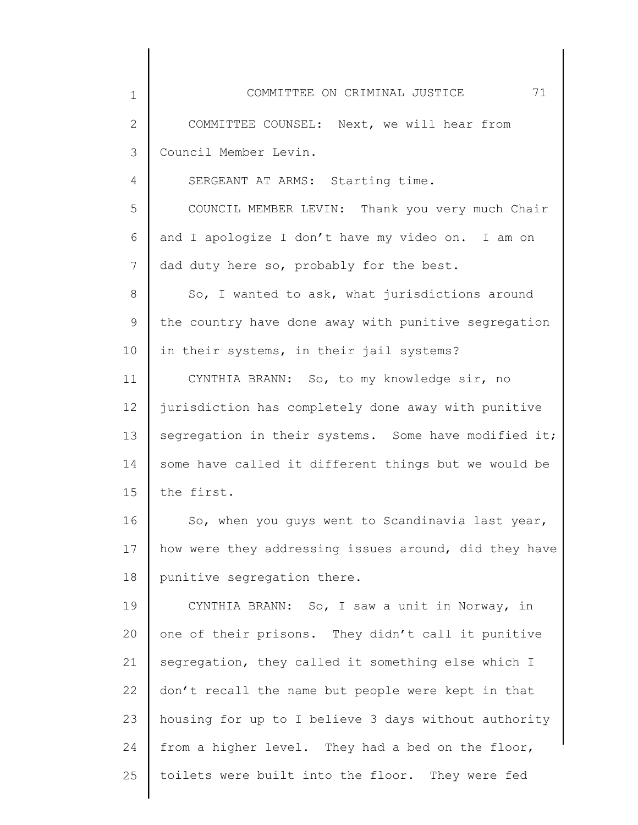| 1            | 71<br>COMMITTEE ON CRIMINAL JUSTICE                   |
|--------------|-------------------------------------------------------|
| $\mathbf{2}$ | COMMITTEE COUNSEL: Next, we will hear from            |
| 3            | Council Member Levin.                                 |
| 4            | SERGEANT AT ARMS: Starting time.                      |
| 5            | COUNCIL MEMBER LEVIN: Thank you very much Chair       |
| 6            | and I apologize I don't have my video on. I am on     |
| 7            | dad duty here so, probably for the best.              |
| 8            | So, I wanted to ask, what jurisdictions around        |
| 9            | the country have done away with punitive segregation  |
| 10           | in their systems, in their jail systems?              |
| 11           | CYNTHIA BRANN: So, to my knowledge sir, no            |
| 12           | jurisdiction has completely done away with punitive   |
| 13           | segregation in their systems. Some have modified it;  |
| 14           | some have called it different things but we would be  |
| 15           | the first.                                            |
| 16           | So, when you guys went to Scandinavia last year,      |
| 17           | how were they addressing issues around, did they have |
| 18           | punitive segregation there.                           |
| 19           | CYNTHIA BRANN: So, I saw a unit in Norway, in         |
| 20           | one of their prisons. They didn't call it punitive    |
| 21           | segregation, they called it something else which I    |
| 22           | don't recall the name but people were kept in that    |
| 23           | housing for up to I believe 3 days without authority  |
| 24           | from a higher level. They had a bed on the floor,     |
| 25           | toilets were built into the floor. They were fed      |
|              |                                                       |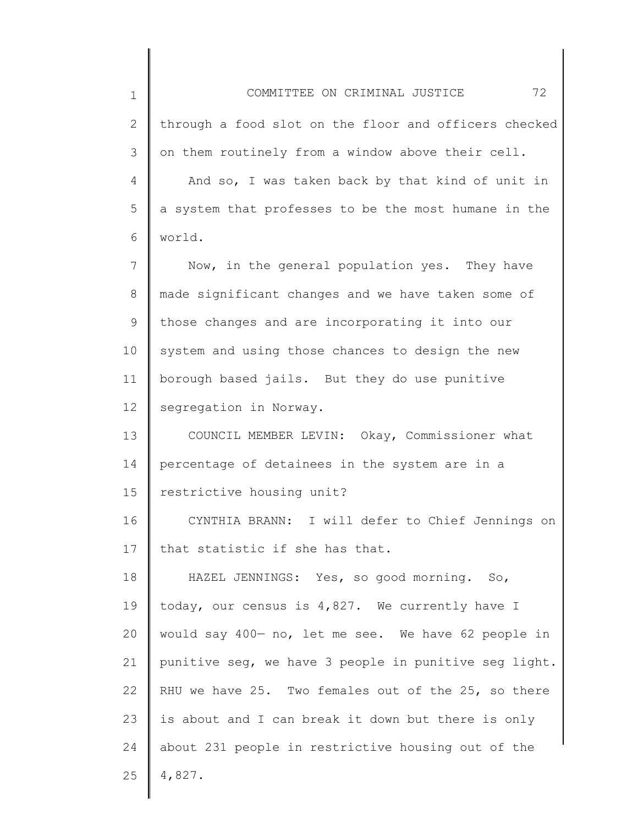1 2 3 4 5 6 7 8 9 10 11 12 13 14 15 16 17 18 19 20 21 22 23 24 COMMITTEE ON CRIMINAL JUSTICE 72 through a food slot on the floor and officers checked on them routinely from a window above their cell. And so, I was taken back by that kind of unit in a system that professes to be the most humane in the world. Now, in the general population yes. They have made significant changes and we have taken some of those changes and are incorporating it into our system and using those chances to design the new borough based jails. But they do use punitive segregation in Norway. COUNCIL MEMBER LEVIN: Okay, Commissioner what percentage of detainees in the system are in a restrictive housing unit? CYNTHIA BRANN: I will defer to Chief Jennings on that statistic if she has that. HAZEL JENNINGS: Yes, so good morning. So, today, our census is 4,827. We currently have I would say 400— no, let me see. We have 62 people in punitive seg, we have 3 people in punitive seg light. RHU we have 25. Two females out of the 25, so there is about and I can break it down but there is only about 231 people in restrictive housing out of the

25 4,827.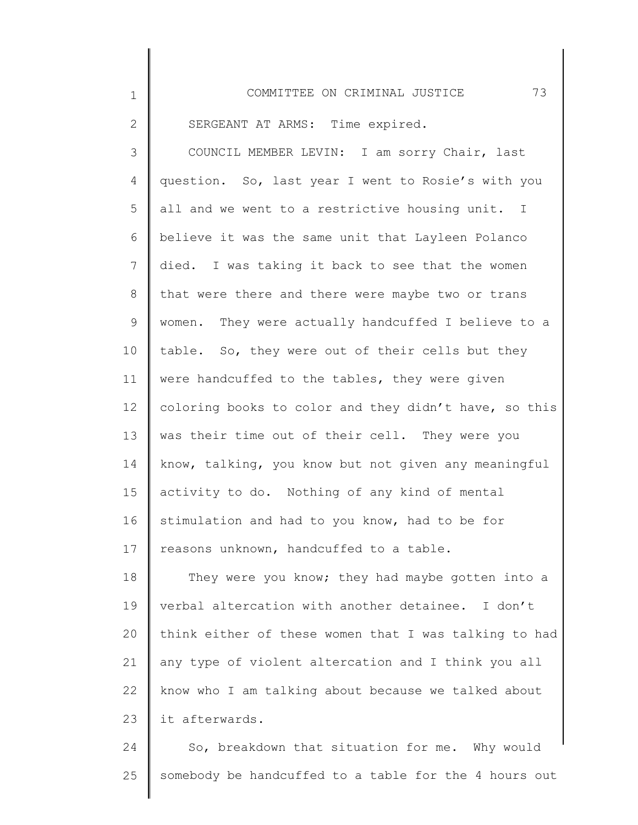| $\mathbf 1$  | 73<br>COMMITTEE ON CRIMINAL JUSTICE                   |
|--------------|-------------------------------------------------------|
| $\mathbf{2}$ | SERGEANT AT ARMS: Time expired.                       |
| 3            | COUNCIL MEMBER LEVIN: I am sorry Chair, last          |
| 4            | question. So, last year I went to Rosie's with you    |
| 5            | all and we went to a restrictive housing unit. I      |
| 6            | believe it was the same unit that Layleen Polanco     |
| 7            | died. I was taking it back to see that the women      |
| 8            | that were there and there were maybe two or trans     |
| 9            | women. They were actually handcuffed I believe to a   |
| 10           | table. So, they were out of their cells but they      |
| 11           | were handcuffed to the tables, they were given        |
| 12           | coloring books to color and they didn't have, so this |
| 13           | was their time out of their cell. They were you       |
| 14           | know, talking, you know but not given any meaningful  |
| 15           | activity to do. Nothing of any kind of mental         |
| 16           | stimulation and had to you know, had to be for        |
| 17           | reasons unknown, handcuffed to a table.               |
| 18           | They were you know; they had maybe gotten into a      |
| 19           | verbal altercation with another detainee. I don't     |
| 20           | think either of these women that I was talking to had |
| 21           | any type of violent altercation and I think you all   |
| 22           | know who I am talking about because we talked about   |
| 23           | it afterwards.                                        |
| 24           | So, breakdown that situation for me. Why would        |

25 somebody be handcuffed to a table for the 4 hours out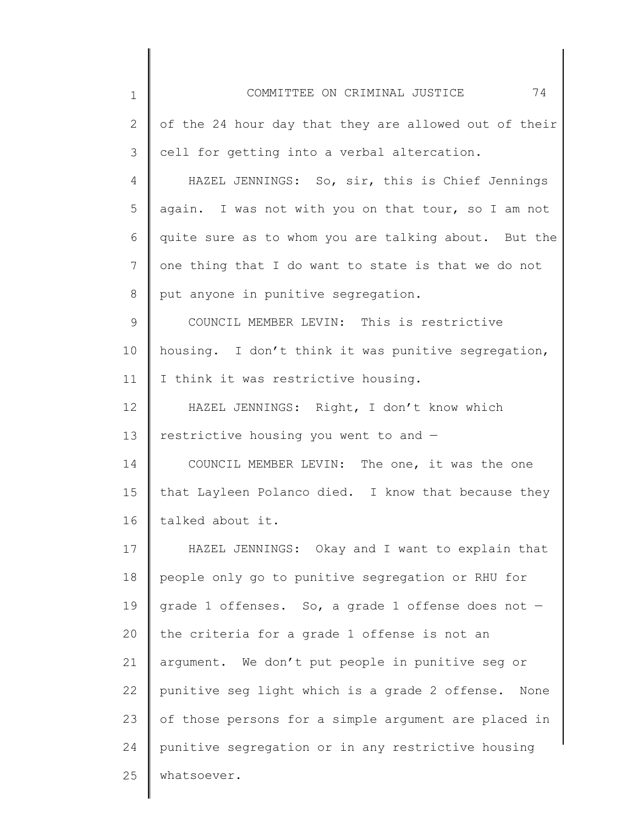| $\mathbf 1$ | 74<br>COMMITTEE ON CRIMINAL JUSTICE                    |
|-------------|--------------------------------------------------------|
| 2           | of the 24 hour day that they are allowed out of their  |
| 3           | cell for getting into a verbal altercation.            |
| 4           | HAZEL JENNINGS: So, sir, this is Chief Jennings        |
| 5           | again. I was not with you on that tour, so I am not    |
| 6           | quite sure as to whom you are talking about. But the   |
| 7           | one thing that I do want to state is that we do not    |
| 8           | put anyone in punitive segregation.                    |
| 9           | COUNCIL MEMBER LEVIN: This is restrictive              |
| 10          | housing. I don't think it was punitive segregation,    |
| 11          | I think it was restrictive housing.                    |
| 12          | HAZEL JENNINGS: Right, I don't know which              |
| 13          | restrictive housing you went to and -                  |
| 14          | COUNCIL MEMBER LEVIN: The one, it was the one          |
| 15          | that Layleen Polanco died. I know that because they    |
| 16          | talked about it.                                       |
| 17          | HAZEL JENNINGS: Okay and I want to explain that        |
| 18          | people only go to punitive segregation or RHU for      |
| 19          | grade 1 offenses. So, a grade 1 offense does not -     |
| 20          | the criteria for a grade 1 offense is not an           |
| 21          | argument. We don't put people in punitive seg or       |
| 22          | punitive seg light which is a grade 2 offense.<br>None |
| 23          | of those persons for a simple argument are placed in   |
| 24          | punitive segregation or in any restrictive housing     |
| 25          | whatsoever.                                            |
|             |                                                        |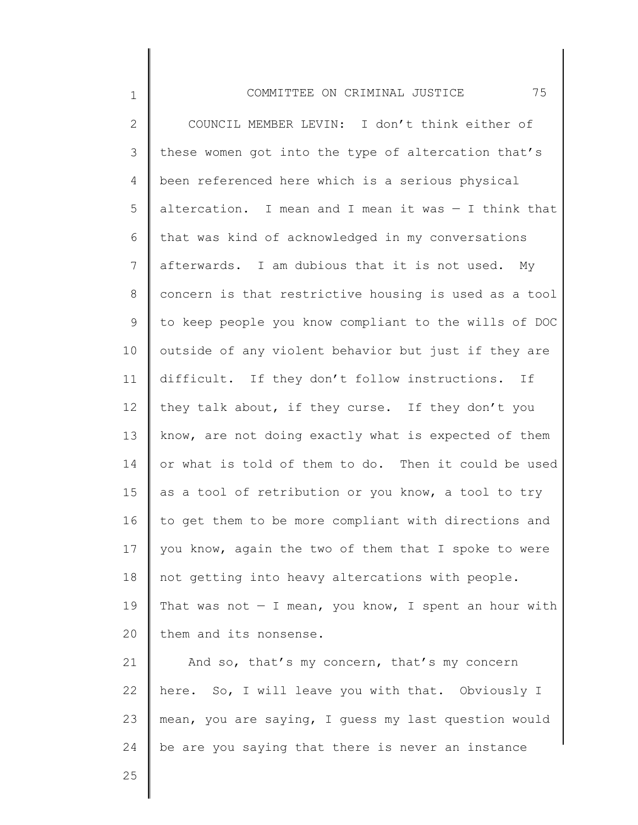1 2 3 4 5 6 7 8 9 10 11 12 13 14 15 16 17 18 19 20 21 22 COMMITTEE ON CRIMINAL JUSTICE 75 COUNCIL MEMBER LEVIN: I don't think either of these women got into the type of altercation that's been referenced here which is a serious physical altercation. I mean and I mean it was — I think that that was kind of acknowledged in my conversations afterwards. I am dubious that it is not used. My concern is that restrictive housing is used as a tool to keep people you know compliant to the wills of DOC outside of any violent behavior but just if they are difficult. If they don't follow instructions. If they talk about, if they curse. If they don't you know, are not doing exactly what is expected of them or what is told of them to do. Then it could be used as a tool of retribution or you know, a tool to try to get them to be more compliant with directions and you know, again the two of them that I spoke to were not getting into heavy altercations with people. That was not  $-$  I mean, you know, I spent an hour with them and its nonsense. And so, that's my concern, that's my concern here. So, I will leave you with that. Obviously I

mean, you are saying, I guess my last question would

be are you saying that there is never an instance

25

23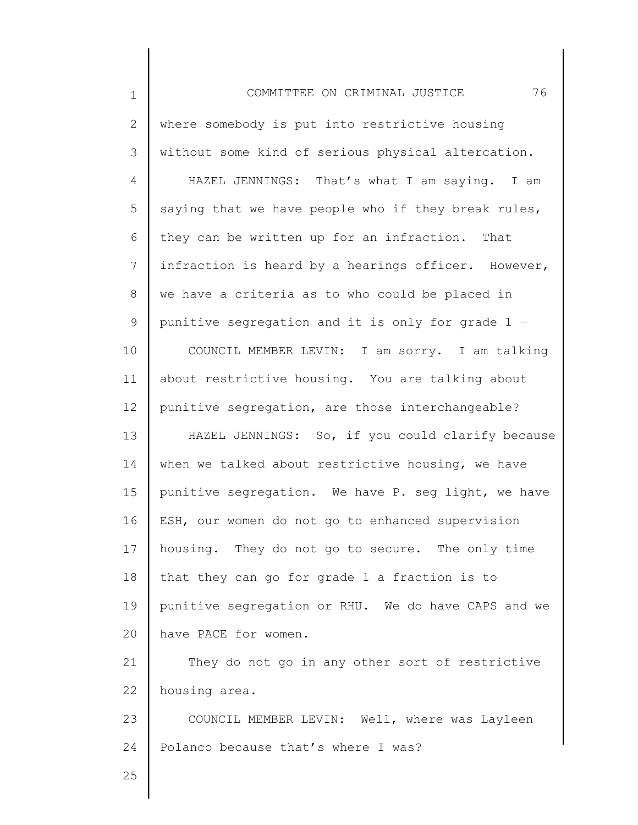1 2 3 4 5 6 7 8 9 10 11 12 13 14 15 16 17 18 19 20 21 22 23 24 25 COMMITTEE ON CRIMINAL JUSTICE 76 where somebody is put into restrictive housing without some kind of serious physical altercation. HAZEL JENNINGS: That's what I am saying. I am saying that we have people who if they break rules, they can be written up for an infraction. That infraction is heard by a hearings officer. However, we have a criteria as to who could be placed in punitive segregation and it is only for grade  $1 -$ COUNCIL MEMBER LEVIN: I am sorry. I am talking about restrictive housing. You are talking about punitive segregation, are those interchangeable? HAZEL JENNINGS: So, if you could clarify because when we talked about restrictive housing, we have punitive segregation. We have P. seg light, we have ESH, our women do not go to enhanced supervision housing. They do not go to secure. The only time that they can go for grade 1 a fraction is to punitive segregation or RHU. We do have CAPS and we have PACE for women. They do not go in any other sort of restrictive housing area. COUNCIL MEMBER LEVIN: Well, where was Layleen Polanco because that's where I was?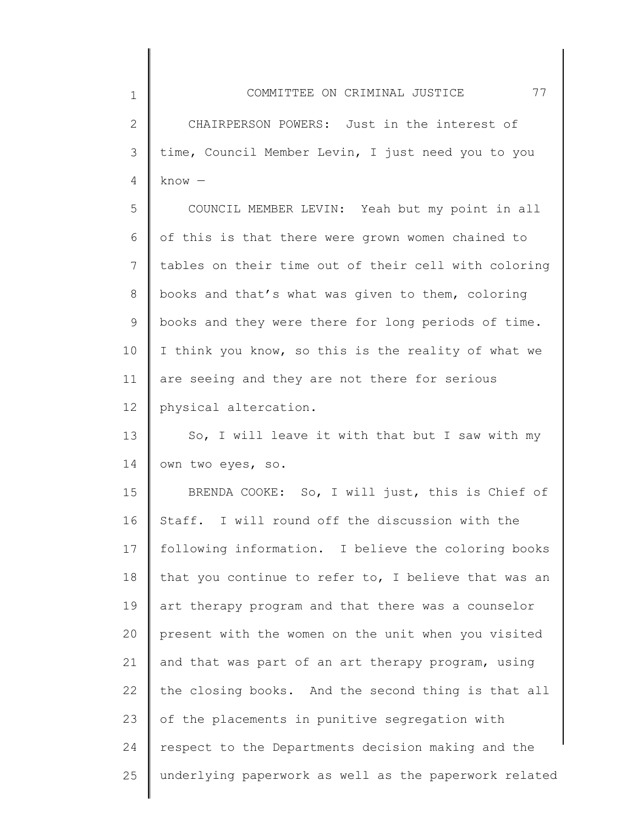2 3 4 CHAIRPERSON POWERS: Just in the interest of time, Council Member Levin, I just need you to you know —

1

5 6 7 8 9 10 11 12 COUNCIL MEMBER LEVIN: Yeah but my point in all of this is that there were grown women chained to tables on their time out of their cell with coloring books and that's what was given to them, coloring books and they were there for long periods of time. I think you know, so this is the reality of what we are seeing and they are not there for serious physical altercation.

13 14 So, I will leave it with that but I saw with my own two eyes, so.

15 16 17 18 19 20 21 22 23 24 25 BRENDA COOKE: So, I will just, this is Chief of Staff. I will round off the discussion with the following information. I believe the coloring books that you continue to refer to, I believe that was an art therapy program and that there was a counselor present with the women on the unit when you visited and that was part of an art therapy program, using the closing books. And the second thing is that all of the placements in punitive segregation with respect to the Departments decision making and the underlying paperwork as well as the paperwork related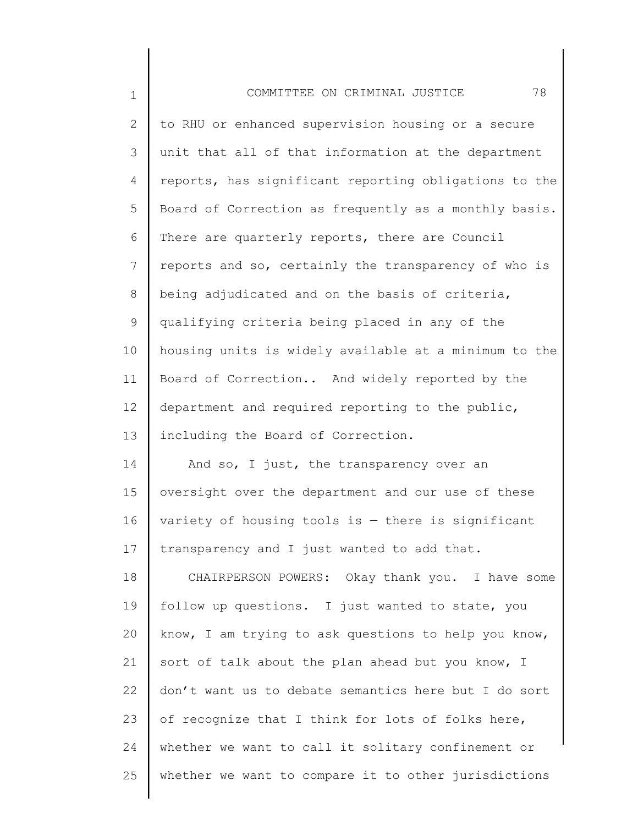| $\mathbf 1$    | 78<br>COMMITTEE ON CRIMINAL JUSTICE                   |
|----------------|-------------------------------------------------------|
| $\overline{2}$ | to RHU or enhanced supervision housing or a secure    |
| 3              | unit that all of that information at the department   |
| 4              | reports, has significant reporting obligations to the |
| 5              | Board of Correction as frequently as a monthly basis. |
| 6              | There are quarterly reports, there are Council        |
| 7              | reports and so, certainly the transparency of who is  |
| 8              | being adjudicated and on the basis of criteria,       |
| 9              | qualifying criteria being placed in any of the        |
| 10             | housing units is widely available at a minimum to the |
| 11             | Board of Correction And widely reported by the        |
| 12             | department and required reporting to the public,      |
| 13             | including the Board of Correction.                    |
| 14             | And so, I just, the transparency over an              |
| 15             | oversight over the department and our use of these    |
| 16             | variety of housing tools is $-$ there is significant  |
| 17             | transparency and I just wanted to add that.           |
| 18             | CHAIRPERSON POWERS: Okay thank you. I have some       |
| 19             | follow up questions. I just wanted to state, you      |
| 20             | know, I am trying to ask questions to help you know,  |
| 21             | sort of talk about the plan ahead but you know, I     |
| 22             | don't want us to debate semantics here but I do sort  |
| 23             | of recognize that I think for lots of folks here,     |
| 24             | whether we want to call it solitary confinement or    |
| 25             | whether we want to compare it to other jurisdictions  |
|                |                                                       |

║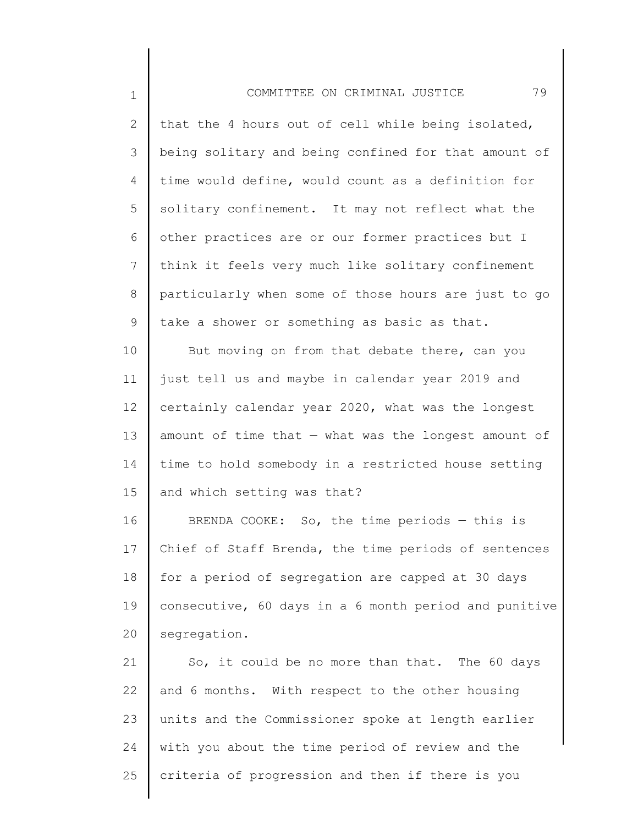## COMMITTEE ON CRIMINAL JUSTICE 79

1

2 3 4 5 6 7 8 9 that the 4 hours out of cell while being isolated, being solitary and being confined for that amount of time would define, would count as a definition for solitary confinement. It may not reflect what the other practices are or our former practices but I think it feels very much like solitary confinement particularly when some of those hours are just to go take a shower or something as basic as that.

10 11 12 13 14 15 But moving on from that debate there, can you just tell us and maybe in calendar year 2019 and certainly calendar year 2020, what was the longest amount of time that  $-$  what was the longest amount of time to hold somebody in a restricted house setting and which setting was that?

16 17 18 19 20 BRENDA COOKE: So, the time periods — this is Chief of Staff Brenda, the time periods of sentences for a period of segregation are capped at 30 days consecutive, 60 days in a 6 month period and punitive segregation.

21 22 23 24 25 So, it could be no more than that. The 60 days and 6 months. With respect to the other housing units and the Commissioner spoke at length earlier with you about the time period of review and the criteria of progression and then if there is you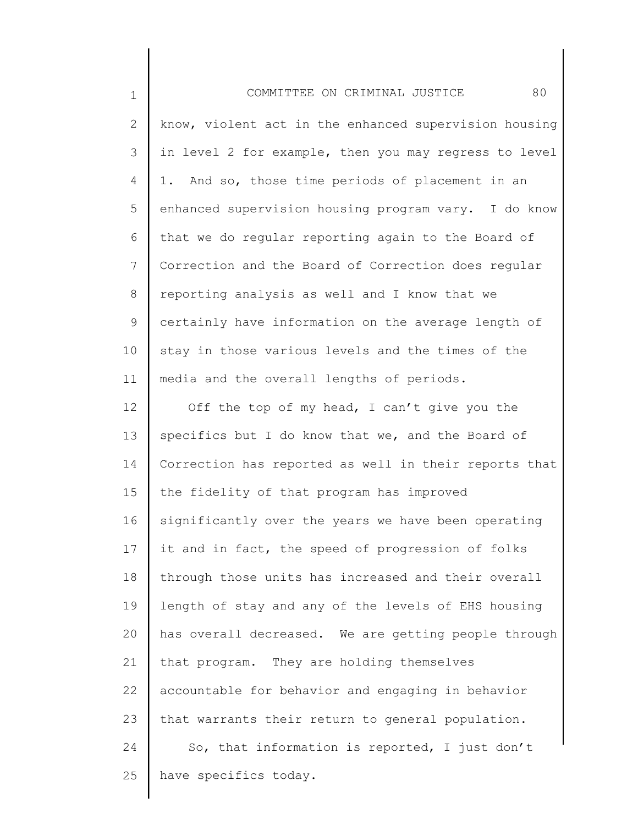| $\mathbf 1$     | COMMITTEE ON CRIMINAL JUSTICE<br>80                   |
|-----------------|-------------------------------------------------------|
| 2               | know, violent act in the enhanced supervision housing |
| 3               | in level 2 for example, then you may regress to level |
| 4               | 1. And so, those time periods of placement in an      |
| 5               | enhanced supervision housing program vary. I do know  |
| 6               | that we do regular reporting again to the Board of    |
| $7\phantom{.0}$ | Correction and the Board of Correction does regular   |
| 8               | reporting analysis as well and I know that we         |
| 9               | certainly have information on the average length of   |
| 10              | stay in those various levels and the times of the     |
| 11              | media and the overall lengths of periods.             |
| 12              | Off the top of my head, I can't give you the          |
| 13              | specifics but I do know that we, and the Board of     |
| 14              | Correction has reported as well in their reports that |
| 15              | the fidelity of that program has improved             |
| 16              | significantly over the years we have been operating   |
| 17              | it and in fact, the speed of progression of folks     |
| 18              | through those units has increased and their overall   |
| 19              | length of stay and any of the levels of EHS housing   |
| 20              | has overall decreased. We are getting people through  |
| 21              | that program. They are holding themselves             |
| 22              | accountable for behavior and engaging in behavior     |
| 23              | that warrants their return to general population.     |
| 24              | So, that information is reported, I just don't        |
| 25              | have specifics today.                                 |
|                 |                                                       |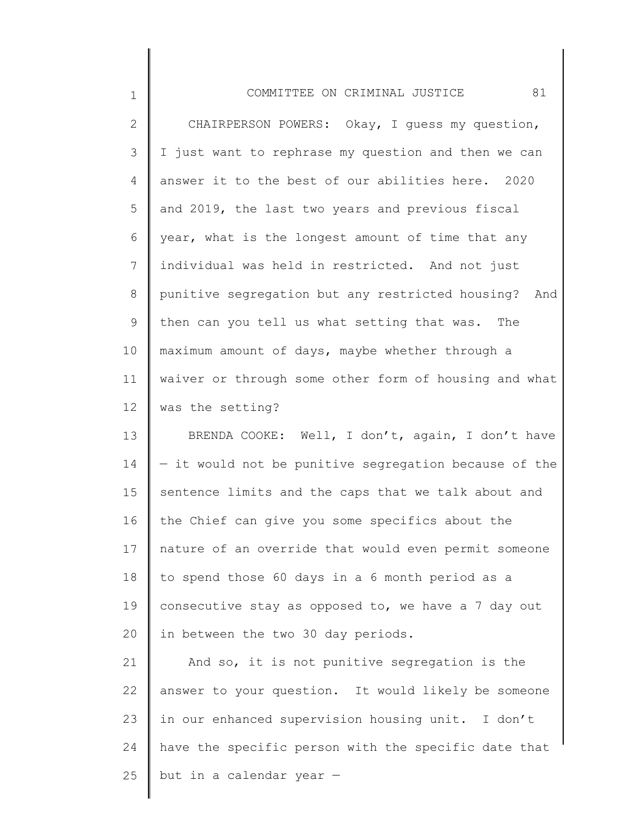| $\mathbf 1$     | 81<br>COMMITTEE ON CRIMINAL JUSTICE                   |
|-----------------|-------------------------------------------------------|
| $\mathbf{2}$    | CHAIRPERSON POWERS: Okay, I guess my question,        |
| $\mathcal{S}$   | I just want to rephrase my question and then we can   |
| 4               | answer it to the best of our abilities here. 2020     |
| 5               | and 2019, the last two years and previous fiscal      |
| 6               | year, what is the longest amount of time that any     |
| $7\phantom{.0}$ | individual was held in restricted. And not just       |
| 8               | punitive segregation but any restricted housing? And  |
| 9               | then can you tell us what setting that was. The       |
| 10              | maximum amount of days, maybe whether through a       |
| 11              | waiver or through some other form of housing and what |
| 12              | was the setting?                                      |
| 13              | BRENDA COOKE: Well, I don't, again, I don't have      |
| 14              | - it would not be punitive segregation because of the |
| 15              | sentence limits and the caps that we talk about and   |
| 16              | the Chief can give you some specifics about the       |
| 17              | nature of an override that would even permit someone  |
| 18              | to spend those 60 days in a 6 month period as a       |
| 19              | consecutive stay as opposed to, we have a 7 day out   |
| 20              | in between the two 30 day periods.                    |
| 21              | And so, it is not punitive segregation is the         |
| 22              | answer to your question. It would likely be someone   |
| 23              | in our enhanced supervision housing unit. I don't     |
| 24              | have the specific person with the specific date that  |
| 25              | but in a calendar year -                              |
|                 |                                                       |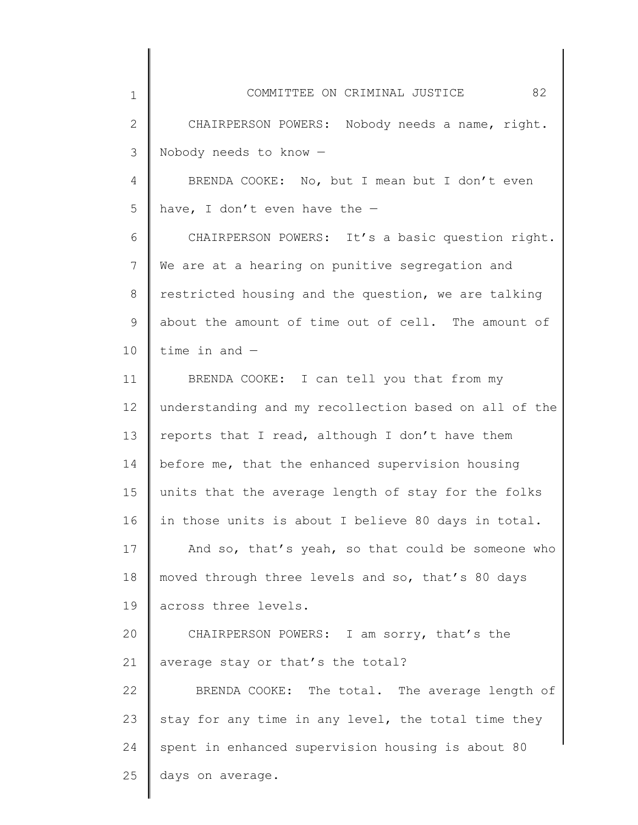| $\mathbf 1$  | COMMITTEE ON CRIMINAL JUSTICE<br>82                   |
|--------------|-------------------------------------------------------|
| $\mathbf{2}$ | CHAIRPERSON POWERS: Nobody needs a name, right.       |
| 3            | Nobody needs to know -                                |
| 4            | BRENDA COOKE: No, but I mean but I don't even         |
| 5            | have, I don't even have the $-$                       |
| 6            | CHAIRPERSON POWERS: It's a basic question right.      |
| 7            | We are at a hearing on punitive segregation and       |
| 8            | restricted housing and the question, we are talking   |
| 9            | about the amount of time out of cell. The amount of   |
| 10           | time in and $-$                                       |
| 11           | BRENDA COOKE: I can tell you that from my             |
| 12           | understanding and my recollection based on all of the |
| 13           | reports that I read, although I don't have them       |
| 14           | before me, that the enhanced supervision housing      |
| 15           | units that the average length of stay for the folks   |
| 16           | in those units is about I believe 80 days in total.   |
| 17           | And so, that's yeah, so that could be someone who     |
| 18           | moved through three levels and so, that's 80 days     |
| 19           | across three levels.                                  |
| 20           | CHAIRPERSON POWERS: I am sorry, that's the            |
| 21           | average stay or that's the total?                     |
| 22           | BRENDA COOKE: The total. The average length of        |
| 23           | stay for any time in any level, the total time they   |
| 24           | spent in enhanced supervision housing is about 80     |
| 25           | days on average.                                      |
|              |                                                       |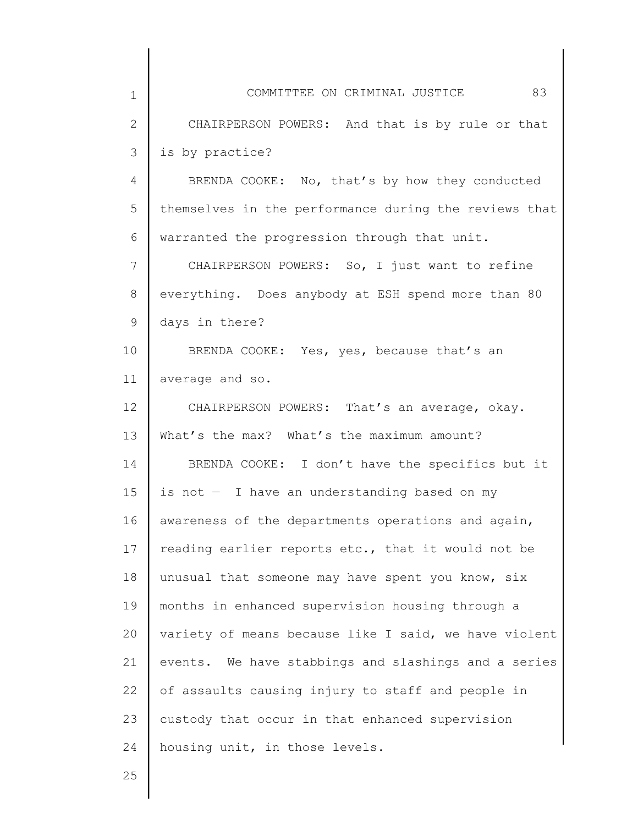| $\mathbf 1$  | COMMITTEE ON CRIMINAL JUSTICE<br>83                   |
|--------------|-------------------------------------------------------|
| $\mathbf{2}$ | CHAIRPERSON POWERS: And that is by rule or that       |
| 3            | is by practice?                                       |
| 4            | BRENDA COOKE: No, that's by how they conducted        |
| 5            | themselves in the performance during the reviews that |
| 6            | warranted the progression through that unit.          |
| 7            | CHAIRPERSON POWERS: So, I just want to refine         |
| 8            | everything. Does anybody at ESH spend more than 80    |
| 9            | days in there?                                        |
| 10           | BRENDA COOKE: Yes, yes, because that's an             |
| 11           | average and so.                                       |
| 12           | CHAIRPERSON POWERS: That's an average, okay.          |
| 13           | What's the max? What's the maximum amount?            |
| 14           | BRENDA COOKE: I don't have the specifics but it       |
| 15           | is not - I have an understanding based on my          |
| 16           | awareness of the departments operations and again,    |
| 17           | reading earlier reports etc., that it would not be    |
| 18           | unusual that someone may have spent you know, six     |
| 19           | months in enhanced supervision housing through a      |
| 20           | variety of means because like I said, we have violent |
| 21           | events. We have stabbings and slashings and a series  |
| 22           | of assaults causing injury to staff and people in     |
| 23           | custody that occur in that enhanced supervision       |
| 24           | housing unit, in those levels.                        |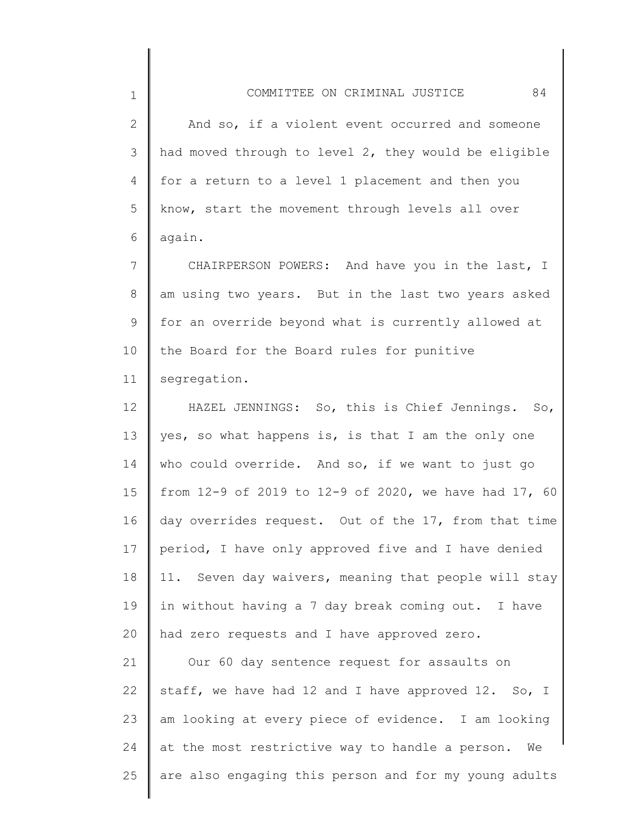2 3 4 5 6 And so, if a violent event occurred and someone had moved through to level 2, they would be eligible for a return to a level 1 placement and then you know, start the movement through levels all over again.

7 8 9 10 11 CHAIRPERSON POWERS: And have you in the last, I am using two years. But in the last two years asked for an override beyond what is currently allowed at the Board for the Board rules for punitive segregation.

12 13 14 15 16 17 18 19 20 HAZEL JENNINGS: So, this is Chief Jennings. So, yes, so what happens is, is that I am the only one who could override. And so, if we want to just go from 12-9 of 2019 to 12-9 of 2020, we have had 17, 60 day overrides request. Out of the 17, from that time period, I have only approved five and I have denied 11. Seven day waivers, meaning that people will stay in without having a 7 day break coming out. I have had zero requests and I have approved zero.

21 22 23 24 25 Our 60 day sentence request for assaults on staff, we have had 12 and I have approved 12. So, I am looking at every piece of evidence. I am looking at the most restrictive way to handle a person. We are also engaging this person and for my young adults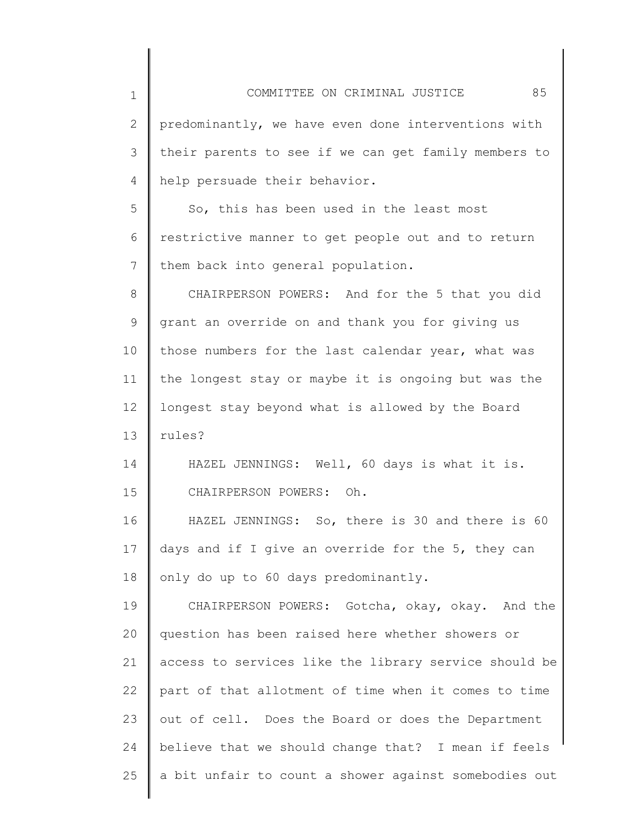2 3 4 predominantly, we have even done interventions with their parents to see if we can get family members to help persuade their behavior.

1

5 6 7 So, this has been used in the least most restrictive manner to get people out and to return them back into general population.

8 9 10 11 12 13 CHAIRPERSON POWERS: And for the 5 that you did grant an override on and thank you for giving us those numbers for the last calendar year, what was the longest stay or maybe it is ongoing but was the longest stay beyond what is allowed by the Board rules?

14 15 HAZEL JENNINGS: Well, 60 days is what it is. CHAIRPERSON POWERS: Oh.

16 17 18 HAZEL JENNINGS: So, there is 30 and there is 60 days and if I give an override for the 5, they can only do up to 60 days predominantly.

19 20 21 22 23 24 25 CHAIRPERSON POWERS: Gotcha, okay, okay. And the question has been raised here whether showers or access to services like the library service should be part of that allotment of time when it comes to time out of cell. Does the Board or does the Department believe that we should change that? I mean if feels a bit unfair to count a shower against somebodies out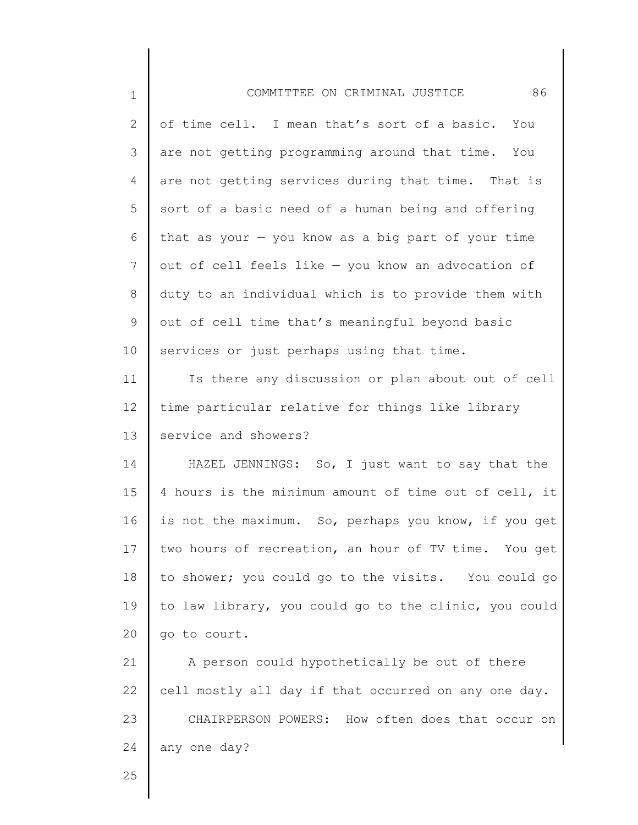| $\mathbf 1$     | 86<br>COMMITTEE ON CRIMINAL JUSTICE                   |
|-----------------|-------------------------------------------------------|
| 2               | of time cell. I mean that's sort of a basic. You      |
| 3               | are not getting programming around that time. You     |
| 4               | are not getting services during that time. That is    |
| 5               | sort of a basic need of a human being and offering    |
| 6               | that as your $-$ you know as a big part of your time  |
| $7\phantom{.0}$ | out of cell feels like - you know an advocation of    |
| 8               | duty to an individual which is to provide them with   |
| 9               | out of cell time that's meaningful beyond basic       |
| 10              | services or just perhaps using that time.             |
| 11              | Is there any discussion or plan about out of cell     |
| 12              | time particular relative for things like library      |
| 13              | service and showers?                                  |
| 14              | HAZEL JENNINGS: So, I just want to say that the       |
| 15              | 4 hours is the minimum amount of time out of cell, it |
| 16              | is not the maximum. So, perhaps you know, if you get  |
| 17              | two hours of recreation, an hour of TV time. You get  |
| 18              | to shower; you could go to the visits. You could go   |
| 19              | to law library, you could go to the clinic, you could |
| 20              | go to court.                                          |
| 21              | A person could hypothetically be out of there         |
| 22              | cell mostly all day if that occurred on any one day.  |
| 23              | CHAIRPERSON POWERS: How often does that occur on      |
| 24              | any one day?                                          |
| 25              |                                                       |

║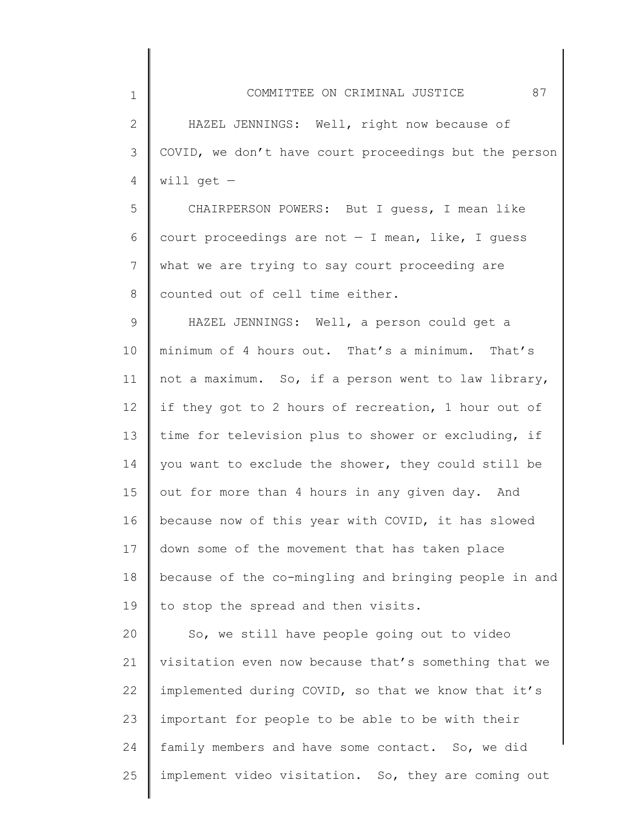COMMITTEE ON CRIMINAL JUSTICE 87

1

2 3 4 HAZEL JENNINGS: Well, right now because of COVID, we don't have court proceedings but the person will get  $-$ 

5 6 7 8 CHAIRPERSON POWERS: But I guess, I mean like court proceedings are not  $-$  I mean, like, I guess what we are trying to say court proceeding are counted out of cell time either.

9 10 11 12 13 14 15 16 17 18 19 HAZEL JENNINGS: Well, a person could get a minimum of 4 hours out. That's a minimum. That's not a maximum. So, if a person went to law library, if they got to 2 hours of recreation, 1 hour out of time for television plus to shower or excluding, if you want to exclude the shower, they could still be out for more than 4 hours in any given day. And because now of this year with COVID, it has slowed down some of the movement that has taken place because of the co-mingling and bringing people in and to stop the spread and then visits.

20 21 22 23 24 25 So, we still have people going out to video visitation even now because that's something that we implemented during COVID, so that we know that it's important for people to be able to be with their family members and have some contact. So, we did implement video visitation. So, they are coming out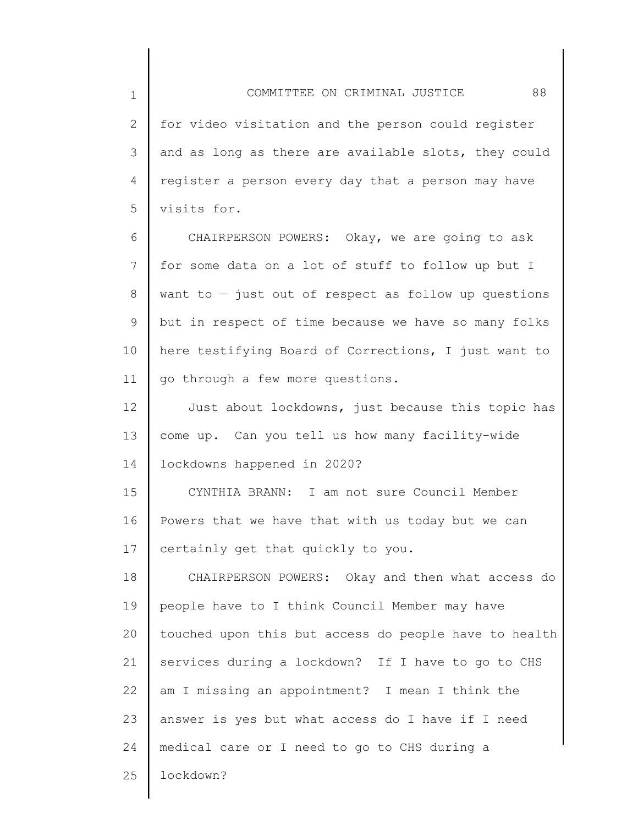2 3 4 5 for video visitation and the person could register and as long as there are available slots, they could register a person every day that a person may have visits for.

6 7 8 9 10 11 CHAIRPERSON POWERS: Okay, we are going to ask for some data on a lot of stuff to follow up but I want to  $-$  just out of respect as follow up questions but in respect of time because we have so many folks here testifying Board of Corrections, I just want to go through a few more questions.

12 13 14 Just about lockdowns, just because this topic has come up. Can you tell us how many facility-wide lockdowns happened in 2020?

15 16 17 CYNTHIA BRANN: I am not sure Council Member Powers that we have that with us today but we can certainly get that quickly to you.

18 19 20 21 22 23 24 25 CHAIRPERSON POWERS: Okay and then what access do people have to I think Council Member may have touched upon this but access do people have to health services during a lockdown? If I have to go to CHS am I missing an appointment? I mean I think the answer is yes but what access do I have if I need medical care or I need to go to CHS during a lockdown?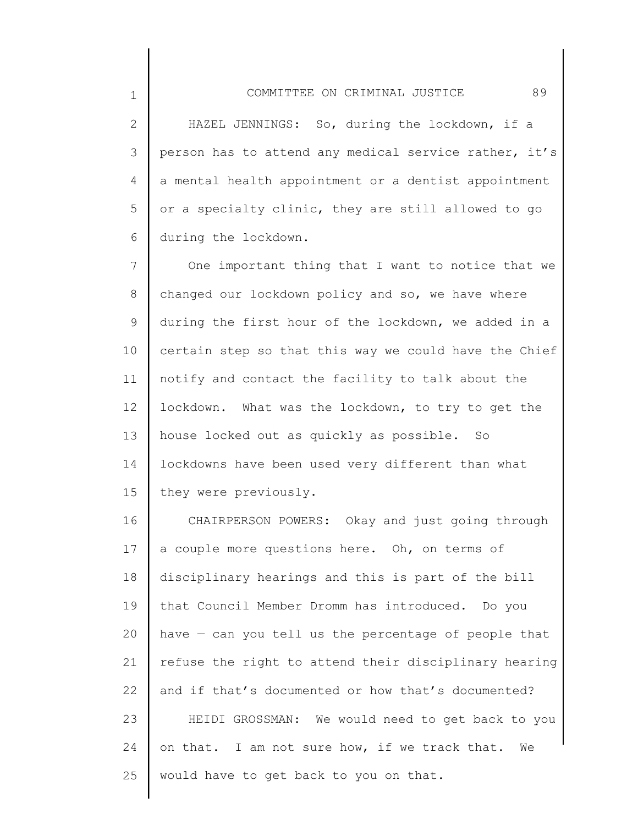2 3 4 5 6 HAZEL JENNINGS: So, during the lockdown, if a person has to attend any medical service rather, it's a mental health appointment or a dentist appointment or a specialty clinic, they are still allowed to go during the lockdown.

7 8 9 10 11 12 13 14 15 One important thing that I want to notice that we changed our lockdown policy and so, we have where during the first hour of the lockdown, we added in a certain step so that this way we could have the Chief notify and contact the facility to talk about the lockdown. What was the lockdown, to try to get the house locked out as quickly as possible. So lockdowns have been used very different than what they were previously.

16 17 18 19 20 21 22 23 24 25 CHAIRPERSON POWERS: Okay and just going through a couple more questions here. Oh, on terms of disciplinary hearings and this is part of the bill that Council Member Dromm has introduced. Do you have — can you tell us the percentage of people that refuse the right to attend their disciplinary hearing and if that's documented or how that's documented? HEIDI GROSSMAN: We would need to get back to you on that. I am not sure how, if we track that. We would have to get back to you on that.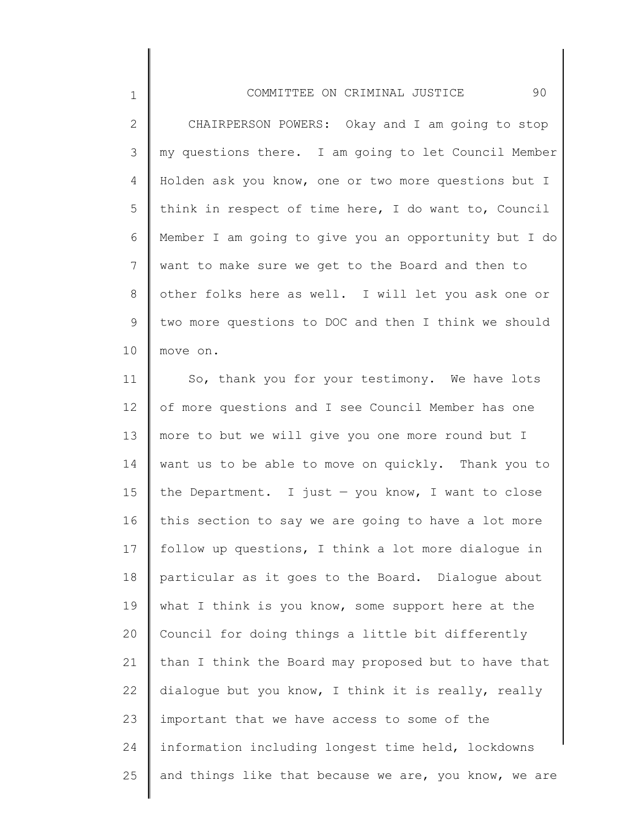## COMMITTEE ON CRIMINAL JUSTICE 90

1

2 3 4 5 6 7 8 9 10 CHAIRPERSON POWERS: Okay and I am going to stop my questions there. I am going to let Council Member Holden ask you know, one or two more questions but I think in respect of time here, I do want to, Council Member I am going to give you an opportunity but I do want to make sure we get to the Board and then to other folks here as well. I will let you ask one or two more questions to DOC and then I think we should move on.

11 12 13 14 15 16 17 18 19 20 21 22 23 24 25 So, thank you for your testimony. We have lots of more questions and I see Council Member has one more to but we will give you one more round but I want us to be able to move on quickly. Thank you to the Department. I just  $-$  you know, I want to close this section to say we are going to have a lot more follow up questions, I think a lot more dialogue in particular as it goes to the Board. Dialogue about what I think is you know, some support here at the Council for doing things a little bit differently than I think the Board may proposed but to have that dialogue but you know, I think it is really, really important that we have access to some of the information including longest time held, lockdowns and things like that because we are, you know, we are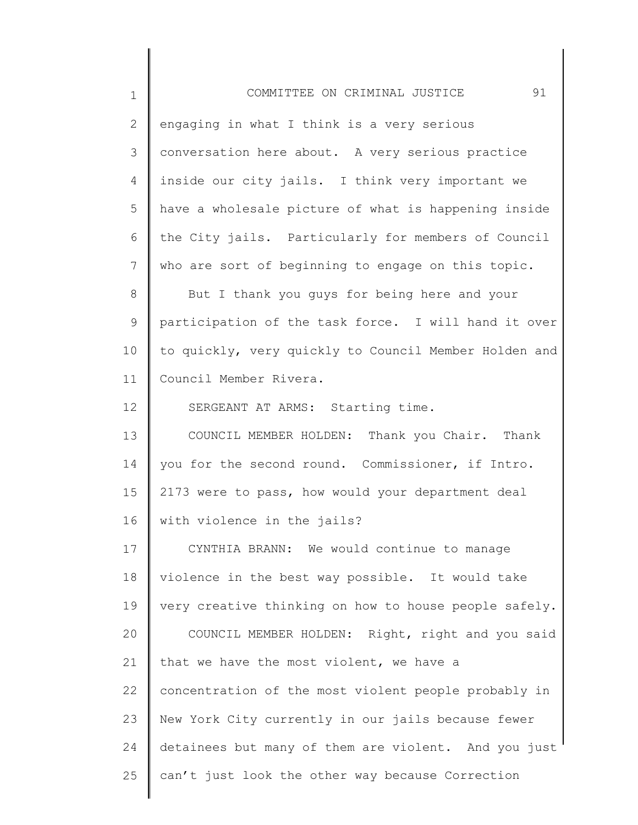1 2 3 4 5 6 7 8 9 10 11 12 13 14 15 16 17 18 19 20 21 22 23 24 25 COMMITTEE ON CRIMINAL JUSTICE 91 engaging in what I think is a very serious conversation here about. A very serious practice inside our city jails. I think very important we have a wholesale picture of what is happening inside the City jails. Particularly for members of Council who are sort of beginning to engage on this topic. But I thank you guys for being here and your participation of the task force. I will hand it over to quickly, very quickly to Council Member Holden and Council Member Rivera. SERGEANT AT ARMS: Starting time. COUNCIL MEMBER HOLDEN: Thank you Chair. Thank you for the second round. Commissioner, if Intro. 2173 were to pass, how would your department deal with violence in the jails? CYNTHIA BRANN: We would continue to manage violence in the best way possible. It would take very creative thinking on how to house people safely. COUNCIL MEMBER HOLDEN: Right, right and you said that we have the most violent, we have a concentration of the most violent people probably in New York City currently in our jails because fewer detainees but many of them are violent. And you just can't just look the other way because Correction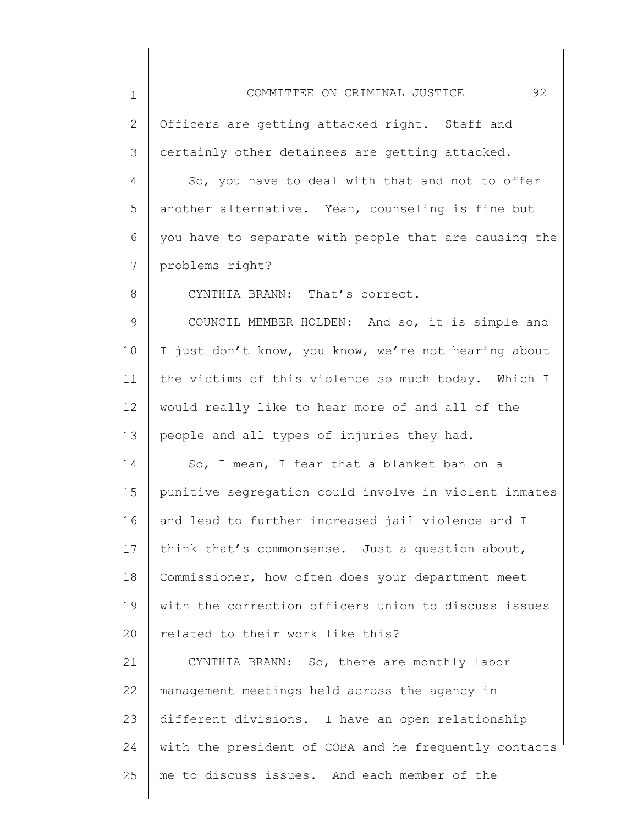1 2 3 4 5 6 7 8 9 10 11 12 13 14 15 16 17 18 19 20 21 22 23 24 25 COMMITTEE ON CRIMINAL JUSTICE 92 Officers are getting attacked right. Staff and certainly other detainees are getting attacked. So, you have to deal with that and not to offer another alternative. Yeah, counseling is fine but you have to separate with people that are causing the problems right? CYNTHIA BRANN: That's correct. COUNCIL MEMBER HOLDEN: And so, it is simple and I just don't know, you know, we're not hearing about the victims of this violence so much today. Which I would really like to hear more of and all of the people and all types of injuries they had. So, I mean, I fear that a blanket ban on a punitive segregation could involve in violent inmates and lead to further increased jail violence and I think that's commonsense. Just a question about, Commissioner, how often does your department meet with the correction officers union to discuss issues related to their work like this? CYNTHIA BRANN: So, there are monthly labor management meetings held across the agency in different divisions. I have an open relationship with the president of COBA and he frequently contacts me to discuss issues. And each member of the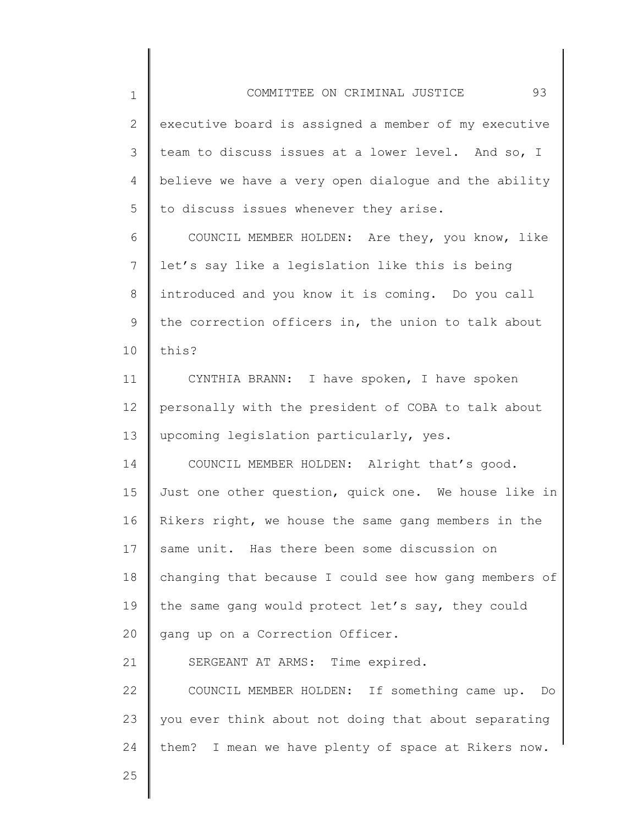2 3 4 5 executive board is assigned a member of my executive team to discuss issues at a lower level. And so, I believe we have a very open dialogue and the ability to discuss issues whenever they arise.

6 7 8 9 10 COUNCIL MEMBER HOLDEN: Are they, you know, like let's say like a legislation like this is being introduced and you know it is coming. Do you call the correction officers in, the union to talk about this?

11 12 13 CYNTHIA BRANN: I have spoken, I have spoken personally with the president of COBA to talk about upcoming legislation particularly, yes.

14 15 16 17 18 19 20 COUNCIL MEMBER HOLDEN: Alright that's good. Just one other question, quick one. We house like in Rikers right, we house the same gang members in the same unit. Has there been some discussion on changing that because I could see how gang members of the same gang would protect let's say, they could gang up on a Correction Officer.

21 22 23 24 SERGEANT AT ARMS: Time expired. COUNCIL MEMBER HOLDEN: If something came up. Do you ever think about not doing that about separating them? I mean we have plenty of space at Rikers now.

25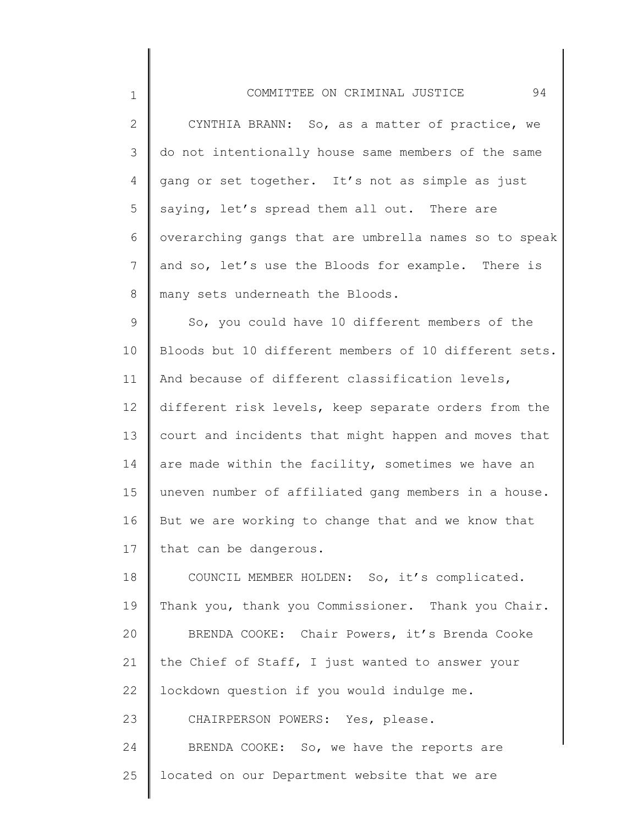| 94<br>COMMITTEE ON CRIMINAL JUSTICE                   |
|-------------------------------------------------------|
| CYNTHIA BRANN: So, as a matter of practice, we        |
| do not intentionally house same members of the same   |
| gang or set together. It's not as simple as just      |
| saying, let's spread them all out. There are          |
| overarching gangs that are umbrella names so to speak |
| and so, let's use the Bloods for example. There is    |
| many sets underneath the Bloods.                      |
| So, you could have 10 different members of the        |
| Bloods but 10 different members of 10 different sets. |
| And because of different classification levels,       |
| different risk levels, keep separate orders from the  |
| court and incidents that might happen and moves that  |
| are made within the facility, sometimes we have an    |
| uneven number of affiliated gang members in a house.  |

2

3

4

5

6

7

8

9

10

11

12

13

14

15

16 17 But we are working to change that and we know that that can be dangerous.

18 19 20 21 22 23 24 25 COUNCIL MEMBER HOLDEN: So, it's complicated. Thank you, thank you Commissioner. Thank you Chair. BRENDA COOKE: Chair Powers, it's Brenda Cooke the Chief of Staff, I just wanted to answer your lockdown question if you would indulge me. CHAIRPERSON POWERS: Yes, please. BRENDA COOKE: So, we have the reports are located on our Department website that we are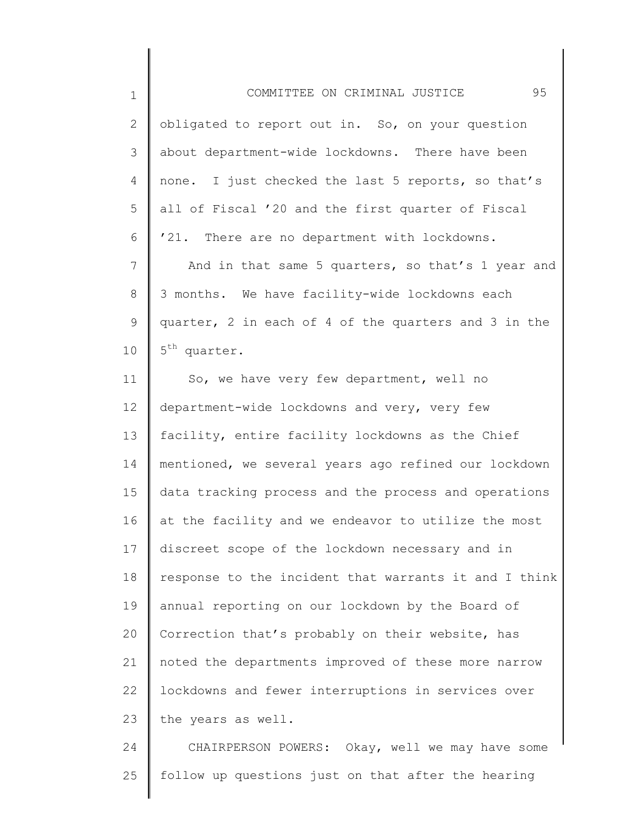| $\mathbf 1$     | 95<br>COMMITTEE ON CRIMINAL JUSTICE                   |
|-----------------|-------------------------------------------------------|
| $\overline{2}$  | obligated to report out in. So, on your question      |
| 3               | about department-wide lockdowns. There have been      |
| $\overline{4}$  | none. I just checked the last 5 reports, so that's    |
| 5               | all of Fiscal '20 and the first quarter of Fiscal     |
| 6               | '21. There are no department with lockdowns.          |
| $\overline{7}$  | And in that same 5 quarters, so that's 1 year and     |
| 8               | 3 months. We have facility-wide lockdowns each        |
| 9               | quarter, 2 in each of 4 of the quarters and 3 in the  |
| 10              | 5 <sup>th</sup> quarter.                              |
| 11              | So, we have very few department, well no              |
| 12 <sup>°</sup> | department-wide lockdowns and very, very few          |
| 13              | facility, entire facility lockdowns as the Chief      |
| 14              | mentioned, we several years ago refined our lockdown  |
| 15              | data tracking process and the process and operations  |
| 16              | at the facility and we endeavor to utilize the most   |
| 17              | discreet scope of the lockdown necessary and in       |
| 18              | response to the incident that warrants it and I think |
| 19              | annual reporting on our lockdown by the Board of      |
| 20              | Correction that's probably on their website, has      |
| 21              | noted the departments improved of these more narrow   |
| 22              | lockdowns and fewer interruptions in services over    |
| 23              | the years as well.                                    |
| 24              | CHAIRPERSON POWERS: Okay, well we may have some       |
| 25              | follow up questions just on that after the hearing    |

∥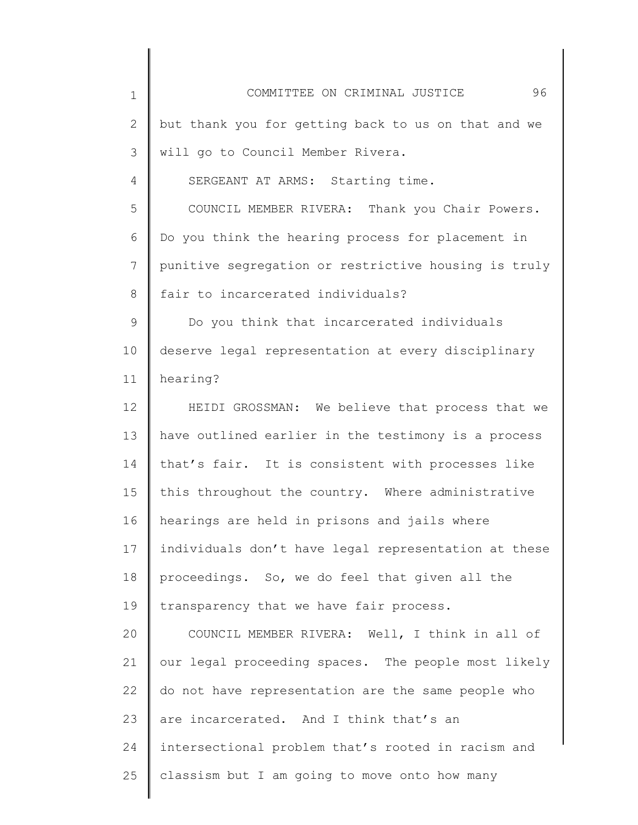| $\mathbf 1$ | 96<br>COMMITTEE ON CRIMINAL JUSTICE                  |
|-------------|------------------------------------------------------|
| 2           | but thank you for getting back to us on that and we  |
| 3           | will go to Council Member Rivera.                    |
| 4           | SERGEANT AT ARMS: Starting time.                     |
| 5           | COUNCIL MEMBER RIVERA: Thank you Chair Powers.       |
| 6           | Do you think the hearing process for placement in    |
| 7           | punitive segregation or restrictive housing is truly |
| 8           | fair to incarcerated individuals?                    |
| 9           | Do you think that incarcerated individuals           |
| 10          | deserve legal representation at every disciplinary   |
| 11          | hearing?                                             |
| 12          | HEIDI GROSSMAN: We believe that process that we      |
| 13          | have outlined earlier in the testimony is a process  |
| 14          | that's fair. It is consistent with processes like    |
| 15          | this throughout the country. Where administrative    |
| 16          | hearings are held in prisons and jails where         |
| 17          | individuals don't have legal representation at these |
| 18          | proceedings. So, we do feel that given all the       |
| 19          | transparency that we have fair process.              |
| 20          | COUNCIL MEMBER RIVERA: Well, I think in all of       |
| 21          | our legal proceeding spaces. The people most likely  |
| 22          | do not have representation are the same people who   |
| 23          | are incarcerated. And I think that's an              |
| 24          | intersectional problem that's rooted in racism and   |
| 25          | classism but I am going to move onto how many        |
|             |                                                      |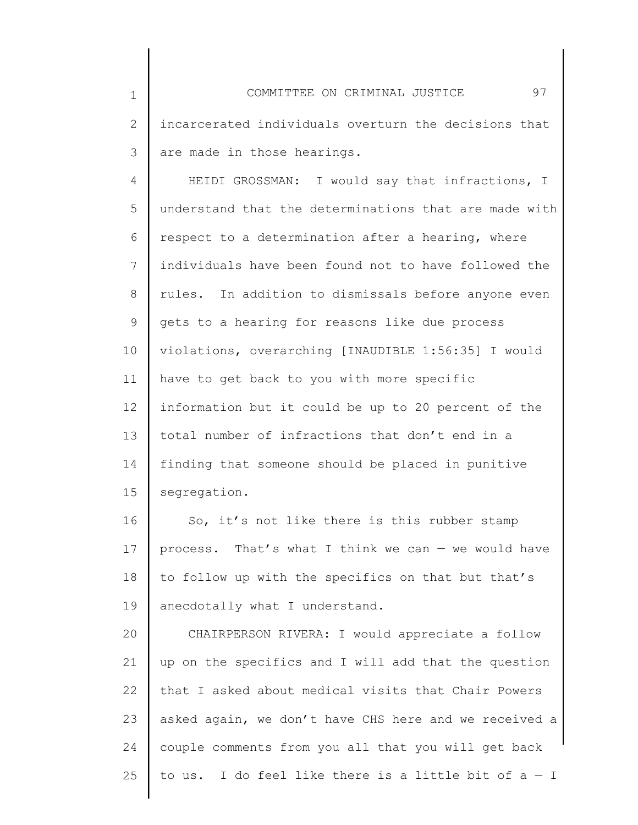4 5 6 7 8 9 10 11 12 13 14 15 HEIDI GROSSMAN: I would say that infractions, I understand that the determinations that are made with respect to a determination after a hearing, where individuals have been found not to have followed the rules. In addition to dismissals before anyone even gets to a hearing for reasons like due process violations, overarching [INAUDIBLE 1:56:35] I would have to get back to you with more specific information but it could be up to 20 percent of the total number of infractions that don't end in a finding that someone should be placed in punitive segregation.

16 17 18 19 So, it's not like there is this rubber stamp process. That's what I think we can  $-$  we would have to follow up with the specifics on that but that's anecdotally what I understand.

20 21 22 23 24 25 CHAIRPERSON RIVERA: I would appreciate a follow up on the specifics and I will add that the question that I asked about medical visits that Chair Powers asked again, we don't have CHS here and we received a couple comments from you all that you will get back to us. I do feel like there is a little bit of  $a - I$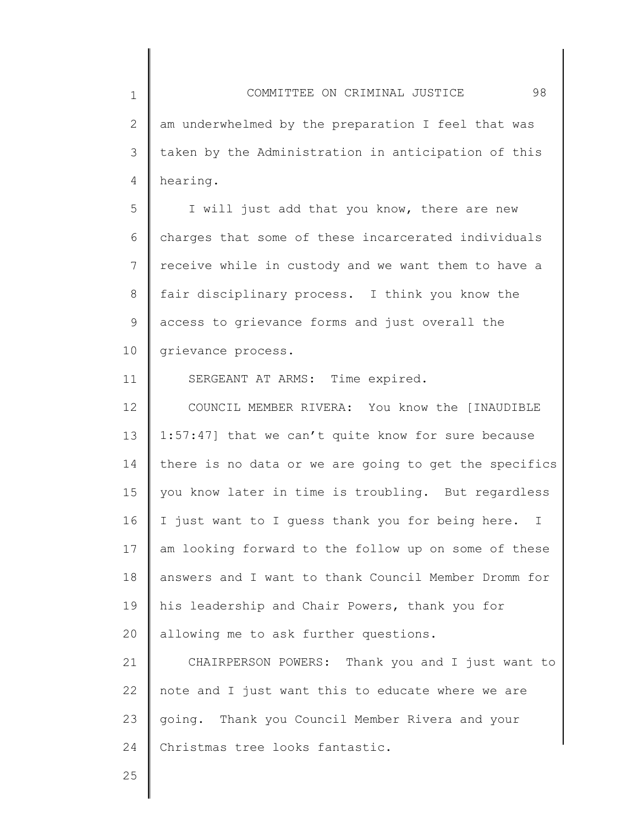2 3 4 am underwhelmed by the preparation I feel that was taken by the Administration in anticipation of this hearing.

5 6 7 8 9 10 I will just add that you know, there are new charges that some of these incarcerated individuals receive while in custody and we want them to have a fair disciplinary process. I think you know the access to grievance forms and just overall the grievance process.

SERGEANT AT ARMS: Time expired.

12 13 14 15 16 17 18 19 20 COUNCIL MEMBER RIVERA: You know the [INAUDIBLE 1:57:47] that we can't quite know for sure because there is no data or we are going to get the specifics you know later in time is troubling. But regardless I just want to I guess thank you for being here. I am looking forward to the follow up on some of these answers and I want to thank Council Member Dromm for his leadership and Chair Powers, thank you for allowing me to ask further questions.

21 22 23 24 CHAIRPERSON POWERS: Thank you and I just want to note and I just want this to educate where we are going. Thank you Council Member Rivera and your Christmas tree looks fantastic.

25

1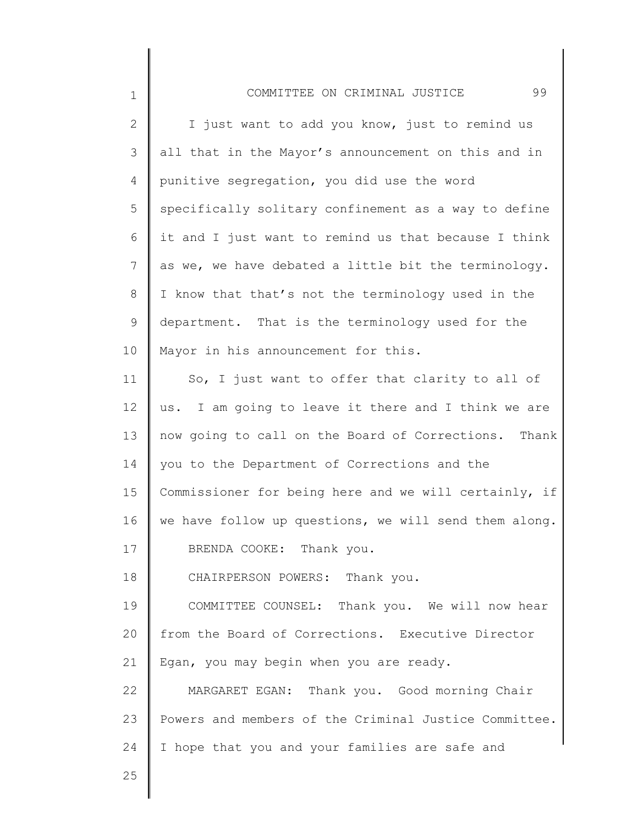| $\mathbf 1$    | 99<br>COMMITTEE ON CRIMINAL JUSTICE                   |
|----------------|-------------------------------------------------------|
| $\overline{2}$ | I just want to add you know, just to remind us        |
| 3              | all that in the Mayor's announcement on this and in   |
| 4              | punitive segregation, you did use the word            |
| 5              | specifically solitary confinement as a way to define  |
| 6              | it and I just want to remind us that because I think  |
| 7              | as we, we have debated a little bit the terminology.  |
| 8              | I know that that's not the terminology used in the    |
| 9              | department. That is the terminology used for the      |
| 10             | Mayor in his announcement for this.                   |
| 11             | So, I just want to offer that clarity to all of       |
| 12             | us. I am going to leave it there and I think we are   |
| 13             | now going to call on the Board of Corrections. Thank  |
| 14             | you to the Department of Corrections and the          |
| 15             | Commissioner for being here and we will certainly, if |
| 16             | we have follow up questions, we will send them along. |
| 17             | BRENDA COOKE: Thank you.                              |
| 18             | CHAIRPERSON POWERS: Thank you.                        |
| 19             | COMMITTEE COUNSEL: Thank you. We will now hear        |
| 20             | from the Board of Corrections. Executive Director     |
| 21             | Egan, you may begin when you are ready.               |
| 22             | MARGARET EGAN: Thank you. Good morning Chair          |
| 23             | Powers and members of the Criminal Justice Committee. |
| 24             | I hope that you and your families are safe and        |

 $\parallel$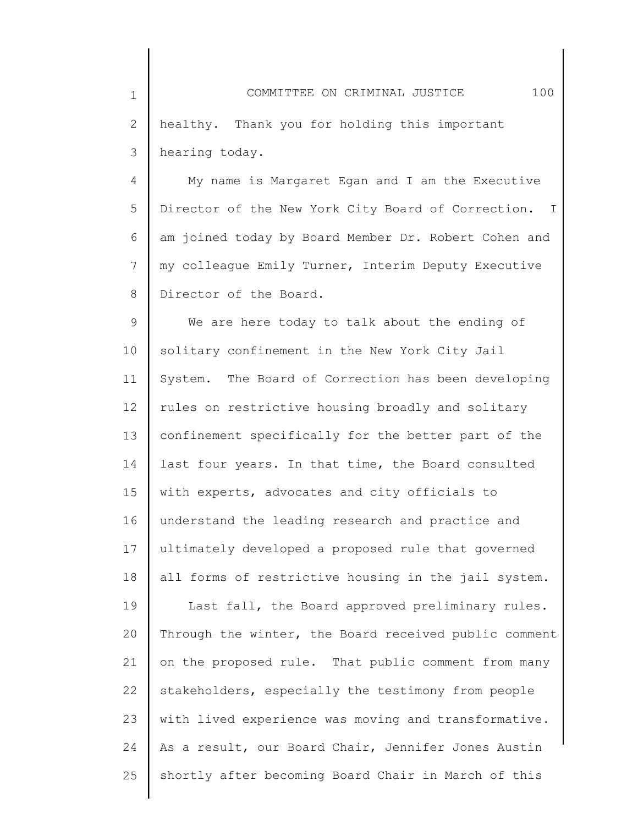4 5 6 7 8 My name is Margaret Egan and I am the Executive Director of the New York City Board of Correction. I am joined today by Board Member Dr. Robert Cohen and my colleague Emily Turner, Interim Deputy Executive Director of the Board.

9 10 11 12 13 14 15 16 17 18 19 20 21 22 23 24 25 We are here today to talk about the ending of solitary confinement in the New York City Jail System. The Board of Correction has been developing rules on restrictive housing broadly and solitary confinement specifically for the better part of the last four years. In that time, the Board consulted with experts, advocates and city officials to understand the leading research and practice and ultimately developed a proposed rule that governed all forms of restrictive housing in the jail system. Last fall, the Board approved preliminary rules. Through the winter, the Board received public comment on the proposed rule. That public comment from many stakeholders, especially the testimony from people with lived experience was moving and transformative. As a result, our Board Chair, Jennifer Jones Austin shortly after becoming Board Chair in March of this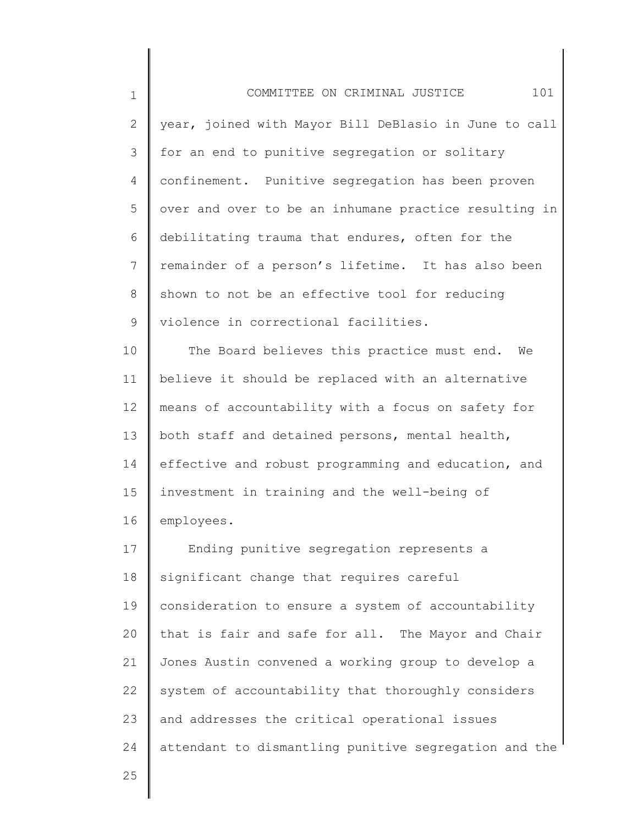1 2 3 4 5 6 7 8 9 10 11 12 13 14 15 16 17 18 19 20 21 22 23 24 COMMITTEE ON CRIMINAL JUSTICE 101 year, joined with Mayor Bill DeBlasio in June to call for an end to punitive segregation or solitary confinement. Punitive segregation has been proven over and over to be an inhumane practice resulting in debilitating trauma that endures, often for the remainder of a person's lifetime. It has also been shown to not be an effective tool for reducing violence in correctional facilities. The Board believes this practice must end. We believe it should be replaced with an alternative means of accountability with a focus on safety for both staff and detained persons, mental health, effective and robust programming and education, and investment in training and the well-being of employees. Ending punitive segregation represents a significant change that requires careful consideration to ensure a system of accountability that is fair and safe for all. The Mayor and Chair Jones Austin convened a working group to develop a system of accountability that thoroughly considers and addresses the critical operational issues attendant to dismantling punitive segregation and the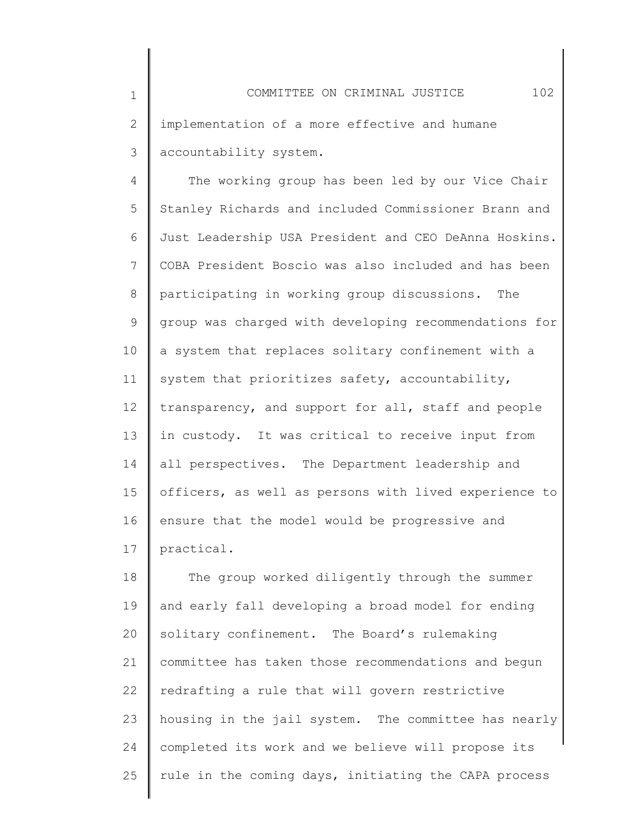3 accountability system.

1

2

4 5 6 7 8 9 10 11 12 13 14 15 16 17 The working group has been led by our Vice Chair Stanley Richards and included Commissioner Brann and Just Leadership USA President and CEO DeAnna Hoskins. COBA President Boscio was also included and has been participating in working group discussions. The group was charged with developing recommendations for a system that replaces solitary confinement with a system that prioritizes safety, accountability, transparency, and support for all, staff and people in custody. It was critical to receive input from all perspectives. The Department leadership and officers, as well as persons with lived experience to ensure that the model would be progressive and practical.

18 19 20 21 22 23 24 25 The group worked diligently through the summer and early fall developing a broad model for ending solitary confinement. The Board's rulemaking committee has taken those recommendations and begun redrafting a rule that will govern restrictive housing in the jail system. The committee has nearly completed its work and we believe will propose its rule in the coming days, initiating the CAPA process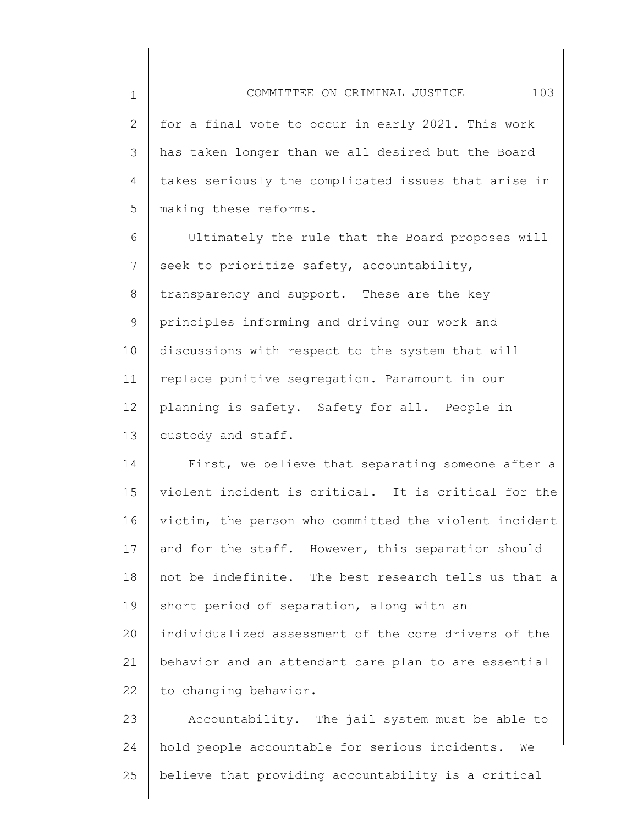2 3 4 5 for a final vote to occur in early 2021. This work has taken longer than we all desired but the Board takes seriously the complicated issues that arise in making these reforms.

1

6 7 8 9 10 11 12 13 Ultimately the rule that the Board proposes will seek to prioritize safety, accountability, transparency and support. These are the key principles informing and driving our work and discussions with respect to the system that will replace punitive segregation. Paramount in our planning is safety. Safety for all. People in custody and staff.

14 15 16 17 18 19 20 21 22 First, we believe that separating someone after a violent incident is critical. It is critical for the victim, the person who committed the violent incident and for the staff. However, this separation should not be indefinite. The best research tells us that a short period of separation, along with an individualized assessment of the core drivers of the behavior and an attendant care plan to are essential to changing behavior.

23 24 25 Accountability. The jail system must be able to hold people accountable for serious incidents. We believe that providing accountability is a critical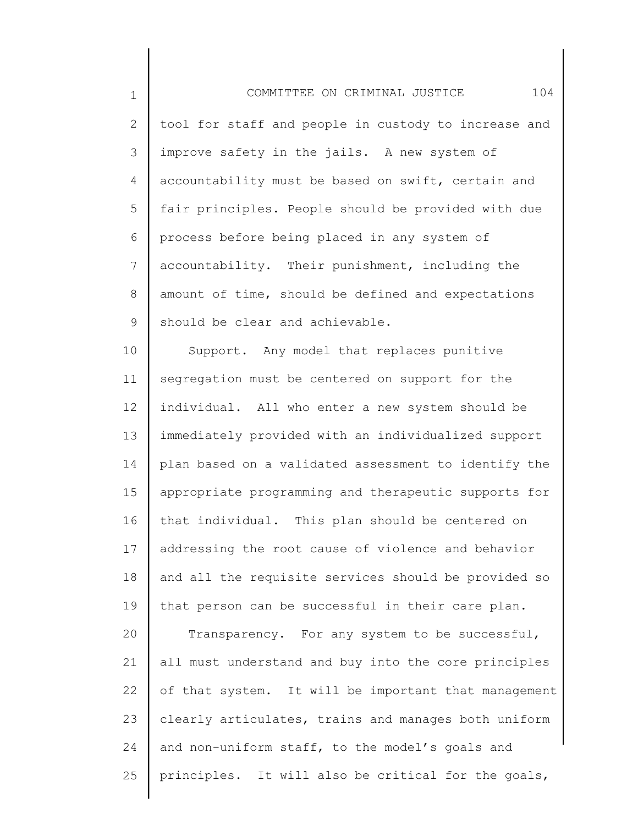1 2 3 4 5 6 7 8 9 COMMITTEE ON CRIMINAL JUSTICE 104 tool for staff and people in custody to increase and improve safety in the jails. A new system of accountability must be based on swift, certain and fair principles. People should be provided with due process before being placed in any system of accountability. Their punishment, including the amount of time, should be defined and expectations should be clear and achievable.

10 11 12 13 14 15 16 17 18 19 20 Support. Any model that replaces punitive segregation must be centered on support for the individual. All who enter a new system should be immediately provided with an individualized support plan based on a validated assessment to identify the appropriate programming and therapeutic supports for that individual. This plan should be centered on addressing the root cause of violence and behavior and all the requisite services should be provided so that person can be successful in their care plan. Transparency. For any system to be successful,

21 22 23 24 25 all must understand and buy into the core principles of that system. It will be important that management clearly articulates, trains and manages both uniform and non-uniform staff, to the model's goals and principles. It will also be critical for the goals,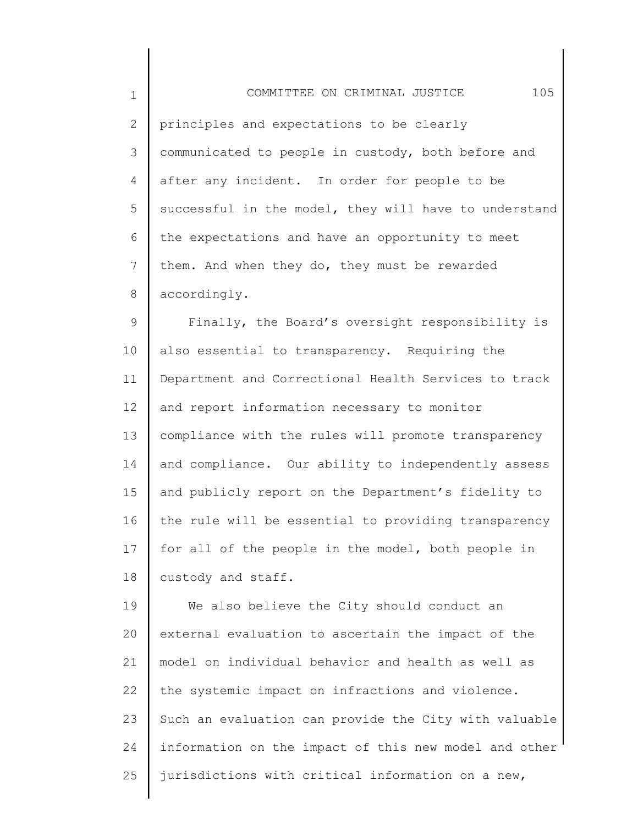| $\mathbf 1$  | 105<br>COMMITTEE ON CRIMINAL JUSTICE                  |
|--------------|-------------------------------------------------------|
| $\mathbf{2}$ | principles and expectations to be clearly             |
| 3            | communicated to people in custody, both before and    |
| 4            | after any incident. In order for people to be         |
| 5            | successful in the model, they will have to understand |
| 6            | the expectations and have an opportunity to meet      |
| 7            | them. And when they do, they must be rewarded         |
| 8            | accordingly.                                          |
| 9            | Finally, the Board's oversight responsibility is      |
| 10           | also essential to transparency. Requiring the         |
| 11           | Department and Correctional Health Services to track  |
| 12           | and report information necessary to monitor           |
| 13           | compliance with the rules will promote transparency   |
| 14           | and compliance. Our ability to independently assess   |
| 15           | and publicly report on the Department's fidelity to   |
| 16           | the rule will be essential to providing transparency  |
| 17           | for all of the people in the model, both people in    |
| 18           | custody and staff.                                    |
| 19           | We also believe the City should conduct an            |
| 20           | external evaluation to ascertain the impact of the    |
| 21           | model on individual behavior and health as well as    |
| 22           | the systemic impact on infractions and violence.      |

23 24 25 Such an evaluation can provide the City with valuable information on the impact of this new model and other jurisdictions with critical information on a new,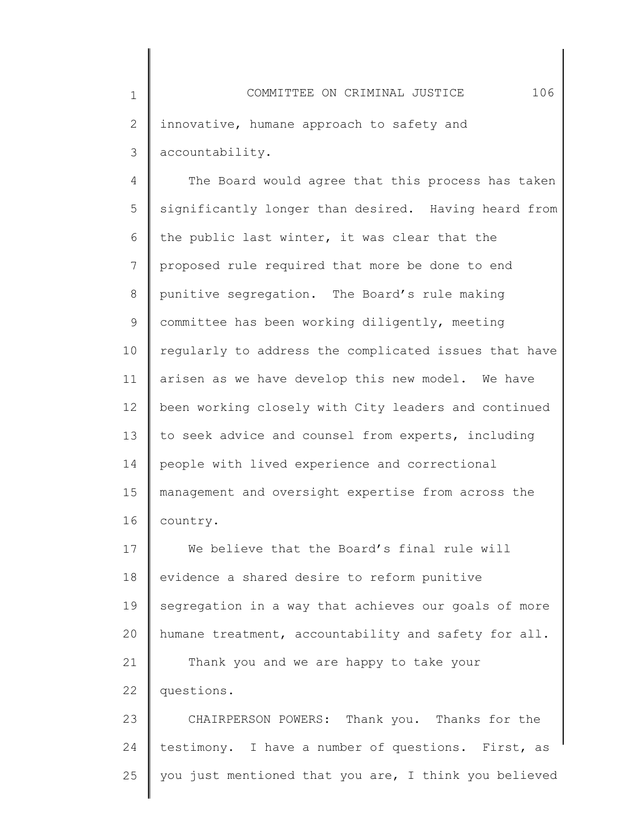4 5 6 7 8 9 10 11 12 13 14 15 16 The Board would agree that this process has taken significantly longer than desired. Having heard from the public last winter, it was clear that the proposed rule required that more be done to end punitive segregation. The Board's rule making committee has been working diligently, meeting regularly to address the complicated issues that have arisen as we have develop this new model. We have been working closely with City leaders and continued to seek advice and counsel from experts, including people with lived experience and correctional management and oversight expertise from across the country.

17 18 19 20 21 22 We believe that the Board's final rule will evidence a shared desire to reform punitive segregation in a way that achieves our goals of more humane treatment, accountability and safety for all. Thank you and we are happy to take your questions.

23 24 25 CHAIRPERSON POWERS: Thank you. Thanks for the testimony. I have a number of questions. First, as you just mentioned that you are, I think you believed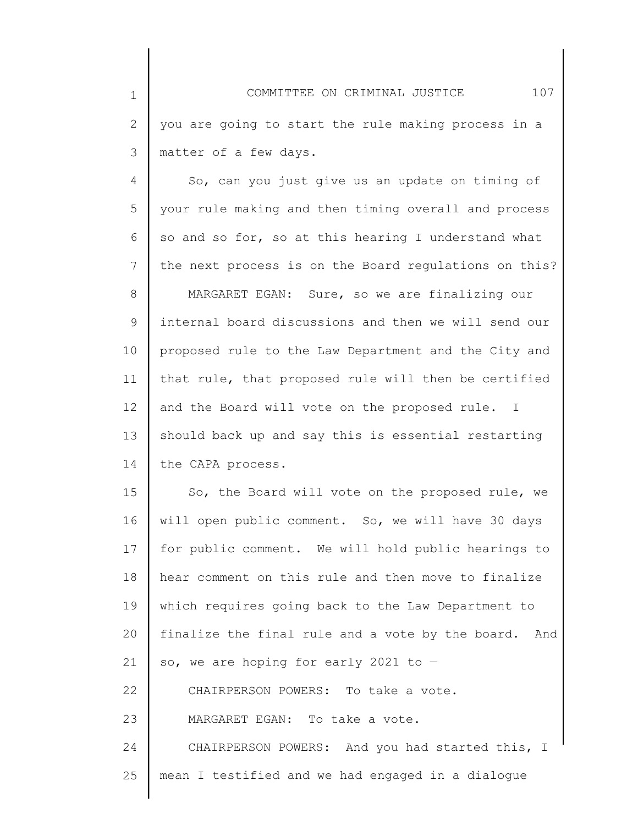3 matter of a few days.

1

2

4 5 6 7 8 9 10 11 12 13 14 So, can you just give us an update on timing of your rule making and then timing overall and process so and so for, so at this hearing I understand what the next process is on the Board regulations on this? MARGARET EGAN: Sure, so we are finalizing our internal board discussions and then we will send our proposed rule to the Law Department and the City and that rule, that proposed rule will then be certified and the Board will vote on the proposed rule. I should back up and say this is essential restarting the CAPA process.

15 16 17 18 19 20 21 22 23 24 25 So, the Board will vote on the proposed rule, we will open public comment. So, we will have 30 days for public comment. We will hold public hearings to hear comment on this rule and then move to finalize which requires going back to the Law Department to finalize the final rule and a vote by the board. And so, we are hoping for early 2021 to  $-$ CHAIRPERSON POWERS: To take a vote. MARGARET EGAN: To take a vote. CHAIRPERSON POWERS: And you had started this, I mean I testified and we had engaged in a dialogue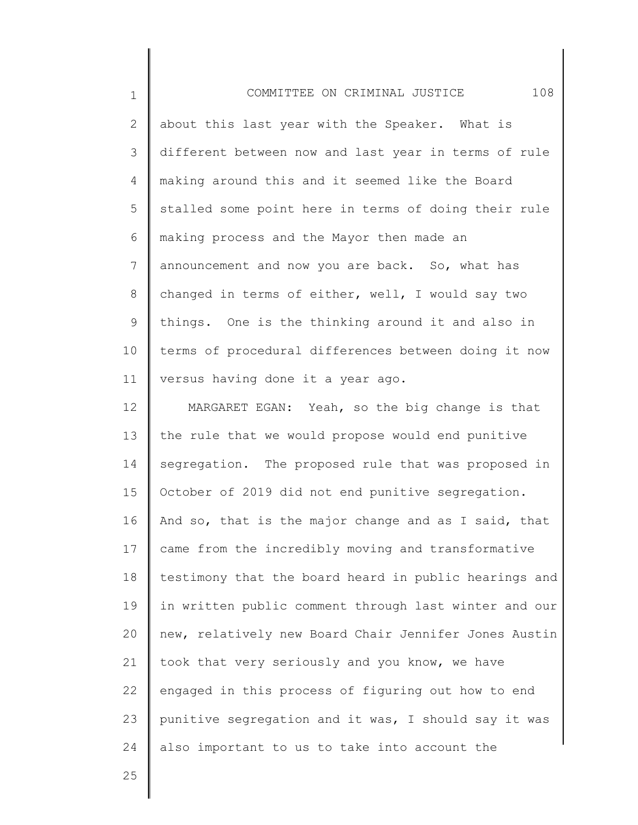1 2 3 4 5 6 7 8 9 10 11 COMMITTEE ON CRIMINAL JUSTICE 108 about this last year with the Speaker. What is different between now and last year in terms of rule making around this and it seemed like the Board stalled some point here in terms of doing their rule making process and the Mayor then made an announcement and now you are back. So, what has changed in terms of either, well, I would say two things. One is the thinking around it and also in terms of procedural differences between doing it now versus having done it a year ago.

12 13 14 15 16 17 18 19 20 21 22 23 24 MARGARET EGAN: Yeah, so the big change is that the rule that we would propose would end punitive segregation. The proposed rule that was proposed in October of 2019 did not end punitive segregation. And so, that is the major change and as I said, that came from the incredibly moving and transformative testimony that the board heard in public hearings and in written public comment through last winter and our new, relatively new Board Chair Jennifer Jones Austin took that very seriously and you know, we have engaged in this process of figuring out how to end punitive segregation and it was, I should say it was also important to us to take into account the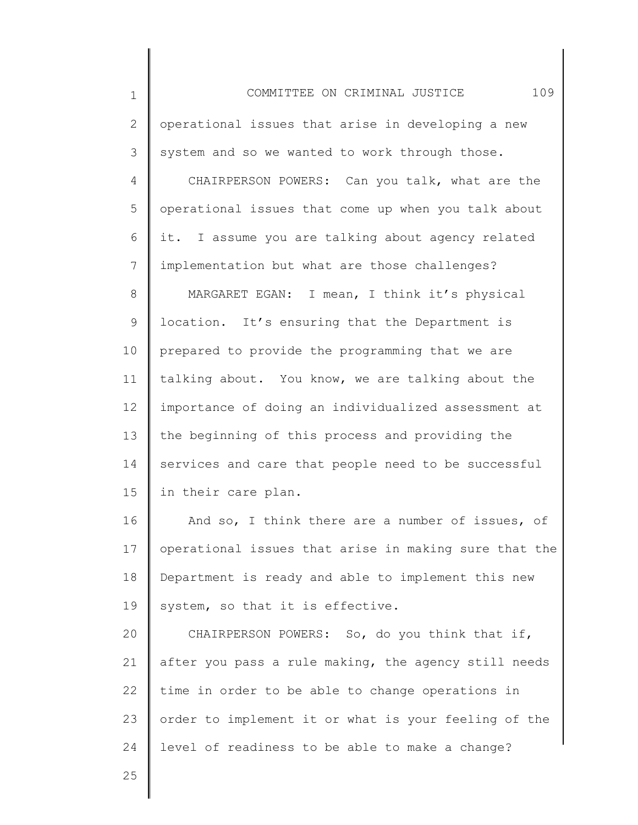1 2 3 4 5 6 7 8 9 10 11 12 13 14 15 16 17 18 19 20 21 22 23 24 COMMITTEE ON CRIMINAL JUSTICE 109 operational issues that arise in developing a new system and so we wanted to work through those. CHAIRPERSON POWERS: Can you talk, what are the operational issues that come up when you talk about it. I assume you are talking about agency related implementation but what are those challenges? MARGARET EGAN: I mean, I think it's physical location. It's ensuring that the Department is prepared to provide the programming that we are talking about. You know, we are talking about the importance of doing an individualized assessment at the beginning of this process and providing the services and care that people need to be successful in their care plan. And so, I think there are a number of issues, of operational issues that arise in making sure that the Department is ready and able to implement this new system, so that it is effective. CHAIRPERSON POWERS: So, do you think that if, after you pass a rule making, the agency still needs time in order to be able to change operations in order to implement it or what is your feeling of the level of readiness to be able to make a change?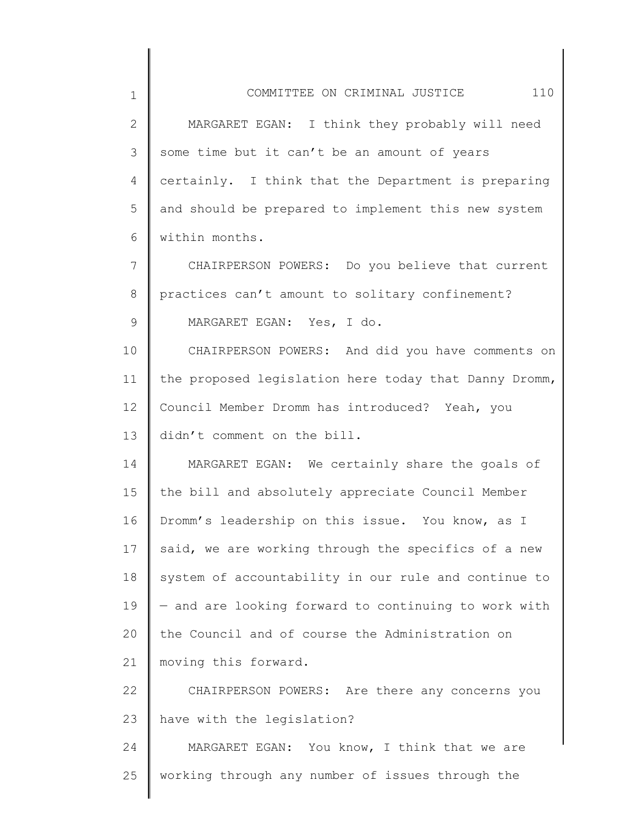| $\mathbf 1$    | 110<br>COMMITTEE ON CRIMINAL JUSTICE                  |
|----------------|-------------------------------------------------------|
| $\mathbf{2}$   | MARGARET EGAN: I think they probably will need        |
| 3              | some time but it can't be an amount of years          |
| 4              | certainly. I think that the Department is preparing   |
| 5              | and should be prepared to implement this new system   |
| 6              | within months.                                        |
| $7\phantom{.}$ | CHAIRPERSON POWERS: Do you believe that current       |
| 8              | practices can't amount to solitary confinement?       |
| 9              | MARGARET EGAN: Yes, I do.                             |
| 10             | CHAIRPERSON POWERS: And did you have comments on      |
| 11             | the proposed legislation here today that Danny Dromm, |
| 12             | Council Member Dromm has introduced? Yeah, you        |
| 13             | didn't comment on the bill.                           |
| 14             | MARGARET EGAN: We certainly share the goals of        |
| 15             | the bill and absolutely appreciate Council Member     |
| 16             | Dromm's leadership on this issue. You know, as I      |
| 17             | said, we are working through the specifics of a new   |
| 18             | system of accountability in our rule and continue to  |
| 19             | - and are looking forward to continuing to work with  |
| 20             | the Council and of course the Administration on       |
| 21             | moving this forward.                                  |
| 22             | CHAIRPERSON POWERS: Are there any concerns you        |
| 23             | have with the legislation?                            |
| 24             | MARGARET EGAN: You know, I think that we are          |
| 25             | working through any number of issues through the      |

 $\parallel$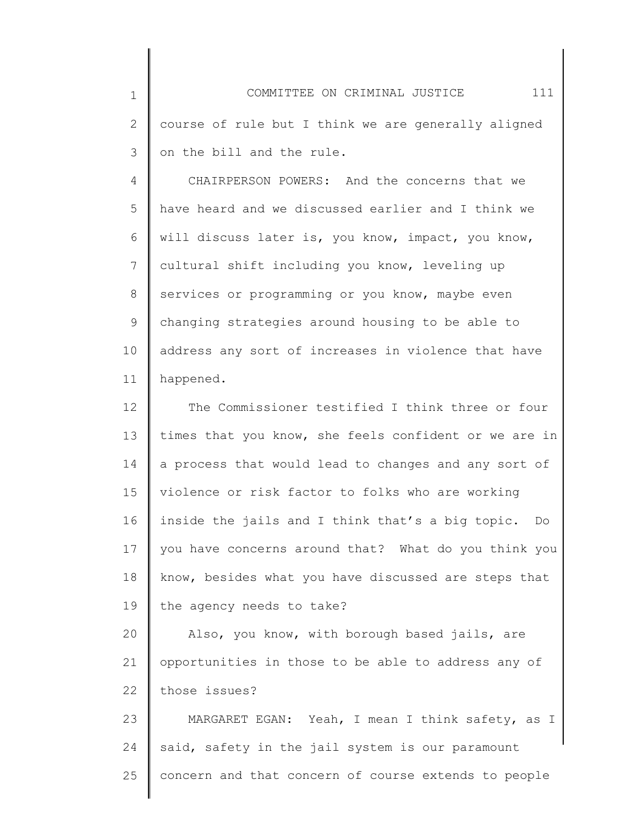1 2 3 COMMITTEE ON CRIMINAL JUSTICE 111 course of rule but I think we are generally aligned on the bill and the rule.

4 5 6 7 8 9 10 11 CHAIRPERSON POWERS: And the concerns that we have heard and we discussed earlier and I think we will discuss later is, you know, impact, you know, cultural shift including you know, leveling up services or programming or you know, maybe even changing strategies around housing to be able to address any sort of increases in violence that have happened.

12 13 14 15 16 17 18 19 The Commissioner testified I think three or four times that you know, she feels confident or we are in a process that would lead to changes and any sort of violence or risk factor to folks who are working inside the jails and I think that's a big topic. Do you have concerns around that? What do you think you know, besides what you have discussed are steps that the agency needs to take?

20 21 22 Also, you know, with borough based jails, are opportunities in those to be able to address any of those issues?

23 24 25 MARGARET EGAN: Yeah, I mean I think safety, as I said, safety in the jail system is our paramount concern and that concern of course extends to people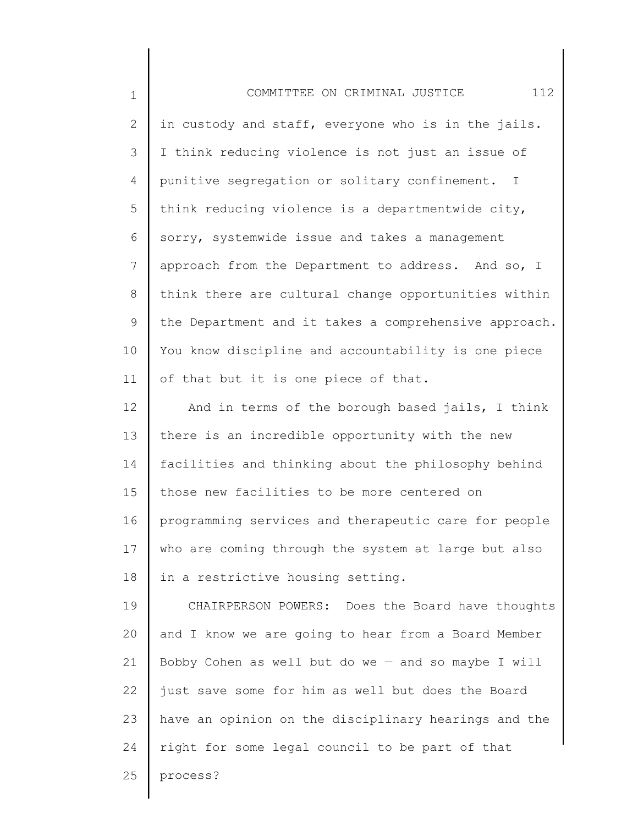| $\mathbf 1$    | 112<br>COMMITTEE ON CRIMINAL JUSTICE                  |
|----------------|-------------------------------------------------------|
| 2              | in custody and staff, everyone who is in the jails.   |
| 3              | I think reducing violence is not just an issue of     |
| $\overline{4}$ | punitive segregation or solitary confinement. I       |
| 5              | think reducing violence is a departmentwide city,     |
| 6              | sorry, systemwide issue and takes a management        |
| 7              | approach from the Department to address. And so, I    |
| 8              | think there are cultural change opportunities within  |
| 9              | the Department and it takes a comprehensive approach. |
| 10             | You know discipline and accountability is one piece   |
| 11             | of that but it is one piece of that.                  |
| 12             | And in terms of the borough based jails, I think      |
| 13             | there is an incredible opportunity with the new       |
| 14             | facilities and thinking about the philosophy behind   |
| 15             | those new facilities to be more centered on           |
| 16             | programming services and therapeutic care for people  |
| 17             | who are coming through the system at large but also   |
| 18             | in a restrictive housing setting.                     |
| 19             | CHAIRPERSON POWERS: Does the Board have thoughts      |
| 20             | and I know we are going to hear from a Board Member   |
| 21             | Bobby Cohen as well but do we - and so maybe I will   |
| 22             | just save some for him as well but does the Board     |
| 23             | have an opinion on the disciplinary hearings and the  |
| 24             | right for some legal council to be part of that       |
| 25             | process?                                              |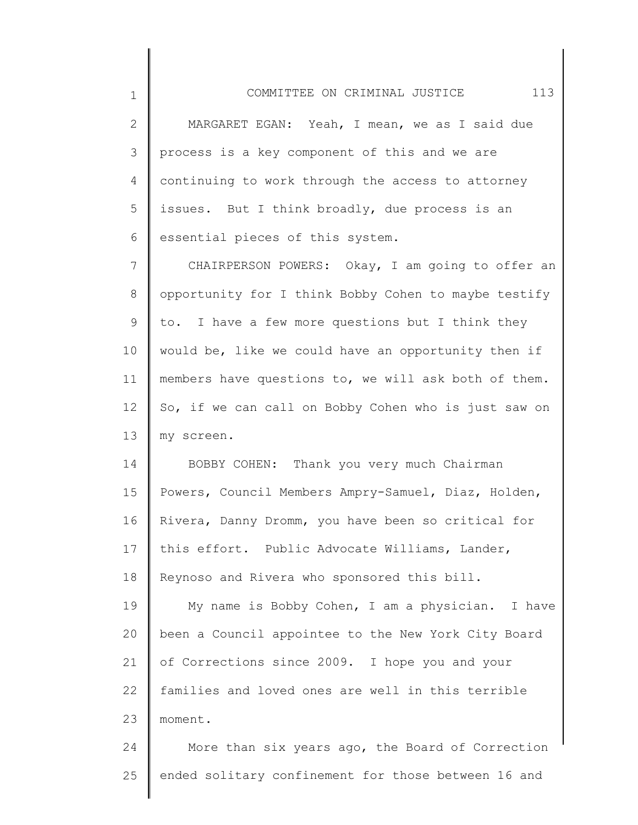2 3 4 5 6 MARGARET EGAN: Yeah, I mean, we as I said due process is a key component of this and we are continuing to work through the access to attorney issues. But I think broadly, due process is an essential pieces of this system.

1

7 8 9 10 11 12 13 CHAIRPERSON POWERS: Okay, I am going to offer an opportunity for I think Bobby Cohen to maybe testify to. I have a few more questions but I think they would be, like we could have an opportunity then if members have questions to, we will ask both of them. So, if we can call on Bobby Cohen who is just saw on my screen.

14 15 16 17 18 19 20 21 22 23 BOBBY COHEN: Thank you very much Chairman Powers, Council Members Ampry-Samuel, Diaz, Holden, Rivera, Danny Dromm, you have been so critical for this effort. Public Advocate Williams, Lander, Reynoso and Rivera who sponsored this bill. My name is Bobby Cohen, I am a physician. I have been a Council appointee to the New York City Board of Corrections since 2009. I hope you and your families and loved ones are well in this terrible moment.

24 25 More than six years ago, the Board of Correction ended solitary confinement for those between 16 and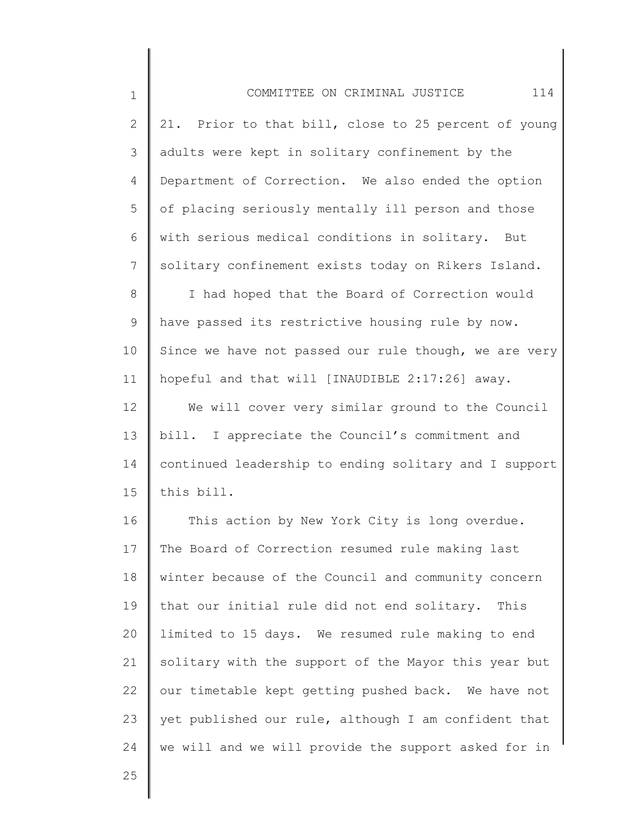| $\mathbf 1$     | 114<br>COMMITTEE ON CRIMINAL JUSTICE                  |
|-----------------|-------------------------------------------------------|
| $\mathbf{2}$    | 21. Prior to that bill, close to 25 percent of young  |
| 3               | adults were kept in solitary confinement by the       |
| 4               | Department of Correction. We also ended the option    |
| 5               | of placing seriously mentally ill person and those    |
| 6               | with serious medical conditions in solitary. But      |
| $7\phantom{.0}$ | solitary confinement exists today on Rikers Island.   |
| 8               | I had hoped that the Board of Correction would        |
| $\mathsf 9$     | have passed its restrictive housing rule by now.      |
| 10              | Since we have not passed our rule though, we are very |
| 11              | hopeful and that will [INAUDIBLE 2:17:26] away.       |
| 12              | We will cover very similar ground to the Council      |
| 13              | bill. I appreciate the Council's commitment and       |
| 14              | continued leadership to ending solitary and I support |
| 15              | this bill.                                            |
| 16              | This action by New York City is long overdue.         |
| 17              | The Board of Correction resumed rule making last      |
| 18              | winter because of the Council and community concern   |
| 19              | that our initial rule did not end solitary. This      |
| 20              | limited to 15 days. We resumed rule making to end     |
| 21              | solitary with the support of the Mayor this year but  |
| 22              | our timetable kept getting pushed back. We have not   |
| 23              | yet published our rule, although I am confident that  |
| 24              | we will and we will provide the support asked for in  |

25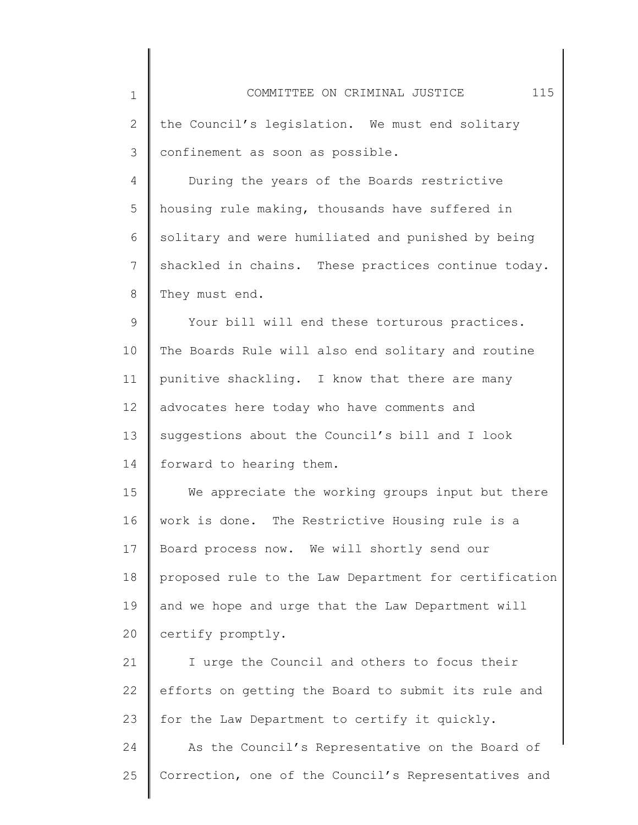1 2 3 4 5 6 7 8 9 10 11 12 13 14 15 16 17 18 19 20 21 22 23 24 25 COMMITTEE ON CRIMINAL JUSTICE 115 the Council's legislation. We must end solitary confinement as soon as possible. During the years of the Boards restrictive housing rule making, thousands have suffered in solitary and were humiliated and punished by being shackled in chains. These practices continue today. They must end. Your bill will end these torturous practices. The Boards Rule will also end solitary and routine punitive shackling. I know that there are many advocates here today who have comments and suggestions about the Council's bill and I look forward to hearing them. We appreciate the working groups input but there work is done. The Restrictive Housing rule is a Board process now. We will shortly send our proposed rule to the Law Department for certification and we hope and urge that the Law Department will certify promptly. I urge the Council and others to focus their efforts on getting the Board to submit its rule and for the Law Department to certify it quickly. As the Council's Representative on the Board of Correction, one of the Council's Representatives and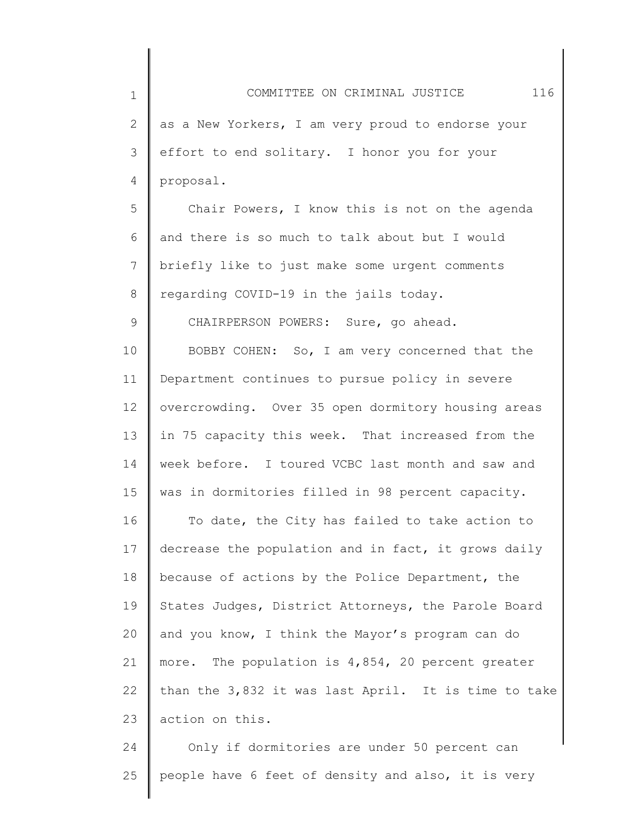1 2 3 4 5 6 7 8 9 10 11 12 13 14 15 16 17 18 19 20 21 22 23 COMMITTEE ON CRIMINAL JUSTICE 116 as a New Yorkers, I am very proud to endorse your effort to end solitary. I honor you for your proposal. Chair Powers, I know this is not on the agenda and there is so much to talk about but I would briefly like to just make some urgent comments regarding COVID-19 in the jails today. CHAIRPERSON POWERS: Sure, go ahead. BOBBY COHEN: So, I am very concerned that the Department continues to pursue policy in severe overcrowding. Over 35 open dormitory housing areas in 75 capacity this week. That increased from the week before. I toured VCBC last month and saw and was in dormitories filled in 98 percent capacity. To date, the City has failed to take action to decrease the population and in fact, it grows daily because of actions by the Police Department, the States Judges, District Attorneys, the Parole Board and you know, I think the Mayor's program can do more. The population is 4,854, 20 percent greater than the 3,832 it was last April. It is time to take action on this.

24 25 Only if dormitories are under 50 percent can people have 6 feet of density and also, it is very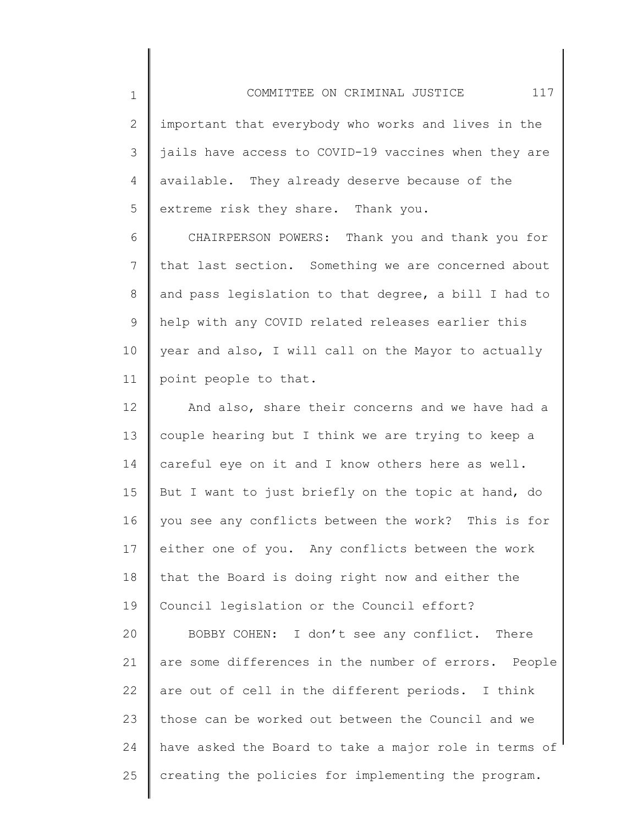2 3 4 5 important that everybody who works and lives in the jails have access to COVID-19 vaccines when they are available. They already deserve because of the extreme risk they share. Thank you.

1

25

6 7 8 9 10 11 CHAIRPERSON POWERS: Thank you and thank you for that last section. Something we are concerned about and pass legislation to that degree, a bill I had to help with any COVID related releases earlier this year and also, I will call on the Mayor to actually point people to that.

12 13 14 15 16 17 18 19 20 21 22 23 24 And also, share their concerns and we have had a couple hearing but I think we are trying to keep a careful eye on it and I know others here as well. But I want to just briefly on the topic at hand, do you see any conflicts between the work? This is for either one of you. Any conflicts between the work that the Board is doing right now and either the Council legislation or the Council effort? BOBBY COHEN: I don't see any conflict. There are some differences in the number of errors. People are out of cell in the different periods. I think those can be worked out between the Council and we have asked the Board to take a major role in terms of

creating the policies for implementing the program.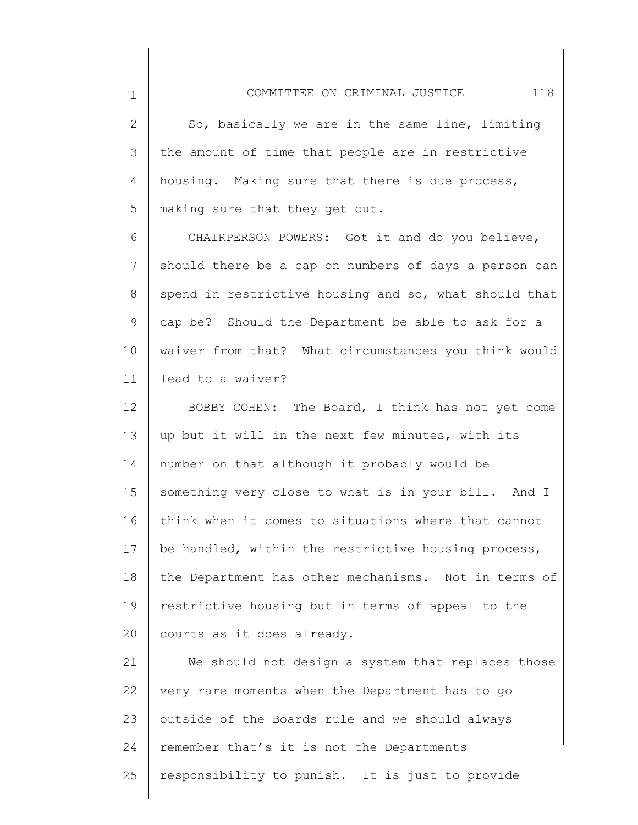2 3 4 5 So, basically we are in the same line, limiting the amount of time that people are in restrictive housing. Making sure that there is due process, making sure that they get out.

1

6 7 8 9 10 11 CHAIRPERSON POWERS: Got it and do you believe, should there be a cap on numbers of days a person can spend in restrictive housing and so, what should that cap be? Should the Department be able to ask for a waiver from that? What circumstances you think would lead to a waiver?

12 13 14 15 16 17 18 19 20 BOBBY COHEN: The Board, I think has not yet come up but it will in the next few minutes, with its number on that although it probably would be something very close to what is in your bill. And I think when it comes to situations where that cannot be handled, within the restrictive housing process, the Department has other mechanisms. Not in terms of restrictive housing but in terms of appeal to the courts as it does already.

21 22 23 24 25 We should not design a system that replaces those very rare moments when the Department has to go outside of the Boards rule and we should always remember that's it is not the Departments responsibility to punish. It is just to provide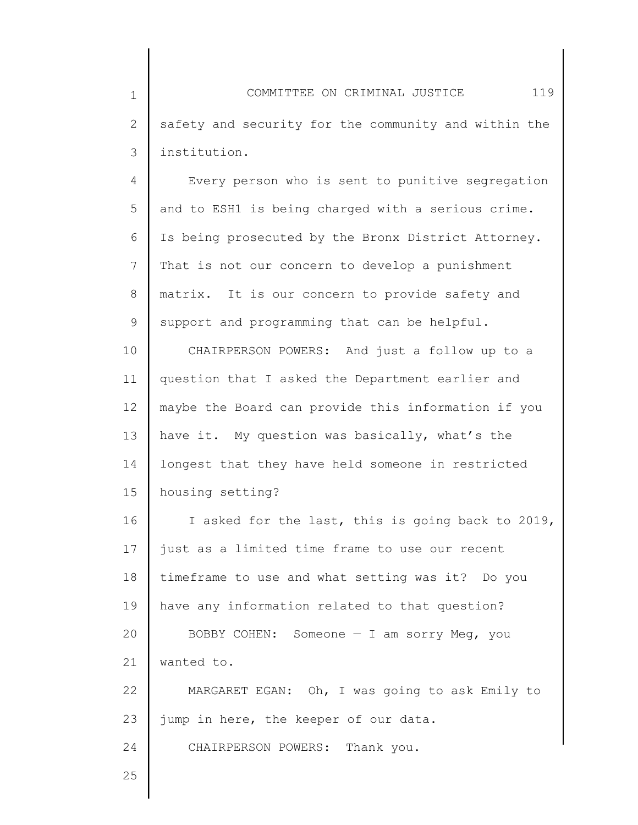1 2 3 COMMITTEE ON CRIMINAL JUSTICE 119 safety and security for the community and within the institution.

4 5 6 7 8 9 Every person who is sent to punitive segregation and to ESH1 is being charged with a serious crime. Is being prosecuted by the Bronx District Attorney. That is not our concern to develop a punishment matrix. It is our concern to provide safety and support and programming that can be helpful.

10 11 12 13 14 15 CHAIRPERSON POWERS: And just a follow up to a question that I asked the Department earlier and maybe the Board can provide this information if you have it. My question was basically, what's the longest that they have held someone in restricted housing setting?

16 17 18 19 20 21 22 23 I asked for the last, this is going back to 2019, just as a limited time frame to use our recent timeframe to use and what setting was it? Do you have any information related to that question? BOBBY COHEN: Someone  $-$  I am sorry Meg, you wanted to. MARGARET EGAN: Oh, I was going to ask Emily to jump in here, the keeper of our data. CHAIRPERSON POWERS: Thank you.

25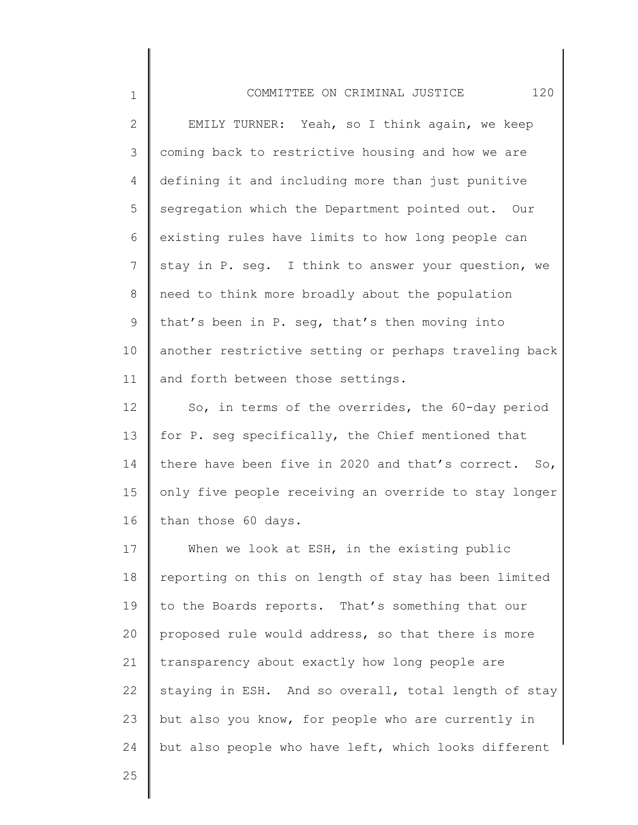| $1\,$          | 120<br>COMMITTEE ON CRIMINAL JUSTICE                  |
|----------------|-------------------------------------------------------|
| $\mathbf{2}$   | EMILY TURNER: Yeah, so I think again, we keep         |
| 3              | coming back to restrictive housing and how we are     |
| 4              | defining it and including more than just punitive     |
| 5              | segregation which the Department pointed out. Our     |
| 6              | existing rules have limits to how long people can     |
| $\overline{7}$ | stay in P. seg. I think to answer your question, we   |
| 8              | need to think more broadly about the population       |
| 9              | that's been in P. seg, that's then moving into        |
| 10             | another restrictive setting or perhaps traveling back |
| 11             | and forth between those settings.                     |
| 12             | So, in terms of the overrides, the 60-day period      |
| 13             | for P. seg specifically, the Chief mentioned that     |
| 14             | there have been five in 2020 and that's correct. So,  |
| 15             | only five people receiving an override to stay longer |
| 16             | than those 60 days.                                   |
| 17             | When we look at ESH, in the existing public           |
| 18             | reporting on this on length of stay has been limited  |
| 19             | to the Boards reports. That's something that our      |
| 20             | proposed rule would address, so that there is more    |
| 21             | transparency about exactly how long people are        |

22 23 24 staying in ESH. And so overall, total length of stay but also you know, for people who are currently in but also people who have left, which looks different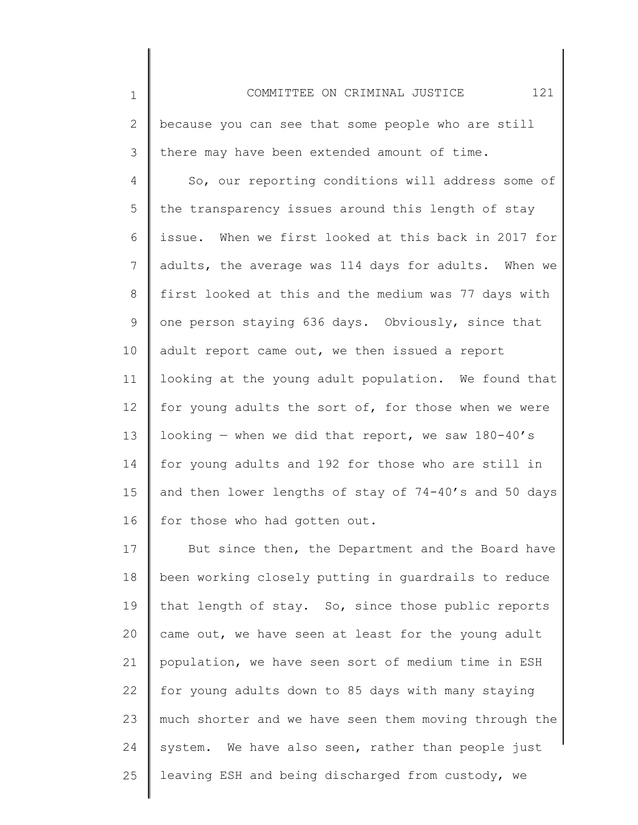1 2 3 4 5 6 7 8 9 10 11 12 13 14 15 16 17 18 19 20 21 COMMITTEE ON CRIMINAL JUSTICE 121 because you can see that some people who are still there may have been extended amount of time. So, our reporting conditions will address some of the transparency issues around this length of stay issue. When we first looked at this back in 2017 for adults, the average was 114 days for adults. When we first looked at this and the medium was 77 days with one person staying 636 days. Obviously, since that adult report came out, we then issued a report looking at the young adult population. We found that for young adults the sort of, for those when we were looking  $-$  when we did that report, we saw 180-40's for young adults and 192 for those who are still in and then lower lengths of stay of 74-40's and 50 days for those who had gotten out. But since then, the Department and the Board have been working closely putting in guardrails to reduce that length of stay. So, since those public reports came out, we have seen at least for the young adult population, we have seen sort of medium time in ESH

22 23 24 25 for young adults down to 85 days with many staying much shorter and we have seen them moving through the system. We have also seen, rather than people just leaving ESH and being discharged from custody, we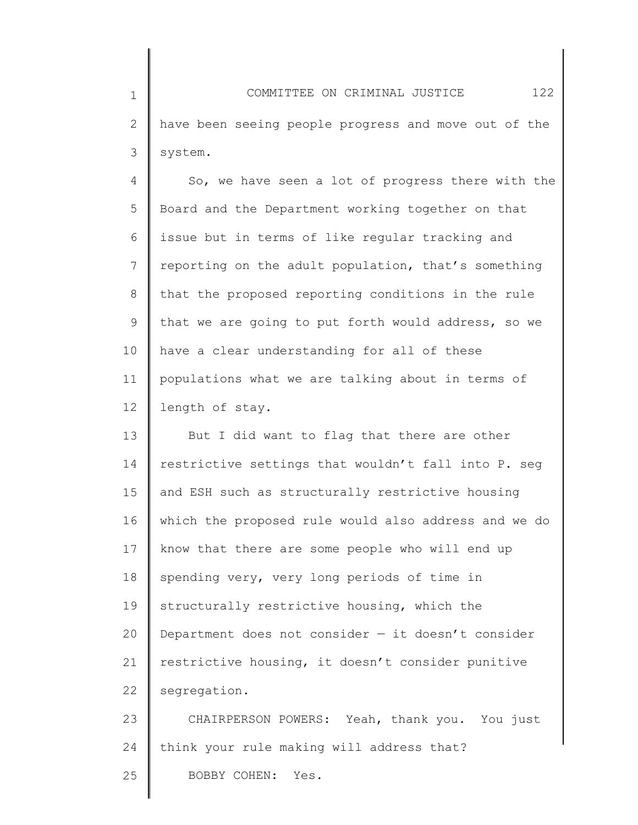1 2 3 COMMITTEE ON CRIMINAL JUSTICE 122 have been seeing people progress and move out of the system.

4 5 6 7 8 9 10 11 12 So, we have seen a lot of progress there with the Board and the Department working together on that issue but in terms of like regular tracking and reporting on the adult population, that's something that the proposed reporting conditions in the rule that we are going to put forth would address, so we have a clear understanding for all of these populations what we are talking about in terms of length of stay.

13 14 15 16 17 18 19 20 21 22 But I did want to flag that there are other restrictive settings that wouldn't fall into P. seg and ESH such as structurally restrictive housing which the proposed rule would also address and we do know that there are some people who will end up spending very, very long periods of time in structurally restrictive housing, which the Department does not consider  $-$  it doesn't consider restrictive housing, it doesn't consider punitive segregation.

23 24 CHAIRPERSON POWERS: Yeah, thank you. You just think your rule making will address that?

25 BOBBY COHEN: Yes.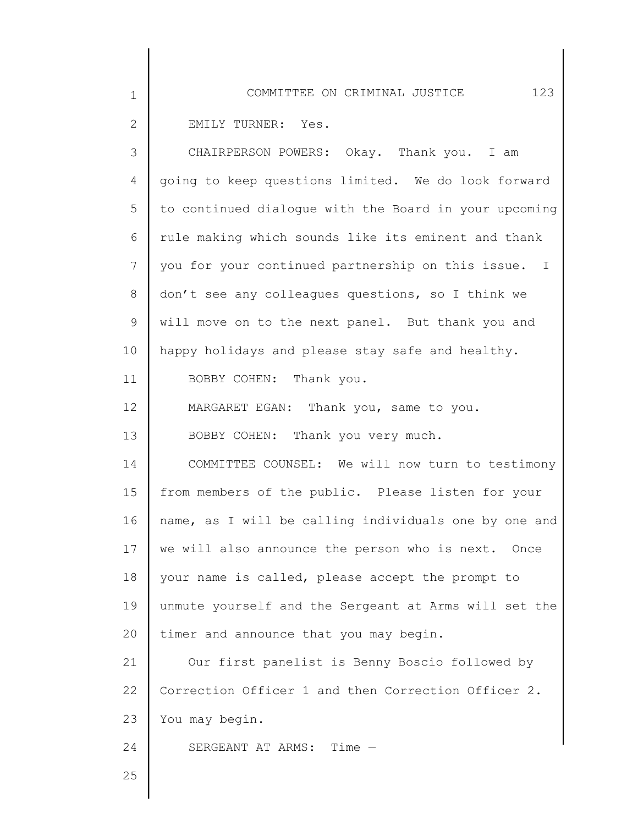| $\mathbf 1$    | 123<br>COMMITTEE ON CRIMINAL JUSTICE                  |
|----------------|-------------------------------------------------------|
| $\mathbf{2}$   | EMILY TURNER: Yes.                                    |
| 3              | CHAIRPERSON POWERS: Okay. Thank you. I am             |
| 4              | going to keep questions limited. We do look forward   |
| 5              | to continued dialogue with the Board in your upcoming |
| 6              | rule making which sounds like its eminent and thank   |
| $7\phantom{.}$ | you for your continued partnership on this issue. I   |
| $\,8\,$        | don't see any colleagues questions, so I think we     |
| 9              | will move on to the next panel. But thank you and     |
| 10             | happy holidays and please stay safe and healthy.      |
| 11             | BOBBY COHEN: Thank you.                               |
| 12             | MARGARET EGAN: Thank you, same to you.                |
| 13             | BOBBY COHEN: Thank you very much.                     |
| 14             | COMMITTEE COUNSEL: We will now turn to testimony      |
| 15             | from members of the public. Please listen for your    |
| 16             | name, as I will be calling individuals one by one and |
| 17             | we will also announce the person who is next. Once    |
| 18             | your name is called, please accept the prompt to      |
| 19             | unmute yourself and the Sergeant at Arms will set the |
| 20             | timer and announce that you may begin.                |
| 21             | Our first panelist is Benny Boscio followed by        |
| 22             | Correction Officer 1 and then Correction Officer 2.   |
| 23             | You may begin.                                        |
| 24             | SERGEANT AT ARMS: Time -                              |
| 25             |                                                       |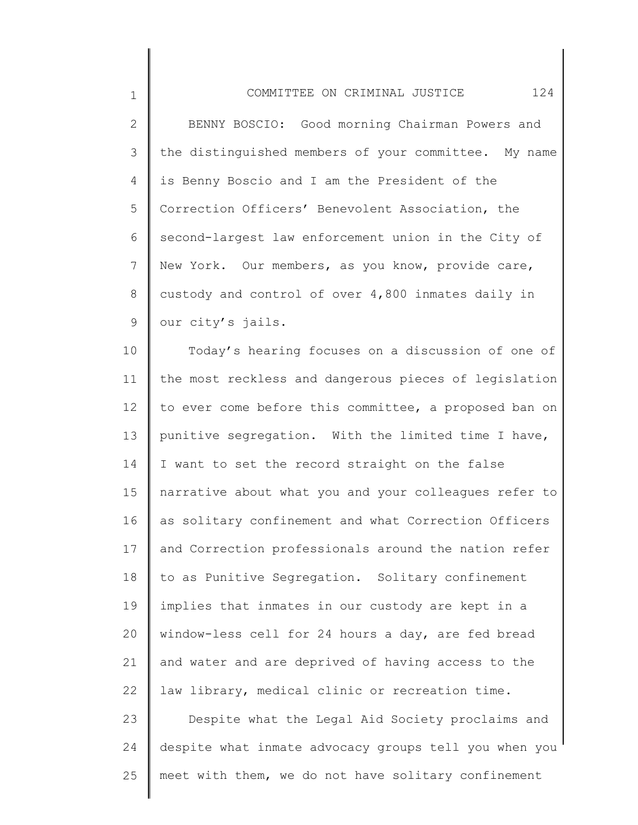2 3 4 5 6 7 8 9 BENNY BOSCIO: Good morning Chairman Powers and the distinguished members of your committee. My name is Benny Boscio and I am the President of the Correction Officers' Benevolent Association, the second-largest law enforcement union in the City of New York. Our members, as you know, provide care, custody and control of over 4,800 inmates daily in our city's jails.

1

24

10 11 12 13 14 15 16 17 18 19 20 21 22 23 Today's hearing focuses on a discussion of one of the most reckless and dangerous pieces of legislation to ever come before this committee, a proposed ban on punitive segregation. With the limited time I have, I want to set the record straight on the false narrative about what you and your colleagues refer to as solitary confinement and what Correction Officers and Correction professionals around the nation refer to as Punitive Segregation. Solitary confinement implies that inmates in our custody are kept in a window-less cell for 24 hours a day, are fed bread and water and are deprived of having access to the law library, medical clinic or recreation time. Despite what the Legal Aid Society proclaims and

25 meet with them, we do not have solitary confinement

despite what inmate advocacy groups tell you when you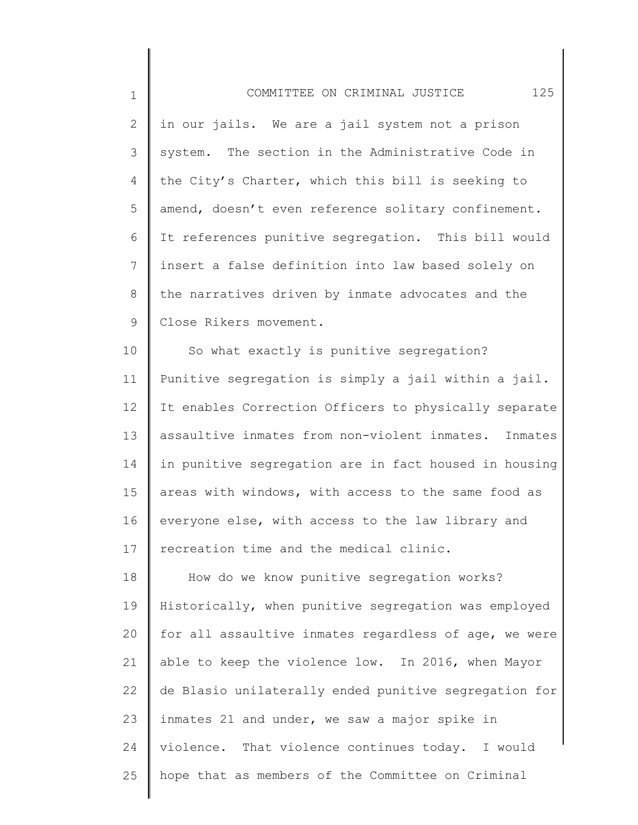| $\mathbf 1$    | 125<br>COMMITTEE ON CRIMINAL JUSTICE                  |
|----------------|-------------------------------------------------------|
| $\mathbf{2}$   | in our jails. We are a jail system not a prison       |
| 3              | system. The section in the Administrative Code in     |
| $\overline{4}$ | the City's Charter, which this bill is seeking to     |
| 5              | amend, doesn't even reference solitary confinement.   |
| 6              | It references punitive segregation. This bill would   |
| $\overline{7}$ | insert a false definition into law based solely on    |
| $8\,$          | the narratives driven by inmate advocates and the     |
| $\mathsf 9$    | Close Rikers movement.                                |
| 10             | So what exactly is punitive segregation?              |
| 11             | Punitive segregation is simply a jail within a jail.  |
| 12             | It enables Correction Officers to physically separate |
| 13             | assaultive inmates from non-violent inmates. Inmates  |
| 14             | in punitive segregation are in fact housed in housing |
| 15             | areas with windows, with access to the same food as   |
| 16             | everyone else, with access to the law library and     |

17 recreation time and the medical clinic.

18 19 20 21 22 23 24 25 How do we know punitive segregation works? Historically, when punitive segregation was employed for all assaultive inmates regardless of age, we were able to keep the violence low. In 2016, when Mayor de Blasio unilaterally ended punitive segregation for inmates 21 and under, we saw a major spike in violence. That violence continues today. I would hope that as members of the Committee on Criminal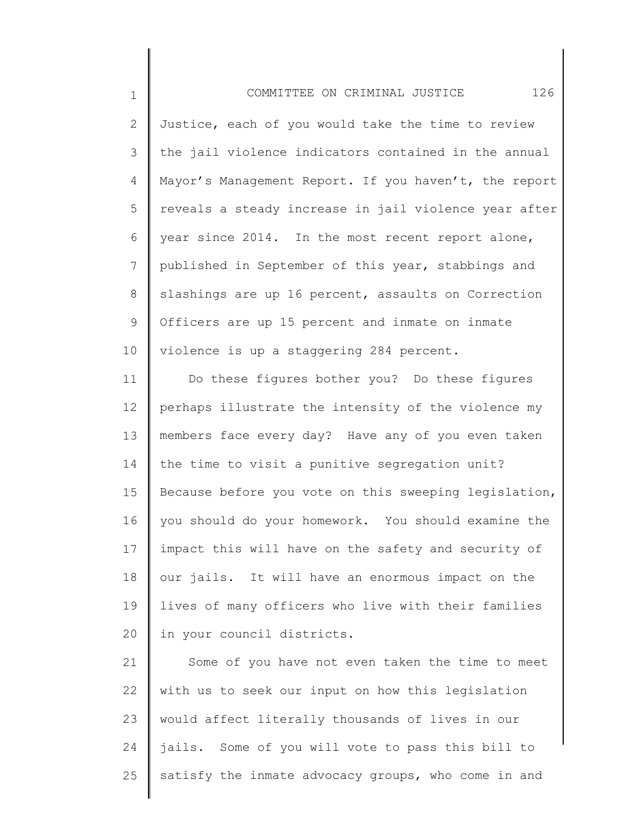2 3 4 5 6 7 8 9 10 Justice, each of you would take the time to review the jail violence indicators contained in the annual Mayor's Management Report. If you haven't, the report reveals a steady increase in jail violence year after year since 2014. In the most recent report alone, published in September of this year, stabbings and slashings are up 16 percent, assaults on Correction Officers are up 15 percent and inmate on inmate violence is up a staggering 284 percent.

1

11 12 13 14 15 16 17 18 19 20 Do these figures bother you? Do these figures perhaps illustrate the intensity of the violence my members face every day? Have any of you even taken the time to visit a punitive segregation unit? Because before you vote on this sweeping legislation, you should do your homework. You should examine the impact this will have on the safety and security of our jails. It will have an enormous impact on the lives of many officers who live with their families in your council districts.

21 22 23 24 25 Some of you have not even taken the time to meet with us to seek our input on how this legislation would affect literally thousands of lives in our jails. Some of you will vote to pass this bill to satisfy the inmate advocacy groups, who come in and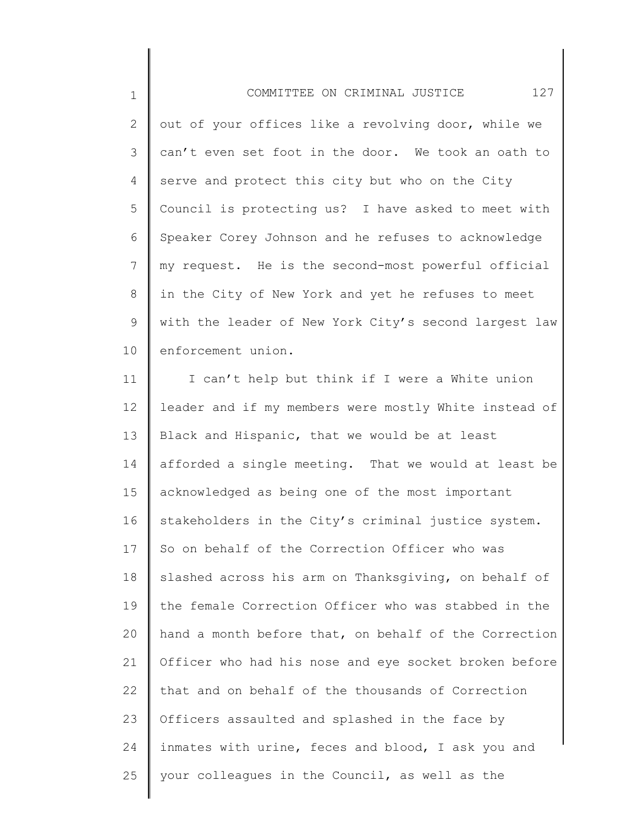1 2 3 4 5 6 7 8 9 10 COMMITTEE ON CRIMINAL JUSTICE 127 out of your offices like a revolving door, while we can't even set foot in the door. We took an oath to serve and protect this city but who on the City Council is protecting us? I have asked to meet with Speaker Corey Johnson and he refuses to acknowledge my request. He is the second-most powerful official in the City of New York and yet he refuses to meet with the leader of New York City's second largest law enforcement union.

11 12 13 14 15 16 17 18 19 20 21 22 23 24 25 I can't help but think if I were a White union leader and if my members were mostly White instead of Black and Hispanic, that we would be at least afforded a single meeting. That we would at least be acknowledged as being one of the most important stakeholders in the City's criminal justice system. So on behalf of the Correction Officer who was slashed across his arm on Thanksgiving, on behalf of the female Correction Officer who was stabbed in the hand a month before that, on behalf of the Correction Officer who had his nose and eye socket broken before that and on behalf of the thousands of Correction Officers assaulted and splashed in the face by inmates with urine, feces and blood, I ask you and your colleagues in the Council, as well as the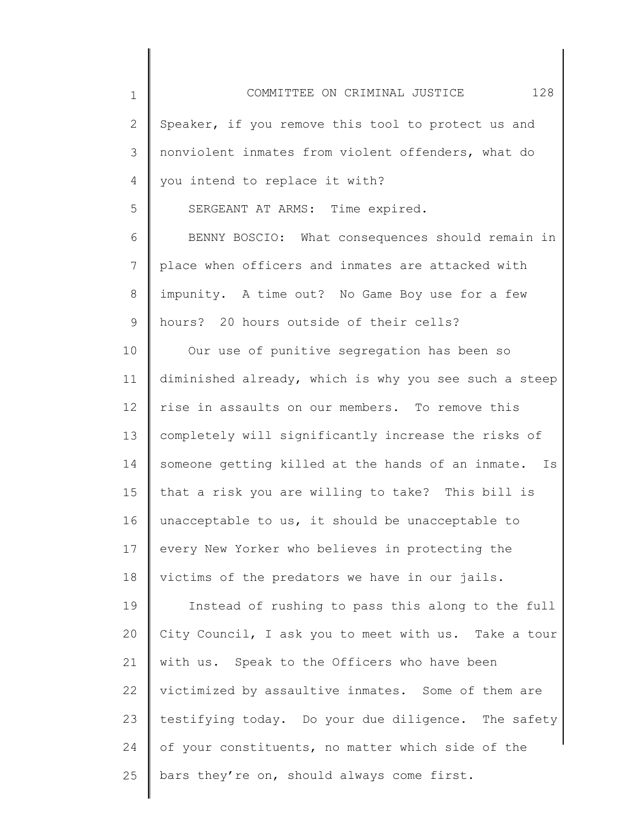| $\mathbf 1$     | 128<br>COMMITTEE ON CRIMINAL JUSTICE                  |
|-----------------|-------------------------------------------------------|
| 2               | Speaker, if you remove this tool to protect us and    |
| 3               | nonviolent inmates from violent offenders, what do    |
| 4               | you intend to replace it with?                        |
| 5               | SERGEANT AT ARMS: Time expired.                       |
| 6               | BENNY BOSCIO: What consequences should remain in      |
| $7\phantom{.0}$ | place when officers and inmates are attacked with     |
| 8               | impunity. A time out? No Game Boy use for a few       |
| 9               | hours? 20 hours outside of their cells?               |
| 10              | Our use of punitive segregation has been so           |
| 11              | diminished already, which is why you see such a steep |
| 12              | rise in assaults on our members. To remove this       |
| 13              | completely will significantly increase the risks of   |
| 14              | someone getting killed at the hands of an inmate. Is  |
| 15              | that a risk you are willing to take? This bill is     |
| 16              | unacceptable to us, it should be unacceptable to      |
| 17              | every New Yorker who believes in protecting the       |
| 18              | victims of the predators we have in our jails.        |
| 19              | Instead of rushing to pass this along to the full     |
| 20              | City Council, I ask you to meet with us. Take a tour  |
| 21              | with us. Speak to the Officers who have been          |
| 22              | victimized by assaultive inmates. Some of them are    |
| 23              | testifying today. Do your due diligence. The safety   |
| 24              | of your constituents, no matter which side of the     |
| 25              | bars they're on, should always come first.            |
|                 |                                                       |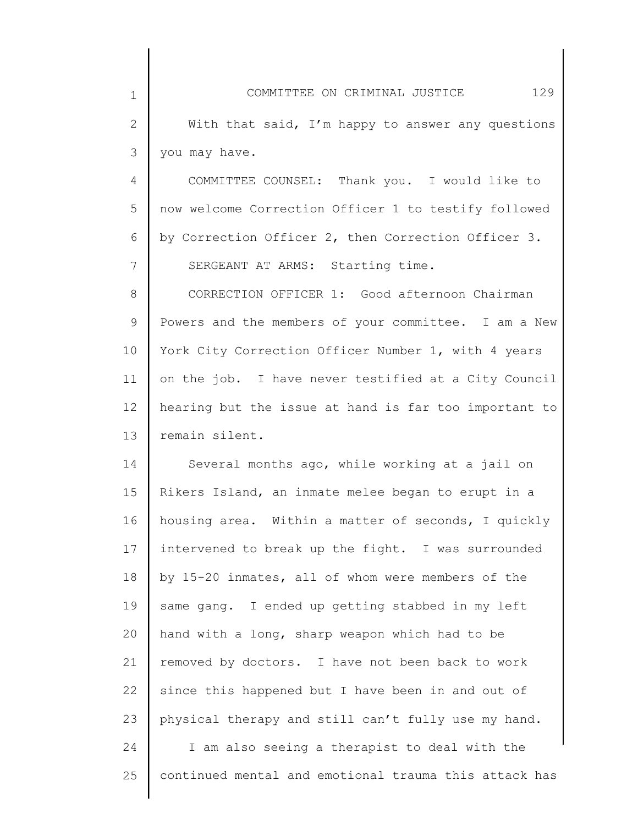2 3 With that said, I'm happy to answer any questions you may have.

1

4 5 6 7 COMMITTEE COUNSEL: Thank you. I would like to now welcome Correction Officer 1 to testify followed by Correction Officer 2, then Correction Officer 3. SERGEANT AT ARMS: Starting time.

8 9 10 11 12 13 CORRECTION OFFICER 1: Good afternoon Chairman Powers and the members of your committee. I am a New York City Correction Officer Number 1, with 4 years on the job. I have never testified at a City Council hearing but the issue at hand is far too important to remain silent.

14 15 16 17 18 19 20 21 22 23 24 25 Several months ago, while working at a jail on Rikers Island, an inmate melee began to erupt in a housing area. Within a matter of seconds, I quickly intervened to break up the fight. I was surrounded by 15-20 inmates, all of whom were members of the same gang. I ended up getting stabbed in my left hand with a long, sharp weapon which had to be removed by doctors. I have not been back to work since this happened but I have been in and out of physical therapy and still can't fully use my hand. I am also seeing a therapist to deal with the continued mental and emotional trauma this attack has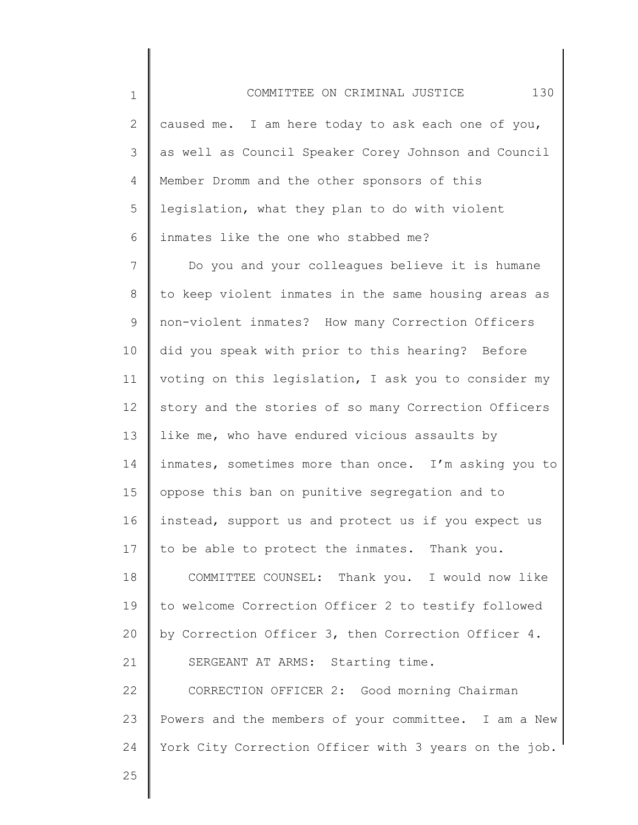2 3 4 5 6 caused me. I am here today to ask each one of you, as well as Council Speaker Corey Johnson and Council Member Dromm and the other sponsors of this legislation, what they plan to do with violent inmates like the one who stabbed me?

COMMITTEE ON CRIMINAL JUSTICE 130

7 8 9 10 11 12 13 14 15 16 17 18 19 20 21 22 23 24 Do you and your colleagues believe it is humane to keep violent inmates in the same housing areas as non-violent inmates? How many Correction Officers did you speak with prior to this hearing? Before voting on this legislation, I ask you to consider my story and the stories of so many Correction Officers like me, who have endured vicious assaults by inmates, sometimes more than once. I'm asking you to oppose this ban on punitive segregation and to instead, support us and protect us if you expect us to be able to protect the inmates. Thank you. COMMITTEE COUNSEL: Thank you. I would now like to welcome Correction Officer 2 to testify followed by Correction Officer 3, then Correction Officer 4. SERGEANT AT ARMS: Starting time. CORRECTION OFFICER 2: Good morning Chairman Powers and the members of your committee. I am a New York City Correction Officer with 3 years on the job.

25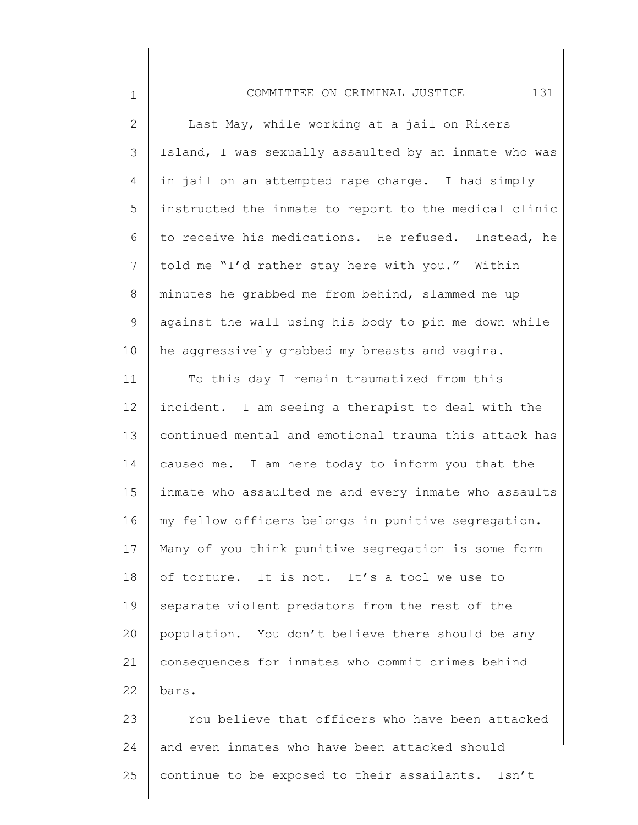1

| $\overline{2}$  | Last May, while working at a jail on Rikers           |
|-----------------|-------------------------------------------------------|
| 3               | Island, I was sexually assaulted by an inmate who was |
| 4               | in jail on an attempted rape charge. I had simply     |
| 5               | instructed the inmate to report to the medical clinic |
| 6               | to receive his medications. He refused. Instead, he   |
| $7\phantom{.0}$ | told me "I'd rather stay here with you." Within       |
| 8               | minutes he grabbed me from behind, slammed me up      |
| 9               | against the wall using his body to pin me down while  |
| 10              | he aggressively grabbed my breasts and vagina.        |
| 11              | To this day I remain traumatized from this            |
| 12              | incident. I am seeing a therapist to deal with the    |
| 13              | continued mental and emotional trauma this attack has |
| 14              | caused me. I am here today to inform you that the     |
| 15              | inmate who assaulted me and every inmate who assaults |
| 16              | my fellow officers belongs in punitive segregation.   |
| 17              | Many of you think punitive segregation is some form   |
| 18              | of torture. It is not. It's a tool we use to          |
| 19              | separate violent predators from the rest of the       |
| 20              | population. You don't believe there should be any     |
| 21              | consequences for inmates who commit crimes behind     |
| 22              | bars.                                                 |
| 23              | You believe that officers who have been attacked      |
| 24              | and even inmates who have been attacked should        |
| 25              | continue to be exposed to their assailants. Isn't     |
|                 |                                                       |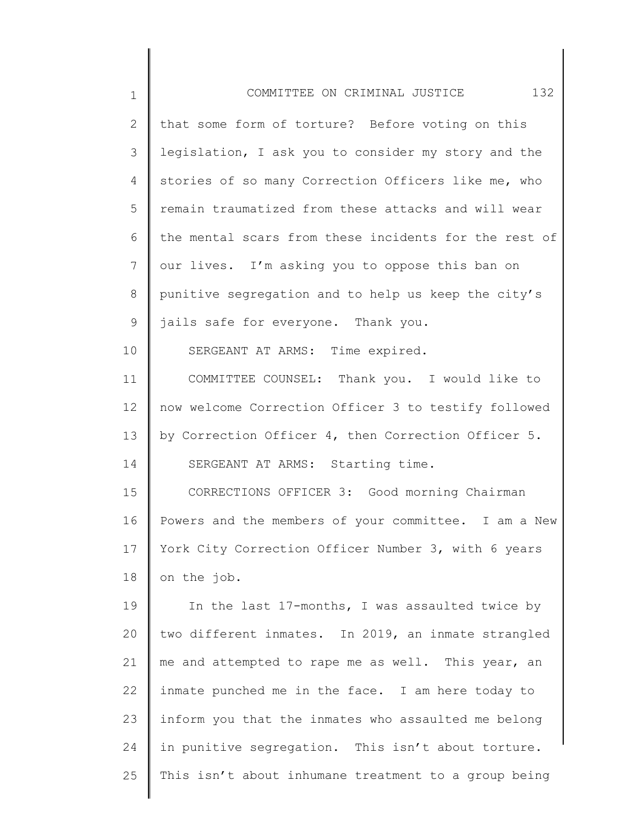| 1  | 132<br>COMMITTEE ON CRIMINAL JUSTICE                  |
|----|-------------------------------------------------------|
| 2  | that some form of torture? Before voting on this      |
| 3  | legislation, I ask you to consider my story and the   |
| 4  | stories of so many Correction Officers like me, who   |
| 5  | remain traumatized from these attacks and will wear   |
| 6  | the mental scars from these incidents for the rest of |
| 7  | our lives. I'm asking you to oppose this ban on       |
| 8  | punitive segregation and to help us keep the city's   |
| 9  | jails safe for everyone. Thank you.                   |
| 10 | SERGEANT AT ARMS: Time expired.                       |
| 11 | COMMITTEE COUNSEL: Thank you. I would like to         |
| 12 | now welcome Correction Officer 3 to testify followed  |
| 13 | by Correction Officer 4, then Correction Officer 5.   |
| 14 | SERGEANT AT ARMS: Starting time.                      |
| 15 | CORRECTIONS OFFICER 3: Good morning Chairman          |
| 16 | Powers and the members of your committee. I am a New  |
| 17 | York City Correction Officer Number 3, with 6 years   |
| 18 | on the job.                                           |
| 19 | In the last 17-months, I was assaulted twice by       |
| 20 | two different inmates. In 2019, an inmate strangled   |
| 21 | me and attempted to rape me as well. This year, an    |
| 22 | inmate punched me in the face. I am here today to     |
| 23 | inform you that the inmates who assaulted me belong   |
| 24 | in punitive segregation. This isn't about torture.    |
| 25 | This isn't about inhumane treatment to a group being  |
|    |                                                       |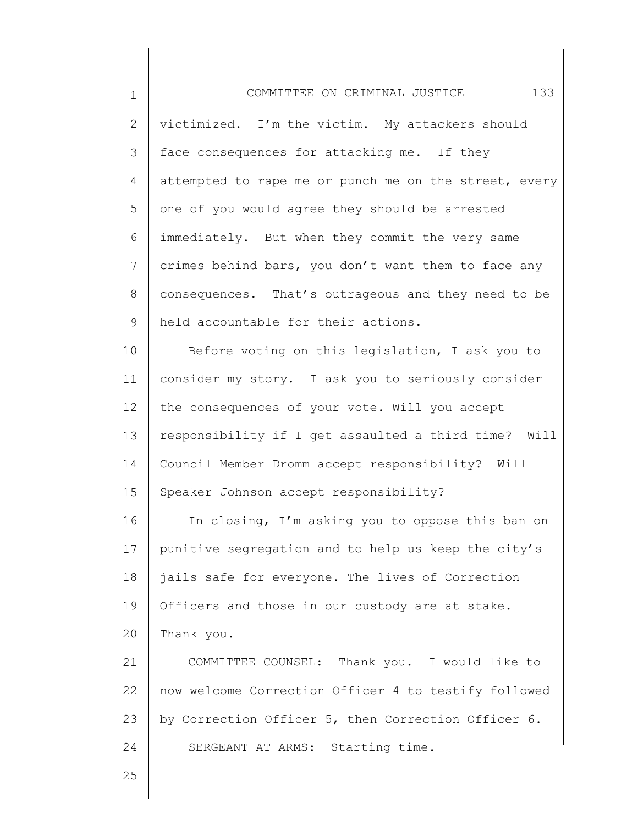1 2 3 4 5 6 7 8 9 10 11 12 13 14 15 16 17 18 19 20 21 22 23 24 25 COMMITTEE ON CRIMINAL JUSTICE 133 victimized. I'm the victim. My attackers should face consequences for attacking me. If they attempted to rape me or punch me on the street, every one of you would agree they should be arrested immediately. But when they commit the very same crimes behind bars, you don't want them to face any consequences. That's outrageous and they need to be held accountable for their actions. Before voting on this legislation, I ask you to consider my story. I ask you to seriously consider the consequences of your vote. Will you accept responsibility if I get assaulted a third time? Will Council Member Dromm accept responsibility? Will Speaker Johnson accept responsibility? In closing, I'm asking you to oppose this ban on punitive segregation and to help us keep the city's jails safe for everyone. The lives of Correction Officers and those in our custody are at stake. Thank you. COMMITTEE COUNSEL: Thank you. I would like to now welcome Correction Officer 4 to testify followed by Correction Officer 5, then Correction Officer 6. SERGEANT AT ARMS: Starting time.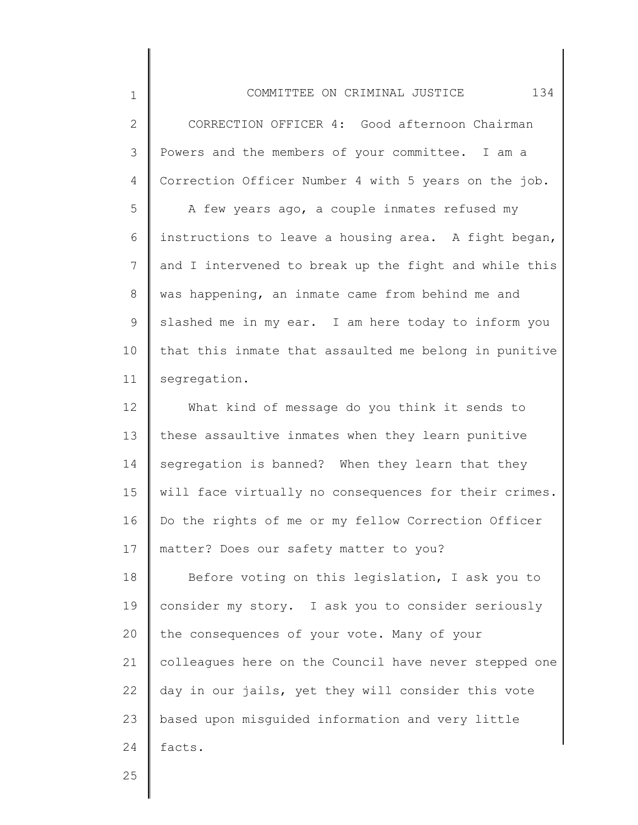1 2 3 4 5 6 7 8 9 10 11 12 13 14 15 16 17 18 19 20 21 22 23 24 COMMITTEE ON CRIMINAL JUSTICE 134 CORRECTION OFFICER 4: Good afternoon Chairman Powers and the members of your committee. I am a Correction Officer Number 4 with 5 years on the job. A few years ago, a couple inmates refused my instructions to leave a housing area. A fight began, and I intervened to break up the fight and while this was happening, an inmate came from behind me and slashed me in my ear. I am here today to inform you that this inmate that assaulted me belong in punitive segregation. What kind of message do you think it sends to these assaultive inmates when they learn punitive segregation is banned? When they learn that they will face virtually no consequences for their crimes. Do the rights of me or my fellow Correction Officer matter? Does our safety matter to you? Before voting on this legislation, I ask you to consider my story. I ask you to consider seriously the consequences of your vote. Many of your colleagues here on the Council have never stepped one day in our jails, yet they will consider this vote based upon misguided information and very little facts.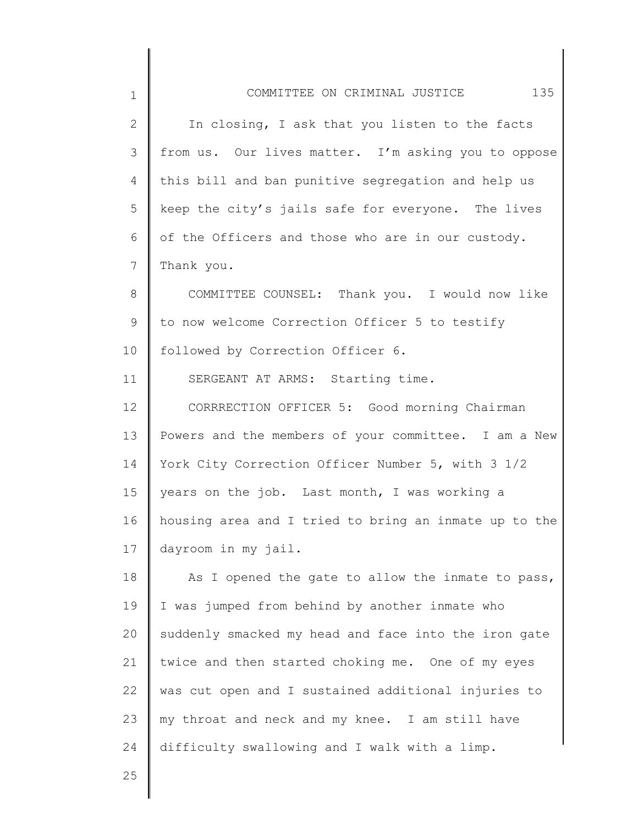| $\mathbf 1$  | COMMITTEE ON CRIMINAL JUSTICE 135                     |
|--------------|-------------------------------------------------------|
| $\mathbf{2}$ | In closing, I ask that you listen to the facts        |
| 3            | from us. Our lives matter. I'm asking you to oppose   |
| 4            | this bill and ban punitive segregation and help us    |
| 5            | keep the city's jails safe for everyone. The lives    |
| 6            | of the Officers and those who are in our custody.     |
| 7            | Thank you.                                            |
| $8\,$        | COMMITTEE COUNSEL: Thank you. I would now like        |
| 9            | to now welcome Correction Officer 5 to testify        |
| 10           | followed by Correction Officer 6.                     |
| 11           | SERGEANT AT ARMS: Starting time.                      |
| 12           | CORRRECTION OFFICER 5: Good morning Chairman          |
| 13           | Powers and the members of your committee. I am a New  |
| 14           | York City Correction Officer Number 5, with 3 1/2     |
| 15           | years on the job. Last month, I was working a         |
| 16           | housing area and I tried to bring an inmate up to the |
| 17           | dayroom in my jail.                                   |
| 18           | As I opened the gate to allow the inmate to pass,     |
| 19           | I was jumped from behind by another inmate who        |
| 20           | suddenly smacked my head and face into the iron gate  |
| 21           | twice and then started choking me. One of my eyes     |
| 22           | was cut open and I sustained additional injuries to   |
| 23           | my throat and neck and my knee. I am still have       |
| 24           | difficulty swallowing and I walk with a limp.         |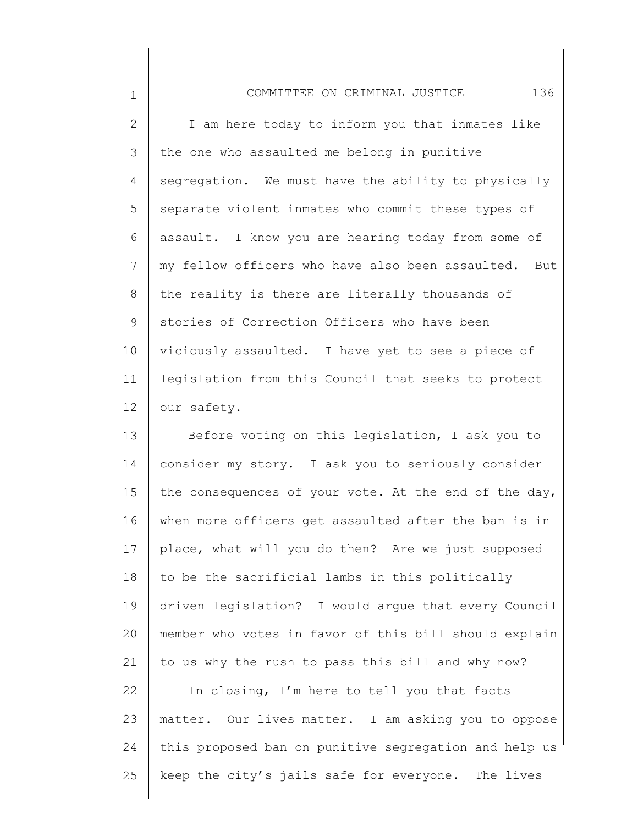| $\mathbf{1}$    | 136<br>COMMITTEE ON CRIMINAL JUSTICE                 |
|-----------------|------------------------------------------------------|
| 2               | I am here today to inform you that inmates like      |
| 3               | the one who assaulted me belong in punitive          |
| 4               | segregation. We must have the ability to physically  |
| 5               | separate violent inmates who commit these types of   |
| 6               | assault. I know you are hearing today from some of   |
| 7               | my fellow officers who have also been assaulted. But |
| 8               | the reality is there are literally thousands of      |
| 9               | stories of Correction Officers who have been         |
| 10 <sub>o</sub> | viciously assaulted. I have yet to see a piece of    |
| 11              | legislation from this Council that seeks to protect  |
| 12 <sub>1</sub> | our safety.                                          |

13 14 15 16 17 18 19 20 21 22 23 Before voting on this legislation, I ask you to consider my story. I ask you to seriously consider the consequences of your vote. At the end of the day, when more officers get assaulted after the ban is in place, what will you do then? Are we just supposed to be the sacrificial lambs in this politically driven legislation? I would argue that every Council member who votes in favor of this bill should explain to us why the rush to pass this bill and why now? In closing, I'm here to tell you that facts matter. Our lives matter. I am asking you to oppose

24 25 this proposed ban on punitive segregation and help us keep the city's jails safe for everyone. The lives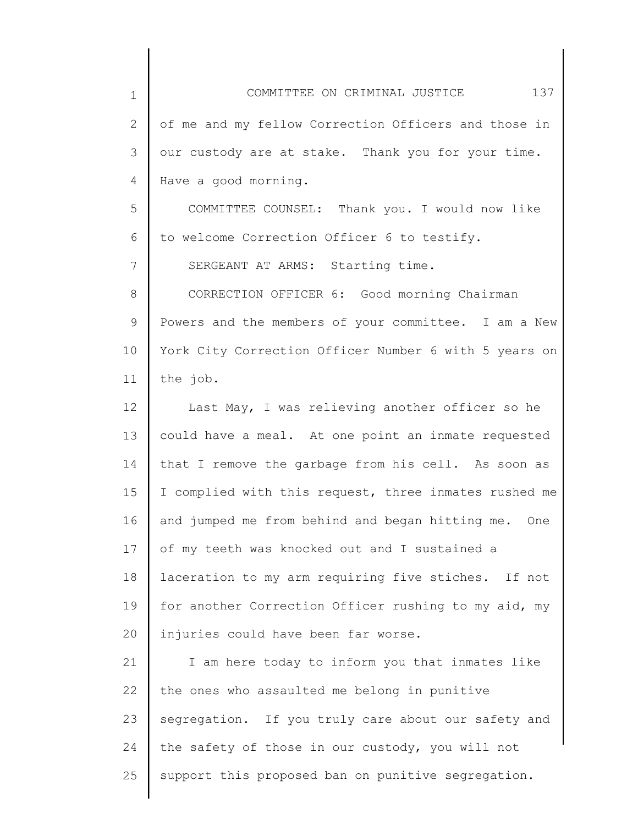| $\mathbf 1$  | 137<br>COMMITTEE ON CRIMINAL JUSTICE                  |
|--------------|-------------------------------------------------------|
| $\mathbf{2}$ | of me and my fellow Correction Officers and those in  |
| 3            | our custody are at stake. Thank you for your time.    |
| 4            | Have a good morning.                                  |
| 5            | COMMITTEE COUNSEL: Thank you. I would now like        |
| 6            | to welcome Correction Officer 6 to testify.           |
| 7            | SERGEANT AT ARMS: Starting time.                      |
| 8            | CORRECTION OFFICER 6: Good morning Chairman           |
| 9            | Powers and the members of your committee. I am a New  |
| 10           | York City Correction Officer Number 6 with 5 years on |
| 11           | the job.                                              |
| 12           | Last May, I was relieving another officer so he       |
| 13           | could have a meal. At one point an inmate requested   |
| 14           | that I remove the garbage from his cell. As soon as   |
| 15           | I complied with this request, three inmates rushed me |
| 16           | and jumped me from behind and began hitting me. One   |
| 17           | of my teeth was knocked out and I sustained a         |
| 18           | laceration to my arm requiring five stiches. If not   |
| 19           | for another Correction Officer rushing to my aid, my  |
| 20           | injuries could have been far worse.                   |
| 21           | I am here today to inform you that inmates like       |
| 22           | the ones who assaulted me belong in punitive          |
| 23           | segregation. If you truly care about our safety and   |
| 24           | the safety of those in our custody, you will not      |
| 25           | support this proposed ban on punitive segregation.    |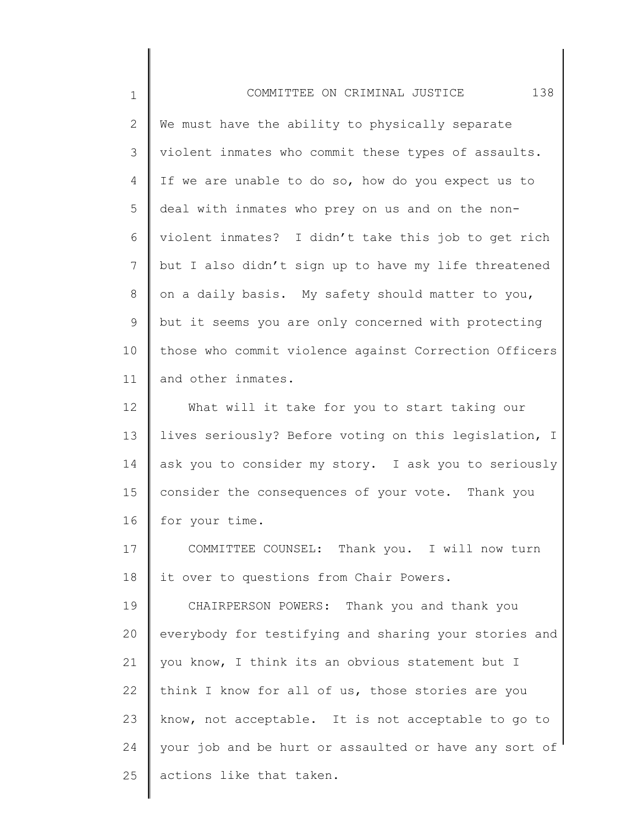| $\mathbf 1$    | 138<br>COMMITTEE ON CRIMINAL JUSTICE                  |
|----------------|-------------------------------------------------------|
| $\mathbf{2}$   | We must have the ability to physically separate       |
| $\mathcal{S}$  | violent inmates who commit these types of assaults.   |
| $\overline{4}$ | If we are unable to do so, how do you expect us to    |
| 5              | deal with inmates who prey on us and on the non-      |
| 6              | violent inmates? I didn't take this job to get rich   |
| $\overline{7}$ | but I also didn't sign up to have my life threatened  |
| 8              | on a daily basis. My safety should matter to you,     |
| 9              | but it seems you are only concerned with protecting   |
| 10             | those who commit violence against Correction Officers |
| 11             | and other inmates.                                    |
| 12             | What will it take for you to start taking our         |
| 13             | lives seriously? Before voting on this legislation, I |
| 14             | ask you to consider my story. I ask you to seriously  |
| 15             | consider the consequences of your vote. Thank you     |
| 16             | for your time.                                        |
| 17             | COMMITTEE COUNSEL: Thank you. I will now turn         |
| 18             | it over to questions from Chair Powers.               |
| 19             | CHAIRPERSON POWERS: Thank you and thank you           |
| 20             | everybody for testifying and sharing your stories and |
| 21             | you know, I think its an obvious statement but I      |
| 22             | think I know for all of us, those stories are you     |
| 23             | know, not acceptable. It is not acceptable to go to   |
| 24             | your job and be hurt or assaulted or have any sort of |
| 25             | actions like that taken.                              |
|                |                                                       |

║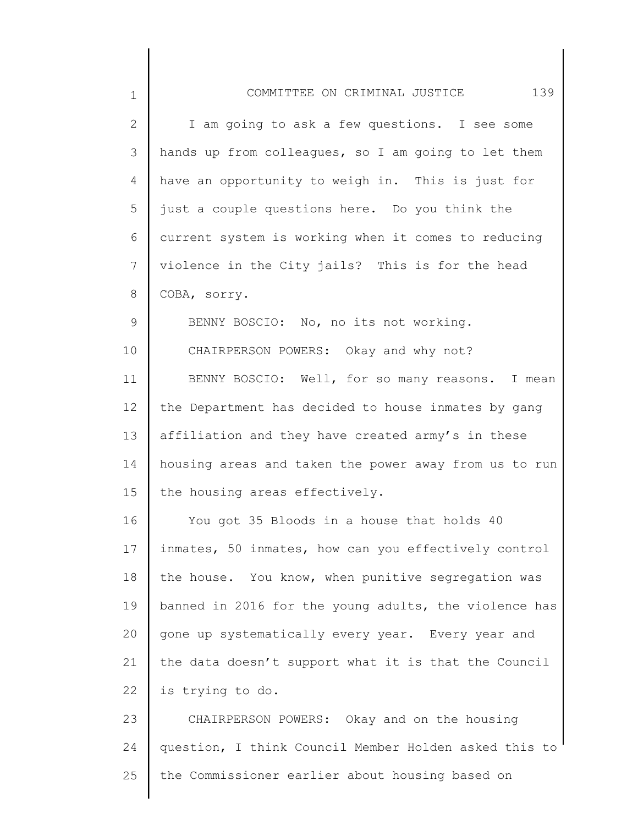| $\mathbf 1$ | 139<br>COMMITTEE ON CRIMINAL JUSTICE                  |
|-------------|-------------------------------------------------------|
| 2           | I am going to ask a few questions. I see some         |
| 3           | hands up from colleagues, so I am going to let them   |
| 4           | have an opportunity to weigh in. This is just for     |
| 5           | just a couple questions here. Do you think the        |
| 6           | current system is working when it comes to reducing   |
| 7           | violence in the City jails? This is for the head      |
| 8           | COBA, sorry.                                          |
| 9           | BENNY BOSCIO: No, no its not working.                 |
| 10          | CHAIRPERSON POWERS: Okay and why not?                 |
| 11          | BENNY BOSCIO: Well, for so many reasons. I mean       |
| 12          | the Department has decided to house inmates by gang   |
| 13          | affiliation and they have created army's in these     |
| 14          | housing areas and taken the power away from us to run |
| 15          | the housing areas effectively.                        |
| 16          | You got 35 Bloods in a house that holds 40            |
| 17          | inmates, 50 inmates, how can you effectively control  |
| 18          | the house. You know, when punitive segregation was    |
| 19          | banned in 2016 for the young adults, the violence has |
| 20          | gone up systematically every year. Every year and     |
| 21          | the data doesn't support what it is that the Council  |
| 22          | is trying to do.                                      |
| 23          | CHAIRPERSON POWERS: Okay and on the housing           |
| 24          | question, I think Council Member Holden asked this to |
| 25          | the Commissioner earlier about housing based on       |
|             |                                                       |

║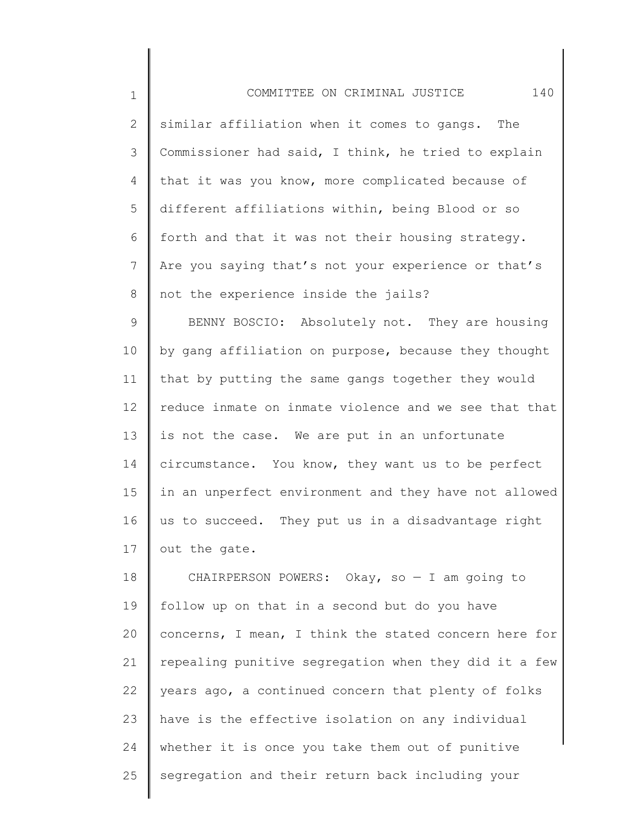| $\mathbf 1$     | 140<br>COMMITTEE ON CRIMINAL JUSTICE                  |
|-----------------|-------------------------------------------------------|
| $\mathbf{2}$    | similar affiliation when it comes to gangs. The       |
| 3               | Commissioner had said, I think, he tried to explain   |
| 4               | that it was you know, more complicated because of     |
| 5               | different affiliations within, being Blood or so      |
| 6               | forth and that it was not their housing strategy.     |
| $\overline{7}$  | Are you saying that's not your experience or that's   |
| 8               | not the experience inside the jails?                  |
| $\mathsf 9$     | BENNY BOSCIO: Absolutely not. They are housing        |
| 10              | by gang affiliation on purpose, because they thought  |
| 11              | that by putting the same gangs together they would    |
| 12 <sup>°</sup> | reduce inmate on inmate violence and we see that that |
| 13              | is not the case. We are put in an unfortunate         |
| 14              | circumstance. You know, they want us to be perfect    |
| 15              | in an unperfect environment and they have not allowed |
| 16              | us to succeed. They put us in a disadvantage right    |
| $17 \parallel$  | out the gate.                                         |
| 18              | CHAIRPERSON POWERS: Okay, so $-$ I am going to        |
| 19              | follow up on that in a second but do you have         |
| 20              | concerns, I mean, I think the stated concern here for |
| 21              | repealing punitive segregation when they did it a few |
| 22              | years ago, a continued concern that plenty of folks   |
| 23              | have is the effective isolation on any individual     |
| 24              | whether it is once you take them out of punitive      |

segregation and their return back including your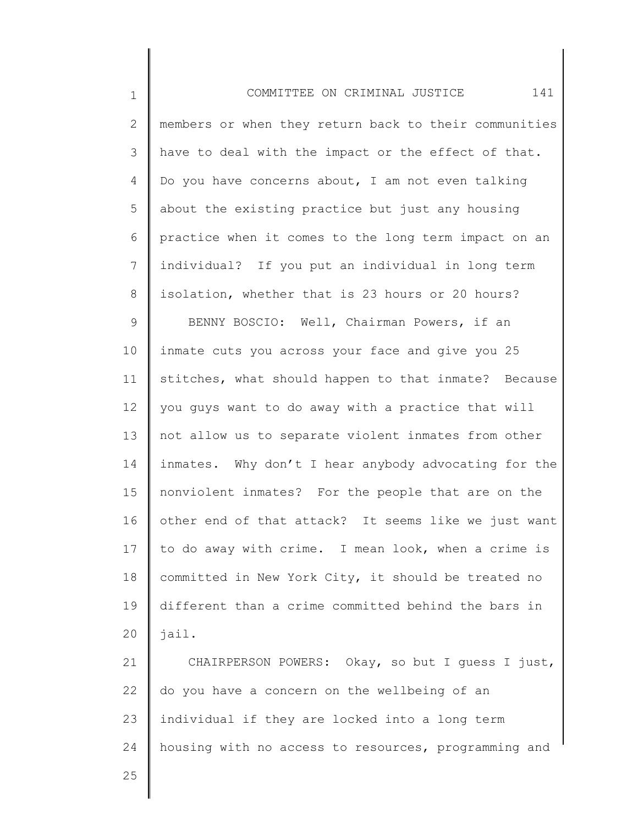1 2 3 4 5 6 7 8 9 10 11 12 13 14 15 16 17 18 19 20 21 22 23 24 COMMITTEE ON CRIMINAL JUSTICE 141 members or when they return back to their communities have to deal with the impact or the effect of that. Do you have concerns about, I am not even talking about the existing practice but just any housing practice when it comes to the long term impact on an individual? If you put an individual in long term isolation, whether that is 23 hours or 20 hours? BENNY BOSCIO: Well, Chairman Powers, if an inmate cuts you across your face and give you 25 stitches, what should happen to that inmate? Because you guys want to do away with a practice that will not allow us to separate violent inmates from other inmates. Why don't I hear anybody advocating for the nonviolent inmates? For the people that are on the other end of that attack? It seems like we just want to do away with crime. I mean look, when a crime is committed in New York City, it should be treated no different than a crime committed behind the bars in jail. CHAIRPERSON POWERS: Okay, so but I guess I just, do you have a concern on the wellbeing of an individual if they are locked into a long term housing with no access to resources, programming and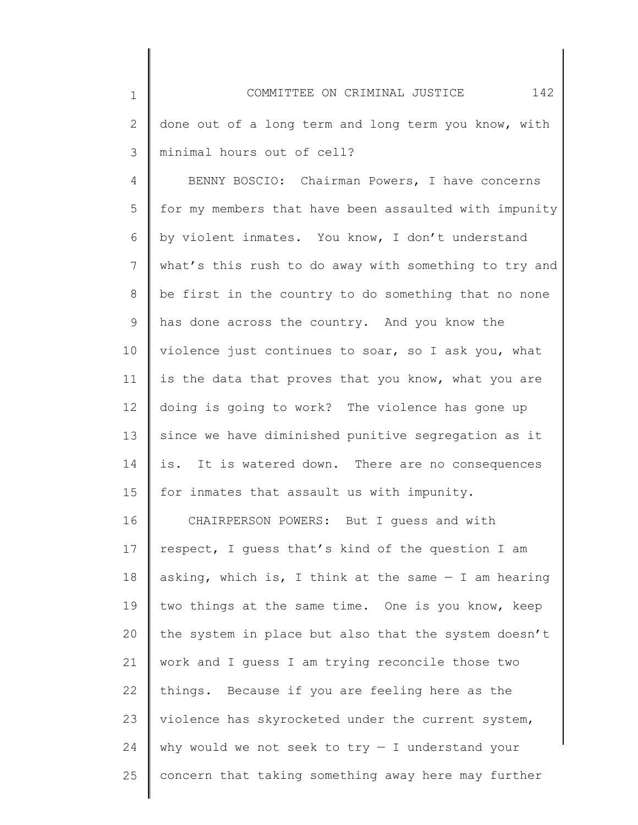| $\mathbf 1$  | COMMITTEE ON CRIMINAL JUSTICE<br>142                  |
|--------------|-------------------------------------------------------|
| $\mathbf{2}$ | done out of a long term and long term you know, with  |
| 3            | minimal hours out of cell?                            |
| 4            | BENNY BOSCIO: Chairman Powers, I have concerns        |
| 5            | for my members that have been assaulted with impunity |
| 6            | by violent inmates. You know, I don't understand      |
| 7            | what's this rush to do away with something to try and |
| $8\,$        | be first in the country to do something that no none  |
| $\mathsf 9$  | has done across the country. And you know the         |
| 10           | violence just continues to soar, so I ask you, what   |
| 11           | is the data that proves that you know, what you are   |
| 12           | doing is going to work? The violence has gone up      |
| 13           | since we have diminished punitive segregation as it   |
| 14           | is. It is watered down. There are no consequences     |
| 15           | for inmates that assault us with impunity.            |
| 16           | CHAIRPERSON POWERS: But I guess and with              |
| 17           | respect, I guess that's kind of the question I am     |
| 10           | $\overline{a}$                                        |

18 19 20 21 22 23 24 25 asking, which is, I think at the same — I am hearing two things at the same time. One is you know, keep the system in place but also that the system doesn't work and I guess I am trying reconcile those two things. Because if you are feeling here as the violence has skyrocketed under the current system, why would we not seek to  $try - I$  understand your concern that taking something away here may further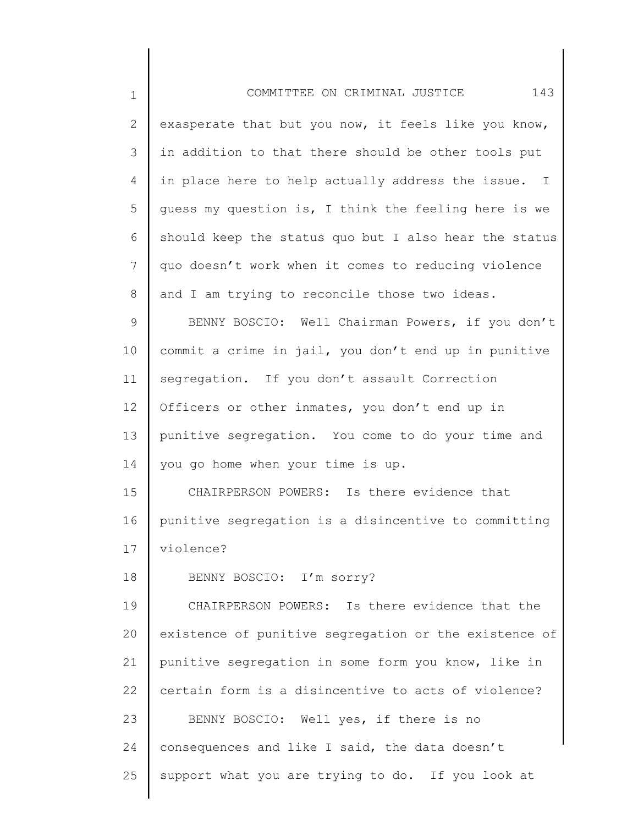| $\mathbf 1$     | 143<br>COMMITTEE ON CRIMINAL JUSTICE                  |
|-----------------|-------------------------------------------------------|
| $\mathbf{2}$    | exasperate that but you now, it feels like you know,  |
| 3               | in addition to that there should be other tools put   |
| 4               | in place here to help actually address the issue. I   |
| 5               | guess my question is, I think the feeling here is we  |
| 6               | should keep the status quo but I also hear the status |
| $7\phantom{.0}$ | quo doesn't work when it comes to reducing violence   |
| 8               | and I am trying to reconcile those two ideas.         |
| 9               | BENNY BOSCIO: Well Chairman Powers, if you don't      |
| 10              | commit a crime in jail, you don't end up in punitive  |
| 11              | segregation. If you don't assault Correction          |
| 12              | Officers or other inmates, you don't end up in        |
| 13              | punitive segregation. You come to do your time and    |
| 14              | you go home when your time is up.                     |
| 15              | CHAIRPERSON POWERS: Is there evidence that            |
| 16              | punitive segregation is a disincentive to committing  |
| 17              | violence?                                             |
| 18              | BENNY BOSCIO: I'm sorry?                              |
| 19              | CHAIRPERSON POWERS: Is there evidence that the        |
| 20              | existence of punitive segregation or the existence of |
| 21              | punitive segregation in some form you know, like in   |
| 22              | certain form is a disincentive to acts of violence?   |
| 23              | BENNY BOSCIO: Well yes, if there is no                |
| 24              | consequences and like I said, the data doesn't        |
| 25              | support what you are trying to do. If you look at     |
|                 |                                                       |

║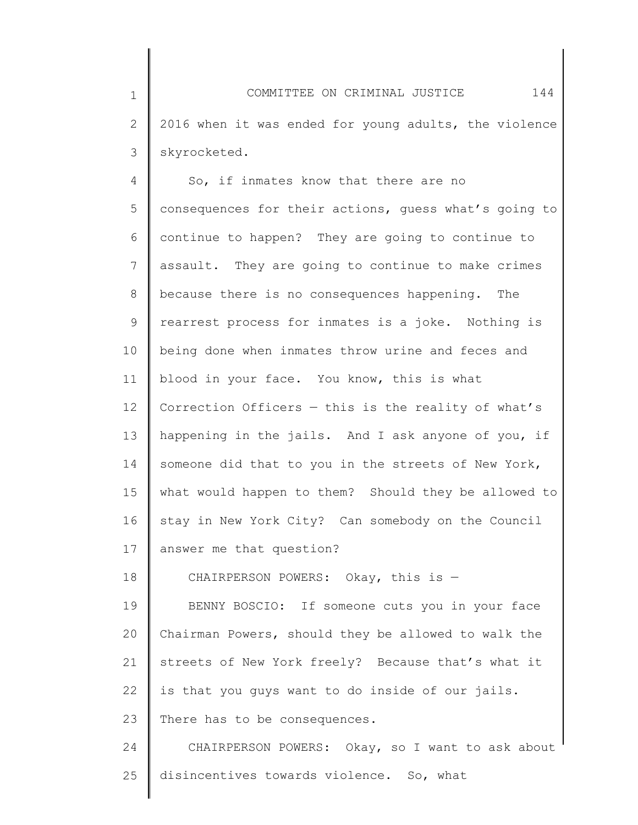1 2 3 COMMITTEE ON CRIMINAL JUSTICE 144 2016 when it was ended for young adults, the violence skyrocketed.

4 5 6 7 8 9 10 11 12 13 14 15 16 17 So, if inmates know that there are no consequences for their actions, guess what's going to continue to happen? They are going to continue to assault. They are going to continue to make crimes because there is no consequences happening. The rearrest process for inmates is a joke. Nothing is being done when inmates throw urine and feces and blood in your face. You know, this is what Correction Officers  $-$  this is the reality of what's happening in the jails. And I ask anyone of you, if someone did that to you in the streets of New York, what would happen to them? Should they be allowed to stay in New York City? Can somebody on the Council answer me that question?

18 CHAIRPERSON POWERS: Okay, this is —

19 20 21 22 23 BENNY BOSCIO: If someone cuts you in your face Chairman Powers, should they be allowed to walk the streets of New York freely? Because that's what it is that you guys want to do inside of our jails. There has to be consequences.

24 25 CHAIRPERSON POWERS: Okay, so I want to ask about disincentives towards violence. So, what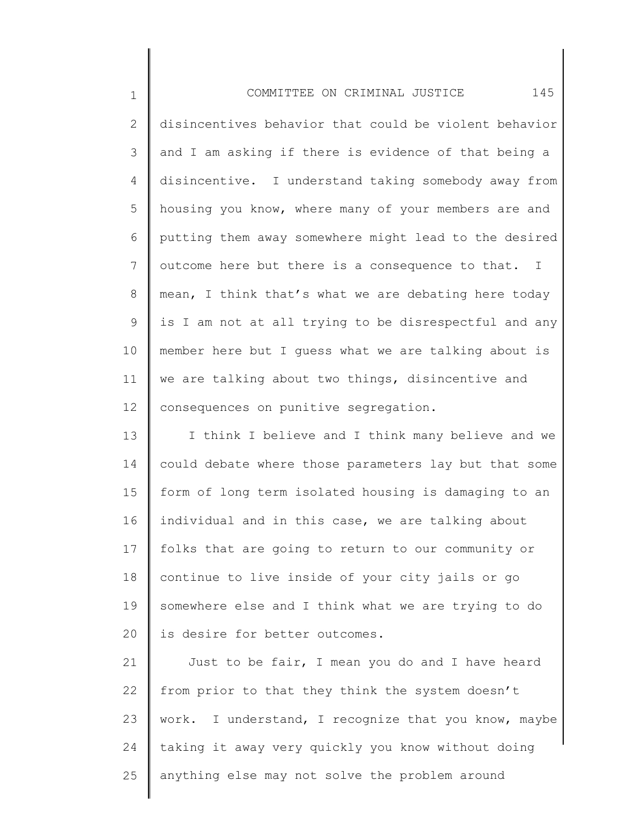1 2 3 4 5 6 7 8 9 10 11 12 COMMITTEE ON CRIMINAL JUSTICE 145 disincentives behavior that could be violent behavior and I am asking if there is evidence of that being a disincentive. I understand taking somebody away from housing you know, where many of your members are and putting them away somewhere might lead to the desired outcome here but there is a consequence to that. I mean, I think that's what we are debating here today is I am not at all trying to be disrespectful and any member here but I guess what we are talking about is we are talking about two things, disincentive and consequences on punitive segregation.

13 14 15 16 17 18 19 20 I think I believe and I think many believe and we could debate where those parameters lay but that some form of long term isolated housing is damaging to an individual and in this case, we are talking about folks that are going to return to our community or continue to live inside of your city jails or go somewhere else and I think what we are trying to do is desire for better outcomes.

21 22 23 24 25 Just to be fair, I mean you do and I have heard from prior to that they think the system doesn't work. I understand, I recognize that you know, maybe taking it away very quickly you know without doing anything else may not solve the problem around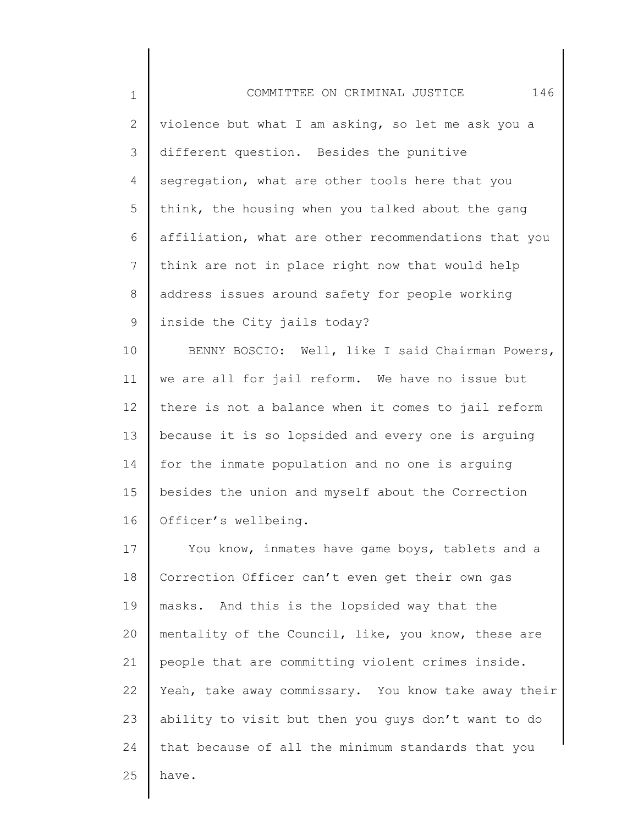| $\mathbf 1$     | 146<br>COMMITTEE ON CRIMINAL JUSTICE                 |
|-----------------|------------------------------------------------------|
| $\mathbf{2}$    | violence but what I am asking, so let me ask you a   |
| 3               | different question. Besides the punitive             |
| 4               | segregation, what are other tools here that you      |
| 5               | think, the housing when you talked about the gang    |
| 6               | affiliation, what are other recommendations that you |
| $7\phantom{.0}$ | think are not in place right now that would help     |
| 8               | address issues around safety for people working      |
| $\mathsf 9$     | inside the City jails today?                         |
| 10              | BENNY BOSCIO: Well, like I said Chairman Powers,     |
| 11              | we are all for jail reform. We have no issue but     |
| 12              | there is not a balance when it comes to jail reform  |
| 13              | because it is so lopsided and every one is arguing   |
| 14              | for the inmate population and no one is arguing      |
| 15              | besides the union and myself about the Correction    |
| 16              | Officer's wellbeing.                                 |
| 17              | You know, inmates have game boys, tablets and a      |
| 18              | Correction Officer can't even get their own gas      |
| 19              | masks. And this is the lopsided way that the         |
| 20              | mentality of the Council, like, you know, these are  |
| 21              | people that are committing violent crimes inside.    |
| 22              | Yeah, take away commissary. You know take away their |
| 23              | ability to visit but then you guys don't want to do  |
| 24              | that because of all the minimum standards that you   |
| 25              | have.                                                |
|                 |                                                      |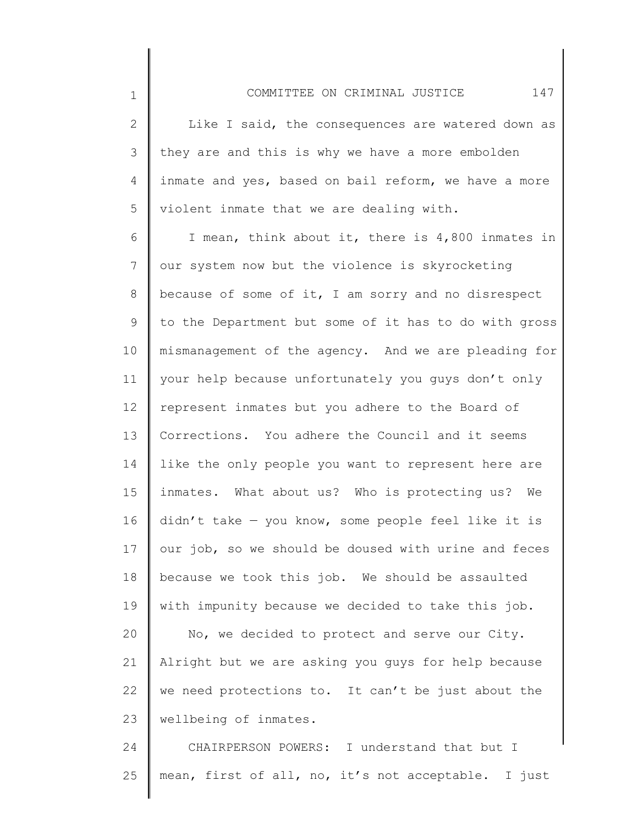2 3 4 5 Like I said, the consequences are watered down as they are and this is why we have a more embolden inmate and yes, based on bail reform, we have a more violent inmate that we are dealing with.

1

6 7 8 9 10 11 12 13 14 15 16 17 18 19 20 21 22 23 I mean, think about it, there is 4,800 inmates in our system now but the violence is skyrocketing because of some of it, I am sorry and no disrespect to the Department but some of it has to do with gross mismanagement of the agency. And we are pleading for your help because unfortunately you guys don't only represent inmates but you adhere to the Board of Corrections. You adhere the Council and it seems like the only people you want to represent here are inmates. What about us? Who is protecting us? We didn't take — you know, some people feel like it is our job, so we should be doused with urine and feces because we took this job. We should be assaulted with impunity because we decided to take this job. No, we decided to protect and serve our City. Alright but we are asking you guys for help because we need protections to. It can't be just about the wellbeing of inmates.

24 25 CHAIRPERSON POWERS: I understand that but I mean, first of all, no, it's not acceptable. I just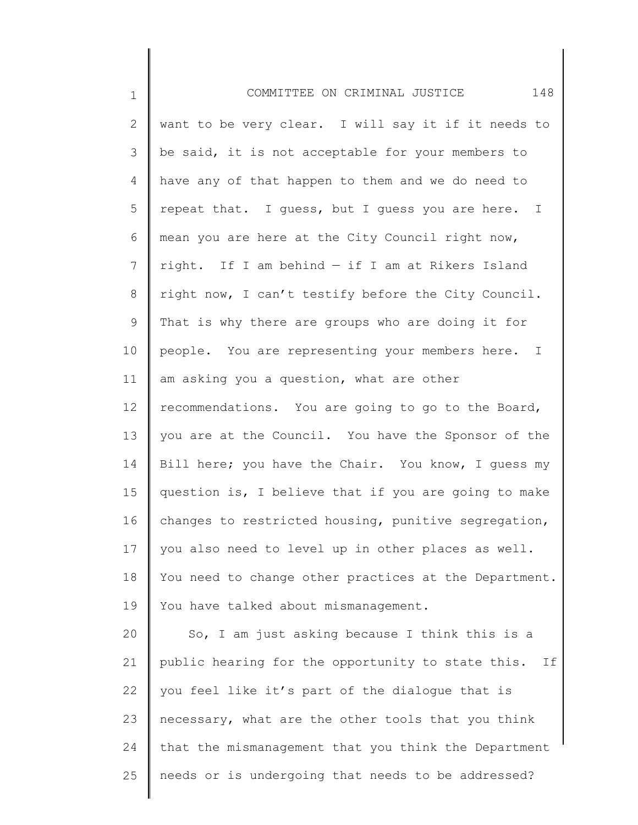| $\mathbf 1$     | 148<br>COMMITTEE ON CRIMINAL JUSTICE                    |
|-----------------|---------------------------------------------------------|
| 2               | want to be very clear. I will say it if it needs to     |
| 3               | be said, it is not acceptable for your members to       |
| 4               | have any of that happen to them and we do need to       |
| 5               | repeat that. I guess, but I guess you are here. I       |
| 6               | mean you are here at the City Council right now,        |
| 7               | right. If I am behind - if I am at Rikers Island        |
| 8               | right now, I can't testify before the City Council.     |
| 9               | That is why there are groups who are doing it for       |
| 10              | people. You are representing your members here. I       |
| 11              | am asking you a question, what are other                |
| 12 <sup>°</sup> | recommendations. You are going to go to the Board,      |
| 13              | you are at the Council. You have the Sponsor of the     |
| 14              | Bill here; you have the Chair. You know, I guess my     |
| 15              | question is, I believe that if you are going to make    |
| 16              | changes to restricted housing, punitive segregation,    |
| 17              | you also need to level up in other places as well.      |
| 18              | You need to change other practices at the Department.   |
| 19              | You have talked about mismanagement.                    |
| 20              | So, I am just asking because I think this is a          |
| 21              | public hearing for the opportunity to state this.<br>If |
| 22              | you feel like it's part of the dialogue that is         |
| 23              | necessary, what are the other tools that you think      |
| 24              | that the mismanagement that you think the Department    |
| 25              | needs or is undergoing that needs to be addressed?      |
|                 |                                                         |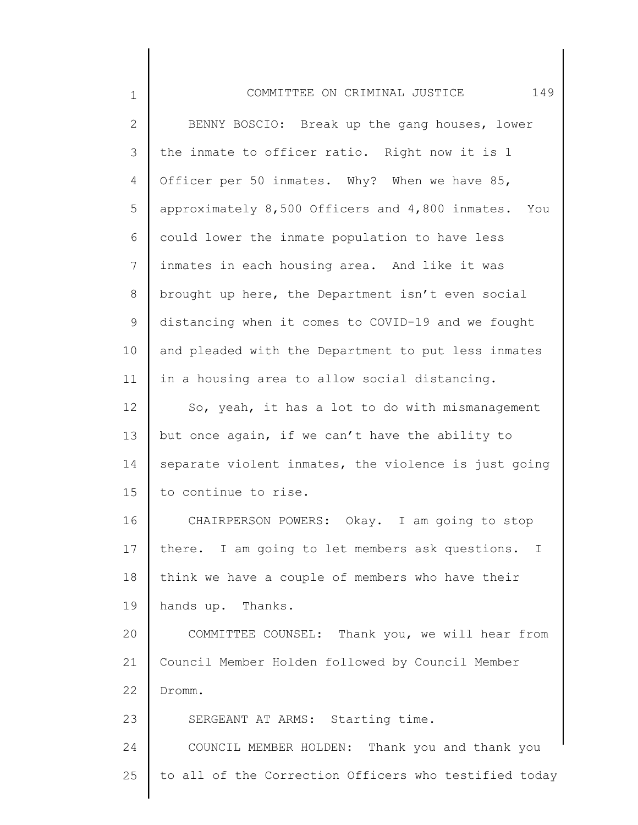| $\mathbf 1$     | 149<br>COMMITTEE ON CRIMINAL JUSTICE                  |
|-----------------|-------------------------------------------------------|
| $\mathbf{2}$    | BENNY BOSCIO: Break up the gang houses, lower         |
| 3               | the inmate to officer ratio. Right now it is 1        |
| 4               | Officer per 50 inmates. Why? When we have 85,         |
| 5               | approximately 8,500 Officers and 4,800 inmates. You   |
| 6               | could lower the inmate population to have less        |
| $7\phantom{.0}$ | inmates in each housing area. And like it was         |
| 8               | brought up here, the Department isn't even social     |
| 9               | distancing when it comes to COVID-19 and we fought    |
| 10              | and pleaded with the Department to put less inmates   |
| 11              | in a housing area to allow social distancing.         |
| 12              | So, yeah, it has a lot to do with mismanagement       |
| 13              | but once again, if we can't have the ability to       |
| 14              | separate violent inmates, the violence is just going  |
| 15              | to continue to rise.                                  |
| 16              | CHAIRPERSON POWERS: Okay. I am going to stop          |
| 17              | there. I am going to let members ask questions.       |
| 18              | think we have a couple of members who have their      |
| 19              | hands up. Thanks.                                     |
| 20              | COMMITTEE COUNSEL: Thank you, we will hear from       |
| 21              | Council Member Holden followed by Council Member      |
| 22              | Dromm.                                                |
| 23              | SERGEANT AT ARMS: Starting time.                      |
| 24              | COUNCIL MEMBER HOLDEN: Thank you and thank you        |
| 25              | to all of the Correction Officers who testified today |
|                 |                                                       |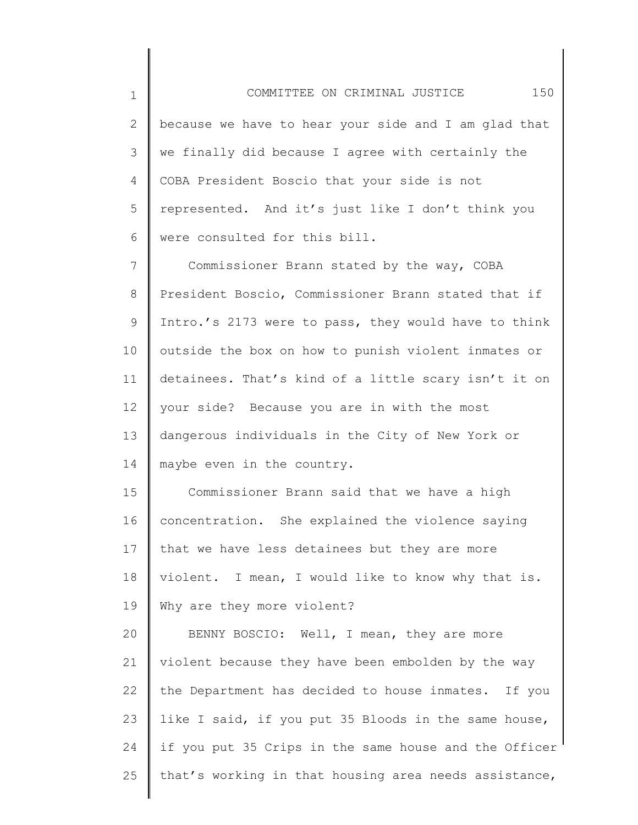1 2 3 4 5 6 COMMITTEE ON CRIMINAL JUSTICE 150 because we have to hear your side and I am glad that we finally did because I agree with certainly the COBA President Boscio that your side is not represented. And it's just like I don't think you were consulted for this bill.

7 8 9 10 11 12 13 14 Commissioner Brann stated by the way, COBA President Boscio, Commissioner Brann stated that if Intro.'s 2173 were to pass, they would have to think outside the box on how to punish violent inmates or detainees. That's kind of a little scary isn't it on your side? Because you are in with the most dangerous individuals in the City of New York or maybe even in the country.

15 16 17 18 19 Commissioner Brann said that we have a high concentration. She explained the violence saying that we have less detainees but they are more violent. I mean, I would like to know why that is. Why are they more violent?

20 21 22 23 24 25 BENNY BOSCIO: Well, I mean, they are more violent because they have been embolden by the way the Department has decided to house inmates. If you like I said, if you put 35 Bloods in the same house, if you put 35 Crips in the same house and the Officer that's working in that housing area needs assistance,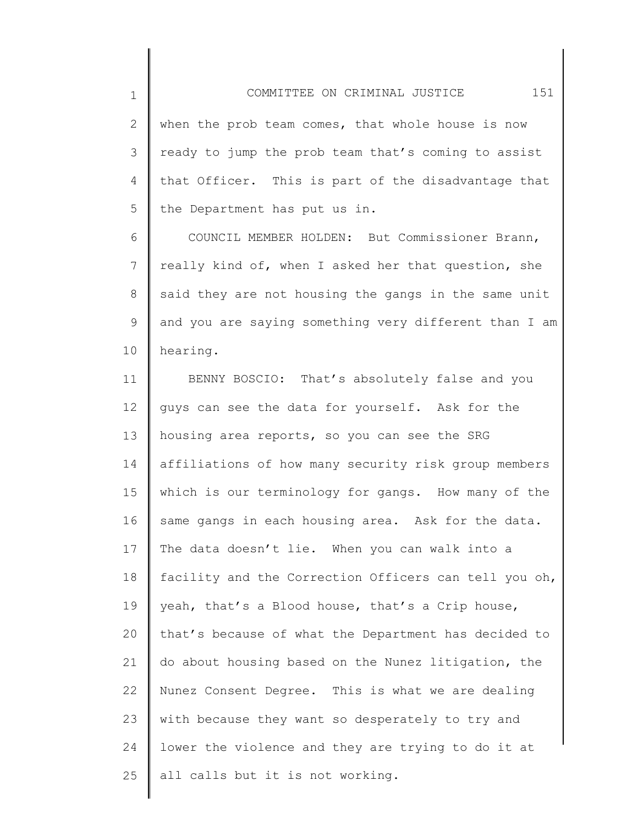2 3 4 5 when the prob team comes, that whole house is now ready to jump the prob team that's coming to assist that Officer. This is part of the disadvantage that the Department has put us in.

1

6 7 8 9 10 COUNCIL MEMBER HOLDEN: But Commissioner Brann, really kind of, when I asked her that question, she said they are not housing the gangs in the same unit and you are saying something very different than I am hearing.

11 12 13 14 15 16 17 18 19 20 21 22 23 24 25 BENNY BOSCIO: That's absolutely false and you guys can see the data for yourself. Ask for the housing area reports, so you can see the SRG affiliations of how many security risk group members which is our terminology for gangs. How many of the same gangs in each housing area. Ask for the data. The data doesn't lie. When you can walk into a facility and the Correction Officers can tell you oh, yeah, that's a Blood house, that's a Crip house, that's because of what the Department has decided to do about housing based on the Nunez litigation, the Nunez Consent Degree. This is what we are dealing with because they want so desperately to try and lower the violence and they are trying to do it at all calls but it is not working.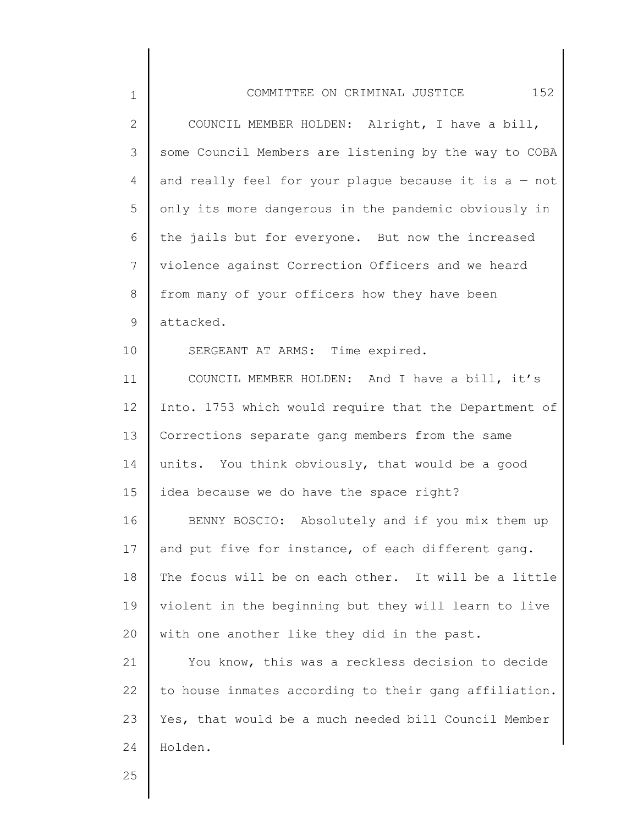| $\mathbf 1$     | 152<br>COMMITTEE ON CRIMINAL JUSTICE                    |
|-----------------|---------------------------------------------------------|
| $\overline{2}$  | COUNCIL MEMBER HOLDEN: Alright, I have a bill,          |
| 3               | some Council Members are listening by the way to COBA   |
| 4               | and really feel for your plague because it is $a - not$ |
| 5               | only its more dangerous in the pandemic obviously in    |
| 6               | the jails but for everyone. But now the increased       |
| $7\phantom{.0}$ | violence against Correction Officers and we heard       |
| $8\,$           | from many of your officers how they have been           |
| 9               | attacked.                                               |
| 10              | SERGEANT AT ARMS: Time expired.                         |
| 11              | COUNCIL MEMBER HOLDEN: And I have a bill, it's          |
| 12              | Into. 1753 which would require that the Department of   |
| 13              | Corrections separate gang members from the same         |
| 14              | units. You think obviously, that would be a good        |
| 15              | idea because we do have the space right?                |
| 16              | BENNY BOSCIO: Absolutely and if you mix them up         |
| 17              | and put five for instance, of each different gang.      |
| 18              | The focus will be on each other. It will be a little    |
| 19              | violent in the beginning but they will learn to live    |
| 20              | with one another like they did in the past.             |
| 21              | You know, this was a reckless decision to decide        |
| 22              | to house inmates according to their gang affiliation.   |
| 23              | Yes, that would be a much needed bill Council Member    |
| 24              | Holden.                                                 |
| 25              |                                                         |

║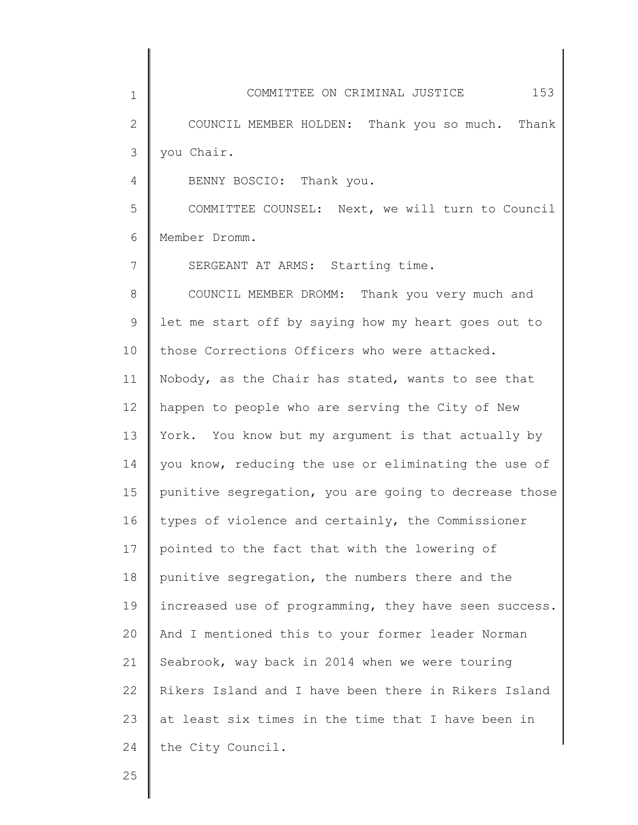1 2 3 4 5 6 7 8 9 10 11 12 13 14 15 16 17 18 19 20 21 22 23 24 COMMITTEE ON CRIMINAL JUSTICE 153 COUNCIL MEMBER HOLDEN: Thank you so much. Thank you Chair. BENNY BOSCIO: Thank you. COMMITTEE COUNSEL: Next, we will turn to Council Member Dromm. SERGEANT AT ARMS: Starting time. COUNCIL MEMBER DROMM: Thank you very much and let me start off by saying how my heart goes out to those Corrections Officers who were attacked. Nobody, as the Chair has stated, wants to see that happen to people who are serving the City of New York. You know but my argument is that actually by you know, reducing the use or eliminating the use of punitive segregation, you are going to decrease those types of violence and certainly, the Commissioner pointed to the fact that with the lowering of punitive segregation, the numbers there and the increased use of programming, they have seen success. And I mentioned this to your former leader Norman Seabrook, way back in 2014 when we were touring Rikers Island and I have been there in Rikers Island at least six times in the time that I have been in the City Council.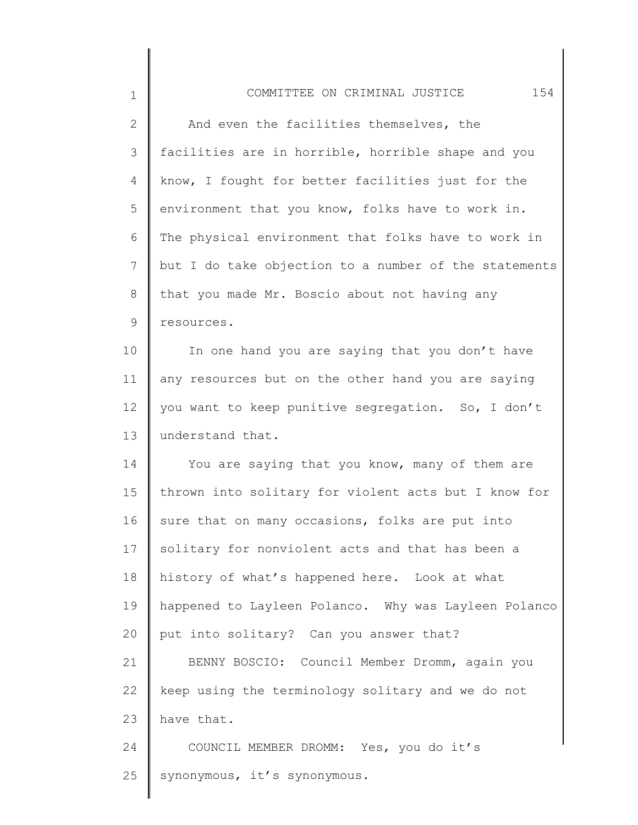| $\mathbf 1$  | 154<br>COMMITTEE ON CRIMINAL JUSTICE                  |
|--------------|-------------------------------------------------------|
| $\mathbf{2}$ | And even the facilities themselves, the               |
| 3            | facilities are in horrible, horrible shape and you    |
| 4            | know, I fought for better facilities just for the     |
| 5            | environment that you know, folks have to work in.     |
| 6            | The physical environment that folks have to work in   |
| 7            | but I do take objection to a number of the statements |
| 8            | that you made Mr. Boscio about not having any         |
| 9            | resources.                                            |
| 10           | In one hand you are saying that you don't have        |
| 11           | any resources but on the other hand you are saying    |
| 12           | you want to keep punitive segregation. So, I don't    |
| 13           | understand that.                                      |
| 14           | You are saying that you know, many of them are        |
| 15           | thrown into solitary for violent acts but I know for  |
| 16           | sure that on many occasions, folks are put into       |
| 17           | solitary for nonviolent acts and that has been a      |
| 18           | history of what's happened here. Look at what         |
| 19           | happened to Layleen Polanco. Why was Layleen Polanco  |
| 20           | put into solitary? Can you answer that?               |
| 21           | BENNY BOSCIO: Council Member Dromm, again you         |
| 22           | keep using the terminology solitary and we do not     |
| 23           | have that.                                            |
| 24           | COUNCIL MEMBER DROMM: Yes, you do it's                |
| 25           | synonymous, it's synonymous.                          |
|              |                                                       |

∥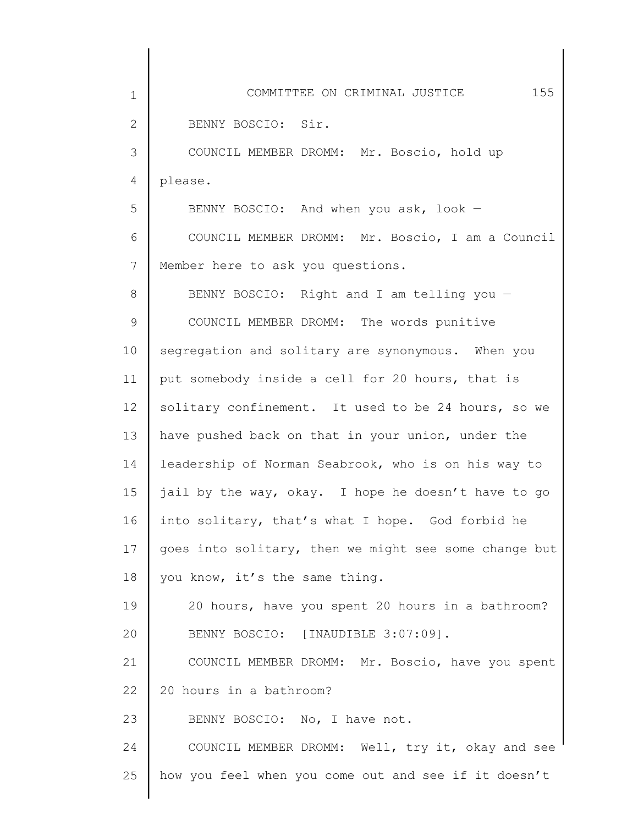| $\mathbf 1$  | 155<br>COMMITTEE ON CRIMINAL JUSTICE                  |
|--------------|-------------------------------------------------------|
| $\mathbf{2}$ | BENNY BOSCIO: Sir.                                    |
| 3            | COUNCIL MEMBER DROMM: Mr. Boscio, hold up             |
| 4            | please.                                               |
| 5            | BENNY BOSCIO: And when you ask, look -                |
| 6            | COUNCIL MEMBER DROMM: Mr. Boscio, I am a Council      |
| 7            | Member here to ask you questions.                     |
| 8            | BENNY BOSCIO: Right and I am telling you -            |
| $\mathsf 9$  | COUNCIL MEMBER DROMM: The words punitive              |
| 10           | segregation and solitary are synonymous. When you     |
| 11           | put somebody inside a cell for 20 hours, that is      |
| 12           | solitary confinement. It used to be 24 hours, so we   |
| 13           | have pushed back on that in your union, under the     |
| 14           | leadership of Norman Seabrook, who is on his way to   |
| 15           | jail by the way, okay. I hope he doesn't have to go   |
| 16           | into solitary, that's what I hope. God forbid he      |
| 17           | goes into solitary, then we might see some change but |
| 18           | you know, it's the same thing.                        |
| 19           | 20 hours, have you spent 20 hours in a bathroom?      |
| 20           | BENNY BOSCIO: [INAUDIBLE 3:07:09].                    |
| 21           | COUNCIL MEMBER DROMM: Mr. Boscio, have you spent      |
| 22           | 20 hours in a bathroom?                               |
| 23           | BENNY BOSCIO: No, I have not.                         |
| 24           | COUNCIL MEMBER DROMM: Well, try it, okay and see      |
| 25           | how you feel when you come out and see if it doesn't  |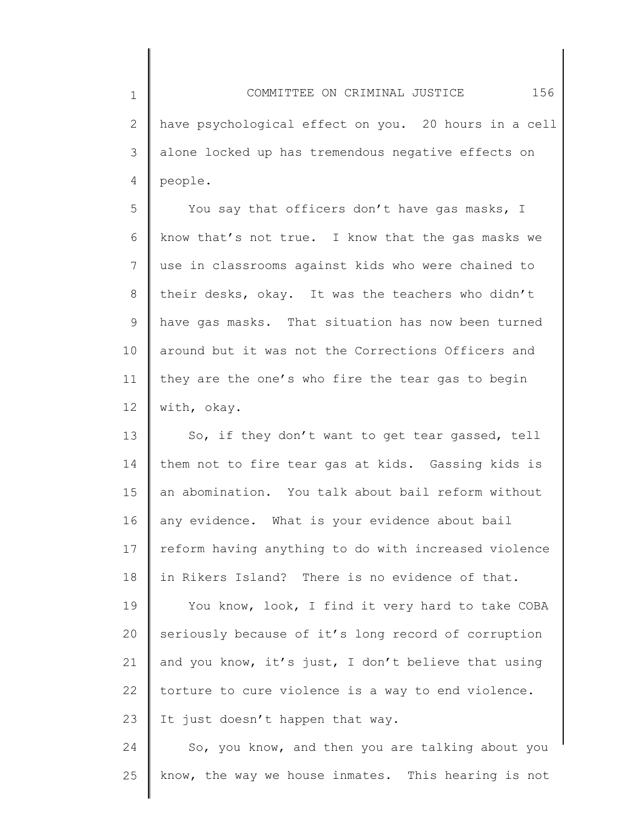1 2 3 4 COMMITTEE ON CRIMINAL JUSTICE 156 have psychological effect on you. 20 hours in a cell alone locked up has tremendous negative effects on people.

5 6 7 8 9 10 11 12 You say that officers don't have gas masks, I know that's not true. I know that the gas masks we use in classrooms against kids who were chained to their desks, okay. It was the teachers who didn't have gas masks. That situation has now been turned around but it was not the Corrections Officers and they are the one's who fire the tear gas to begin with, okay.

13 14 15 16 17 18 So, if they don't want to get tear gassed, tell them not to fire tear gas at kids. Gassing kids is an abomination. You talk about bail reform without any evidence. What is your evidence about bail reform having anything to do with increased violence in Rikers Island? There is no evidence of that.

19 20 21 22 23 You know, look, I find it very hard to take COBA seriously because of it's long record of corruption and you know, it's just, I don't believe that using torture to cure violence is a way to end violence. It just doesn't happen that way.

24 25 So, you know, and then you are talking about you know, the way we house inmates. This hearing is not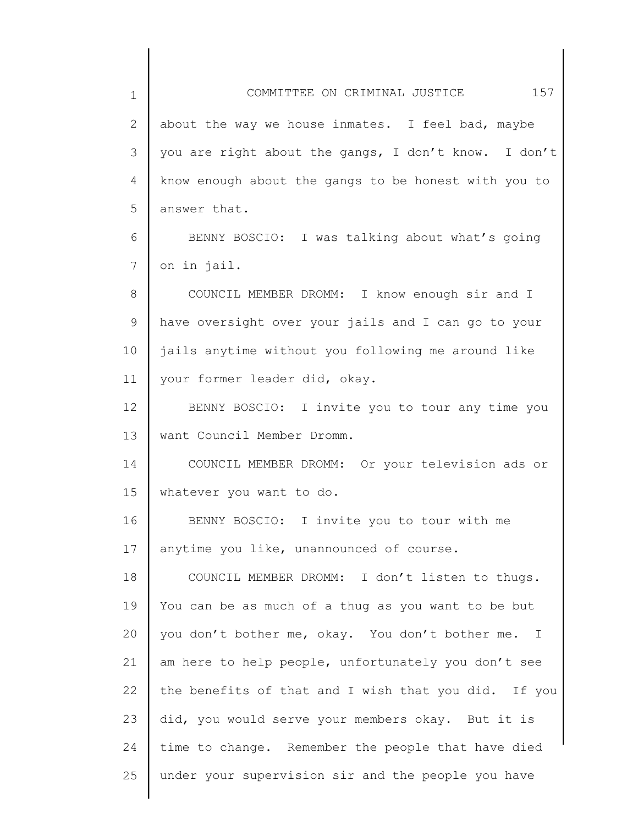1 2 3 4 5 6 7 8 9 10 11 12 13 14 15 16 17 18 19 20 21 22 23 24 25 COMMITTEE ON CRIMINAL JUSTICE 157 about the way we house inmates. I feel bad, maybe you are right about the gangs, I don't know. I don't know enough about the gangs to be honest with you to answer that. BENNY BOSCIO: I was talking about what's going on in jail. COUNCIL MEMBER DROMM: I know enough sir and I have oversight over your jails and I can go to your jails anytime without you following me around like your former leader did, okay. BENNY BOSCIO: I invite you to tour any time you want Council Member Dromm. COUNCIL MEMBER DROMM: Or your television ads or whatever you want to do. BENNY BOSCIO: I invite you to tour with me anytime you like, unannounced of course. COUNCIL MEMBER DROMM: I don't listen to thugs. You can be as much of a thug as you want to be but you don't bother me, okay. You don't bother me. I am here to help people, unfortunately you don't see the benefits of that and I wish that you did. If you did, you would serve your members okay. But it is time to change. Remember the people that have died under your supervision sir and the people you have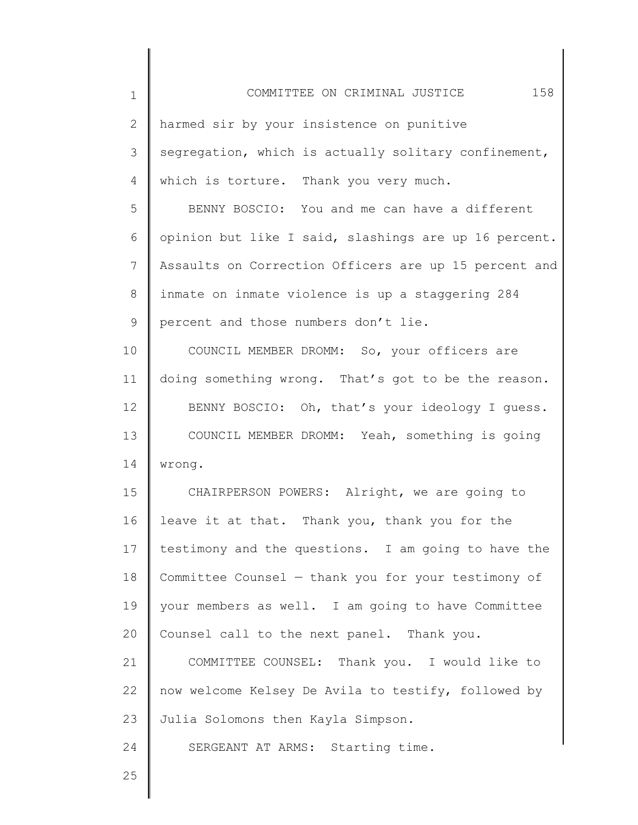| $\mathbf 1$    | 158<br>COMMITTEE ON CRIMINAL JUSTICE                  |
|----------------|-------------------------------------------------------|
| $\overline{2}$ | harmed sir by your insistence on punitive             |
| 3              | segregation, which is actually solitary confinement,  |
| $\overline{4}$ | which is torture. Thank you very much.                |
| 5              | BENNY BOSCIO: You and me can have a different         |
| 6              | opinion but like I said, slashings are up 16 percent. |
| $\overline{7}$ | Assaults on Correction Officers are up 15 percent and |
| $8\,$          | inmate on inmate violence is up a staggering 284      |
| 9              | percent and those numbers don't lie.                  |
| 10             | COUNCIL MEMBER DROMM: So, your officers are           |
| 11             | doing something wrong. That's got to be the reason.   |
| 12             | BENNY BOSCIO: Oh, that's your ideology I guess.       |
| 13             | COUNCIL MEMBER DROMM: Yeah, something is going        |
| 14             | wrong.                                                |
| 15             | CHAIRPERSON POWERS: Alright, we are going to          |
| 16             | leave it at that. Thank you, thank you for the        |
| 17             | testimony and the questions. I am going to have the   |
| 18             | Committee Counsel - thank you for your testimony of   |
| 19             | your members as well. I am going to have Committee    |
| 20             | Counsel call to the next panel. Thank you.            |
| 21             | COMMITTEE COUNSEL: Thank you. I would like to         |
| 22             | now welcome Kelsey De Avila to testify, followed by   |

23 Julia Solomons then Kayla Simpson.

SERGEANT AT ARMS: Starting time.

25

24

║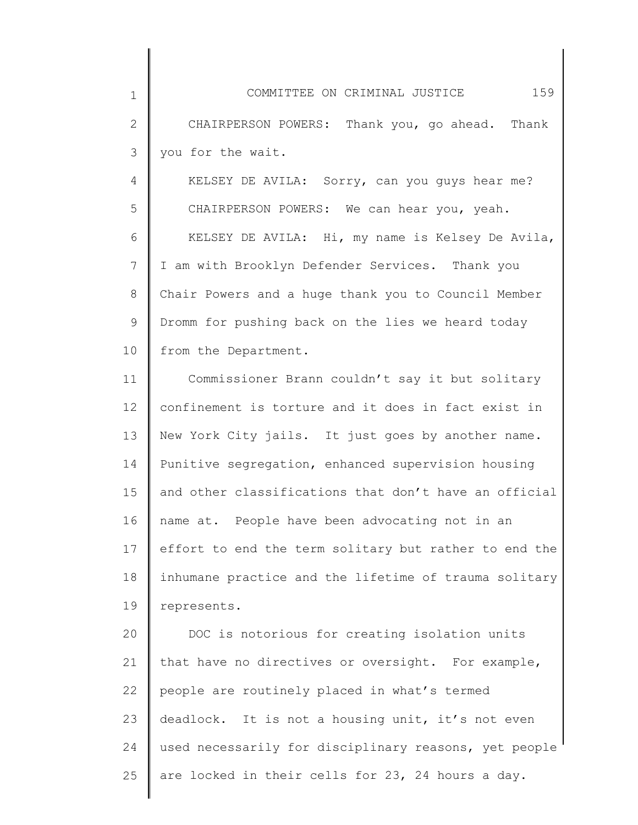| $\mathbf 1$  | 159<br>COMMITTEE ON CRIMINAL JUSTICE                  |
|--------------|-------------------------------------------------------|
| $\mathbf{2}$ | CHAIRPERSON POWERS: Thank you, go ahead. Thank        |
| 3            | you for the wait.                                     |
| 4            | KELSEY DE AVILA: Sorry, can you guys hear me?         |
| 5            | CHAIRPERSON POWERS: We can hear you, yeah.            |
| 6            | KELSEY DE AVILA: Hi, my name is Kelsey De Avila,      |
| 7            | I am with Brooklyn Defender Services. Thank you       |
| 8            | Chair Powers and a huge thank you to Council Member   |
| $\mathsf 9$  | Dromm for pushing back on the lies we heard today     |
| 10           | from the Department.                                  |
| 11           | Commissioner Brann couldn't say it but solitary       |
| 12           | confinement is torture and it does in fact exist in   |
| 13           | New York City jails. It just goes by another name.    |
| 14           | Punitive segregation, enhanced supervision housing    |
| 15           | and other classifications that don't have an official |
| 16           | name at. People have been advocating not in an        |
| 17           | effort to end the term solitary but rather to end the |
| 18           | inhumane practice and the lifetime of trauma solitary |
| 19           | represents.                                           |
| 20           | DOC is notorious for creating isolation units         |
| 21           | that have no directives or oversight. For example,    |
| 22           | people are routinely placed in what's termed          |
| 23           | deadlock. It is not a housing unit, it's not even     |
| 24           | used necessarily for disciplinary reasons, yet people |
| 25           | are locked in their cells for 23, 24 hours a day.     |

║

║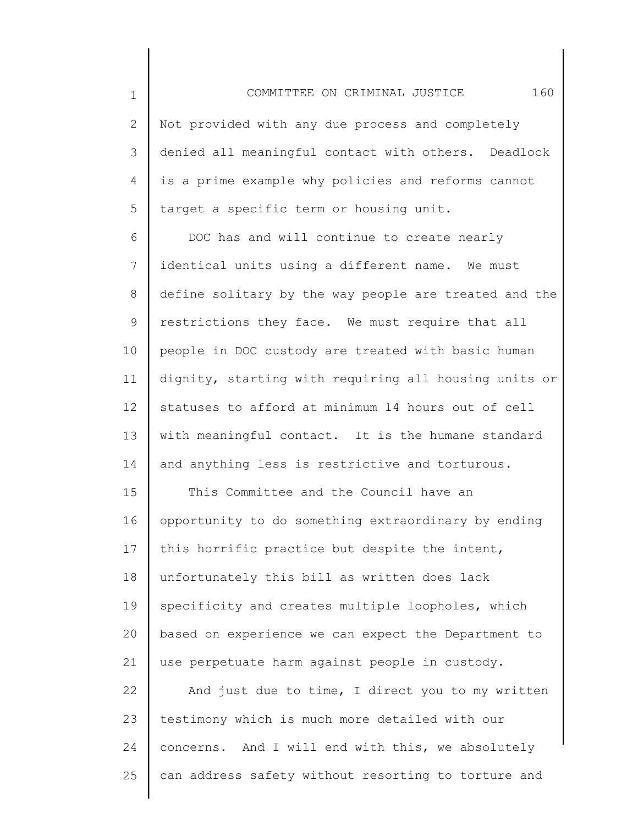2 3 4 5 Not provided with any due process and completely denied all meaningful contact with others. Deadlock is a prime example why policies and reforms cannot target a specific term or housing unit.

COMMITTEE ON CRIMINAL JUSTICE 160

1

25

6 7 8 9 10 11 12 13 14 DOC has and will continue to create nearly identical units using a different name. We must define solitary by the way people are treated and the restrictions they face. We must require that all people in DOC custody are treated with basic human dignity, starting with requiring all housing units or statuses to afford at minimum 14 hours out of cell with meaningful contact. It is the humane standard and anything less is restrictive and torturous.

15 16 17 18 19 20 21 22 23 24 This Committee and the Council have an opportunity to do something extraordinary by ending this horrific practice but despite the intent, unfortunately this bill as written does lack specificity and creates multiple loopholes, which based on experience we can expect the Department to use perpetuate harm against people in custody. And just due to time, I direct you to my written testimony which is much more detailed with our concerns. And I will end with this, we absolutely

can address safety without resorting to torture and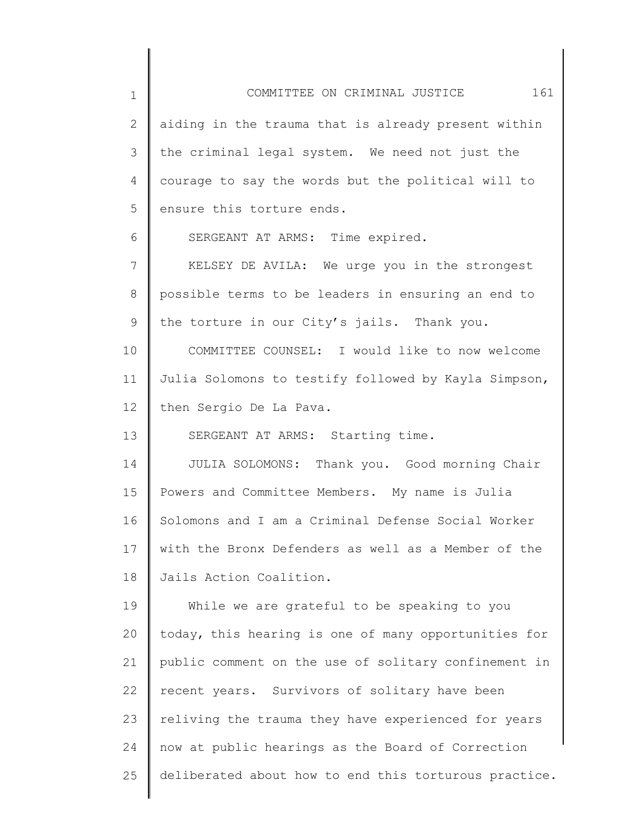1 2 3 4 5 6 7 8 9 10 11 12 13 14 15 16 17 18 19 20 21 22 23 24 25 COMMITTEE ON CRIMINAL JUSTICE 161 aiding in the trauma that is already present within the criminal legal system. We need not just the courage to say the words but the political will to ensure this torture ends. SERGEANT AT ARMS: Time expired. KELSEY DE AVILA: We urge you in the strongest possible terms to be leaders in ensuring an end to the torture in our City's jails. Thank you. COMMITTEE COUNSEL: I would like to now welcome Julia Solomons to testify followed by Kayla Simpson, then Sergio De La Pava. SERGEANT AT ARMS: Starting time. JULIA SOLOMONS: Thank you. Good morning Chair Powers and Committee Members. My name is Julia Solomons and I am a Criminal Defense Social Worker with the Bronx Defenders as well as a Member of the Jails Action Coalition. While we are grateful to be speaking to you today, this hearing is one of many opportunities for public comment on the use of solitary confinement in recent years. Survivors of solitary have been reliving the trauma they have experienced for years now at public hearings as the Board of Correction deliberated about how to end this torturous practice.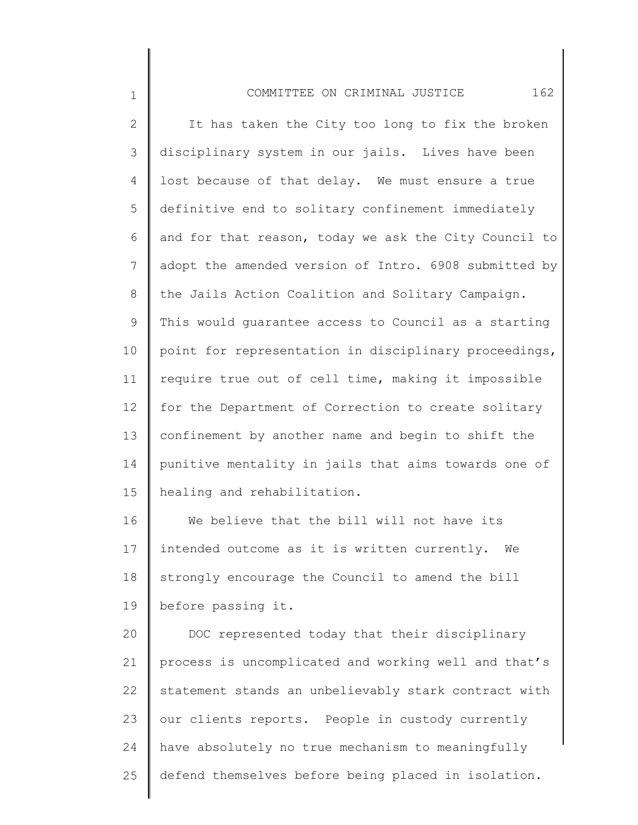| COMMITTEE ON CRIMINAL JUSTICE |  |  |  |  |  |
|-------------------------------|--|--|--|--|--|
|-------------------------------|--|--|--|--|--|

2 3 4 5 6 7 8 9 10 11 12 13 14 15 It has taken the City too long to fix the broken disciplinary system in our jails. Lives have been lost because of that delay. We must ensure a true definitive end to solitary confinement immediately and for that reason, today we ask the City Council to adopt the amended version of Intro. 6908 submitted by the Jails Action Coalition and Solitary Campaign. This would guarantee access to Council as a starting point for representation in disciplinary proceedings, require true out of cell time, making it impossible for the Department of Correction to create solitary confinement by another name and begin to shift the punitive mentality in jails that aims towards one of healing and rehabilitation.

1

16 17 18 19 We believe that the bill will not have its intended outcome as it is written currently. We strongly encourage the Council to amend the bill before passing it.

20 21 22 23 24 25 DOC represented today that their disciplinary process is uncomplicated and working well and that's statement stands an unbelievably stark contract with our clients reports. People in custody currently have absolutely no true mechanism to meaningfully defend themselves before being placed in isolation.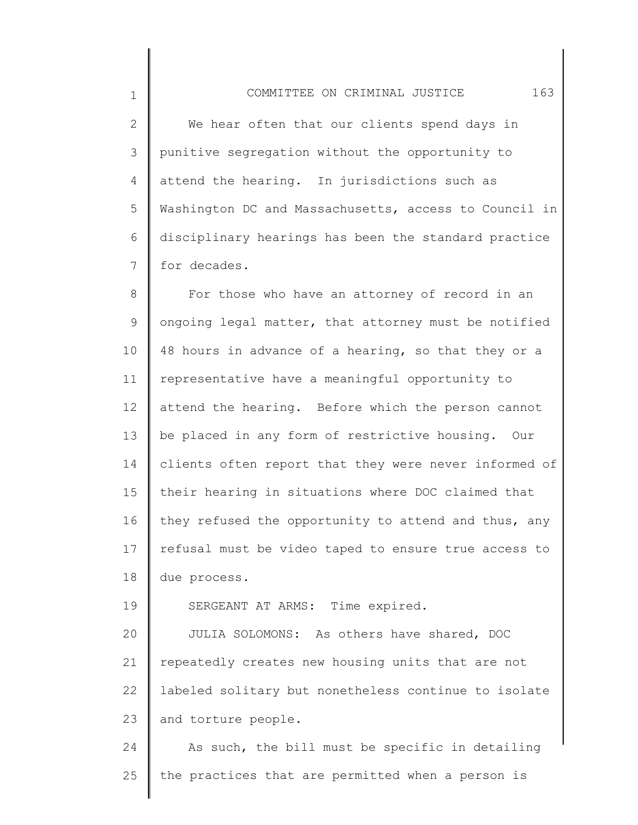1

19

2 3 4 5 6 7 We hear often that our clients spend days in punitive segregation without the opportunity to attend the hearing. In jurisdictions such as Washington DC and Massachusetts, access to Council in disciplinary hearings has been the standard practice for decades.

8 9 10 11 12 13 14 15 16 17 18 For those who have an attorney of record in an ongoing legal matter, that attorney must be notified 48 hours in advance of a hearing, so that they or a representative have a meaningful opportunity to attend the hearing. Before which the person cannot be placed in any form of restrictive housing. Our clients often report that they were never informed of their hearing in situations where DOC claimed that they refused the opportunity to attend and thus, any refusal must be video taped to ensure true access to due process.

SERGEANT AT ARMS: Time expired.

20 21 22 23 JULIA SOLOMONS: As others have shared, DOC repeatedly creates new housing units that are not labeled solitary but nonetheless continue to isolate and torture people.

24 25 As such, the bill must be specific in detailing the practices that are permitted when a person is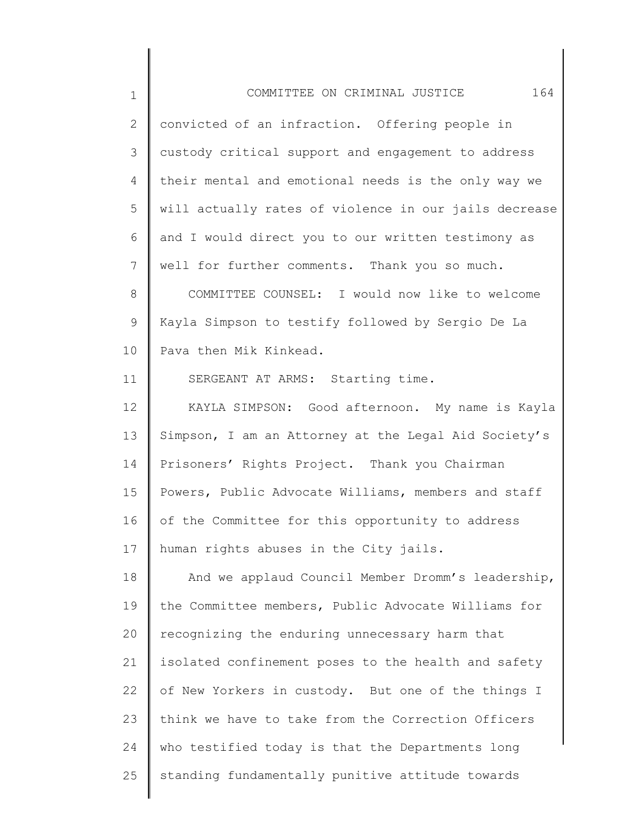| 164<br>COMMITTEE ON CRIMINAL JUSTICE                  |
|-------------------------------------------------------|
| convicted of an infraction. Offering people in        |
| custody critical support and engagement to address    |
| their mental and emotional needs is the only way we   |
| will actually rates of violence in our jails decrease |
| and I would direct you to our written testimony as    |
| well for further comments. Thank you so much.         |
| COMMITTEE COUNSEL: I would now like to welcome        |
| Kayla Simpson to testify followed by Sergio De La     |
| Pava then Mik Kinkead.                                |
| SERGEANT AT ARMS: Starting time.                      |
| KAYLA SIMPSON: Good afternoon. My name is Kayla       |
| Simpson, I am an Attorney at the Legal Aid Society's  |
| Prisoners' Rights Project. Thank you Chairman         |
| Powers, Public Advocate Williams, members and staff   |
| of the Committee for this opportunity to address      |
| human rights abuses in the City jails.                |
| And we applaud Council Member Dromm's leadership,     |
| the Committee members, Public Advocate Williams for   |
| recognizing the enduring unnecessary harm that        |
| isolated confinement poses to the health and safety   |
| of New Yorkers in custody. But one of the things I    |
| think we have to take from the Correction Officers    |
| who testified today is that the Departments long      |
| standing fundamentally punitive attitude towards      |
|                                                       |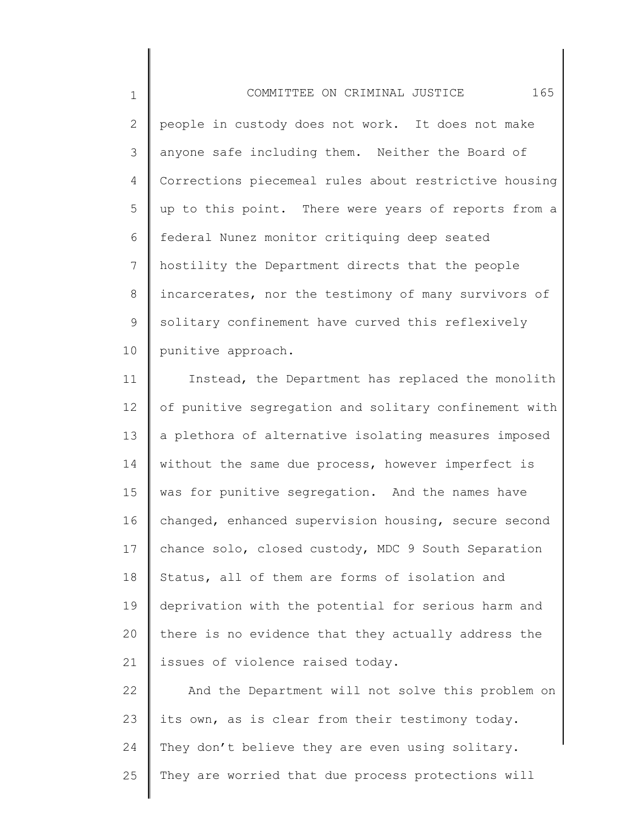1 2 3 4 5 6 7 8 9 10 COMMITTEE ON CRIMINAL JUSTICE 165 people in custody does not work. It does not make anyone safe including them. Neither the Board of Corrections piecemeal rules about restrictive housing up to this point. There were years of reports from a federal Nunez monitor critiquing deep seated hostility the Department directs that the people incarcerates, nor the testimony of many survivors of solitary confinement have curved this reflexively punitive approach.

11 12 13 14 15 16 17 18 19 20 21 Instead, the Department has replaced the monolith of punitive segregation and solitary confinement with a plethora of alternative isolating measures imposed without the same due process, however imperfect is was for punitive segregation. And the names have changed, enhanced supervision housing, secure second chance solo, closed custody, MDC 9 South Separation Status, all of them are forms of isolation and deprivation with the potential for serious harm and there is no evidence that they actually address the issues of violence raised today.

22 23 24 25 And the Department will not solve this problem on its own, as is clear from their testimony today. They don't believe they are even using solitary. They are worried that due process protections will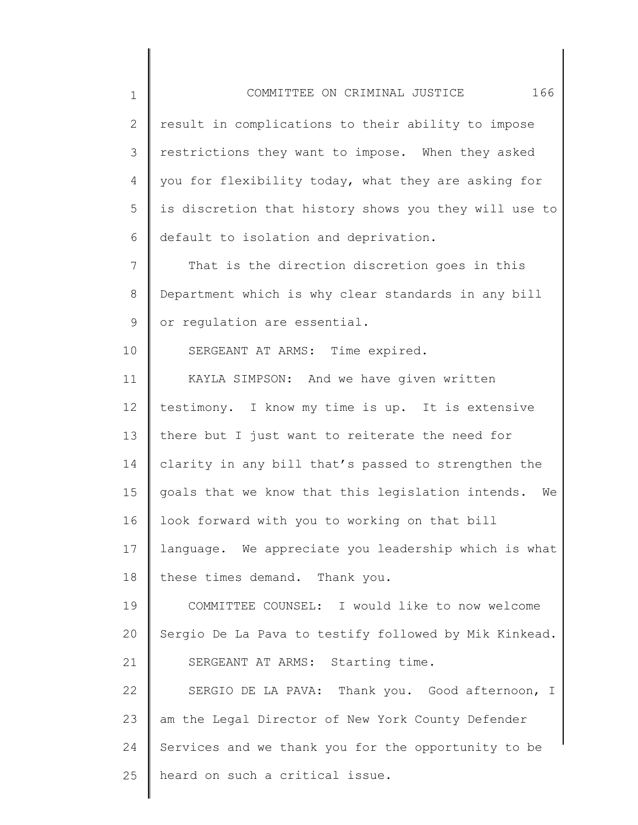1 2 3 4 5 6 7 8 9 10 11 12 13 14 15 16 17 18 19 20 COMMITTEE ON CRIMINAL JUSTICE 166 result in complications to their ability to impose restrictions they want to impose. When they asked you for flexibility today, what they are asking for is discretion that history shows you they will use to default to isolation and deprivation. That is the direction discretion goes in this Department which is why clear standards in any bill or regulation are essential. SERGEANT AT ARMS: Time expired. KAYLA SIMPSON: And we have given written testimony. I know my time is up. It is extensive there but I just want to reiterate the need for clarity in any bill that's passed to strengthen the goals that we know that this legislation intends. We look forward with you to working on that bill language. We appreciate you leadership which is what these times demand. Thank you. COMMITTEE COUNSEL: I would like to now welcome Sergio De La Pava to testify followed by Mik Kinkead.

22 23 24 25 SERGIO DE LA PAVA: Thank you. Good afternoon, I am the Legal Director of New York County Defender Services and we thank you for the opportunity to be heard on such a critical issue.

SERGEANT AT ARMS: Starting time.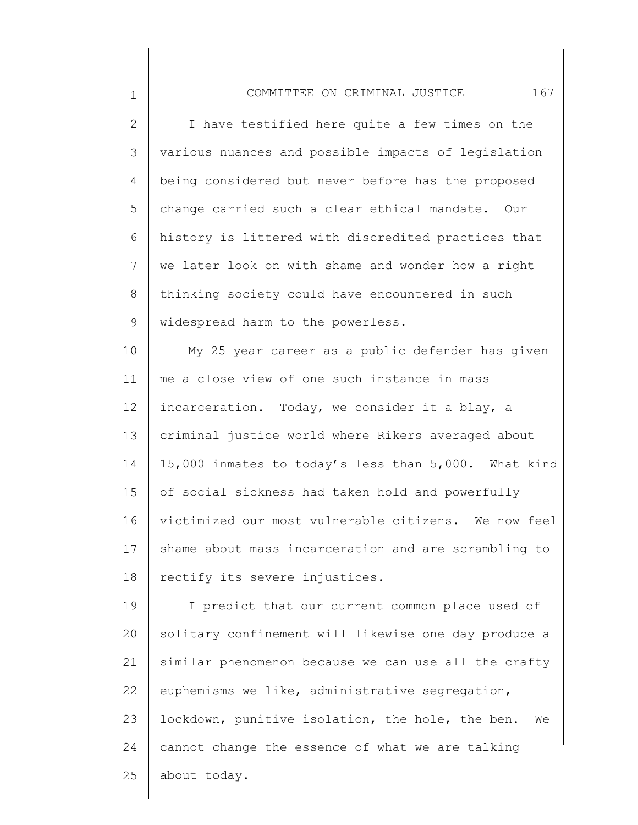2 3 4 5 6 7 8 9 I have testified here quite a few times on the various nuances and possible impacts of legislation being considered but never before has the proposed change carried such a clear ethical mandate. Our history is littered with discredited practices that we later look on with shame and wonder how a right thinking society could have encountered in such widespread harm to the powerless.

1

10 11 12 13 14 15 16 17 18 My 25 year career as a public defender has given me a close view of one such instance in mass incarceration. Today, we consider it a blay, a criminal justice world where Rikers averaged about 15,000 inmates to today's less than 5,000. What kind of social sickness had taken hold and powerfully victimized our most vulnerable citizens. We now feel shame about mass incarceration and are scrambling to rectify its severe injustices.

19 20 21 22 23 24 25 I predict that our current common place used of solitary confinement will likewise one day produce a similar phenomenon because we can use all the crafty euphemisms we like, administrative segregation, lockdown, punitive isolation, the hole, the ben. We cannot change the essence of what we are talking about today.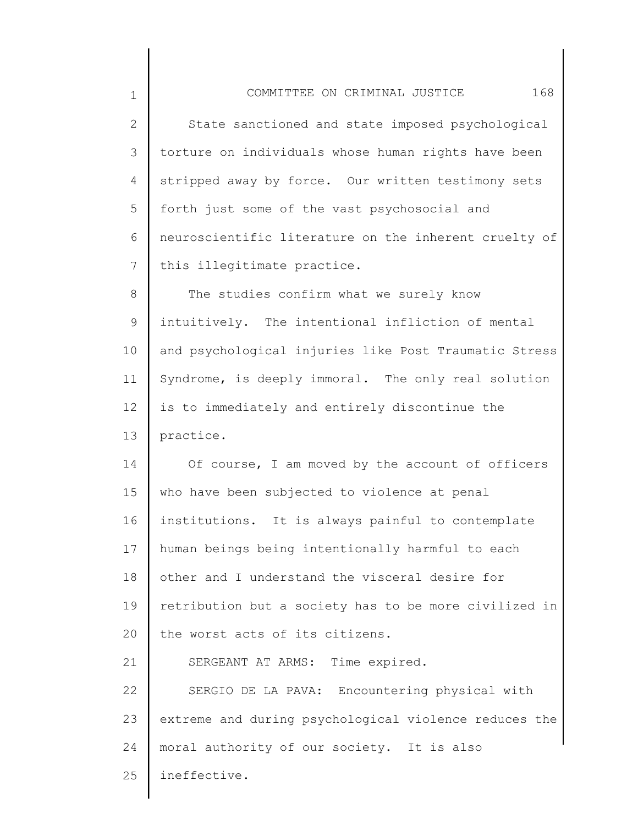1 2 3 4 5 6 7 8 9 10 11 12 13 14 15 16 17 18 19 20 21 22 23 24 25 COMMITTEE ON CRIMINAL JUSTICE 168 State sanctioned and state imposed psychological torture on individuals whose human rights have been stripped away by force. Our written testimony sets forth just some of the vast psychosocial and neuroscientific literature on the inherent cruelty of this illegitimate practice. The studies confirm what we surely know intuitively. The intentional infliction of mental and psychological injuries like Post Traumatic Stress Syndrome, is deeply immoral. The only real solution is to immediately and entirely discontinue the practice. Of course, I am moved by the account of officers who have been subjected to violence at penal institutions. It is always painful to contemplate human beings being intentionally harmful to each other and I understand the visceral desire for retribution but a society has to be more civilized in the worst acts of its citizens. SERGEANT AT ARMS: Time expired. SERGIO DE LA PAVA: Encountering physical with extreme and during psychological violence reduces the moral authority of our society. It is also ineffective.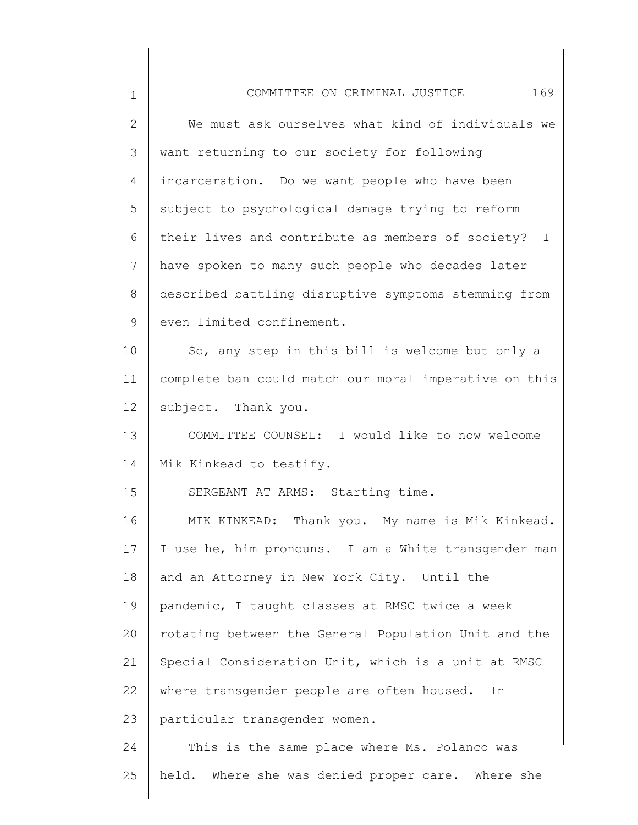| $\mathbf 1$   | 169<br>COMMITTEE ON CRIMINAL JUSTICE                  |
|---------------|-------------------------------------------------------|
| $\mathbf{2}$  | We must ask ourselves what kind of individuals we     |
| $\mathcal{S}$ | want returning to our society for following           |
| 4             | incarceration. Do we want people who have been        |
| 5             | subject to psychological damage trying to reform      |
| 6             | their lives and contribute as members of society? I   |
| 7             | have spoken to many such people who decades later     |
| 8             | described battling disruptive symptoms stemming from  |
| 9             | even limited confinement.                             |
| 10            | So, any step in this bill is welcome but only a       |
| 11            | complete ban could match our moral imperative on this |
| 12            | subject. Thank you.                                   |
| 13            | COMMITTEE COUNSEL: I would like to now welcome        |
| 14            | Mik Kinkead to testify.                               |
| 15            | SERGEANT AT ARMS: Starting time.                      |
| 16            | MIK KINKEAD: Thank you. My name is Mik Kinkead.       |
| 17            | I use he, him pronouns. I am a White transgender man  |
| 18            | and an Attorney in New York City. Until the           |
| 19            | pandemic, I taught classes at RMSC twice a week       |
| 20            | rotating between the General Population Unit and the  |
| 21            | Special Consideration Unit, which is a unit at RMSC   |
| 22            | where transgender people are often housed.<br>In      |
| 23            | particular transgender women.                         |
| 24            | This is the same place where Ms. Polanco was          |
| 25            | held. Where she was denied proper care. Where she     |
|               |                                                       |

 $\begin{array}{c} \hline \end{array}$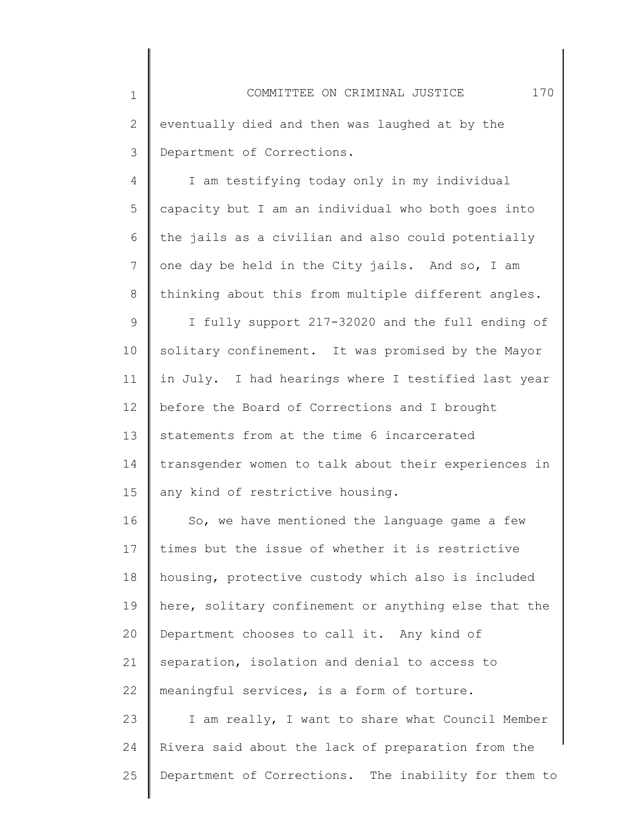1 2 3 COMMITTEE ON CRIMINAL JUSTICE 170 eventually died and then was laughed at by the Department of Corrections.

4 5 6 7 8 I am testifying today only in my individual capacity but I am an individual who both goes into the jails as a civilian and also could potentially one day be held in the City jails. And so, I am thinking about this from multiple different angles.

9 10 11 12 13 14 15 I fully support 217-32020 and the full ending of solitary confinement. It was promised by the Mayor in July. I had hearings where I testified last year before the Board of Corrections and I brought statements from at the time 6 incarcerated transgender women to talk about their experiences in any kind of restrictive housing.

16 17 18 19 20 21 22 So, we have mentioned the language game a few times but the issue of whether it is restrictive housing, protective custody which also is included here, solitary confinement or anything else that the Department chooses to call it. Any kind of separation, isolation and denial to access to meaningful services, is a form of torture.

23 24 25 I am really, I want to share what Council Member Rivera said about the lack of preparation from the Department of Corrections. The inability for them to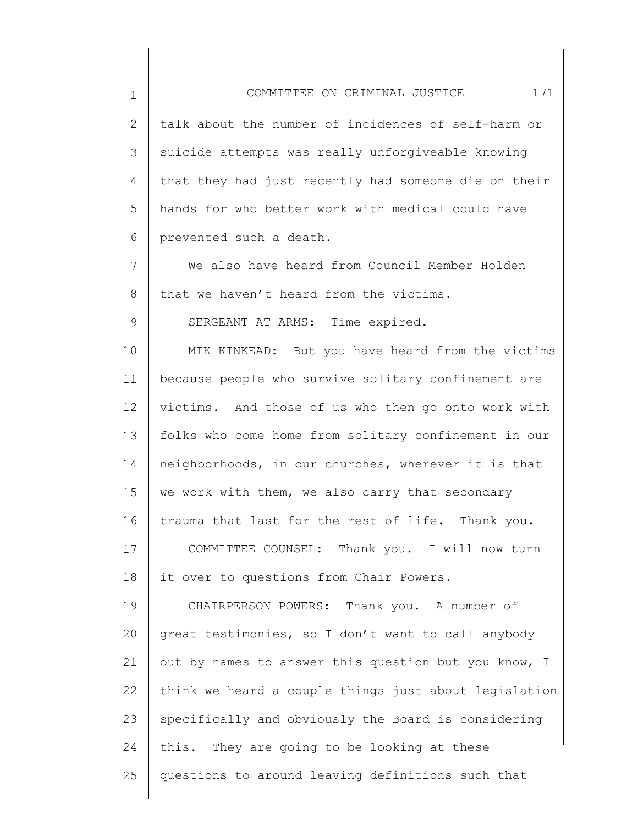1 2 3 4 5 6 7 8 9 10 11 12 13 14 15 16 17 18 19 20 21 22 23 24 COMMITTEE ON CRIMINAL JUSTICE 171 talk about the number of incidences of self-harm or suicide attempts was really unforgiveable knowing that they had just recently had someone die on their hands for who better work with medical could have prevented such a death. We also have heard from Council Member Holden that we haven't heard from the victims. SERGEANT AT ARMS: Time expired. MIK KINKEAD: But you have heard from the victims because people who survive solitary confinement are victims. And those of us who then go onto work with folks who come home from solitary confinement in our neighborhoods, in our churches, wherever it is that we work with them, we also carry that secondary trauma that last for the rest of life. Thank you. COMMITTEE COUNSEL: Thank you. I will now turn it over to questions from Chair Powers. CHAIRPERSON POWERS: Thank you. A number of great testimonies, so I don't want to call anybody out by names to answer this question but you know, I think we heard a couple things just about legislation specifically and obviously the Board is considering this. They are going to be looking at these

questions to around leaving definitions such that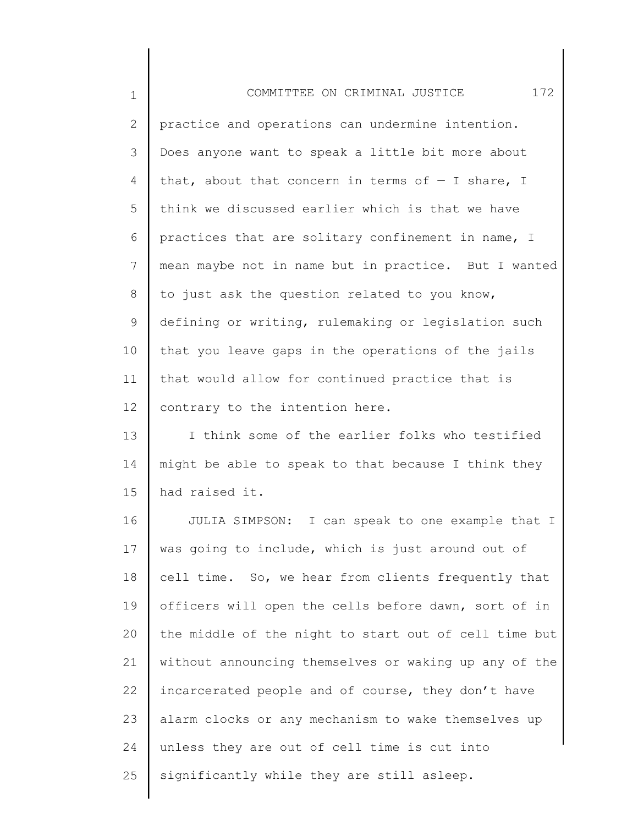| $\mathbf 1$     | 172<br>COMMITTEE ON CRIMINAL JUSTICE                  |
|-----------------|-------------------------------------------------------|
| $\mathbf{2}$    | practice and operations can undermine intention.      |
| 3               | Does anyone want to speak a little bit more about     |
| 4               | that, about that concern in terms of $-$ I share, I   |
| 5               | think we discussed earlier which is that we have      |
| 6               | practices that are solitary confinement in name, I    |
| $\overline{7}$  | mean maybe not in name but in practice. But I wanted  |
| 8               | to just ask the question related to you know,         |
| 9               | defining or writing, rulemaking or legislation such   |
| 10              | that you leave gaps in the operations of the jails    |
| 11              | that would allow for continued practice that is       |
| 12 <sup>°</sup> | contrary to the intention here.                       |
| 13              | I think some of the earlier folks who testified       |
| 14              | might be able to speak to that because I think they   |
| 15              | had raised it.                                        |
| 16              | JULIA SIMPSON: I can speak to one example that I      |
| 17              | was going to include, which is just around out of     |
| 18              | cell time. So, we hear from clients frequently that   |
| 19              | officers will open the cells before dawn, sort of in  |
| 20              | the middle of the night to start out of cell time but |
| 21              | without announcing themselves or waking up any of the |
| 22              | incarcerated people and of course, they don't have    |
| 23              | alarm clocks or any mechanism to wake themselves up   |
| 24              | unless they are out of cell time is cut into          |
| 25              | significantly while they are still asleep.            |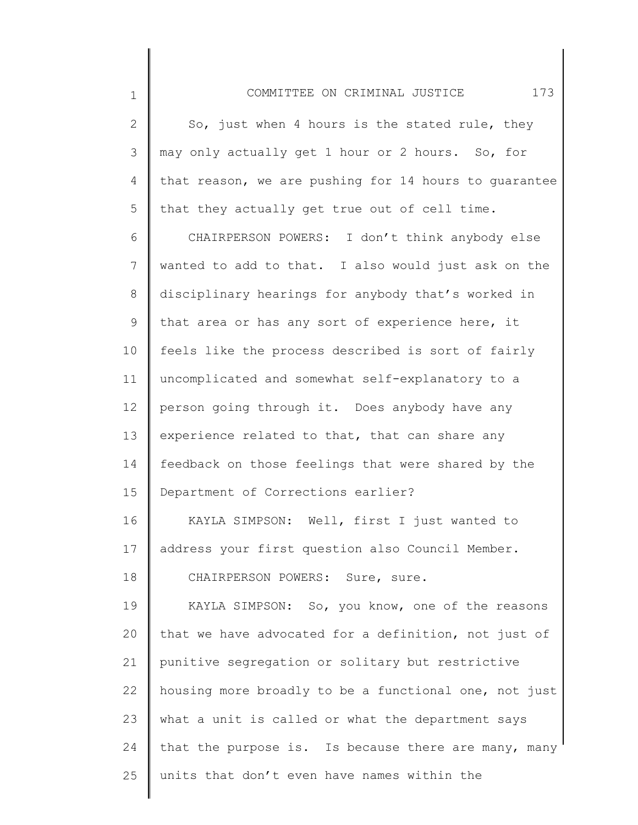2 3 4 5 So, just when 4 hours is the stated rule, they may only actually get 1 hour or 2 hours. So, for that reason, we are pushing for 14 hours to guarantee that they actually get true out of cell time.

1

6 7 8 9 10 11 12 13 14 15 CHAIRPERSON POWERS: I don't think anybody else wanted to add to that. I also would just ask on the disciplinary hearings for anybody that's worked in that area or has any sort of experience here, it feels like the process described is sort of fairly uncomplicated and somewhat self-explanatory to a person going through it. Does anybody have any experience related to that, that can share any feedback on those feelings that were shared by the Department of Corrections earlier?

16 17 18 KAYLA SIMPSON: Well, first I just wanted to address your first question also Council Member. CHAIRPERSON POWERS: Sure, sure.

19 20 21 22 23 24 25 KAYLA SIMPSON: So, you know, one of the reasons that we have advocated for a definition, not just of punitive segregation or solitary but restrictive housing more broadly to be a functional one, not just what a unit is called or what the department says that the purpose is. Is because there are many, many units that don't even have names within the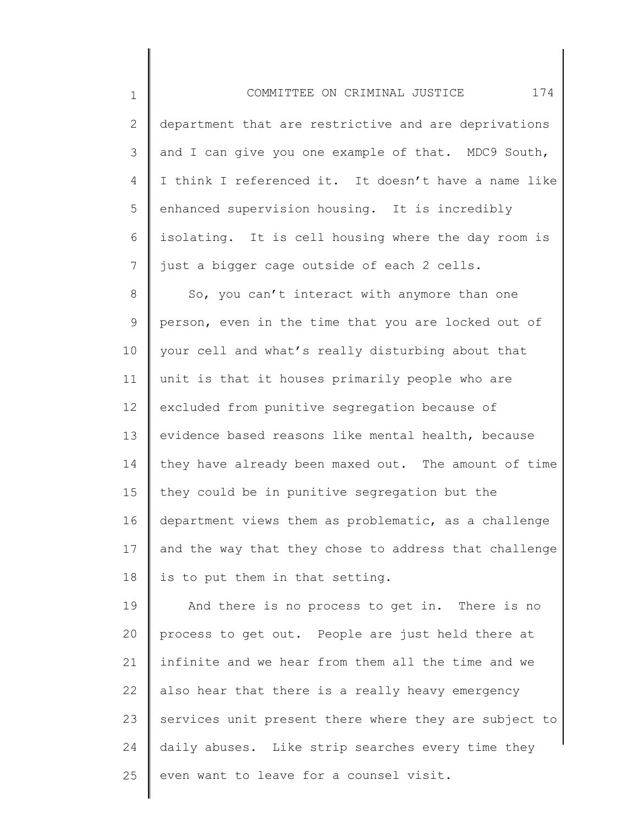1 2 3 4 5 6 7 8 9 10 11 12 13 14 15 COMMITTEE ON CRIMINAL JUSTICE 174 department that are restrictive and are deprivations and I can give you one example of that. MDC9 South, I think I referenced it. It doesn't have a name like enhanced supervision housing. It is incredibly isolating. It is cell housing where the day room is just a bigger cage outside of each 2 cells. So, you can't interact with anymore than one person, even in the time that you are locked out of your cell and what's really disturbing about that unit is that it houses primarily people who are excluded from punitive segregation because of evidence based reasons like mental health, because they have already been maxed out. The amount of time they could be in punitive segregation but the

16 17 18 department views them as problematic, as a challenge and the way that they chose to address that challenge is to put them in that setting.

19 20 21 22 23 24 25 And there is no process to get in. There is no process to get out. People are just held there at infinite and we hear from them all the time and we also hear that there is a really heavy emergency services unit present there where they are subject to daily abuses. Like strip searches every time they even want to leave for a counsel visit.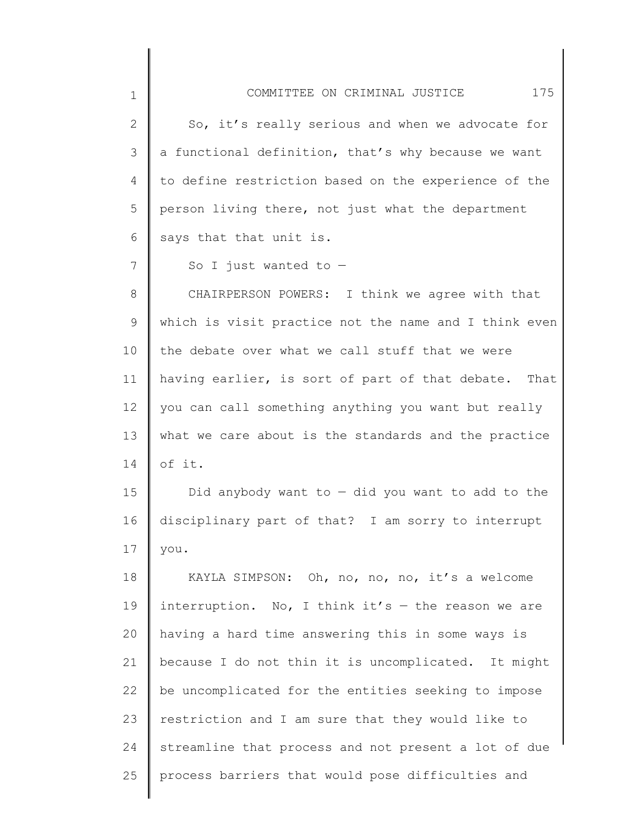| $\mathbf 1$  | 175<br>COMMITTEE ON CRIMINAL JUSTICE                  |
|--------------|-------------------------------------------------------|
| $\mathbf{2}$ | So, it's really serious and when we advocate for      |
| 3            | a functional definition, that's why because we want   |
| 4            | to define restriction based on the experience of the  |
| 5            | person living there, not just what the department     |
| 6            | says that that unit is.                               |
| 7            | So I just wanted to $-$                               |
| $8\,$        | CHAIRPERSON POWERS: I think we agree with that        |
| 9            | which is visit practice not the name and I think even |
| 10           | the debate over what we call stuff that we were       |
| 11           | having earlier, is sort of part of that debate. That  |
| 12           | you can call something anything you want but really   |
| 13           | what we care about is the standards and the practice  |
| 14           | of it.                                                |
| 15           | Did anybody want to $-$ did you want to add to the    |
| 16           | disciplinary part of that? I am sorry to interrupt    |
| 17           | you.                                                  |
| 18           | KAYLA SIMPSON: Oh, no, no, no, it's a welcome         |
| 19           | interruption. No, I think it's $-$ the reason we are  |
| 20           | having a hard time answering this in some ways is     |
| 21           | because I do not thin it is uncomplicated. It might   |
| 22           | be uncomplicated for the entities seeking to impose   |
| 23           | restriction and I am sure that they would like to     |
| 24           | streamline that process and not present a lot of due  |
| 25           | process barriers that would pose difficulties and     |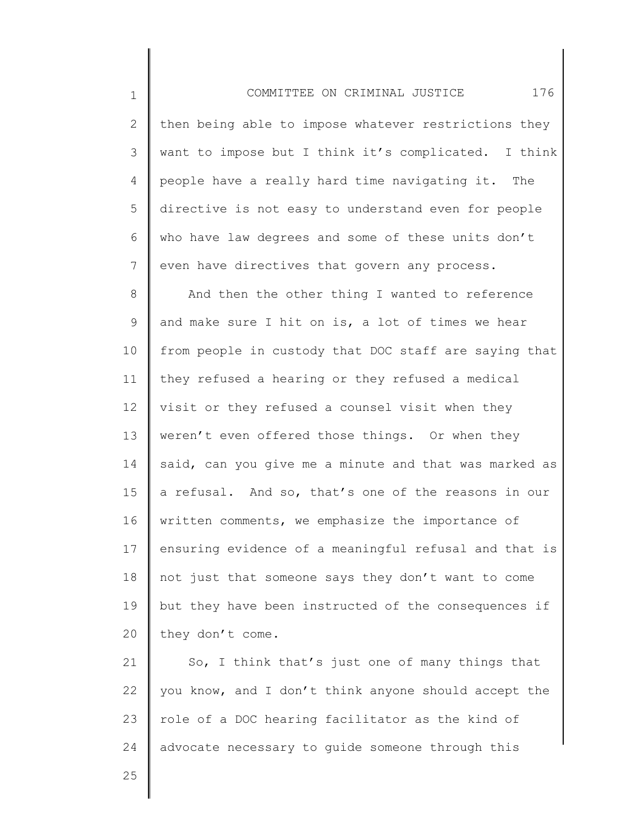1 2 3 4 5 6 7 8 9 10 11 12 13 14 15 16 17 18 19 20 21 COMMITTEE ON CRIMINAL JUSTICE 176 then being able to impose whatever restrictions they want to impose but I think it's complicated. I think people have a really hard time navigating it. The directive is not easy to understand even for people who have law degrees and some of these units don't even have directives that govern any process. And then the other thing I wanted to reference and make sure I hit on is, a lot of times we hear from people in custody that DOC staff are saying that they refused a hearing or they refused a medical visit or they refused a counsel visit when they weren't even offered those things. Or when they said, can you give me a minute and that was marked as a refusal. And so, that's one of the reasons in our written comments, we emphasize the importance of ensuring evidence of a meaningful refusal and that is not just that someone says they don't want to come but they have been instructed of the consequences if they don't come. So, I think that's just one of many things that

22 23 24 you know, and I don't think anyone should accept the role of a DOC hearing facilitator as the kind of advocate necessary to guide someone through this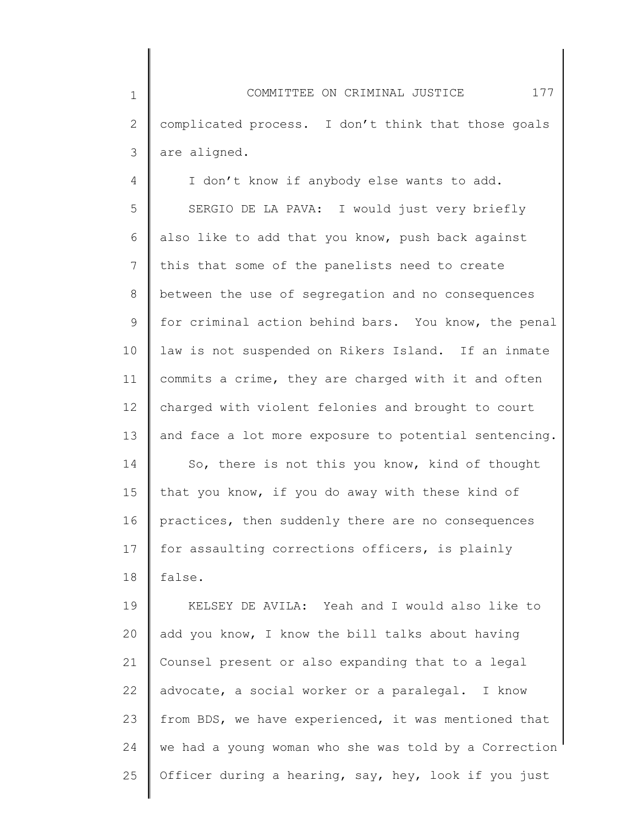1 2 3 COMMITTEE ON CRIMINAL JUSTICE 177 complicated process. I don't think that those goals are aligned.

4 5 6 7 8 9 10 11 12 13 14 15 16 17 18 I don't know if anybody else wants to add. SERGIO DE LA PAVA: I would just very briefly also like to add that you know, push back against this that some of the panelists need to create between the use of segregation and no consequences for criminal action behind bars. You know, the penal law is not suspended on Rikers Island. If an inmate commits a crime, they are charged with it and often charged with violent felonies and brought to court and face a lot more exposure to potential sentencing. So, there is not this you know, kind of thought that you know, if you do away with these kind of practices, then suddenly there are no consequences for assaulting corrections officers, is plainly false.

19 20 21 22 23 24 25 KELSEY DE AVILA: Yeah and I would also like to add you know, I know the bill talks about having Counsel present or also expanding that to a legal advocate, a social worker or a paralegal. I know from BDS, we have experienced, it was mentioned that we had a young woman who she was told by a Correction Officer during a hearing, say, hey, look if you just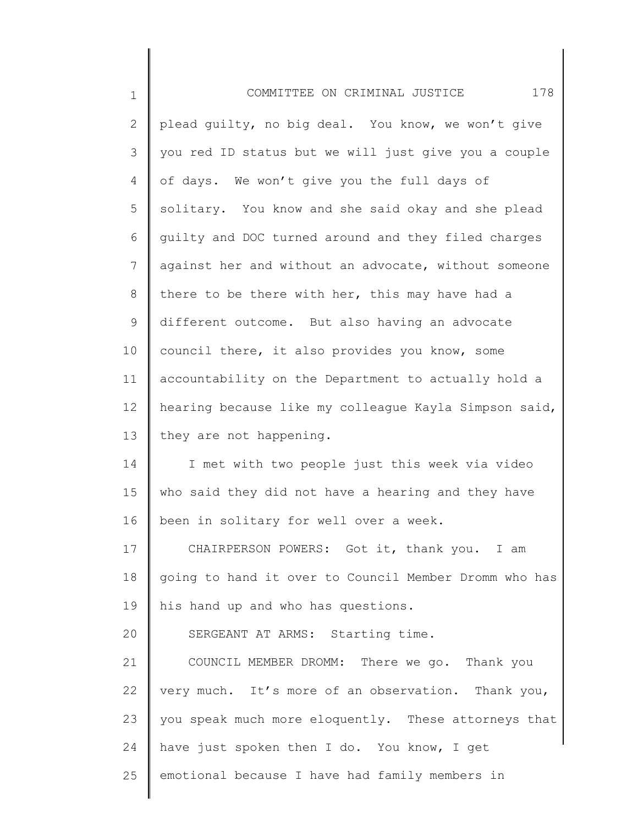| $\mathbf 1$    | 178<br>COMMITTEE ON CRIMINAL JUSTICE                  |
|----------------|-------------------------------------------------------|
| $\mathbf{2}$   | plead guilty, no big deal. You know, we won't give    |
| 3              | you red ID status but we will just give you a couple  |
| 4              | of days. We won't give you the full days of           |
| 5              | solitary. You know and she said okay and she plead    |
| 6              | quilty and DOC turned around and they filed charges   |
| $\overline{7}$ | against her and without an advocate, without someone  |
| 8              | there to be there with her, this may have had a       |
| $\mathsf 9$    | different outcome. But also having an advocate        |
| 10             | council there, it also provides you know, some        |
| 11             | accountability on the Department to actually hold a   |
| 12             | hearing because like my colleague Kayla Simpson said, |
| 13             | they are not happening.                               |
| 14             | I met with two people just this week via video        |
| 15             | who said they did not have a hearing and they have    |
| 16             | been in solitary for well over a week.                |
| 17             | CHAIRPERSON POWERS: Got it, thank you. I am           |
| 18             | going to hand it over to Council Member Dromm who has |
| 19             | his hand up and who has questions.                    |
| 20             | SERGEANT AT ARMS: Starting time.                      |
| 21             | COUNCIL MEMBER DROMM: There we go. Thank you          |
| 22             | very much. It's more of an observation. Thank you,    |
| 23             | you speak much more eloquently. These attorneys that  |
| 24             | have just spoken then I do. You know, I get           |
| 25             | emotional because I have had family members in        |
|                |                                                       |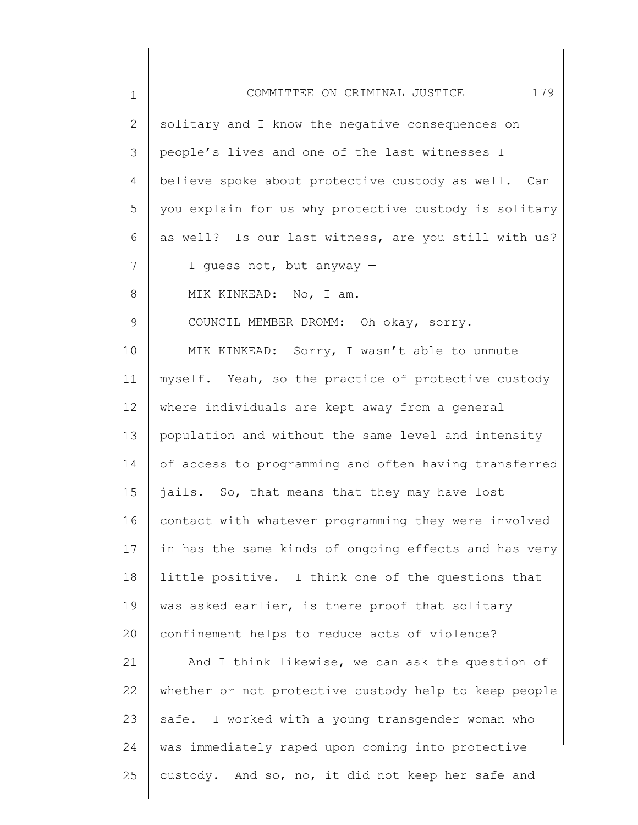| $\mathbf 1$   | 179<br>COMMITTEE ON CRIMINAL JUSTICE                  |
|---------------|-------------------------------------------------------|
| 2             | solitary and I know the negative consequences on      |
| 3             | people's lives and one of the last witnesses I        |
| 4             | believe spoke about protective custody as well. Can   |
| 5             | you explain for us why protective custody is solitary |
| 6             | as well? Is our last witness, are you still with us?  |
| 7             | I guess not, but anyway -                             |
| 8             | MIK KINKEAD: No, I am.                                |
| $\mathcal{G}$ | COUNCIL MEMBER DROMM: Oh okay, sorry.                 |
| 10            | MIK KINKEAD: Sorry, I wasn't able to unmute           |
| 11            | myself. Yeah, so the practice of protective custody   |
| 12            | where individuals are kept away from a general        |
| 13            | population and without the same level and intensity   |
| 14            | of access to programming and often having transferred |
| 15            | jails. So, that means that they may have lost         |
| 16            | contact with whatever programming they were involved  |
| 17            | in has the same kinds of ongoing effects and has very |
| 18            | little positive. I think one of the questions that    |
| 19            | was asked earlier, is there proof that solitary       |
| 20            | confinement helps to reduce acts of violence?         |
| 21            | And I think likewise, we can ask the question of      |
| 22            | whether or not protective custody help to keep people |
| 23            | safe. I worked with a young transgender woman who     |
| 24            | was immediately raped upon coming into protective     |
| 25            | custody. And so, no, it did not keep her safe and     |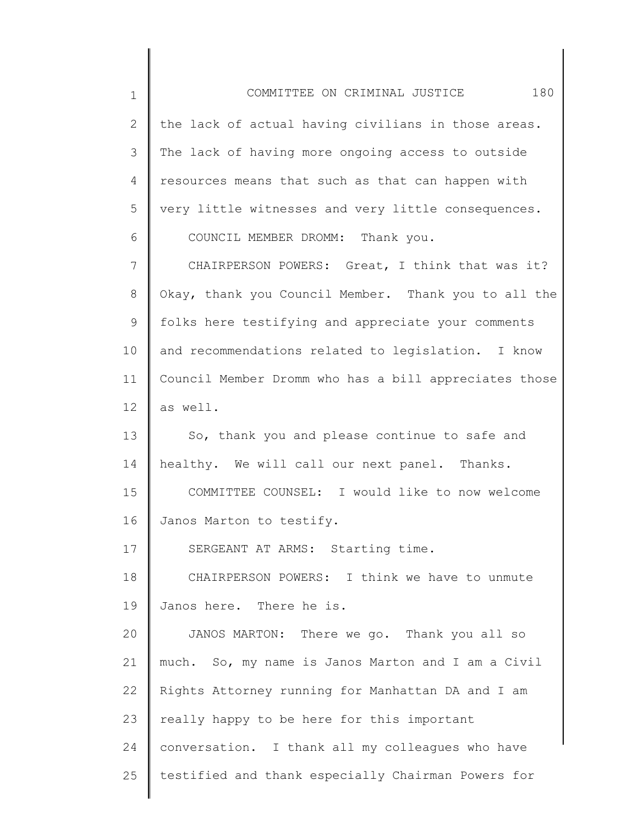1 2 3 4 5 6 7 8 9 10 11 12 13 14 15 16 17 18 19 20 21 22 23 24 25 COMMITTEE ON CRIMINAL JUSTICE 180 the lack of actual having civilians in those areas. The lack of having more ongoing access to outside resources means that such as that can happen with very little witnesses and very little consequences. COUNCIL MEMBER DROMM: Thank you. CHAIRPERSON POWERS: Great, I think that was it? Okay, thank you Council Member. Thank you to all the folks here testifying and appreciate your comments and recommendations related to legislation. I know Council Member Dromm who has a bill appreciates those as well. So, thank you and please continue to safe and healthy. We will call our next panel. Thanks. COMMITTEE COUNSEL: I would like to now welcome Janos Marton to testify. SERGEANT AT ARMS: Starting time. CHAIRPERSON POWERS: I think we have to unmute Janos here. There he is. JANOS MARTON: There we go. Thank you all so much. So, my name is Janos Marton and I am a Civil Rights Attorney running for Manhattan DA and I am really happy to be here for this important conversation. I thank all my colleagues who have testified and thank especially Chairman Powers for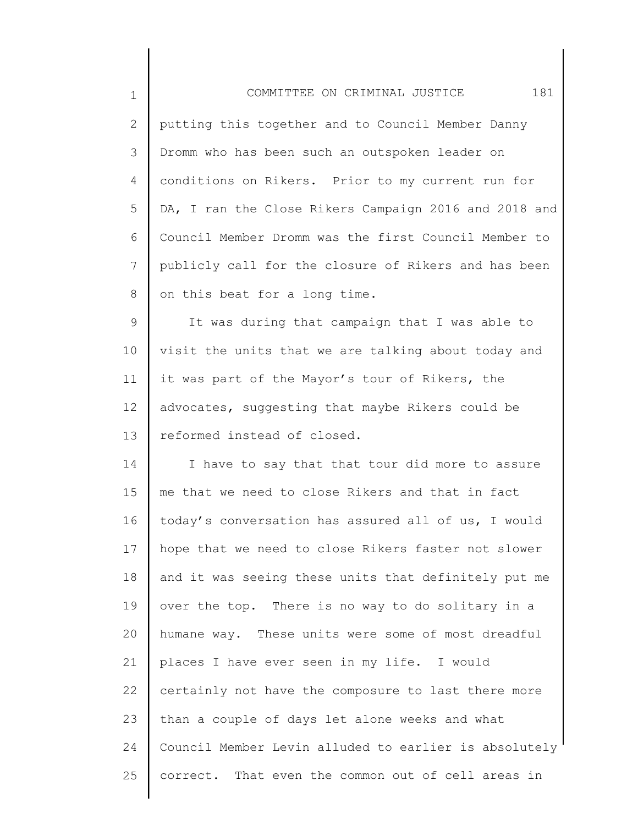| $1\,$          | 181<br>COMMITTEE ON CRIMINAL JUSTICE                   |
|----------------|--------------------------------------------------------|
| $\mathbf{2}$   | putting this together and to Council Member Danny      |
| 3              | Dromm who has been such an outspoken leader on         |
| $\overline{4}$ | conditions on Rikers. Prior to my current run for      |
| 5              | DA, I ran the Close Rikers Campaign 2016 and 2018 and  |
| 6              | Council Member Dromm was the first Council Member to   |
| 7              | publicly call for the closure of Rikers and has been   |
| 8              | on this beat for a long time.                          |
| $\mathsf 9$    | It was during that campaign that I was able to         |
| 10             | visit the units that we are talking about today and    |
| 11             | it was part of the Mayor's tour of Rikers, the         |
| 12             | advocates, suggesting that maybe Rikers could be       |
| 13             | reformed instead of closed.                            |
| 14             | I have to say that that tour did more to assure        |
| 15             | me that we need to close Rikers and that in fact       |
| 16             | today's conversation has assured all of us, I would    |
| 17             | hope that we need to close Rikers faster not slower    |
| 18             | and it was seeing these units that definitely put me   |
| 19             | over the top. There is no way to do solitary in a      |
| 20             | humane way. These units were some of most dreadful     |
| 21             | places I have ever seen in my life. I would            |
| 22             | certainly not have the composure to last there more    |
| 23             | than a couple of days let alone weeks and what         |
| 24             | Council Member Levin alluded to earlier is absolutely' |
| 25             | correct. That even the common out of cell areas in     |
|                |                                                        |

║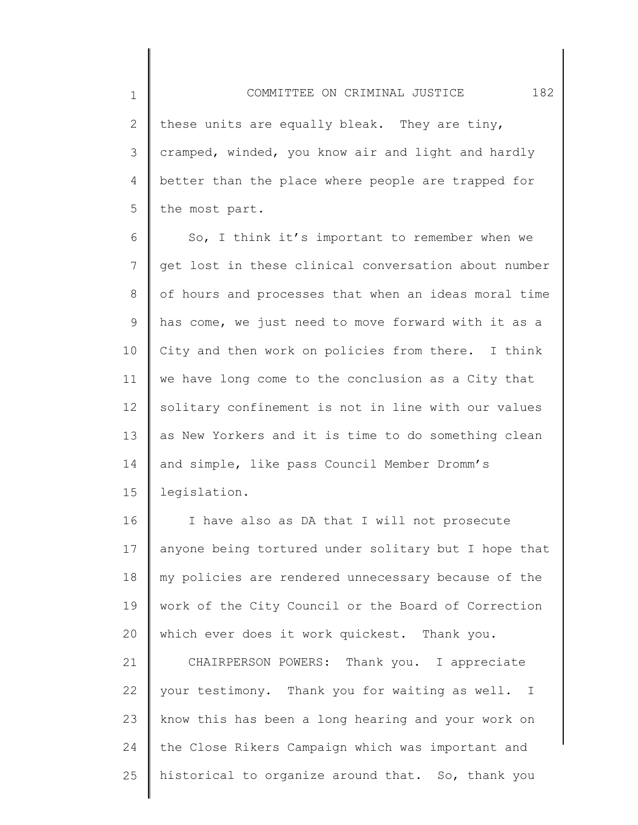2 3 4 5 these units are equally bleak. They are tiny, cramped, winded, you know air and light and hardly better than the place where people are trapped for the most part.

1

6 7 8 9 10 11 12 13 14 15 So, I think it's important to remember when we get lost in these clinical conversation about number of hours and processes that when an ideas moral time has come, we just need to move forward with it as a City and then work on policies from there. I think we have long come to the conclusion as a City that solitary confinement is not in line with our values as New Yorkers and it is time to do something clean and simple, like pass Council Member Dromm's legislation.

16 17 18 19 20 I have also as DA that I will not prosecute anyone being tortured under solitary but I hope that my policies are rendered unnecessary because of the work of the City Council or the Board of Correction which ever does it work quickest. Thank you.

21 22 23 24 25 CHAIRPERSON POWERS: Thank you. I appreciate your testimony. Thank you for waiting as well. I know this has been a long hearing and your work on the Close Rikers Campaign which was important and historical to organize around that. So, thank you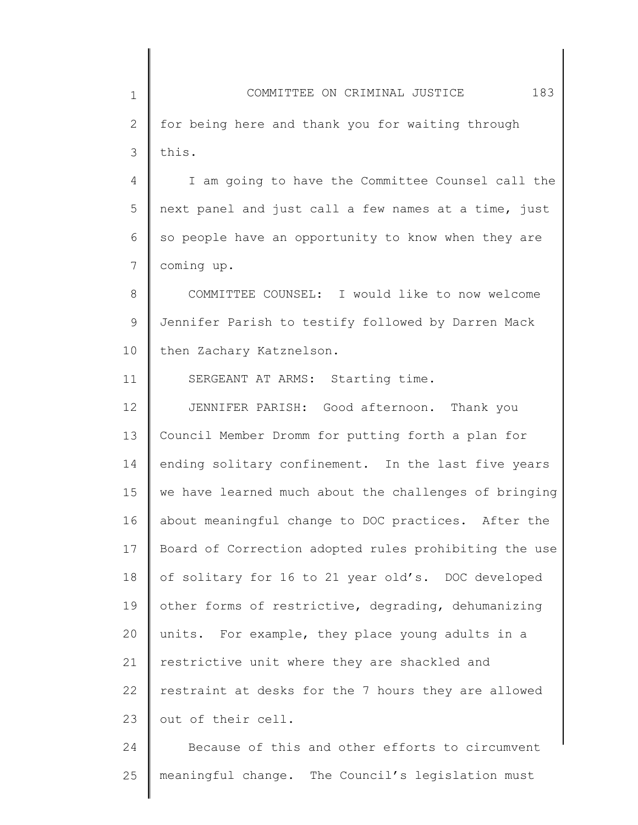1 2 3 COMMITTEE ON CRIMINAL JUSTICE 183 for being here and thank you for waiting through this.

4 5 6 7 I am going to have the Committee Counsel call the next panel and just call a few names at a time, just so people have an opportunity to know when they are coming up.

8 9 10 COMMITTEE COUNSEL: I would like to now welcome Jennifer Parish to testify followed by Darren Mack then Zachary Katznelson.

SERGEANT AT ARMS: Starting time.

11

12 13 14 15 16 17 18 19 20 21 22 23 JENNIFER PARISH: Good afternoon. Thank you Council Member Dromm for putting forth a plan for ending solitary confinement. In the last five years we have learned much about the challenges of bringing about meaningful change to DOC practices. After the Board of Correction adopted rules prohibiting the use of solitary for 16 to 21 year old's. DOC developed other forms of restrictive, degrading, dehumanizing units. For example, they place young adults in a restrictive unit where they are shackled and restraint at desks for the 7 hours they are allowed out of their cell.

24 25 Because of this and other efforts to circumvent meaningful change. The Council's legislation must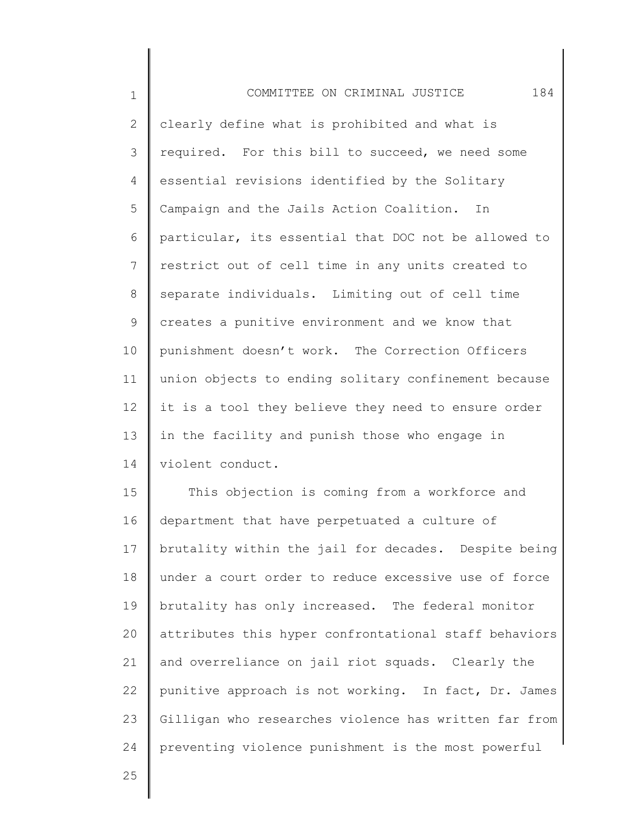| $\mathbf 1$     | 184<br>COMMITTEE ON CRIMINAL JUSTICE                  |
|-----------------|-------------------------------------------------------|
| $\mathbf{2}$    | clearly define what is prohibited and what is         |
| 3               | required. For this bill to succeed, we need some      |
| 4               | essential revisions identified by the Solitary        |
| 5               | Campaign and the Jails Action Coalition.<br>In        |
| 6               | particular, its essential that DOC not be allowed to  |
| $7\overline{ }$ | restrict out of cell time in any units created to     |
| 8               | separate individuals. Limiting out of cell time       |
| 9               | creates a punitive environment and we know that       |
| 10              | punishment doesn't work. The Correction Officers      |
| 11              | union objects to ending solitary confinement because  |
| 12 <sup>°</sup> | it is a tool they believe they need to ensure order   |
| 13              | in the facility and punish those who engage in        |
| 14              | violent conduct.                                      |
| 15              | This objection is coming from a workforce and         |
| 16              | department that have perpetuated a culture of         |
| 17              | brutality within the jail for decades. Despite being  |
| 18              | under a court order to reduce excessive use of force  |
| 19              | brutality has only increased. The federal monitor     |
| 20              | attributes this hyper confrontational staff behaviors |
| 21              | and overreliance on jail riot squads. Clearly the     |
| 22              | punitive approach is not working. In fact, Dr. James  |
| 23              | Gilligan who researches violence has written far from |
| 24              | preventing violence punishment is the most powerful   |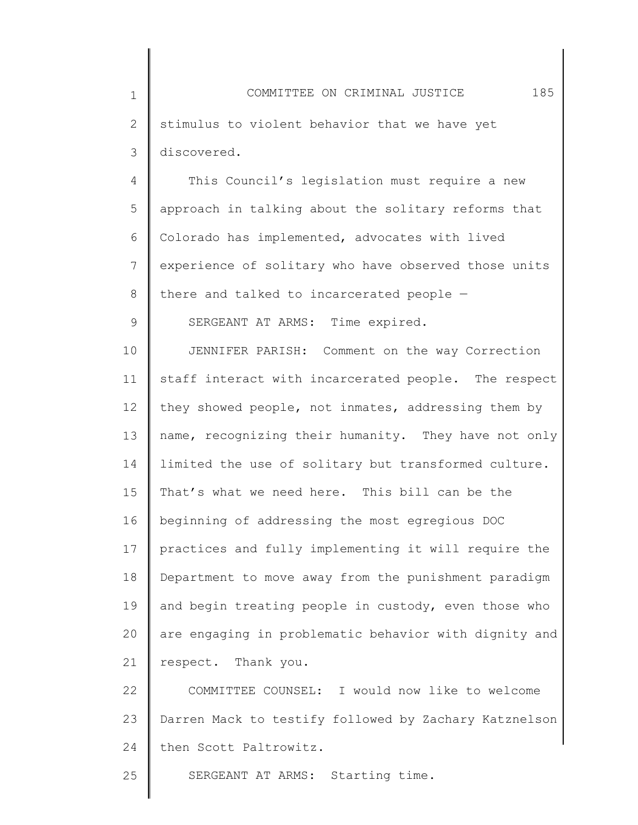4 5 6 7 8 This Council's legislation must require a new approach in talking about the solitary reforms that Colorado has implemented, advocates with lived experience of solitary who have observed those units there and talked to incarcerated people —

SERGEANT AT ARMS: Time expired.

9

10 11 12 13 14 15 16 17 18 19 20 21 JENNIFER PARISH: Comment on the way Correction staff interact with incarcerated people. The respect they showed people, not inmates, addressing them by name, recognizing their humanity. They have not only limited the use of solitary but transformed culture. That's what we need here. This bill can be the beginning of addressing the most egregious DOC practices and fully implementing it will require the Department to move away from the punishment paradigm and begin treating people in custody, even those who are engaging in problematic behavior with dignity and respect. Thank you.

22 23 24 COMMITTEE COUNSEL: I would now like to welcome Darren Mack to testify followed by Zachary Katznelson then Scott Paltrowitz.

25 SERGEANT AT ARMS: Starting time.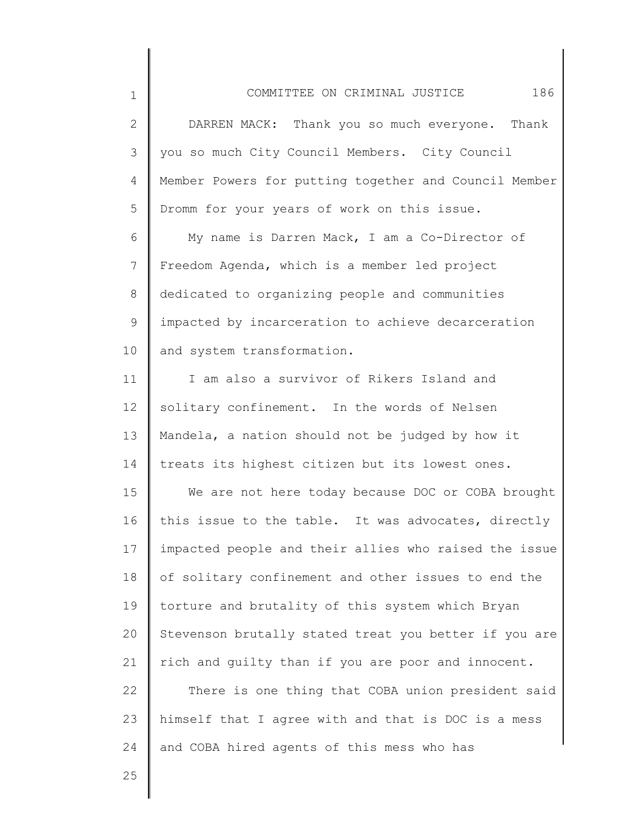| $\mathbf 1$    | 186<br>COMMITTEE ON CRIMINAL JUSTICE                  |
|----------------|-------------------------------------------------------|
| $\mathbf{2}$   | DARREN MACK: Thank you so much everyone. Thank        |
| 3              | you so much City Council Members. City Council        |
| 4              | Member Powers for putting together and Council Member |
| 5              | Dromm for your years of work on this issue.           |
| 6              | My name is Darren Mack, I am a Co-Director of         |
| $\overline{7}$ | Freedom Agenda, which is a member led project         |
| 8              | dedicated to organizing people and communities        |
| 9              | impacted by incarceration to achieve decarceration    |
| 10             | and system transformation.                            |
| 11             | I am also a survivor of Rikers Island and             |
| 12             | solitary confinement. In the words of Nelsen          |
| 13             | Mandela, a nation should not be judged by how it      |
| 14             | treats its highest citizen but its lowest ones.       |
| 15             | We are not here today because DOC or COBA brought     |
| 16             | this issue to the table. It was advocates, directly   |
| 17             | impacted people and their allies who raised the issue |
| 18             | of solitary confinement and other issues to end the   |
| 19             | torture and brutality of this system which Bryan      |
| 20             | Stevenson brutally stated treat you better if you are |
| 21             | rich and quilty than if you are poor and innocent.    |
| 22             | There is one thing that COBA union president said     |
| 23             | himself that I agree with and that is DOC is a mess   |

and COBA hired agents of this mess who has

25

24

 $\mathsf I$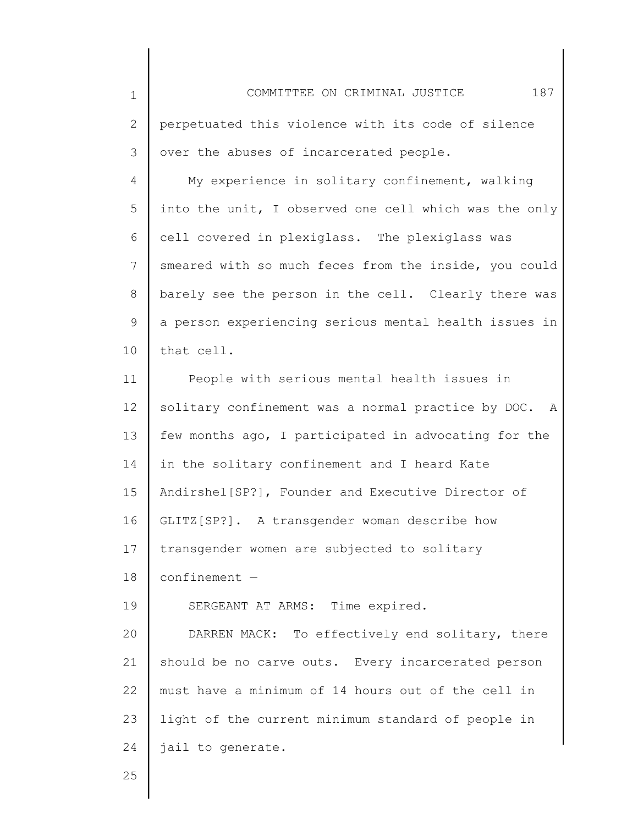| $\mathbf 1$ | 187<br>COMMITTEE ON CRIMINAL JUSTICE                  |
|-------------|-------------------------------------------------------|
| 2           | perpetuated this violence with its code of silence    |
| 3           | over the abuses of incarcerated people.               |
| 4           | My experience in solitary confinement, walking        |
| 5           | into the unit, I observed one cell which was the only |
| 6           | cell covered in plexiglass. The plexiglass was        |
| 7           | smeared with so much feces from the inside, you could |
| 8           | barely see the person in the cell. Clearly there was  |
| 9           | a person experiencing serious mental health issues in |
| 10          | that cell.                                            |
| 11          | People with serious mental health issues in           |
| 12          | solitary confinement was a normal practice by DOC. A  |
| 13          | few months ago, I participated in advocating for the  |
| 14          | in the solitary confinement and I heard Kate          |
| 15          | Andirshel [SP?], Founder and Executive Director of    |
| 16          | GLITZ[SP?]. A transgender woman describe how          |
| 17          | transgender women are subjected to solitary           |
| 18          | $confinement -$                                       |
| 19          | SERGEANT AT ARMS: Time expired.                       |
| 20          | DARREN MACK: To effectively end solitary, there       |
| 21          | should be no carve outs. Every incarcerated person    |
| 22          | must have a minimum of 14 hours out of the cell in    |
| 23          | light of the current minimum standard of people in    |
| 24          | jail to generate.                                     |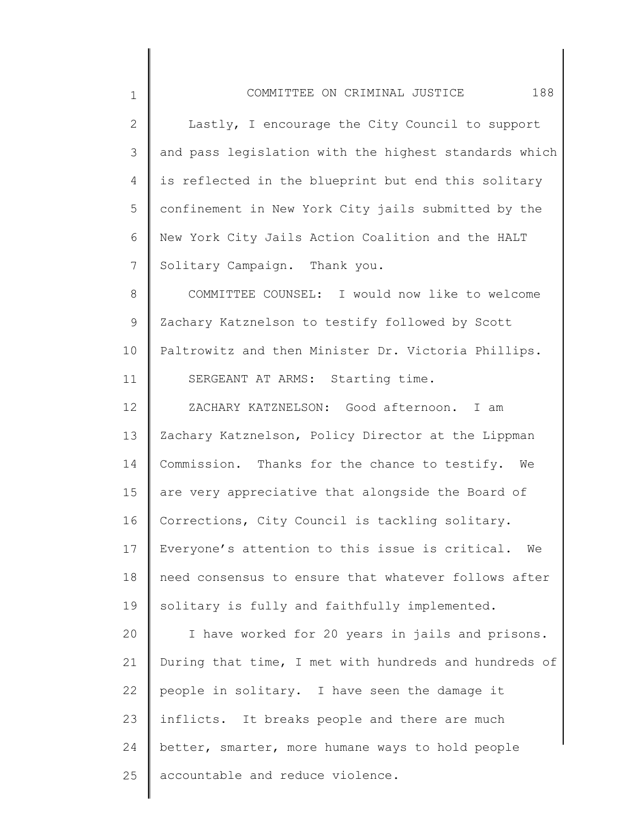| COMMITTEE ON CRIMINAL JUSTICE                         | 188 |
|-------------------------------------------------------|-----|
| Lastly, I encourage the City Council to support       |     |
| and pass legislation with the highest standards which |     |
| is reflected in the blueprint but end this solitary   |     |
| confinement in New York City jails submitted by the   |     |
| New York City Jails Action Coalition and the HALT     |     |

2

3

4

5

6

7

8 9 10 11 COMMITTEE COUNSEL: I would now like to welcome Zachary Katznelson to testify followed by Scott Paltrowitz and then Minister Dr. Victoria Phillips. SERGEANT AT ARMS: Starting time.

Solitary Campaign. Thank you.

12 13 14 15 16 17 18 19 ZACHARY KATZNELSON: Good afternoon. I am Zachary Katznelson, Policy Director at the Lippman Commission. Thanks for the chance to testify. We are very appreciative that alongside the Board of Corrections, City Council is tackling solitary. Everyone's attention to this issue is critical. We need consensus to ensure that whatever follows after solitary is fully and faithfully implemented.

20 21 22 23 24 25 I have worked for 20 years in jails and prisons. During that time, I met with hundreds and hundreds of people in solitary. I have seen the damage it inflicts. It breaks people and there are much better, smarter, more humane ways to hold people accountable and reduce violence.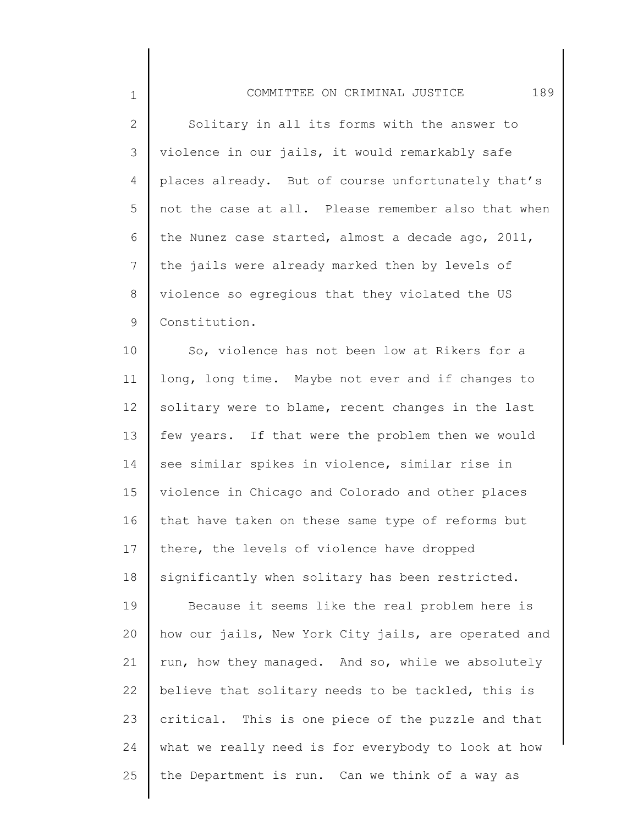## COMMITTEE ON CRIMINAL JUSTICE 189

1

2 3 4 5 6 7 8 9 Solitary in all its forms with the answer to violence in our jails, it would remarkably safe places already. But of course unfortunately that's not the case at all. Please remember also that when the Nunez case started, almost a decade ago, 2011, the jails were already marked then by levels of violence so egregious that they violated the US Constitution.

10 11 12 13 14 15 16 17 18 19 20 21 22 23 24 25 So, violence has not been low at Rikers for a long, long time. Maybe not ever and if changes to solitary were to blame, recent changes in the last few years. If that were the problem then we would see similar spikes in violence, similar rise in violence in Chicago and Colorado and other places that have taken on these same type of reforms but there, the levels of violence have dropped significantly when solitary has been restricted. Because it seems like the real problem here is how our jails, New York City jails, are operated and run, how they managed. And so, while we absolutely believe that solitary needs to be tackled, this is critical. This is one piece of the puzzle and that what we really need is for everybody to look at how the Department is run. Can we think of a way as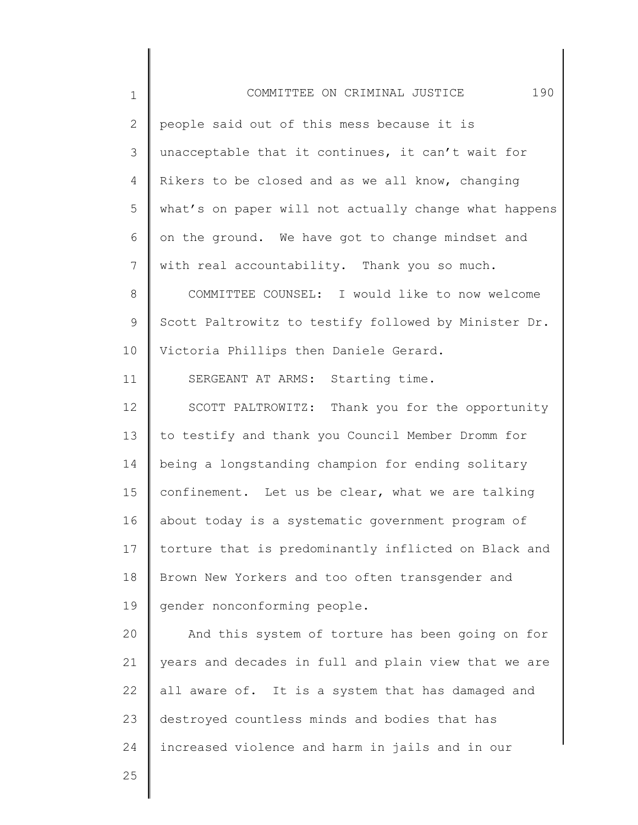| $\mathbf 1$  | 190<br>COMMITTEE ON CRIMINAL JUSTICE                  |
|--------------|-------------------------------------------------------|
| $\mathbf{2}$ | people said out of this mess because it is            |
| 3            | unacceptable that it continues, it can't wait for     |
| 4            | Rikers to be closed and as we all know, changing      |
| 5            | what's on paper will not actually change what happens |
| 6            | on the ground. We have got to change mindset and      |
| 7            | with real accountability. Thank you so much.          |
| 8            | COMMITTEE COUNSEL: I would like to now welcome        |
| 9            | Scott Paltrowitz to testify followed by Minister Dr.  |
| 10           | Victoria Phillips then Daniele Gerard.                |
| 11           | SERGEANT AT ARMS: Starting time.                      |
| 12           | SCOTT PALTROWITZ: Thank you for the opportunity       |
| 13           | to testify and thank you Council Member Dromm for     |
| 14           | being a longstanding champion for ending solitary     |
| 15           | confinement. Let us be clear, what we are talking     |
| 16           | about today is a systematic government program of     |
| 17           | torture that is predominantly inflicted on Black and  |
| 18           | Brown New Yorkers and too often transgender and       |
| 19           | gender nonconforming people.                          |
| 20           | And this system of torture has been going on for      |
| 21           | years and decades in full and plain view that we are  |
| 22           | all aware of. It is a system that has damaged and     |
| 23           | destroyed countless minds and bodies that has         |
| 24           | increased violence and harm in jails and in our       |
| 25           |                                                       |
|              |                                                       |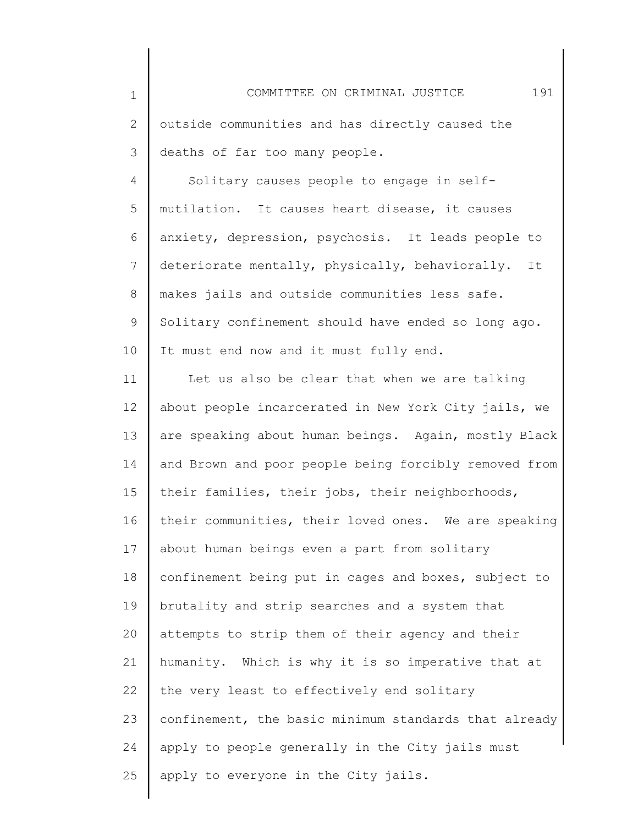| $\mathbf 1$ | 191<br>COMMITTEE ON CRIMINAL JUSTICE                  |
|-------------|-------------------------------------------------------|
| 2           | outside communities and has directly caused the       |
| 3           | deaths of far too many people.                        |
| 4           | Solitary causes people to engage in self-             |
| 5           | mutilation. It causes heart disease, it causes        |
| 6           | anxiety, depression, psychosis. It leads people to    |
| 7           | deteriorate mentally, physically, behaviorally. It    |
| 8           | makes jails and outside communities less safe.        |
| 9           | Solitary confinement should have ended so long ago.   |
| 10          | It must end now and it must fully end.                |
| 11          | Let us also be clear that when we are talking         |
| 12          | about people incarcerated in New York City jails, we  |
| 13          | are speaking about human beings. Again, mostly Black  |
| 14          | and Brown and poor people being forcibly removed from |
| 15          | their families, their jobs, their neighborhoods,      |
| 16          | their communities, their loved ones. We are speaking  |
| 17          | about human beings even a part from solitary          |
| 18          | confinement being put in cages and boxes, subject to  |
| 19          | brutality and strip searches and a system that        |
| 20          | attempts to strip them of their agency and their      |
| 21          | humanity. Which is why it is so imperative that at    |
| 22          | the very least to effectively end solitary            |
| 23          | confinement, the basic minimum standards that already |
| 24          | apply to people generally in the City jails must      |
| 25          | apply to everyone in the City jails.                  |

║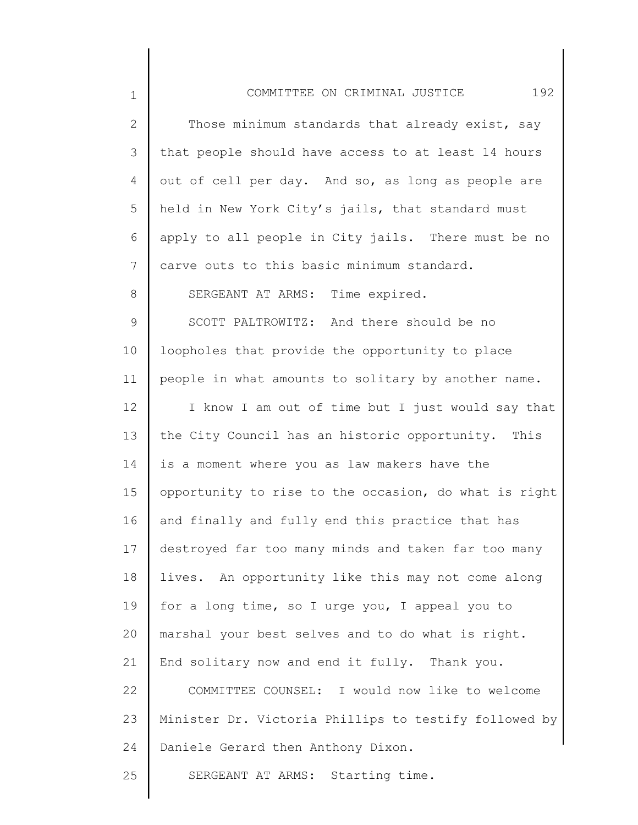| $\mathbf 1$  | 192<br>COMMITTEE ON CRIMINAL JUSTICE                  |
|--------------|-------------------------------------------------------|
| $\mathbf{2}$ | Those minimum standards that already exist, say       |
| 3            | that people should have access to at least 14 hours   |
| 4            | out of cell per day. And so, as long as people are    |
| 5            | held in New York City's jails, that standard must     |
| 6            | apply to all people in City jails. There must be no   |
| 7            | carve outs to this basic minimum standard.            |
| 8            | SERGEANT AT ARMS: Time expired.                       |
| 9            | SCOTT PALTROWITZ: And there should be no              |
| 10           | loopholes that provide the opportunity to place       |
| 11           | people in what amounts to solitary by another name.   |
| 12           | I know I am out of time but I just would say that     |
| 13           | the City Council has an historic opportunity. This    |
| 14           | is a moment where you as law makers have the          |
| 15           | opportunity to rise to the occasion, do what is right |
| 16           | and finally and fully end this practice that has      |
| 17           | destroyed far too many minds and taken far too many   |
| 18           | lives. An opportunity like this may not come along    |
| 19           | for a long time, so I urge you, I appeal you to       |
| 20           | marshal your best selves and to do what is right.     |
| 21           | End solitary now and end it fully. Thank you.         |
| 22           | COMMITTEE COUNSEL: I would now like to welcome        |
| 23           | Minister Dr. Victoria Phillips to testify followed by |
| 24           | Daniele Gerard then Anthony Dixon.                    |
| 25           | SERGEANT AT ARMS: Starting time.                      |
|              |                                                       |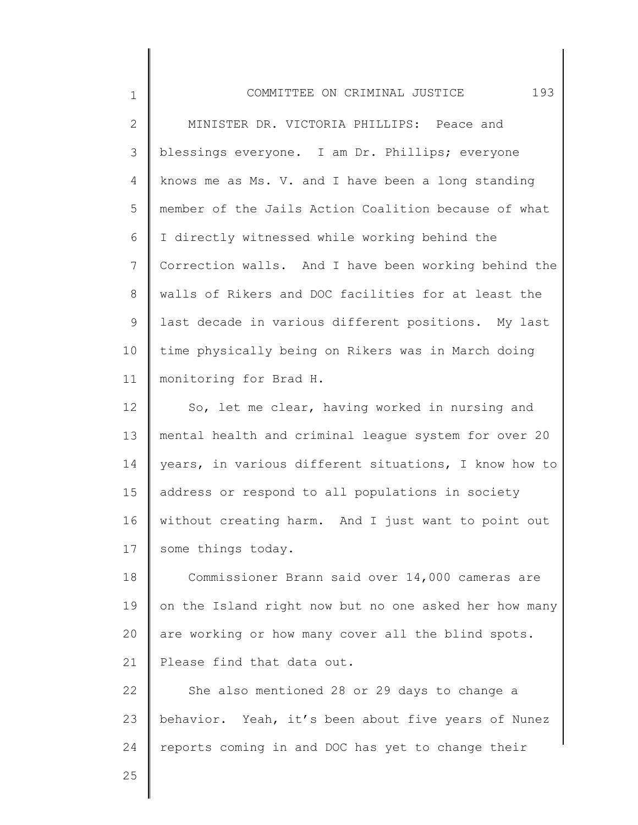| $\mathbf 1$  | COMMITTEE ON CRIMINAL JUSTICE<br>193                  |
|--------------|-------------------------------------------------------|
| $\mathbf{2}$ | MINISTER DR. VICTORIA PHILLIPS: Peace and             |
| 3            | blessings everyone. I am Dr. Phillips; everyone       |
| 4            | knows me as Ms. V. and I have been a long standing    |
| 5            | member of the Jails Action Coalition because of what  |
| 6            | I directly witnessed while working behind the         |
| 7            | Correction walls. And I have been working behind the  |
| 8            | walls of Rikers and DOC facilities for at least the   |
| 9            | last decade in various different positions. My last   |
| 10           | time physically being on Rikers was in March doing    |
| 11           | monitoring for Brad H.                                |
| 12           | So, let me clear, having worked in nursing and        |
| 13           | mental health and criminal league system for over 20  |
| 14           | years, in various different situations, I know how to |
| 15           | address or respond to all populations in society      |
| 16           | without creating harm. And I just want to point out   |
| 17           | some things today.                                    |
| 18           | Commissioner Brann said over 14,000 cameras are       |
| 19           | on the Island right now but no one asked her how many |
| 20           | are working or how many cover all the blind spots.    |
| 21           | Please find that data out.                            |
| 22           | She also mentioned 28 or 29 days to change a          |
| 23           | behavior. Yeah, it's been about five years of Nunez   |
| 24           | reports coming in and DOC has yet to change their     |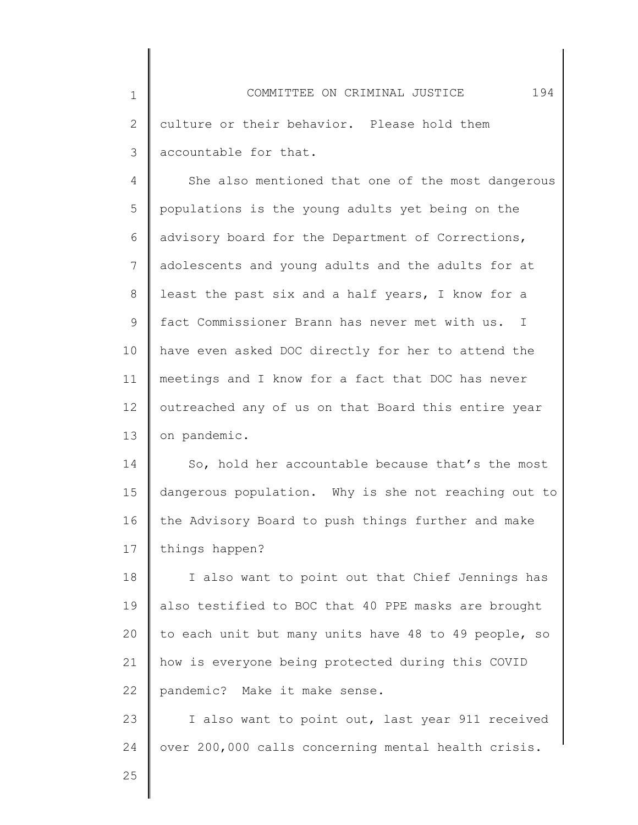1 2 3 COMMITTEE ON CRIMINAL JUSTICE 194 culture or their behavior. Please hold them accountable for that.

4 5 6 7 8 9 10 11 12 13 She also mentioned that one of the most dangerous populations is the young adults yet being on the advisory board for the Department of Corrections, adolescents and young adults and the adults for at least the past six and a half years, I know for a fact Commissioner Brann has never met with us. I have even asked DOC directly for her to attend the meetings and I know for a fact that DOC has never outreached any of us on that Board this entire year on pandemic.

14 15 16 17 So, hold her accountable because that's the most dangerous population. Why is she not reaching out to the Advisory Board to push things further and make things happen?

18 19 20 21 22 I also want to point out that Chief Jennings has also testified to BOC that 40 PPE masks are brought to each unit but many units have 48 to 49 people, so how is everyone being protected during this COVID pandemic? Make it make sense.

23 24 I also want to point out, last year 911 received over 200,000 calls concerning mental health crisis.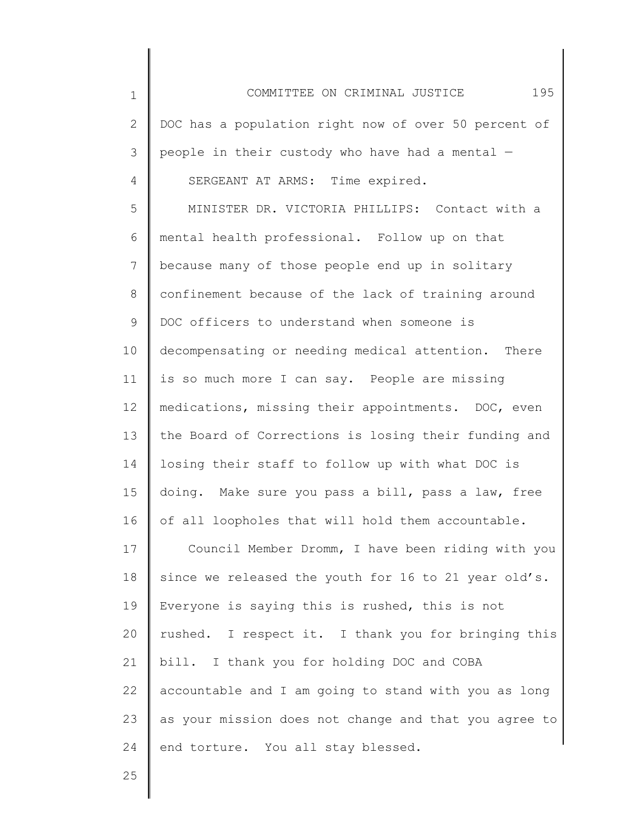1 2 3 4 5 6 7 8 9 10 11 12 13 14 15 16 17 18 19 20 21 22 23 24 COMMITTEE ON CRIMINAL JUSTICE 195 DOC has a population right now of over 50 percent of people in their custody who have had a mental — SERGEANT AT ARMS: Time expired. MINISTER DR. VICTORIA PHILLIPS: Contact with a mental health professional. Follow up on that because many of those people end up in solitary confinement because of the lack of training around DOC officers to understand when someone is decompensating or needing medical attention. There is so much more I can say. People are missing medications, missing their appointments. DOC, even the Board of Corrections is losing their funding and losing their staff to follow up with what DOC is doing. Make sure you pass a bill, pass a law, free of all loopholes that will hold them accountable. Council Member Dromm, I have been riding with you since we released the youth for 16 to 21 year old's. Everyone is saying this is rushed, this is not rushed. I respect it. I thank you for bringing this bill. I thank you for holding DOC and COBA accountable and I am going to stand with you as long as your mission does not change and that you agree to end torture. You all stay blessed.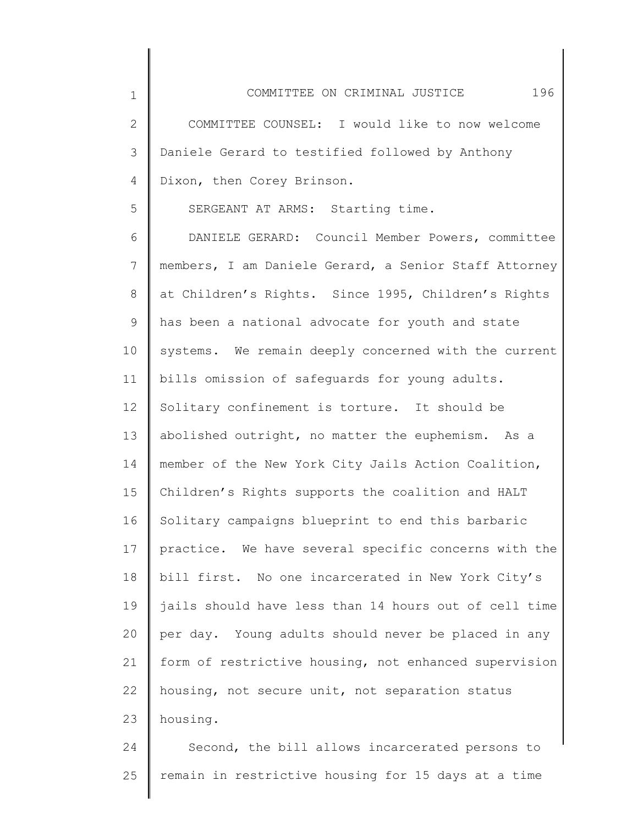2 3 4 COMMITTEE COUNSEL: I would like to now welcome Daniele Gerard to testified followed by Anthony Dixon, then Corey Brinson.

SERGEANT AT ARMS: Starting time.

1

5

6 7 8 9 10 11 12 13 14 15 16 17 18 19 20 21 22 23 DANIELE GERARD: Council Member Powers, committee members, I am Daniele Gerard, a Senior Staff Attorney at Children's Rights. Since 1995, Children's Rights has been a national advocate for youth and state systems. We remain deeply concerned with the current bills omission of safeguards for young adults. Solitary confinement is torture. It should be abolished outright, no matter the euphemism. As a member of the New York City Jails Action Coalition, Children's Rights supports the coalition and HALT Solitary campaigns blueprint to end this barbaric practice. We have several specific concerns with the bill first. No one incarcerated in New York City's jails should have less than 14 hours out of cell time per day. Young adults should never be placed in any form of restrictive housing, not enhanced supervision housing, not secure unit, not separation status housing.

24 25 Second, the bill allows incarcerated persons to remain in restrictive housing for 15 days at a time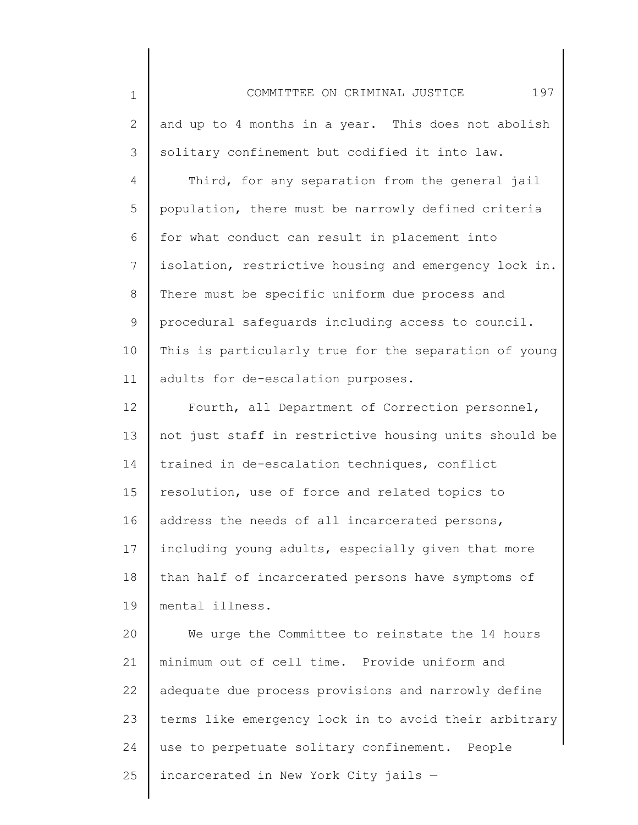| $\mathbf 1$ | 197<br>COMMITTEE ON CRIMINAL JUSTICE                  |
|-------------|-------------------------------------------------------|
| 2           | and up to 4 months in a year. This does not abolish   |
| 3           | solitary confinement but codified it into law.        |
| 4           | Third, for any separation from the general jail       |
| 5           | population, there must be narrowly defined criteria   |
| 6           | for what conduct can result in placement into         |
| 7           | isolation, restrictive housing and emergency lock in. |
| 8           | There must be specific uniform due process and        |
| $\mathsf 9$ | procedural safeguards including access to council.    |
| 10          | This is particularly true for the separation of young |
| 11          | adults for de-escalation purposes.                    |
| 12          | Fourth, all Department of Correction personnel,       |
| 13          | not just staff in restrictive housing units should be |
| 14          | trained in de-escalation techniques, conflict         |
| 15          | resolution, use of force and related topics to        |
| 16          | address the needs of all incarcerated persons,        |
| 17          | including young adults, especially given that more    |
| 18          | than half of incarcerated persons have symptoms of    |
| 19          | mental illness.                                       |
| 20          | We urge the Committee to reinstate the 14 hours       |
| 21          | minimum out of cell time. Provide uniform and         |
| 22          | adequate due process provisions and narrowly define   |
| 23          | terms like emergency lock in to avoid their arbitrary |
| 24          | use to perpetuate solitary confinement. People        |
| 25          | incarcerated in New York City jails -                 |
|             |                                                       |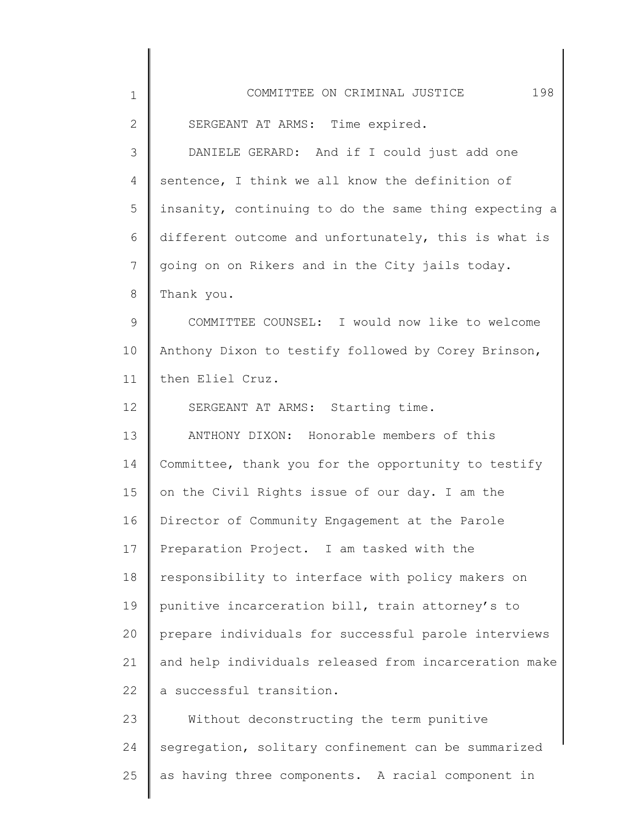| $\mathbf 1$  | COMMITTEE ON CRIMINAL JUSTICE<br>198                  |
|--------------|-------------------------------------------------------|
| $\mathbf{2}$ | SERGEANT AT ARMS: Time expired.                       |
| 3            | DANIELE GERARD: And if I could just add one           |
| 4            | sentence, I think we all know the definition of       |
| 5            | insanity, continuing to do the same thing expecting a |
| 6            | different outcome and unfortunately, this is what is  |
| 7            | going on on Rikers and in the City jails today.       |
| 8            | Thank you.                                            |
| 9            | COMMITTEE COUNSEL: I would now like to welcome        |
| 10           | Anthony Dixon to testify followed by Corey Brinson,   |
| 11           | then Eliel Cruz.                                      |
| 12           | SERGEANT AT ARMS: Starting time.                      |
| 13           | ANTHONY DIXON: Honorable members of this              |
| 14           | Committee, thank you for the opportunity to testify   |
| 15           | on the Civil Rights issue of our day. I am the        |
| 16           | Director of Community Engagement at the Parole        |
| 17           | Preparation Project. I am tasked with the             |
| 18           | responsibility to interface with policy makers on     |
| 19           | punitive incarceration bill, train attorney's to      |
| 20           | prepare individuals for successful parole interviews  |
| 21           | and help individuals released from incarceration make |
| 22           | a successful transition.                              |
| 23           | Without deconstructing the term punitive              |
| 24           | segregation, solitary confinement can be summarized   |
| 25           | as having three components. A racial component in     |
|              |                                                       |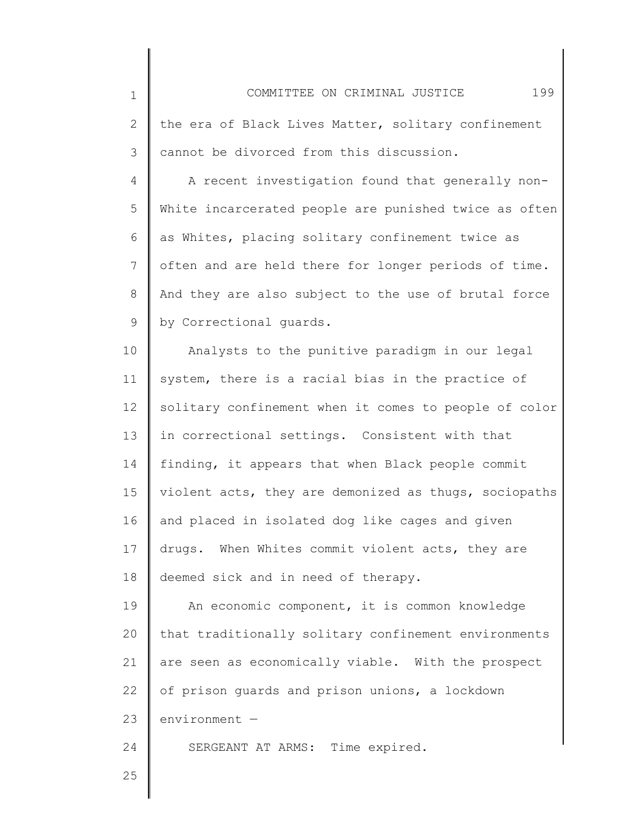| $\mathbf 1$  | 199<br>COMMITTEE ON CRIMINAL JUSTICE                  |
|--------------|-------------------------------------------------------|
| $\mathbf{2}$ | the era of Black Lives Matter, solitary confinement   |
| 3            | cannot be divorced from this discussion.              |
| 4            | A recent investigation found that generally non-      |
| 5            | White incarcerated people are punished twice as often |
| 6            | as Whites, placing solitary confinement twice as      |
| 7            | often and are held there for longer periods of time.  |
| 8            | And they are also subject to the use of brutal force  |
| 9            | by Correctional quards.                               |
| 10           | Analysts to the punitive paradigm in our legal        |
| 11           | system, there is a racial bias in the practice of     |
| 12           | solitary confinement when it comes to people of color |
| 13           | in correctional settings. Consistent with that        |
| 14           | finding, it appears that when Black people commit     |
| 15           | violent acts, they are demonized as thugs, sociopaths |
| 16           | and placed in isolated dog like cages and given       |
| 17           | drugs. When Whites commit violent acts, they are      |
| 18           | deemed sick and in need of therapy.                   |
| 19           | An economic component, it is common knowledge         |
| 20           | that traditionally solitary confinement environments  |
| 21           | are seen as economically viable. With the prospect    |
| 22           | of prison guards and prison unions, a lockdown        |
| 23           | $environment -$                                       |
| 24           | SERGEANT AT ARMS: Time expired.                       |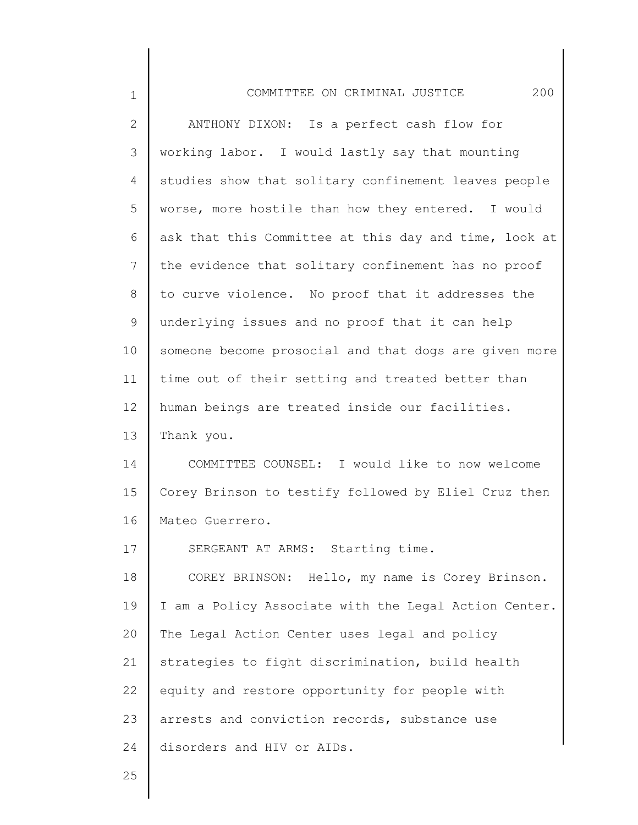| $\mathbf 1$  | COMMITTEE ON CRIMINAL JUSTICE<br>200                  |
|--------------|-------------------------------------------------------|
| $\mathbf{2}$ | ANTHONY DIXON: Is a perfect cash flow for             |
| 3            | working labor. I would lastly say that mounting       |
| 4            | studies show that solitary confinement leaves people  |
| 5            | worse, more hostile than how they entered. I would    |
| 6            | ask that this Committee at this day and time, look at |
| 7            | the evidence that solitary confinement has no proof   |
| 8            | to curve violence. No proof that it addresses the     |
| 9            | underlying issues and no proof that it can help       |
| 10           | someone become prosocial and that dogs are given more |
| 11           | time out of their setting and treated better than     |
| 12           | human beings are treated inside our facilities.       |
| 13           | Thank you.                                            |
| 14           | COMMITTEE COUNSEL: I would like to now welcome        |
| 15           | Corey Brinson to testify followed by Eliel Cruz then  |
| 16           | Mateo Guerrero.                                       |
| 17           | SERGEANT AT ARMS: Starting time.                      |
| 18           | COREY BRINSON: Hello, my name is Corey Brinson.       |
| 19           | I am a Policy Associate with the Legal Action Center. |
| 20           | The Legal Action Center uses legal and policy         |
| 21           | strategies to fight discrimination, build health      |
| 22           | equity and restore opportunity for people with        |
| 23           | arrests and conviction records, substance use         |
| 24           | disorders and HIV or AIDs.                            |
|              |                                                       |

Ι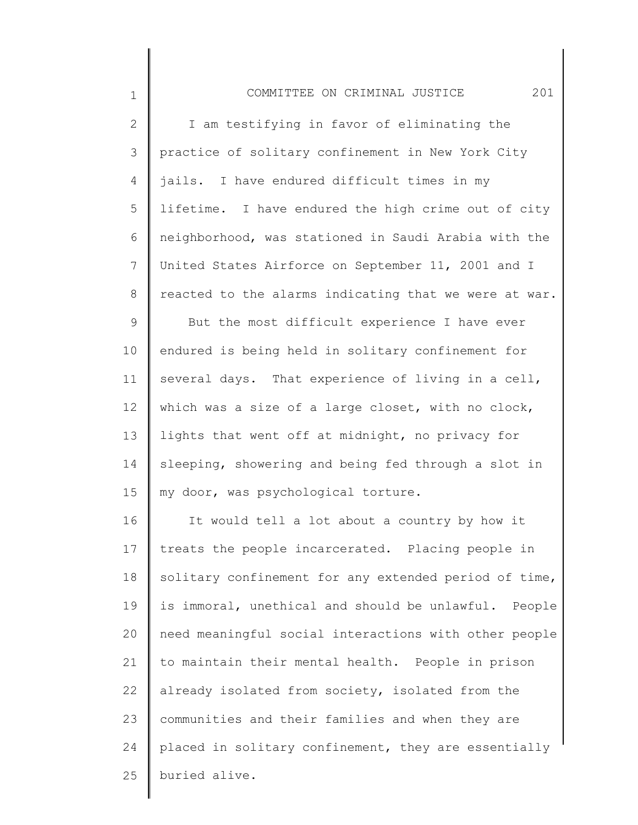| $\mathbf 1$  | 201<br>COMMITTEE ON CRIMINAL JUSTICE                  |
|--------------|-------------------------------------------------------|
| $\mathbf{2}$ | I am testifying in favor of eliminating the           |
| 3            | practice of solitary confinement in New York City     |
| 4            | jails. I have endured difficult times in my           |
| 5            | lifetime. I have endured the high crime out of city   |
| 6            | neighborhood, was stationed in Saudi Arabia with the  |
| 7            | United States Airforce on September 11, 2001 and I    |
| 8            | reacted to the alarms indicating that we were at war. |
| $\mathsf 9$  | But the most difficult experience I have ever         |
| 10           | endured is being held in solitary confinement for     |
| 11           | several days. That experience of living in a cell,    |
| 12           | which was a size of a large closet, with no clock,    |
| 13           | lights that went off at midnight, no privacy for      |
| 14           | sleeping, showering and being fed through a slot in   |
| 15           | my door, was psychological torture.                   |
| 16           | It would tell a lot about a country by how it         |
| 17           | treats the people incarcerated. Placing people in     |
| 18           | solitary confinement for any extended period of time, |
| 19           | is immoral, unethical and should be unlawful. People  |
| 20           | need meaningful social interactions with other people |
| 21           | to maintain their mental health. People in prison     |
| 22           | already isolated from society, isolated from the      |
| 23           | communities and their families and when they are      |
| 24           | placed in solitary confinement, they are essentially  |
| 25           | buried alive.                                         |
|              |                                                       |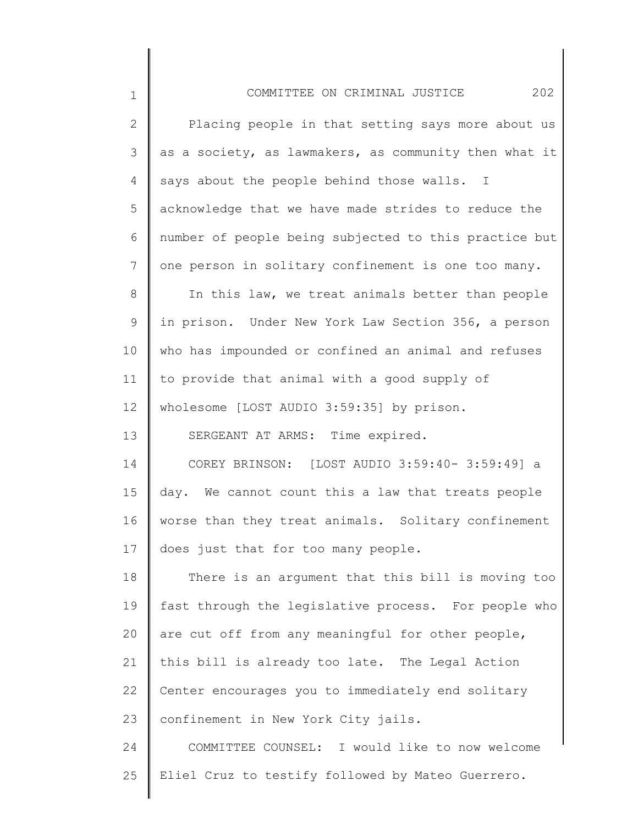| $\mathbf 1$     | 202<br>COMMITTEE ON CRIMINAL JUSTICE                  |
|-----------------|-------------------------------------------------------|
| $\mathbf{2}$    | Placing people in that setting says more about us     |
| 3               | as a society, as lawmakers, as community then what it |
| 4               | says about the people behind those walls. I           |
| 5               | acknowledge that we have made strides to reduce the   |
| 6               | number of people being subjected to this practice but |
| $7\overline{ }$ | one person in solitary confinement is one too many.   |
| $8\,$           | In this law, we treat animals better than people      |
| 9               | in prison. Under New York Law Section 356, a person   |
| 10              | who has impounded or confined an animal and refuses   |
| 11              | to provide that animal with a good supply of          |
| 12              | wholesome [LOST AUDIO 3:59:35] by prison.             |
| 13              | SERGEANT AT ARMS: Time expired.                       |
| 14              | COREY BRINSON: [LOST AUDIO 3:59:40- 3:59:49] a        |
| 15              | day. We cannot count this a law that treats people    |
| 16              | worse than they treat animals. Solitary confinement   |
| 17              | does just that for too many people.                   |
| 18              | There is an argument that this bill is moving too     |
| 19              | fast through the legislative process. For people who  |
| 20              | are cut off from any meaningful for other people,     |
| 21              | this bill is already too late. The Legal Action       |
| 22              | Center encourages you to immediately end solitary     |
| 23              | confinement in New York City jails.                   |
| 24              | COMMITTEE COUNSEL: I would like to now welcome        |

25 Eliel Cruz to testify followed by Mateo Guerrero.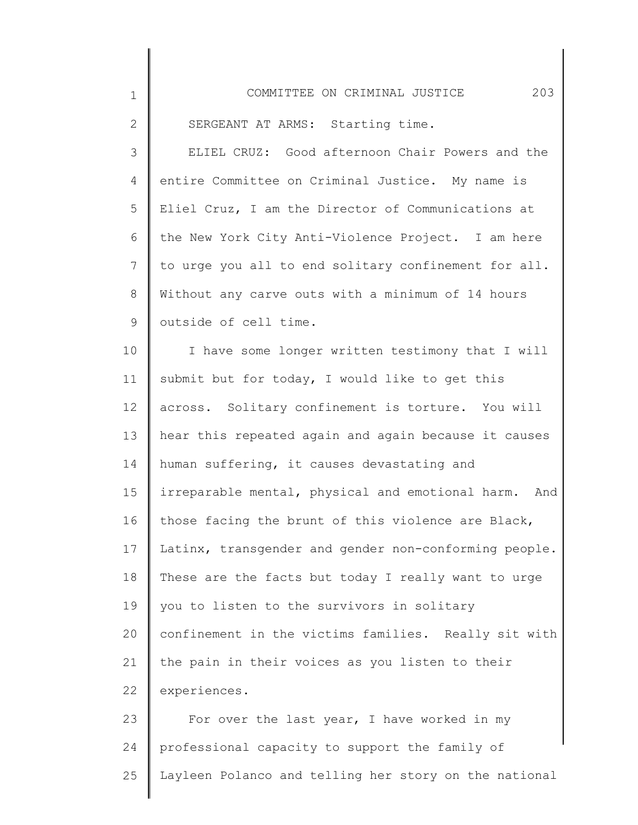| $\mathbf 1$  | 203<br>COMMITTEE ON CRIMINAL JUSTICE                  |
|--------------|-------------------------------------------------------|
| $\mathbf{2}$ | SERGEANT AT ARMS: Starting time.                      |
| 3            | ELIEL CRUZ: Good afternoon Chair Powers and the       |
| 4            | entire Committee on Criminal Justice. My name is      |
| 5            | Eliel Cruz, I am the Director of Communications at    |
| 6            | the New York City Anti-Violence Project. I am here    |
| 7            | to urge you all to end solitary confinement for all.  |
| 8            | Without any carve outs with a minimum of 14 hours     |
| 9            | outside of cell time.                                 |
| 10           | I have some longer written testimony that I will      |
| 11           | submit but for today, I would like to get this        |
| 12           | across. Solitary confinement is torture. You will     |
| 13           | hear this repeated again and again because it causes  |
| 14           | human suffering, it causes devastating and            |
| 15           | irreparable mental, physical and emotional harm. And  |
| 16           | those facing the brunt of this violence are Black,    |
| 17           | Latinx, transgender and gender non-conforming people. |
| 18           | These are the facts but today I really want to urge   |
| 19           | you to listen to the survivors in solitary            |
| 20           | confinement in the victims families. Really sit with  |
| 21           | the pain in their voices as you listen to their       |
| 22           | experiences.                                          |
| 23           | For over the last year, I have worked in my           |
| 24           | professional capacity to support the family of        |
| 25           | Layleen Polanco and telling her story on the national |

∥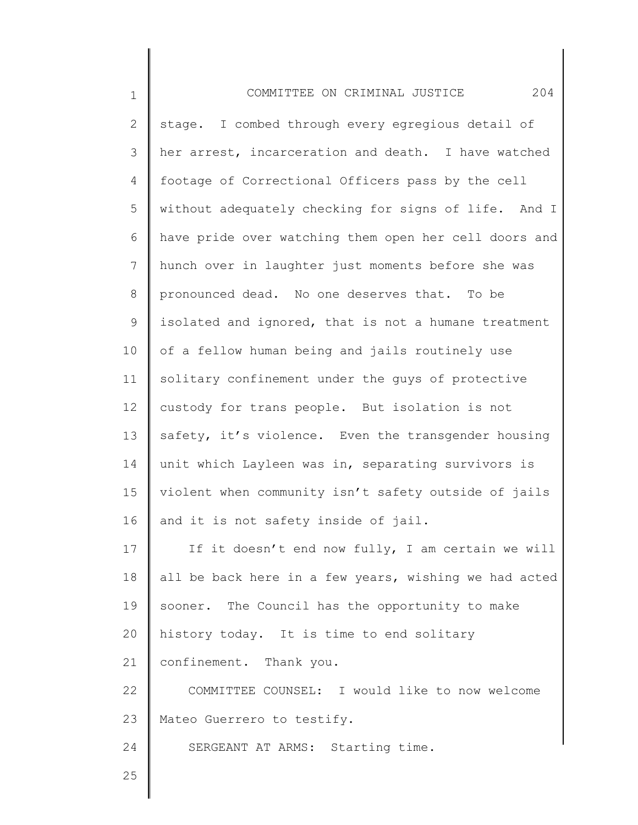| $\mathbf 1$    | 204<br>COMMITTEE ON CRIMINAL JUSTICE                  |
|----------------|-------------------------------------------------------|
| $\mathbf{2}$   | stage. I combed through every egregious detail of     |
| 3              | her arrest, incarceration and death. I have watched   |
| 4              | footage of Correctional Officers pass by the cell     |
| 5              | without adequately checking for signs of life. And I  |
| 6              | have pride over watching them open her cell doors and |
| $\overline{7}$ | hunch over in laughter just moments before she was    |
| $8\,$          | pronounced dead. No one deserves that. To be          |
| $\mathsf 9$    | isolated and ignored, that is not a humane treatment  |
| 10             | of a fellow human being and jails routinely use       |
| 11             | solitary confinement under the guys of protective     |
| 12             | custody for trans people. But isolation is not        |
| 13             | safety, it's violence. Even the transgender housing   |
| 14             | unit which Layleen was in, separating survivors is    |
| 15             | violent when community isn't safety outside of jails  |
| 16             | and it is not safety inside of jail.                  |
| 17             | If it doesn't end now fully, I am certain we will     |
| 18             | all be back here in a few years, wishing we had acted |
| 19             | sooner. The Council has the opportunity to make       |
| 20             | history today. It is time to end solitary             |
| 21             | confinement. Thank you.                               |
| 22             | COMMITTEE COUNSEL: I would like to now welcome        |
| 23             | Mateo Guerrero to testify.                            |
| 24             | SERGEANT AT ARMS: Starting time.                      |
| 25             |                                                       |

 $\begin{array}{c} \hline \end{array}$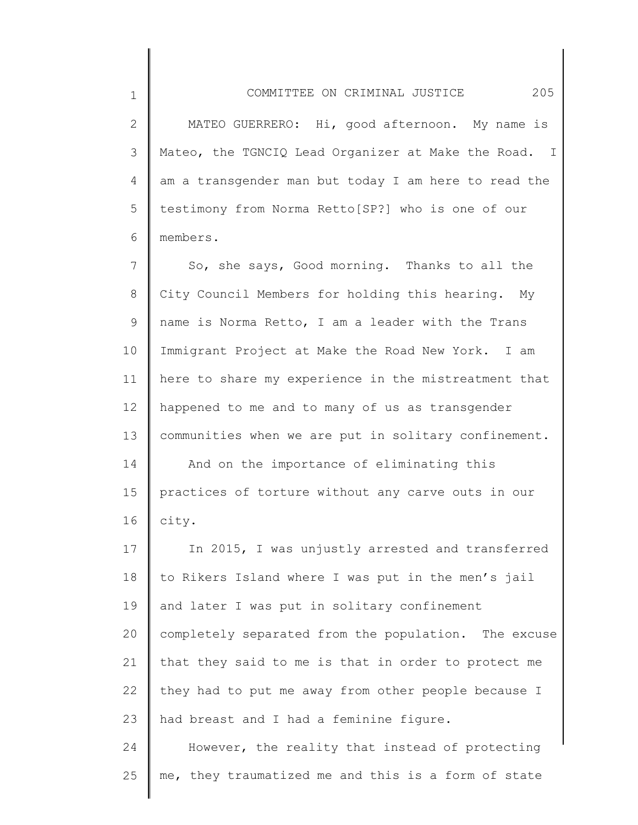2 3 4 5 6 MATEO GUERRERO: Hi, good afternoon. My name is Mateo, the TGNCIQ Lead Organizer at Make the Road. I am a transgender man but today I am here to read the testimony from Norma Retto[SP?] who is one of our members.

1

7 8 9 10 11 12 13 14 15 16 17 18 So, she says, Good morning. Thanks to all the City Council Members for holding this hearing. My name is Norma Retto, I am a leader with the Trans Immigrant Project at Make the Road New York. I am here to share my experience in the mistreatment that happened to me and to many of us as transgender communities when we are put in solitary confinement. And on the importance of eliminating this practices of torture without any carve outs in our city. In 2015, I was unjustly arrested and transferred to Rikers Island where I was put in the men's jail

19 20 21 22 23 and later I was put in solitary confinement completely separated from the population. The excuse that they said to me is that in order to protect me they had to put me away from other people because I had breast and I had a feminine figure.

24 25 However, the reality that instead of protecting me, they traumatized me and this is a form of state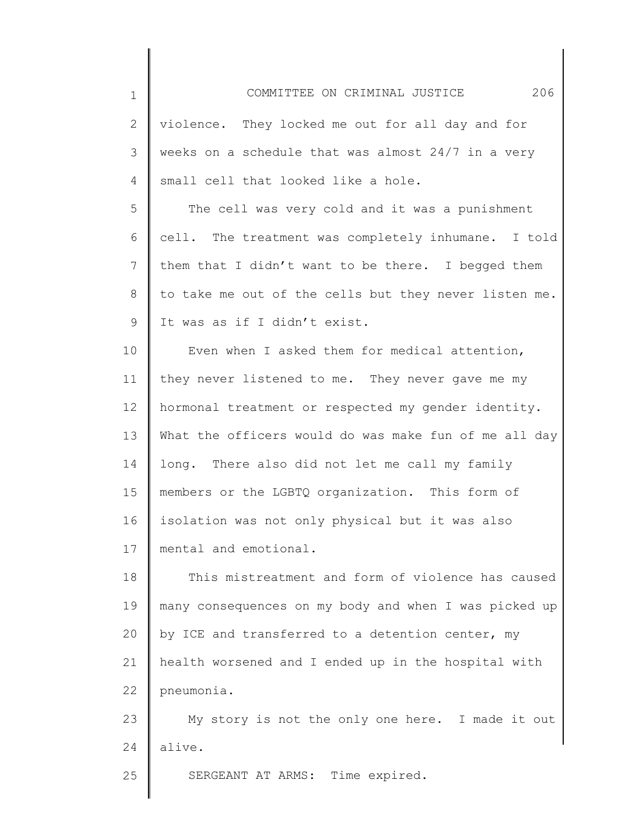2

4

3 5 6 weeks on a schedule that was almost 24/7 in a very small cell that looked like a hole. The cell was very cold and it was a punishment cell. The treatment was completely inhumane. I told

7 8 9 them that I didn't want to be there. I begged them to take me out of the cells but they never listen me. It was as if I didn't exist.

10 11 12 13 14 15 16 17 Even when I asked them for medical attention, they never listened to me. They never gave me my hormonal treatment or respected my gender identity. What the officers would do was make fun of me all day long. There also did not let me call my family members or the LGBTQ organization. This form of isolation was not only physical but it was also mental and emotional.

18 19 20 21 22 This mistreatment and form of violence has caused many consequences on my body and when I was picked up by ICE and transferred to a detention center, my health worsened and I ended up in the hospital with pneumonia.

23 24 My story is not the only one here. I made it out alive.

25 SERGEANT AT ARMS: Time expired.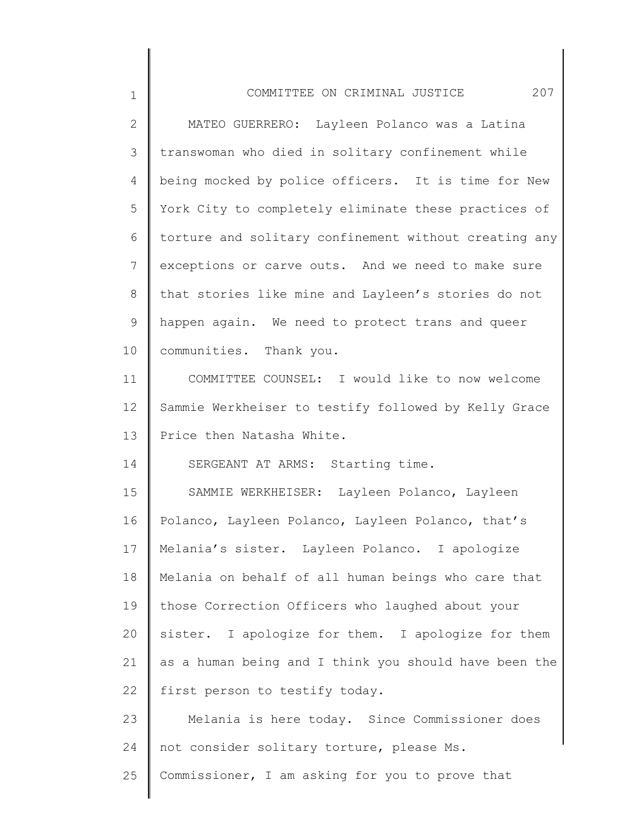| $\mathbf 1$  | COMMITTEE ON CRIMINAL JUSTICE<br>207                  |
|--------------|-------------------------------------------------------|
| $\mathbf{2}$ | MATEO GUERRERO: Layleen Polanco was a Latina          |
| 3            | transwoman who died in solitary confinement while     |
| 4            | being mocked by police officers. It is time for New   |
| 5            | York City to completely eliminate these practices of  |
| 6            | torture and solitary confinement without creating any |
| 7            | exceptions or carve outs. And we need to make sure    |
| 8            | that stories like mine and Layleen's stories do not   |
| 9            | happen again. We need to protect trans and queer      |
| 10           | communities. Thank you.                               |
| 11           | COMMITTEE COUNSEL: I would like to now welcome        |
| 12           | Sammie Werkheiser to testify followed by Kelly Grace  |
| 13           | Price then Natasha White.                             |
| 14           | SERGEANT AT ARMS: Starting time.                      |
| 15           | SAMMIE WERKHEISER: Layleen Polanco, Layleen           |
| 16           | Polanco, Layleen Polanco, Layleen Polanco, that's     |
| 17           | Melania's sister. Layleen Polanco. I apologize        |
| 18           | Melania on behalf of all human beings who care that   |
| 19           | those Correction Officers who laughed about your      |
| 20           | sister. I apologize for them. I apologize for them    |
| 21           | as a human being and I think you should have been the |
| 22           | first person to testify today.                        |
| 23           | Melania is here today. Since Commissioner does        |
| 24           | not consider solitary torture, please Ms.             |
| 25           | Commissioner, I am asking for you to prove that       |
|              |                                                       |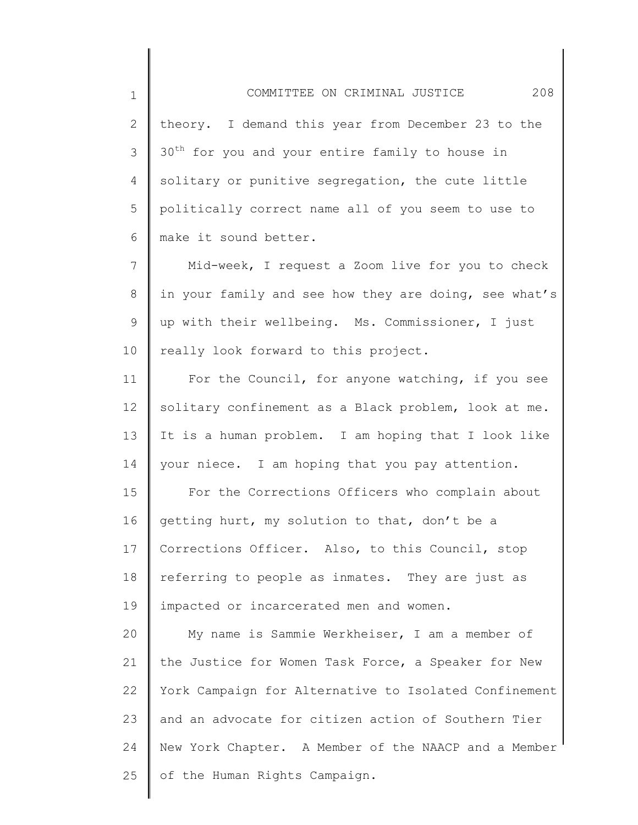COMMITTEE ON CRIMINAL JUSTICE 208

2 3 4 5 6 theory. I demand this year from December 23 to the 30<sup>th</sup> for you and your entire family to house in solitary or punitive segregation, the cute little politically correct name all of you seem to use to make it sound better.

1

7 8 9 10 Mid-week, I request a Zoom live for you to check in your family and see how they are doing, see what's up with their wellbeing. Ms. Commissioner, I just really look forward to this project.

11 12 13 14 For the Council, for anyone watching, if you see solitary confinement as a Black problem, look at me. It is a human problem. I am hoping that I look like your niece. I am hoping that you pay attention.

15 16 17 18 19 For the Corrections Officers who complain about getting hurt, my solution to that, don't be a Corrections Officer. Also, to this Council, stop referring to people as inmates. They are just as impacted or incarcerated men and women.

20 21 22 23 24 25 My name is Sammie Werkheiser, I am a member of the Justice for Women Task Force, a Speaker for New York Campaign for Alternative to Isolated Confinement and an advocate for citizen action of Southern Tier New York Chapter. A Member of the NAACP and a Member of the Human Rights Campaign.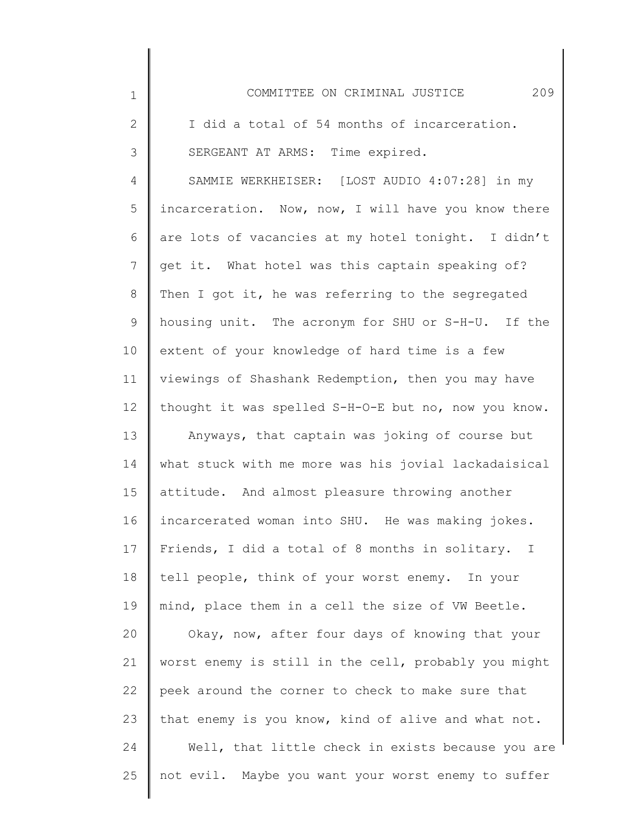| $\mathbf 1$    | 209<br>COMMITTEE ON CRIMINAL JUSTICE                 |
|----------------|------------------------------------------------------|
| $\mathbf{2}$   | I did a total of 54 months of incarceration.         |
| 3              | SERGEANT AT ARMS: Time expired.                      |
| $\overline{4}$ | SAMMIE WERKHEISER: [LOST AUDIO 4:07:28] in my        |
| 5              | incarceration. Now, now, I will have you know there  |
| 6              | are lots of vacancies at my hotel tonight. I didn't  |
| 7              | get it. What hotel was this captain speaking of?     |
| 8              | Then I got it, he was referring to the segregated    |
| $\mathsf 9$    | housing unit. The acronym for SHU or S-H-U. If the   |
| 10             | extent of your knowledge of hard time is a few       |
| 11             | viewings of Shashank Redemption, then you may have   |
| 12             | thought it was spelled S-H-O-E but no, now you know. |
| 13             | Anyways, that captain was joking of course but       |
| 14             | what stuck with me more was his jovial lackadaisical |
| 15             | attitude. And almost pleasure throwing another       |
| 16             | incarcerated woman into SHU. He was making jokes.    |
| 17             | Friends, I did a total of 8 months in solitary. I    |
| 18             | tell people, think of your worst enemy. In your      |
| 19             | mind, place them in a cell the size of VW Beetle.    |
| 20             | Okay, now, after four days of knowing that your      |
| 21             | worst enemy is still in the cell, probably you might |
| 22             | peek around the corner to check to make sure that    |
| 23             | that enemy is you know, kind of alive and what not.  |
| 24             | Well, that little check in exists because you are    |
| 25             | not evil. Maybe you want your worst enemy to suffer  |
|                |                                                      |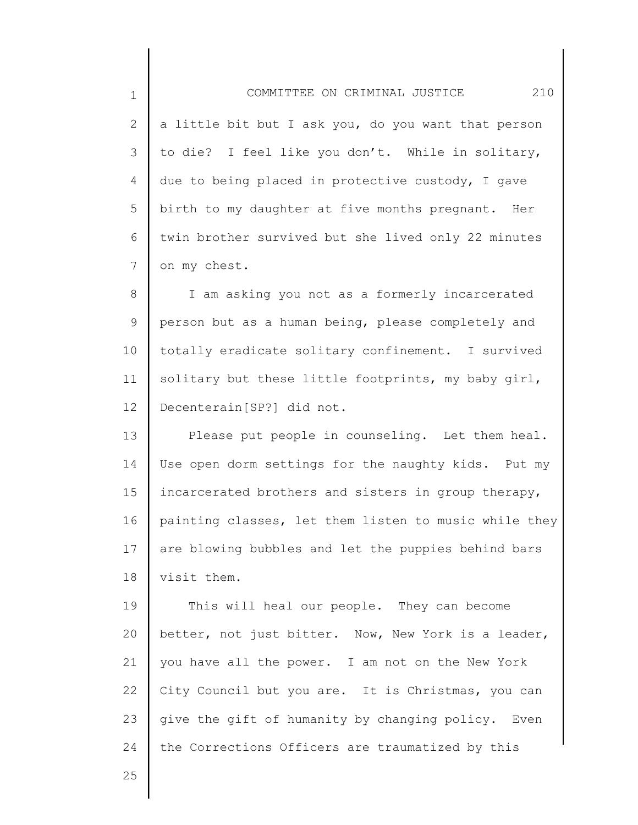2 3 4 5 6 7 a little bit but I ask you, do you want that person to die? I feel like you don't. While in solitary, due to being placed in protective custody, I gave birth to my daughter at five months pregnant. Her twin brother survived but she lived only 22 minutes on my chest.

8 9 10 11 12 I am asking you not as a formerly incarcerated person but as a human being, please completely and totally eradicate solitary confinement. I survived solitary but these little footprints, my baby girl, Decenterain[SP?] did not.

13 14 15 16 17 18 Please put people in counseling. Let them heal. Use open dorm settings for the naughty kids. Put my incarcerated brothers and sisters in group therapy, painting classes, let them listen to music while they are blowing bubbles and let the puppies behind bars visit them.

19 20 21 22 23 24 This will heal our people. They can become better, not just bitter. Now, New York is a leader, you have all the power. I am not on the New York City Council but you are. It is Christmas, you can give the gift of humanity by changing policy. Even the Corrections Officers are traumatized by this

25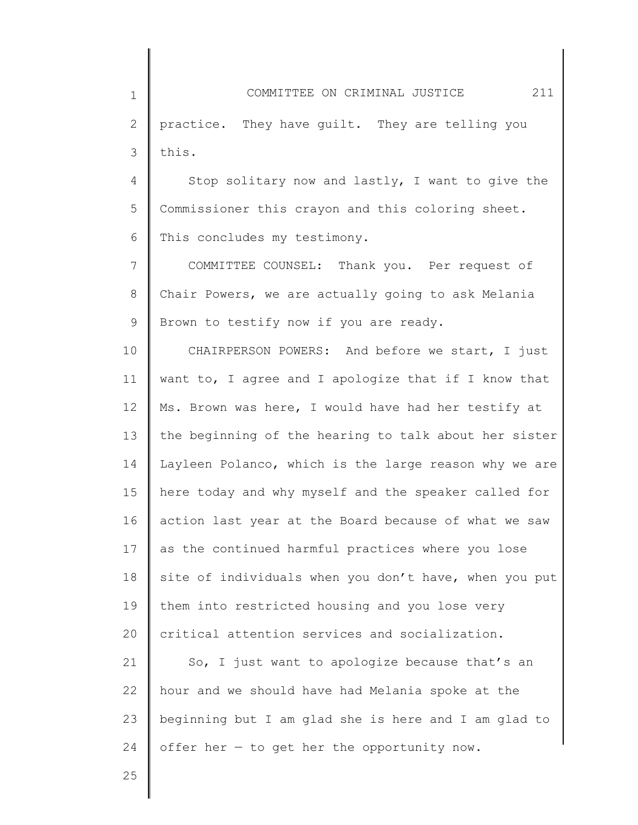1 2 3 COMMITTEE ON CRIMINAL JUSTICE 211 practice. They have guilt. They are telling you this.

4 5 6 Stop solitary now and lastly, I want to give the Commissioner this crayon and this coloring sheet. This concludes my testimony.

7 8 9 COMMITTEE COUNSEL: Thank you. Per request of Chair Powers, we are actually going to ask Melania Brown to testify now if you are ready.

10 11 12 13 14 15 16 17 18 19 20 CHAIRPERSON POWERS: And before we start, I just want to, I agree and I apologize that if I know that Ms. Brown was here, I would have had her testify at the beginning of the hearing to talk about her sister Layleen Polanco, which is the large reason why we are here today and why myself and the speaker called for action last year at the Board because of what we saw as the continued harmful practices where you lose site of individuals when you don't have, when you put them into restricted housing and you lose very critical attention services and socialization.

21 22 23 24 So, I just want to apologize because that's an hour and we should have had Melania spoke at the beginning but I am glad she is here and I am glad to offer her  $-$  to get her the opportunity now.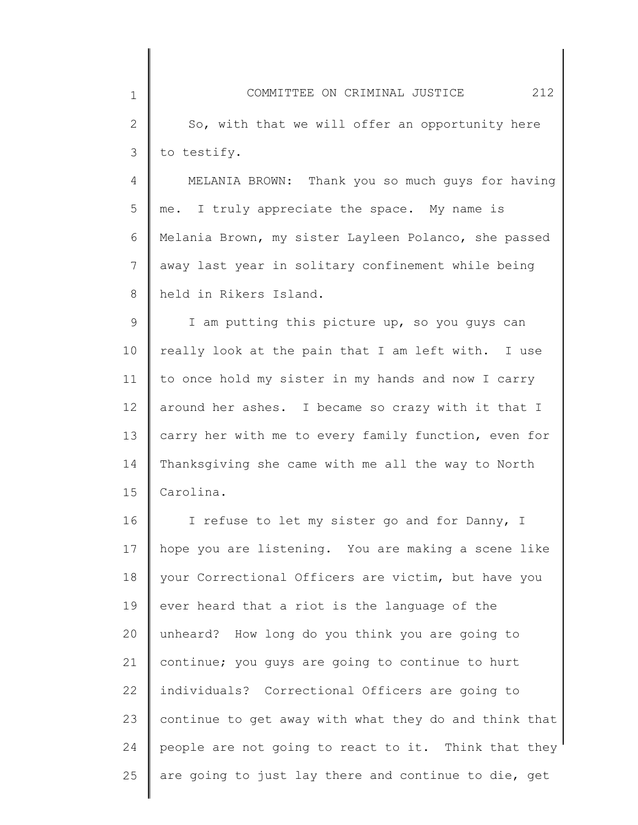| $\mathbf 1$     | 212<br>COMMITTEE ON CRIMINAL JUSTICE                  |
|-----------------|-------------------------------------------------------|
| $\mathbf 2$     | So, with that we will offer an opportunity here       |
| 3               | to testify.                                           |
| 4               | MELANIA BROWN: Thank you so much guys for having      |
| 5               | me. I truly appreciate the space. My name is          |
| 6               | Melania Brown, my sister Layleen Polanco, she passed  |
| 7               | away last year in solitary confinement while being    |
| 8               | held in Rikers Island.                                |
| 9               | I am putting this picture up, so you guys can         |
| 10              | really look at the pain that I am left with. I use    |
| 11              | to once hold my sister in my hands and now I carry    |
| 12 <sup>°</sup> | around her ashes. I became so crazy with it that I    |
| 13              | carry her with me to every family function, even for  |
| 14              | Thanksgiving she came with me all the way to North    |
| 15              | Carolina.                                             |
| 16              | I refuse to let my sister go and for Danny, I         |
| 17              | hope you are listening. You are making a scene like   |
| 18              | your Correctional Officers are victim, but have you   |
| 19              | ever heard that a riot is the language of the         |
| 20              | unheard? How long do you think you are going to       |
| 21              | continue; you guys are going to continue to hurt      |
| 22              | individuals? Correctional Officers are going to       |
| 23              | continue to get away with what they do and think that |
| 24              | people are not going to react to it. Think that they  |

are going to just lay there and continue to die, get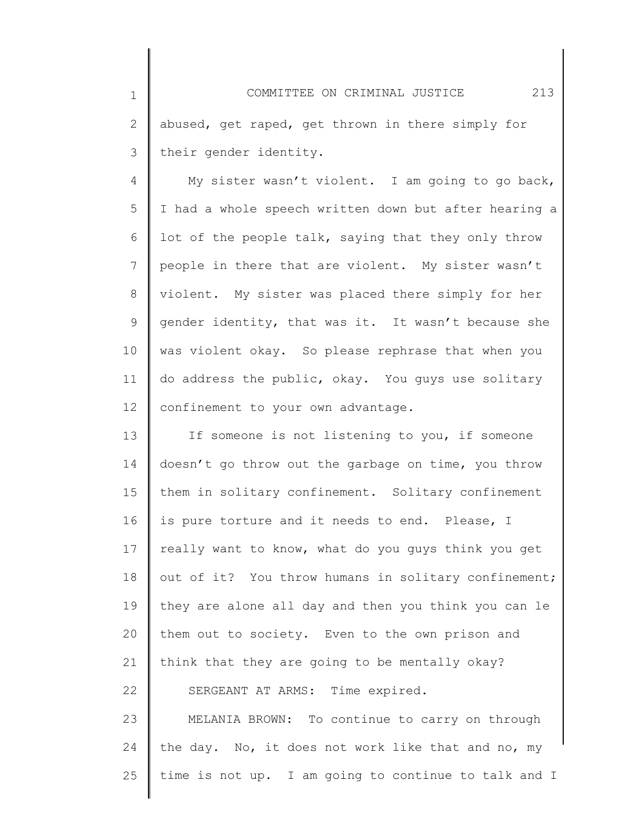2 3 abused, get raped, get thrown in there simply for their gender identity.

1

25

4 5 6 7 8 9 10 11 12 My sister wasn't violent. I am going to go back, I had a whole speech written down but after hearing a lot of the people talk, saying that they only throw people in there that are violent. My sister wasn't violent. My sister was placed there simply for her gender identity, that was it. It wasn't because she was violent okay. So please rephrase that when you do address the public, okay. You guys use solitary confinement to your own advantage.

13 14 15 16 17 18 19 20 21 22 23 24 If someone is not listening to you, if someone doesn't go throw out the garbage on time, you throw them in solitary confinement. Solitary confinement is pure torture and it needs to end. Please, I really want to know, what do you guys think you get out of it? You throw humans in solitary confinement; they are alone all day and then you think you can le them out to society. Even to the own prison and think that they are going to be mentally okay? SERGEANT AT ARMS: Time expired. MELANIA BROWN: To continue to carry on through the day. No, it does not work like that and no, my

time is not up. I am going to continue to talk and I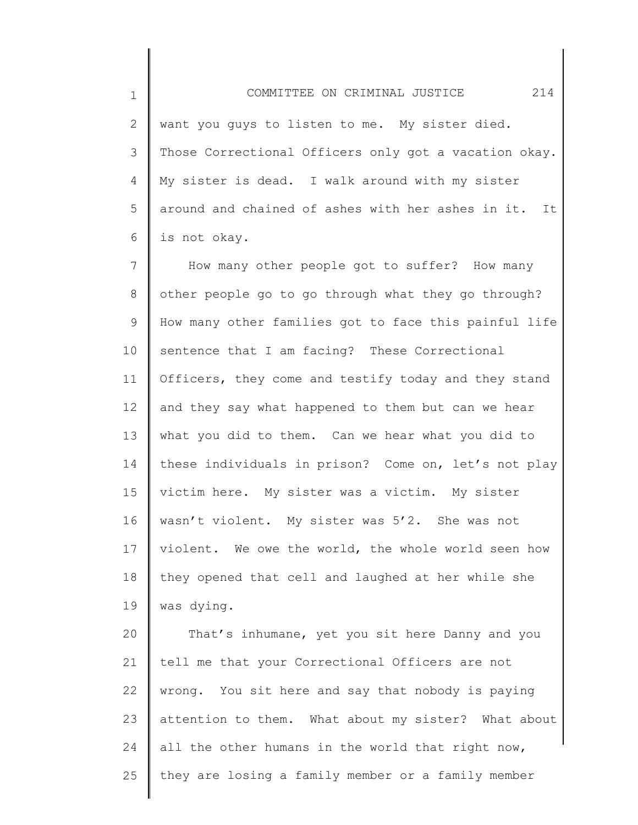2 3 4 5 6 want you guys to listen to me. My sister died. Those Correctional Officers only got a vacation okay. My sister is dead. I walk around with my sister around and chained of ashes with her ashes in it. It is not okay.

7 8 9 10 11 12 13 14 15 16 17 18 19 How many other people got to suffer? How many other people go to go through what they go through? How many other families got to face this painful life sentence that I am facing? These Correctional Officers, they come and testify today and they stand and they say what happened to them but can we hear what you did to them. Can we hear what you did to these individuals in prison? Come on, let's not play victim here. My sister was a victim. My sister wasn't violent. My sister was 5'2. She was not violent. We owe the world, the whole world seen how they opened that cell and laughed at her while she was dying.

20 21 22 23 24 25 That's inhumane, yet you sit here Danny and you tell me that your Correctional Officers are not wrong. You sit here and say that nobody is paying attention to them. What about my sister? What about all the other humans in the world that right now, they are losing a family member or a family member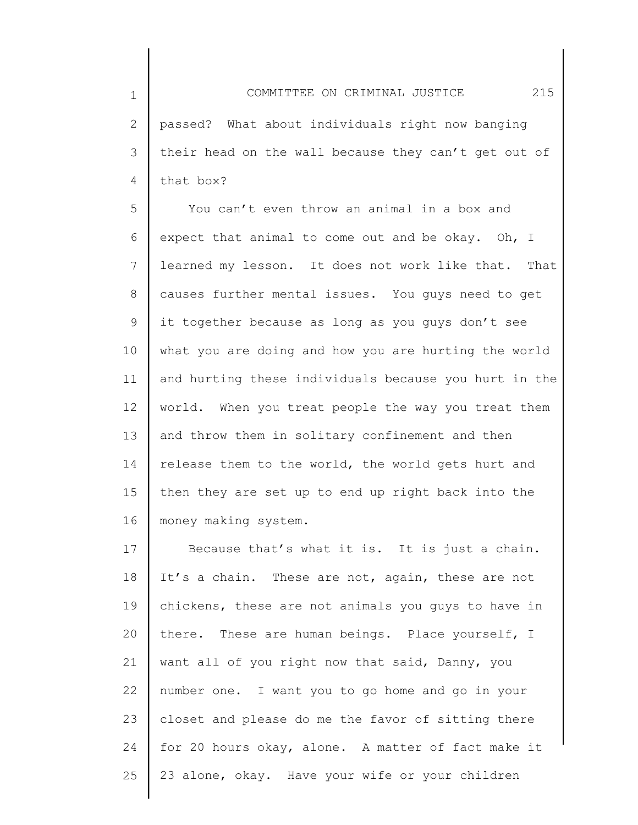1 2 3 4 COMMITTEE ON CRIMINAL JUSTICE 215 passed? What about individuals right now banging their head on the wall because they can't get out of that box?

5 6 7 8 9 10 11 12 13 14 15 16 You can't even throw an animal in a box and expect that animal to come out and be okay. Oh, I learned my lesson. It does not work like that. That causes further mental issues. You guys need to get it together because as long as you guys don't see what you are doing and how you are hurting the world and hurting these individuals because you hurt in the world. When you treat people the way you treat them and throw them in solitary confinement and then release them to the world, the world gets hurt and then they are set up to end up right back into the money making system.

17 18 19 20 21 22 23 24 25 Because that's what it is. It is just a chain. It's a chain. These are not, again, these are not chickens, these are not animals you guys to have in there. These are human beings. Place yourself, I want all of you right now that said, Danny, you number one. I want you to go home and go in your closet and please do me the favor of sitting there for 20 hours okay, alone. A matter of fact make it 23 alone, okay. Have your wife or your children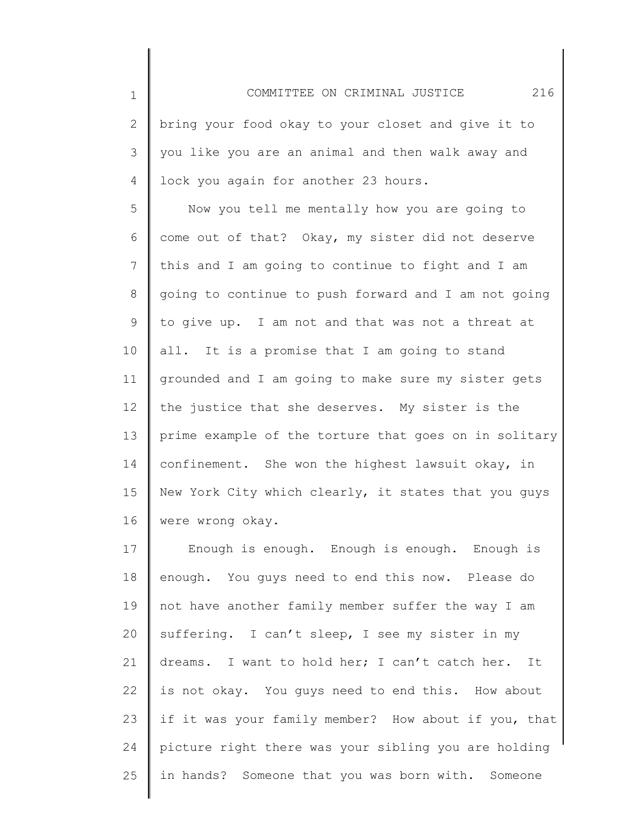2 3 4 bring your food okay to your closet and give it to you like you are an animal and then walk away and lock you again for another 23 hours.

1

5 6 7 8 9 10 11 12 13 14 15 16 Now you tell me mentally how you are going to come out of that? Okay, my sister did not deserve this and I am going to continue to fight and I am going to continue to push forward and I am not going to give up. I am not and that was not a threat at all. It is a promise that I am going to stand grounded and I am going to make sure my sister gets the justice that she deserves. My sister is the prime example of the torture that goes on in solitary confinement. She won the highest lawsuit okay, in New York City which clearly, it states that you guys were wrong okay.

17 18 19 20 21 22 23 24 25 Enough is enough. Enough is enough. Enough is enough. You guys need to end this now. Please do not have another family member suffer the way I am suffering. I can't sleep, I see my sister in my dreams. I want to hold her; I can't catch her. It is not okay. You guys need to end this. How about if it was your family member? How about if you, that picture right there was your sibling you are holding in hands? Someone that you was born with. Someone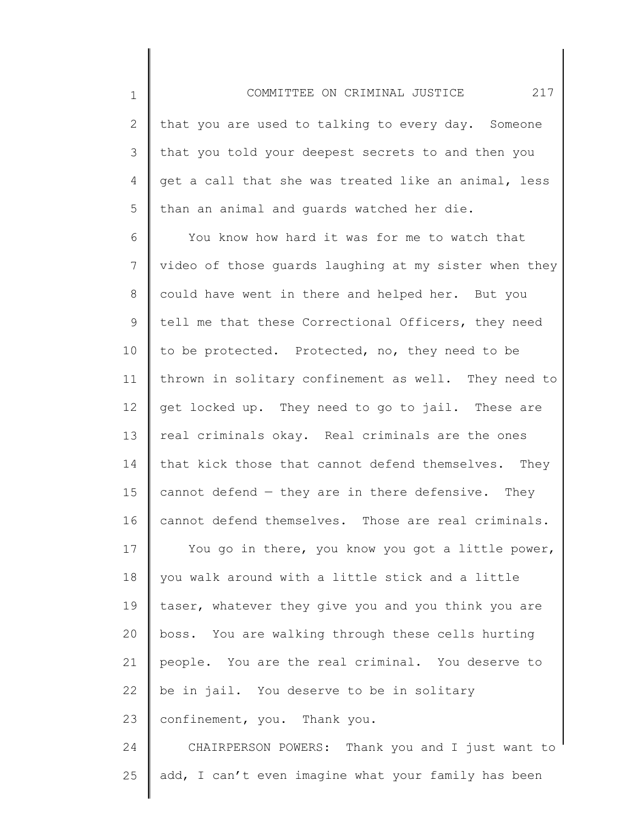2 3 4 5 that you are used to talking to every day. Someone that you told your deepest secrets to and then you get a call that she was treated like an animal, less than an animal and guards watched her die.

1

25

6 7 8 9 10 11 12 13 14 15 16 17 18 19 20 21 22 23 24 You know how hard it was for me to watch that video of those guards laughing at my sister when they could have went in there and helped her. But you tell me that these Correctional Officers, they need to be protected. Protected, no, they need to be thrown in solitary confinement as well. They need to get locked up. They need to go to jail. These are real criminals okay. Real criminals are the ones that kick those that cannot defend themselves. They cannot defend  $-$  they are in there defensive. They cannot defend themselves. Those are real criminals. You go in there, you know you got a little power, you walk around with a little stick and a little taser, whatever they give you and you think you are boss. You are walking through these cells hurting people. You are the real criminal. You deserve to be in jail. You deserve to be in solitary confinement, you. Thank you. CHAIRPERSON POWERS: Thank you and I just want to

add, I can't even imagine what your family has been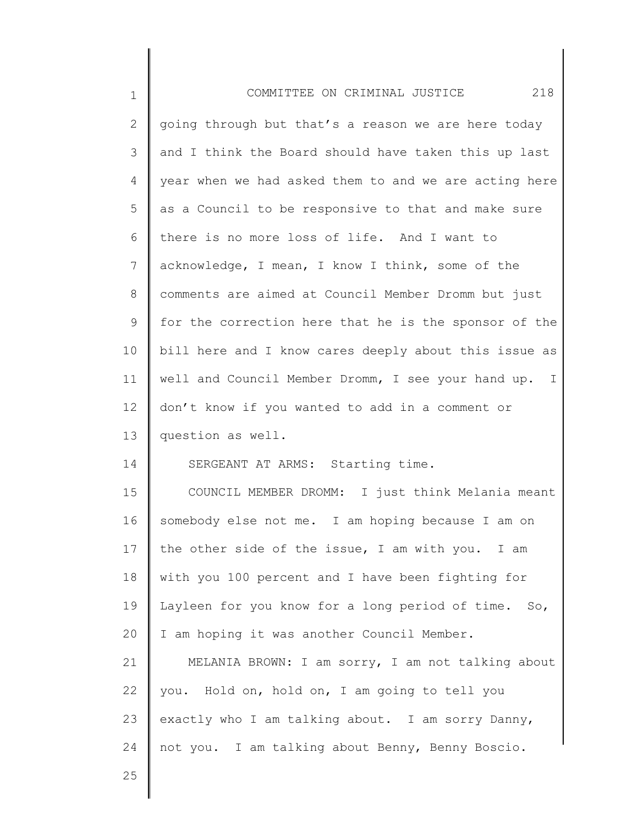| $\mathbf 1$     | 218<br>COMMITTEE ON CRIMINAL JUSTICE                  |
|-----------------|-------------------------------------------------------|
| $\overline{2}$  | going through but that's a reason we are here today   |
| 3               | and I think the Board should have taken this up last  |
| $\overline{4}$  | year when we had asked them to and we are acting here |
| 5               | as a Council to be responsive to that and make sure   |
| 6               | there is no more loss of life. And I want to          |
| $\overline{7}$  | acknowledge, I mean, I know I think, some of the      |
| 8               | comments are aimed at Council Member Dromm but just   |
| 9               | for the correction here that he is the sponsor of the |
| 10              | bill here and I know cares deeply about this issue as |
| 11              | well and Council Member Dromm, I see your hand up. I  |
| 12 <sup>°</sup> | don't know if you wanted to add in a comment or       |
| 13              | question as well.                                     |
| 14              | SERGEANT AT ARMS: Starting time.                      |
| 15              | COUNCIL MEMBER DROMM: I just think Melania meant      |
| 16              | somebody else not me. I am hoping because I am on     |
| 17              | the other side of the issue, I am with you. I am      |
| 18              | with you 100 percent and I have been fighting for     |
| 19              | Layleen for you know for a long period of time. So,   |
| 20              | I am hoping it was another Council Member.            |
| 21              | MELANIA BROWN: I am sorry, I am not talking about     |
| 22              | you. Hold on, hold on, I am going to tell you         |
| 23              | exactly who I am talking about. I am sorry Danny,     |
| 24              | not you. I am talking about Benny, Benny Boscio.      |
| 25              |                                                       |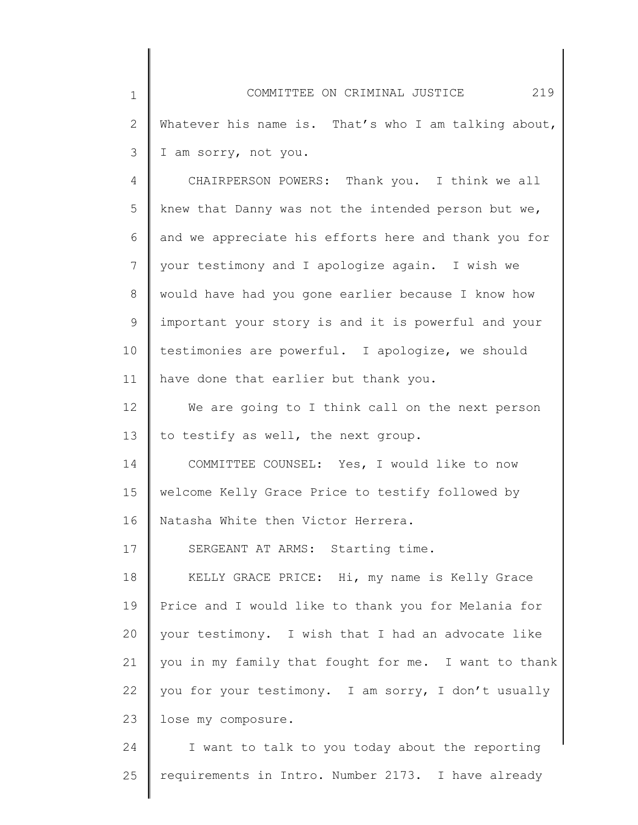1 2 3 4 COMMITTEE ON CRIMINAL JUSTICE 219 Whatever his name is. That's who I am talking about, I am sorry, not you. CHAIRPERSON POWERS: Thank you. I think we all

5 6 7 8 9 10 11 knew that Danny was not the intended person but we, and we appreciate his efforts here and thank you for your testimony and I apologize again. I wish we would have had you gone earlier because I know how important your story is and it is powerful and your testimonies are powerful. I apologize, we should have done that earlier but thank you.

12 13 We are going to I think call on the next person to testify as well, the next group.

14 15 16 COMMITTEE COUNSEL: Yes, I would like to now welcome Kelly Grace Price to testify followed by Natasha White then Victor Herrera.

17 SERGEANT AT ARMS: Starting time.

18 19 20 21 22 23 KELLY GRACE PRICE: Hi, my name is Kelly Grace Price and I would like to thank you for Melania for your testimony. I wish that I had an advocate like you in my family that fought for me. I want to thank you for your testimony. I am sorry, I don't usually lose my composure.

24 25 I want to talk to you today about the reporting requirements in Intro. Number 2173. I have already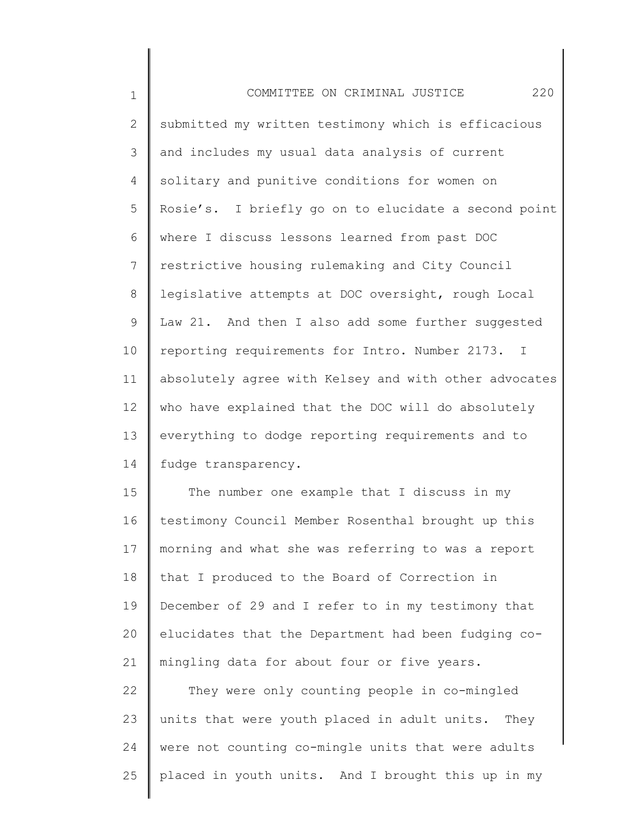| $\mathbf{1}$ | 220<br>COMMITTEE ON CRIMINAL JUSTICE                           |
|--------------|----------------------------------------------------------------|
| $\mathbf{2}$ | submitted my written testimony which is efficacious            |
| 3            | and includes my usual data analysis of current                 |
| 4            | solitary and punitive conditions for women on                  |
| 5            | Rosie's. I briefly go on to elucidate a second point           |
| 6            | where I discuss lessons learned from past DOC                  |
| 7            | restrictive housing rulemaking and City Council                |
| 8            | legislative attempts at DOC oversight, rough Local             |
| 9            | Law 21. And then I also add some further suggested             |
| 10           | reporting requirements for Intro. Number 2173.<br>$\mathbb{I}$ |
| 11           | absolutely agree with Kelsey and with other advocates          |
| 12           | who have explained that the DOC will do absolutely             |
| 13           | everything to dodge reporting requirements and to              |
| 14           | fudge transparency.                                            |
| 15           | The number one example that I discuss in my                    |
|              |                                                                |

16 17 18 19 20 21 testimony Council Member Rosenthal brought up this morning and what she was referring to was a report that I produced to the Board of Correction in December of 29 and I refer to in my testimony that elucidates that the Department had been fudging comingling data for about four or five years.

22 23 24 25 They were only counting people in co-mingled units that were youth placed in adult units. They were not counting co-mingle units that were adults placed in youth units. And I brought this up in my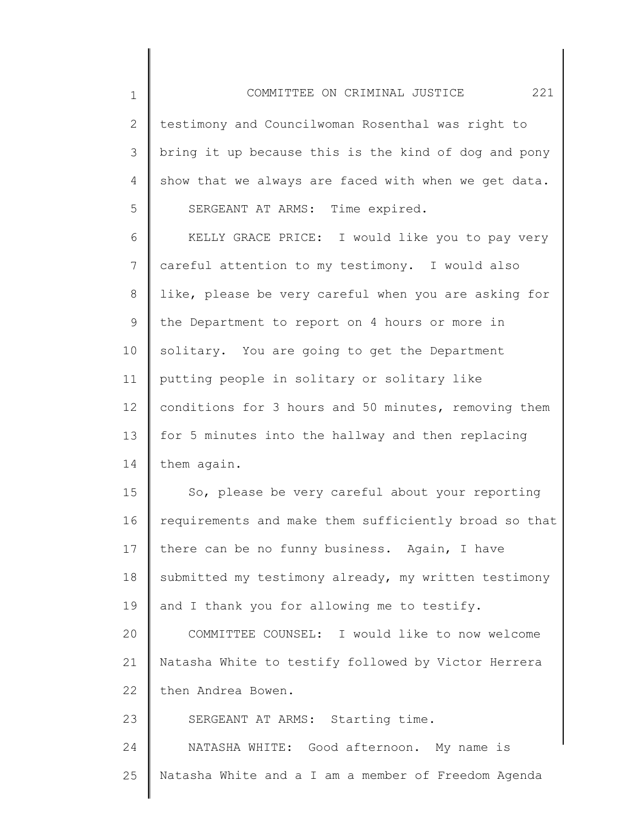2 3 4 5 testimony and Councilwoman Rosenthal was right to bring it up because this is the kind of dog and pony show that we always are faced with when we get data. SERGEANT AT ARMS: Time expired.

1

6 7 8 9 10 11 12 13 14 KELLY GRACE PRICE: I would like you to pay very careful attention to my testimony. I would also like, please be very careful when you are asking for the Department to report on 4 hours or more in solitary. You are going to get the Department putting people in solitary or solitary like conditions for 3 hours and 50 minutes, removing them for 5 minutes into the hallway and then replacing them again.

15 16 17 18 19 20 21 22 So, please be very careful about your reporting requirements and make them sufficiently broad so that there can be no funny business. Again, I have submitted my testimony already, my written testimony and I thank you for allowing me to testify. COMMITTEE COUNSEL: I would like to now welcome Natasha White to testify followed by Victor Herrera then Andrea Bowen.

23 SERGEANT AT ARMS: Starting time.

24 25 NATASHA WHITE: Good afternoon. My name is Natasha White and a I am a member of Freedom Agenda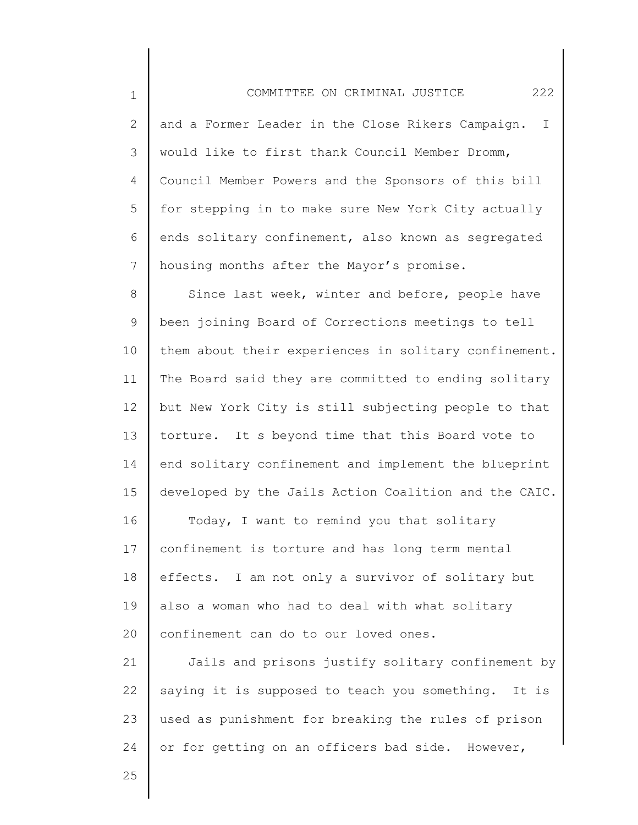2 3 4 5 6 7 and a Former Leader in the Close Rikers Campaign. I would like to first thank Council Member Dromm, Council Member Powers and the Sponsors of this bill for stepping in to make sure New York City actually ends solitary confinement, also known as segregated housing months after the Mayor's promise.

8 9 10 11 12 13 14 15 16 17 Since last week, winter and before, people have been joining Board of Corrections meetings to tell them about their experiences in solitary confinement. The Board said they are committed to ending solitary but New York City is still subjecting people to that torture. It s beyond time that this Board vote to end solitary confinement and implement the blueprint developed by the Jails Action Coalition and the CAIC. Today, I want to remind you that solitary confinement is torture and has long term mental

18 19 20 effects. I am not only a survivor of solitary but also a woman who had to deal with what solitary confinement can do to our loved ones.

21 22 23 24 Jails and prisons justify solitary confinement by saying it is supposed to teach you something. It is used as punishment for breaking the rules of prison or for getting on an officers bad side. However,

25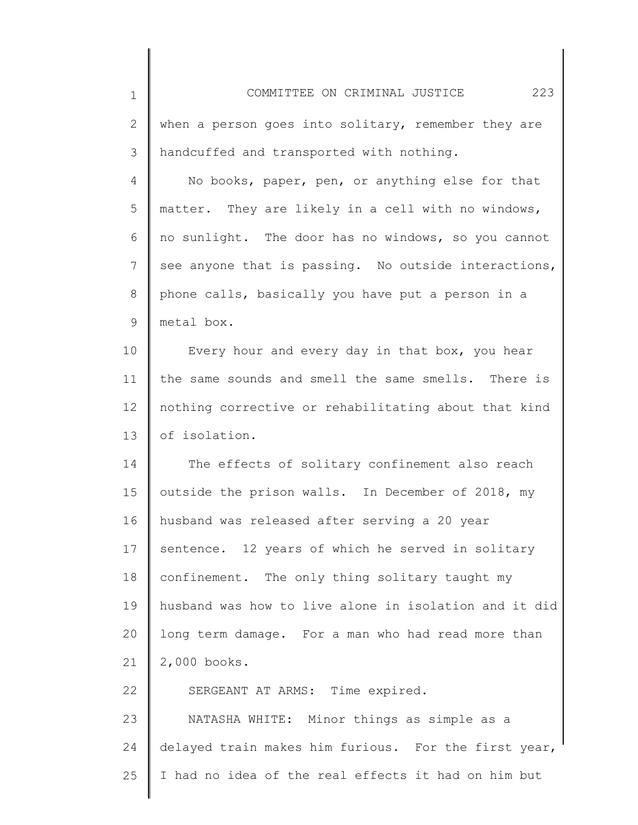1 2 3 4 5 6 7 8 9 10 11 12 13 14 15 16 17 18 19 20 21 22 23 24 25 COMMITTEE ON CRIMINAL JUSTICE 223 when a person goes into solitary, remember they are handcuffed and transported with nothing. No books, paper, pen, or anything else for that matter. They are likely in a cell with no windows, no sunlight. The door has no windows, so you cannot see anyone that is passing. No outside interactions, phone calls, basically you have put a person in a metal box. Every hour and every day in that box, you hear the same sounds and smell the same smells. There is nothing corrective or rehabilitating about that kind of isolation. The effects of solitary confinement also reach outside the prison walls. In December of 2018, my husband was released after serving a 20 year sentence. 12 years of which he served in solitary confinement. The only thing solitary taught my husband was how to live alone in isolation and it did long term damage. For a man who had read more than 2,000 books. SERGEANT AT ARMS: Time expired. NATASHA WHITE: Minor things as simple as a delayed train makes him furious. For the first year, I had no idea of the real effects it had on him but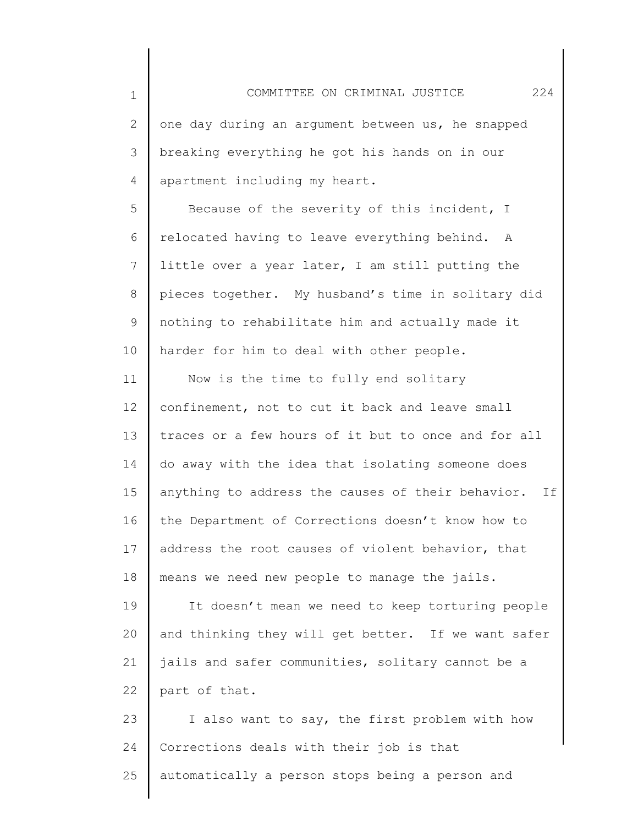2 3 4 one day during an argument between us, he snapped breaking everything he got his hands on in our apartment including my heart.

1

5 6 7 8 9 10 Because of the severity of this incident, I relocated having to leave everything behind. A little over a year later, I am still putting the pieces together. My husband's time in solitary did nothing to rehabilitate him and actually made it harder for him to deal with other people.

11 12 13 14 15 16 17 18 Now is the time to fully end solitary confinement, not to cut it back and leave small traces or a few hours of it but to once and for all do away with the idea that isolating someone does anything to address the causes of their behavior. If the Department of Corrections doesn't know how to address the root causes of violent behavior, that means we need new people to manage the jails.

19 20 21 22 It doesn't mean we need to keep torturing people and thinking they will get better. If we want safer jails and safer communities, solitary cannot be a part of that.

23 24 25 I also want to say, the first problem with how Corrections deals with their job is that automatically a person stops being a person and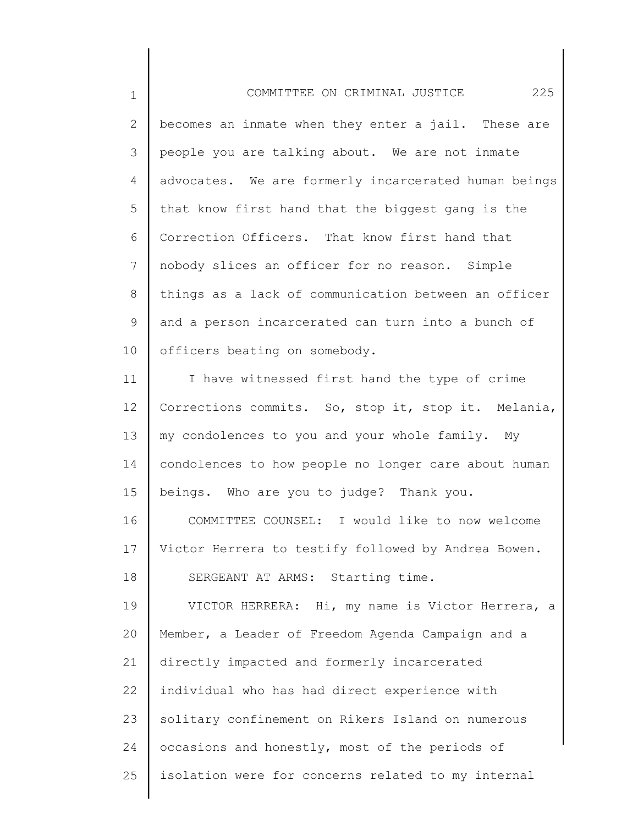1 2 3 4 5 6 7 8 9 10 11 12 13 14 15 16 17 18 19 20 21 22 23 24 25 COMMITTEE ON CRIMINAL JUSTICE 225 becomes an inmate when they enter a jail. These are people you are talking about. We are not inmate advocates. We are formerly incarcerated human beings that know first hand that the biggest gang is the Correction Officers. That know first hand that nobody slices an officer for no reason. Simple things as a lack of communication between an officer and a person incarcerated can turn into a bunch of officers beating on somebody. I have witnessed first hand the type of crime Corrections commits. So, stop it, stop it. Melania, my condolences to you and your whole family. My condolences to how people no longer care about human beings. Who are you to judge? Thank you. COMMITTEE COUNSEL: I would like to now welcome Victor Herrera to testify followed by Andrea Bowen. SERGEANT AT ARMS: Starting time. VICTOR HERRERA: Hi, my name is Victor Herrera, a Member, a Leader of Freedom Agenda Campaign and a directly impacted and formerly incarcerated individual who has had direct experience with solitary confinement on Rikers Island on numerous occasions and honestly, most of the periods of isolation were for concerns related to my internal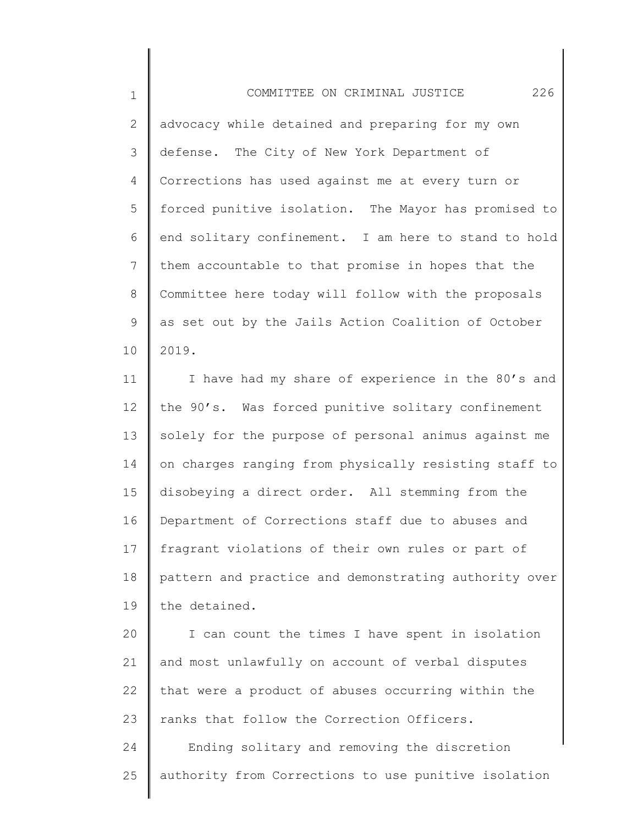1 2 3 4 5 6 7 8 9 10 COMMITTEE ON CRIMINAL JUSTICE 226 advocacy while detained and preparing for my own defense. The City of New York Department of Corrections has used against me at every turn or forced punitive isolation. The Mayor has promised to end solitary confinement. I am here to stand to hold them accountable to that promise in hopes that the Committee here today will follow with the proposals as set out by the Jails Action Coalition of October 2019.

11 12 13 14 15 16 17 18 19 I have had my share of experience in the 80's and the 90's. Was forced punitive solitary confinement solely for the purpose of personal animus against me on charges ranging from physically resisting staff to disobeying a direct order. All stemming from the Department of Corrections staff due to abuses and fragrant violations of their own rules or part of pattern and practice and demonstrating authority over the detained.

20 21 22 23 I can count the times I have spent in isolation and most unlawfully on account of verbal disputes that were a product of abuses occurring within the ranks that follow the Correction Officers.

24 25 Ending solitary and removing the discretion authority from Corrections to use punitive isolation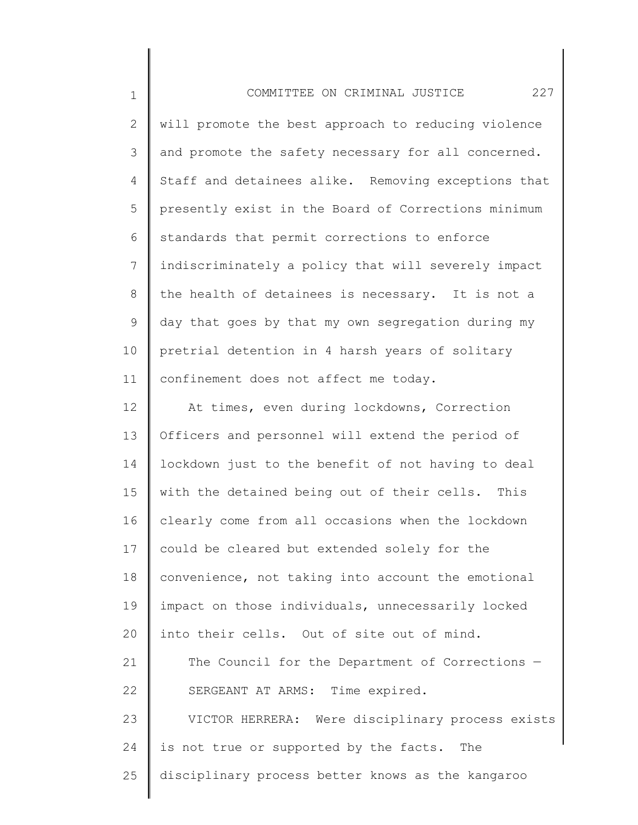| $\mathbf 1$  | 227<br>COMMITTEE ON CRIMINAL JUSTICE                |
|--------------|-----------------------------------------------------|
| $\mathbf{2}$ | will promote the best approach to reducing violence |
| 3            | and promote the safety necessary for all concerned. |
| 4            | Staff and detainees alike. Removing exceptions that |
| 5            | presently exist in the Board of Corrections minimum |
| 6            | standards that permit corrections to enforce        |
| 7            | indiscriminately a policy that will severely impact |
| 8            | the health of detainees is necessary. It is not a   |
| 9            | day that goes by that my own segregation during my  |
| 10           | pretrial detention in 4 harsh years of solitary     |
| 11           | confinement does not affect me today.               |
| 12           | At times, even during lockdowns, Correction         |
| 13           | Officers and personnel will extend the period of    |
| 14           | lockdown just to the benefit of not having to deal  |
| 15           | with the detained being out of their cells. This    |
| 16           | clearly come from all occasions when the lockdown   |
| 17           | could be cleared but extended solely for the        |
| 18           | convenience, not taking into account the emotional  |
| 19           | impact on those individuals, unnecessarily locked   |
| 20           | into their cells. Out of site out of mind.          |
| 21           | The Council for the Department of Corrections -     |
| 22           | SERGEANT AT ARMS: Time expired.                     |
| 23           | VICTOR HERRERA: Were disciplinary process exists    |
| 24           | is not true or supported by the facts. The          |
| 25           | disciplinary process better knows as the kangaroo   |
|              |                                                     |

∥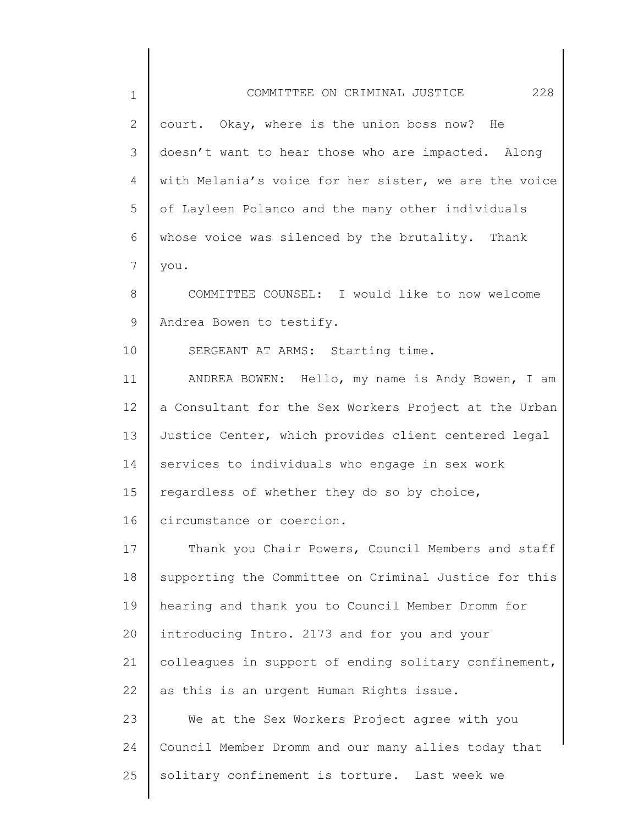| $\mathbf 1$ | COMMITTEE ON CRIMINAL JUSTICE<br>228                  |
|-------------|-------------------------------------------------------|
| 2           | court. Okay, where is the union boss now? He          |
| 3           | doesn't want to hear those who are impacted. Along    |
| 4           | with Melania's voice for her sister, we are the voice |
| 5           | of Layleen Polanco and the many other individuals     |
| 6           | whose voice was silenced by the brutality. Thank      |
| 7           | you.                                                  |
| 8           | COMMITTEE COUNSEL: I would like to now welcome        |
| 9           | Andrea Bowen to testify.                              |
| 10          | SERGEANT AT ARMS: Starting time.                      |
| 11          | ANDREA BOWEN: Hello, my name is Andy Bowen, I am      |
| 12          | a Consultant for the Sex Workers Project at the Urban |
| 13          | Justice Center, which provides client centered legal  |
| 14          | services to individuals who engage in sex work        |
| 15          | regardless of whether they do so by choice,           |
| 16          | circumstance or coercion.                             |
| 17          | Thank you Chair Powers, Council Members and staff     |
| 18          | supporting the Committee on Criminal Justice for this |
| 19          | hearing and thank you to Council Member Dromm for     |
| 20          | introducing Intro. 2173 and for you and your          |
| 21          | colleagues in support of ending solitary confinement, |
| 22          | as this is an urgent Human Rights issue.              |
| 23          | We at the Sex Workers Project agree with you          |
| 24          | Council Member Dromm and our many allies today that   |
| 25          | solitary confinement is torture. Last week we         |
|             |                                                       |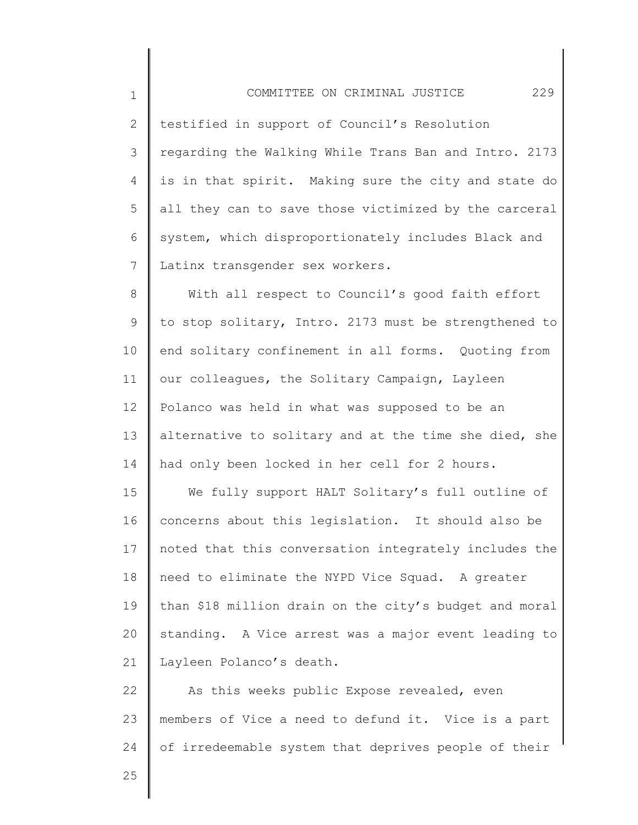1 2 3 4 5 6 7 COMMITTEE ON CRIMINAL JUSTICE 229 testified in support of Council's Resolution regarding the Walking While Trans Ban and Intro. 2173 is in that spirit. Making sure the city and state do all they can to save those victimized by the carceral system, which disproportionately includes Black and Latinx transgender sex workers.

8 9 10 11 12 13 14 With all respect to Council's good faith effort to stop solitary, Intro. 2173 must be strengthened to end solitary confinement in all forms. Quoting from our colleagues, the Solitary Campaign, Layleen Polanco was held in what was supposed to be an alternative to solitary and at the time she died, she had only been locked in her cell for 2 hours.

15 16 17 18 19 20 21 We fully support HALT Solitary's full outline of concerns about this legislation. It should also be noted that this conversation integrately includes the need to eliminate the NYPD Vice Squad. A greater than \$18 million drain on the city's budget and moral standing. A Vice arrest was a major event leading to Layleen Polanco's death.

22 23 24 As this weeks public Expose revealed, even members of Vice a need to defund it. Vice is a part of irredeemable system that deprives people of their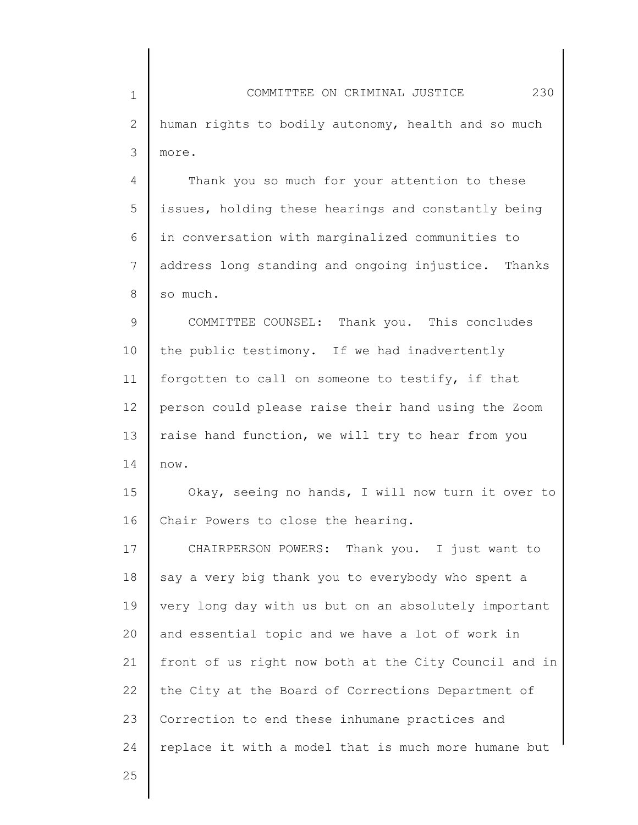1 2 3 4 5 6 7 8 COMMITTEE ON CRIMINAL JUSTICE 230 human rights to bodily autonomy, health and so much more. Thank you so much for your attention to these issues, holding these hearings and constantly being in conversation with marginalized communities to address long standing and ongoing injustice. Thanks so much.

9 10 11 12 13 14 COMMITTEE COUNSEL: Thank you. This concludes the public testimony. If we had inadvertently forgotten to call on someone to testify, if that person could please raise their hand using the Zoom raise hand function, we will try to hear from you now.

15 16 Okay, seeing no hands, I will now turn it over to Chair Powers to close the hearing.

17 18 19 20 21 22 23 24 CHAIRPERSON POWERS: Thank you. I just want to say a very big thank you to everybody who spent a very long day with us but on an absolutely important and essential topic and we have a lot of work in front of us right now both at the City Council and in the City at the Board of Corrections Department of Correction to end these inhumane practices and replace it with a model that is much more humane but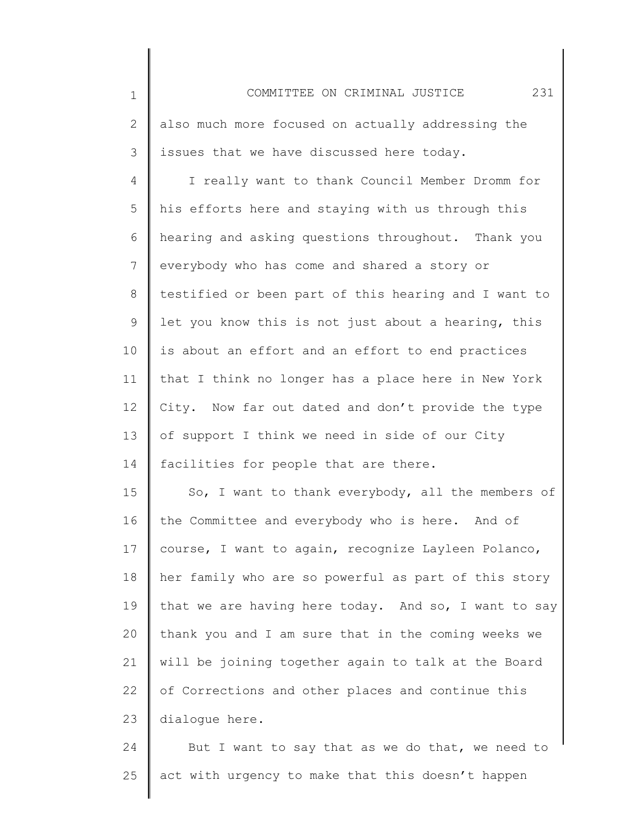1 2 3 4 5 6 7 8 9 10 11 12 13 14 15 16 17 18 19 20 21 22 23 24 COMMITTEE ON CRIMINAL JUSTICE 231 also much more focused on actually addressing the issues that we have discussed here today. I really want to thank Council Member Dromm for his efforts here and staying with us through this hearing and asking questions throughout. Thank you everybody who has come and shared a story or testified or been part of this hearing and I want to let you know this is not just about a hearing, this is about an effort and an effort to end practices that I think no longer has a place here in New York City. Now far out dated and don't provide the type of support I think we need in side of our City facilities for people that are there. So, I want to thank everybody, all the members of the Committee and everybody who is here. And of course, I want to again, recognize Layleen Polanco, her family who are so powerful as part of this story that we are having here today. And so, I want to say thank you and I am sure that in the coming weeks we will be joining together again to talk at the Board of Corrections and other places and continue this dialogue here. But I want to say that as we do that, we need to

act with urgency to make that this doesn't happen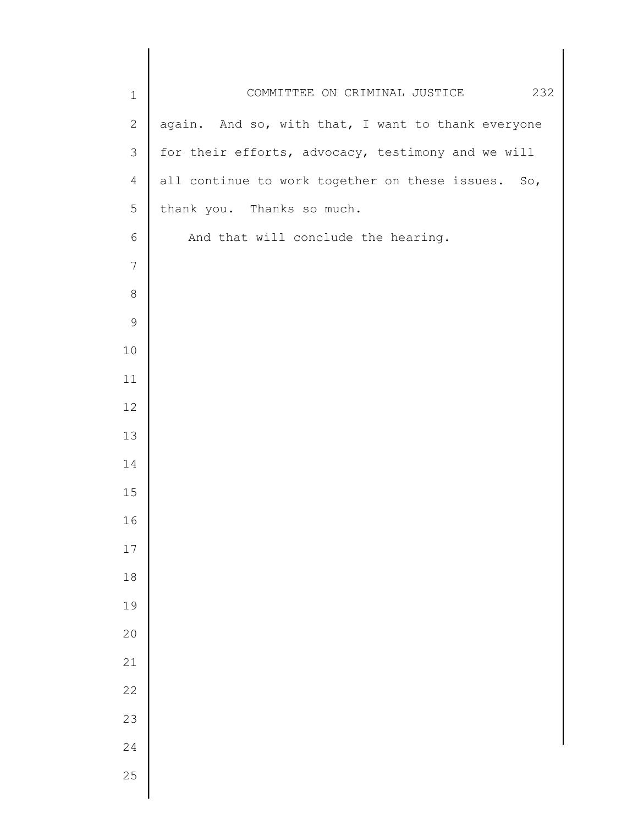| $1\,$          | COMMITTEE ON CRIMINAL JUSTICE<br>232               |
|----------------|----------------------------------------------------|
| $\mathbf{2}$   | again. And so, with that, I want to thank everyone |
| $\mathfrak{Z}$ | for their efforts, advocacy, testimony and we will |
| 4              | all continue to work together on these issues. So, |
| 5              | thank you. Thanks so much.                         |
| $\epsilon$     | And that will conclude the hearing.                |
| $\overline{7}$ |                                                    |
| $\,8\,$        |                                                    |
| $\mathsf 9$    |                                                    |
| $10$           |                                                    |
| 11             |                                                    |
| 12             |                                                    |
| 13             |                                                    |
| 14             |                                                    |
| 15             |                                                    |
| 16             |                                                    |
| 17             |                                                    |
| $1\,8$         |                                                    |
| 19             |                                                    |
| 20             |                                                    |
| 21             |                                                    |
| 22             |                                                    |
| 23             |                                                    |
| 24             |                                                    |
| 25             |                                                    |
|                |                                                    |